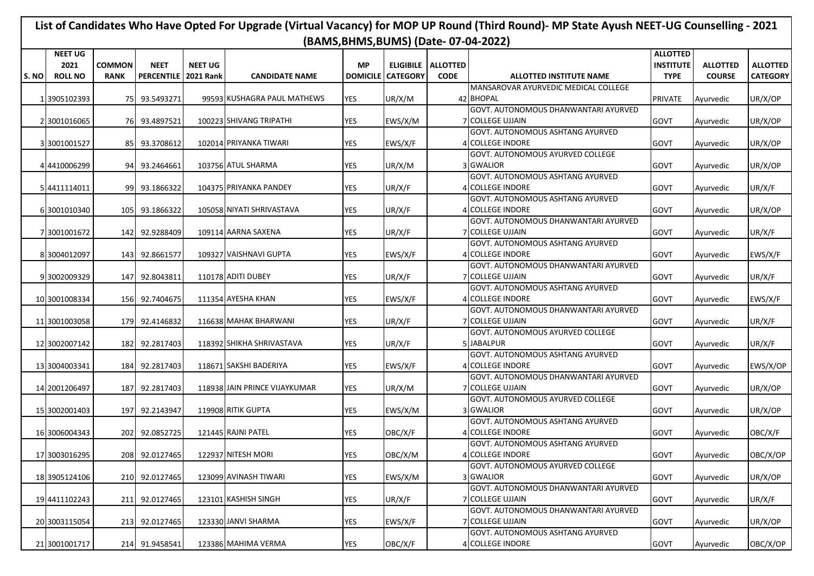## **List of Candidates Who Have Opted For Upgrade (Virtual Vacancy) for MOP UP Round (Third Round)- MP State Ayush NEET-UG Counselling - 2021 (BAMS,BHMS,BUMS) (Date- 07-04-2022)**

| <b>NEET</b><br><b>NEET UG</b><br><b>ALLOTTED</b><br><b>ALLOTTED</b><br>2021<br><b>COMMON</b><br><b>MP</b><br><b>ELIGIBILE   ALLOTTED</b><br><b>INSTITUTE</b><br>S. NO<br><b>ROLL NO</b><br><b>PERCENTILE</b><br><b>2021 Rank</b><br><b>DOMICILE</b><br><b>CATEGORY</b><br><b>CODE</b><br><b>TYPE</b><br><b>COURSE</b><br><b>CATEGORY</b><br><b>RANK</b><br><b>CANDIDATE NAME</b><br><b>ALLOTTED INSTITUTE NAME</b><br>MANSAROVAR AYURVEDIC MEDICAL COLLEGE<br><b>YES</b><br>UR/X/OP<br>1 3905102393<br>75 93.5493271<br>99593 KUSHAGRA PAUL MATHEWS<br>UR/X/M<br>42 BHOPAL<br><b>PRIVATE</b><br>Ayurvedic<br>GOVT. AUTONOMOUS DHANWANTARI AYURVED<br>100223 SHIVANG TRIPATHI<br><b>YES</b><br>EWS/X/M<br><b>7 COLLEGE UJJAIN</b><br><b>GOVT</b><br>UR/X/OP<br>2 3001016065<br>76 93.4897521<br>Ayurvedic<br><b>GOVT. AUTONOMOUS ASHTANG AYURVED</b><br>3 3001001527<br>102014 PRIYANKA TIWARI<br><b>YES</b><br>EWS/X/F<br>4 COLLEGE INDORE<br>UR/X/OP<br>85<br>93.3708612<br><b>GOVT</b><br>Ayurvedic<br>GOVT. AUTONOMOUS AYURVED COLLEGE<br>44410006299<br>93.2464661<br>103756 ATUL SHARMA<br><b>YES</b><br>UR/X/M<br>3 GWALIOR<br><b>GOVT</b><br>UR/X/OP<br>94<br>Ayurvedic<br>GOVT. AUTONOMOUS ASHTANG AYURVED<br><b>YES</b><br>4 COLLEGE INDORE<br>UR/X/F<br>93.1866322<br>104375 PRIYANKA PANDEY<br>UR/X/F<br><b>GOVT</b><br>5 4411114011<br>99<br>Ayurvedic<br>GOVT. AUTONOMOUS ASHTANG AYURVED<br>6 3001010340<br>105<br>105058 NIYATI SHRIVASTAVA<br>YES<br>UR/X/F<br>4 COLLEGE INDORE<br>GOVT<br>UR/X/OP<br>93.1866322<br>Ayurvedic<br>GOVT. AUTONOMOUS DHANWANTARI AYURVED<br>YES<br>UR/X/F<br>7 COLLEGE UJJAIN<br><b>GOVT</b><br>UR/X/F<br>7 3001001672<br>142<br>92.9288409<br>109114 AARNA SAXENA<br>Ayurvedic<br>GOVT. AUTONOMOUS ASHTANG AYURVED<br><b>YES</b><br>EWS/X/F<br>8 3004012097<br>143<br>92.8661577<br>109327 VAISHNAVI GUPTA<br>EWS/X/F<br>4 COLLEGE INDORE<br><b>GOVT</b><br>Ayurvedic<br><b>GOVT. AUTONOMOUS DHANWANTARI AYURVED</b><br>110178 ADITI DUBEY<br>7 COLLEGE UJJAIN<br>UR/X/F<br>9 3002009329<br>147<br>92.8043811<br>YES<br>UR/X/F<br><b>GOVT</b><br>Ayurvedic<br>GOVT. AUTONOMOUS ASHTANG AYURVED<br>111354 AYESHA KHAN<br><b>YES</b><br>EWS/X/F<br><b>4ICOLLEGE INDORE</b><br><b>GOVT</b><br>EWS/X/F<br>10 3001008334<br>156 92.7404675<br>Ayurvedic<br>GOVT. AUTONOMOUS DHANWANTARI AYURVED<br><b>YES</b><br>UR/X/F<br>7 COLLEGE UJJAIN<br><b>GOVT</b><br>UR/X/F<br>11 3001003058<br>179<br>92.4146832<br>116638 MAHAK BHARWANI<br>Ayurvedic<br>GOVT. AUTONOMOUS AYURVED COLLEGE<br>182<br>92.2817403<br>118392 SHIKHA SHRIVASTAVA<br>YES<br>UR/X/F<br>5 JABALPUR<br><b>GOVT</b><br>UR/X/F<br>12 3002007142<br>Ayurvedic<br><b>GOVT. AUTONOMOUS ASHTANG AYURVED</b><br><b>YES</b><br><b>4 COLLEGE INDORE</b><br>GOVT<br>13 3004003341<br>184<br>92.2817403<br>118671 SAKSHI BADERIYA<br>EWS/X/F<br>EWS/X/OP<br>Ayurvedic<br>GOVT. AUTONOMOUS DHANWANTARI AYURVED<br>7 COLLEGE UJJAIN<br>92.2817403<br>118938 JAIN PRINCE VIJAYKUMAR<br>YES<br>UR/X/M<br><b>GOVT</b><br>UR/X/OP<br>14 2001206497<br>187<br>Ayurvedic<br>GOVT. AUTONOMOUS AYURVED COLLEGE<br>UR/X/OP<br>15 3002001403<br>197<br>92.2143947<br>119908 RITIK GUPTA<br><b>YES</b><br>EWS/X/M<br>3 GWALIOR<br><b>GOVT</b><br>Ayurvedic<br>GOVT. AUTONOMOUS ASHTANG AYURVED<br>121445 RAJNI PATEL<br>4 COLLEGE INDORE<br>16 3006004343<br>202 92.0852725<br>YES<br>OBC/X/F<br><b>GOVT</b><br>OBC/X/F<br>Ayurvedic<br>GOVT. AUTONOMOUS ASHTANG AYURVED<br>122937 NITESH MORI<br>YES<br>OBC/X/M<br>4 COLLEGE INDORE<br><b>GOVT</b><br>OBC/X/OP<br>17 3003016295<br>208<br>92.0127465<br>Ayurvedic<br>GOVT. AUTONOMOUS AYURVED COLLEGE<br>210 92.0127465<br>123099 AVINASH TIWARI<br>YES<br>EWS/X/M<br>3 GWALIOR<br><b>GOVT</b><br>UR/X/OP<br>18 3905124106<br>Ayurvedic<br>GOVT. AUTONOMOUS DHANWANTARI AYURVED<br>UR/X/F<br>19 4411102243<br>211<br>92.0127465<br>123101 KASHISH SINGH<br>YES<br>UR/X/F<br><b>7 COLLEGE UJJAIN</b><br>GOVT<br>Ayurvedic<br>GOVT. AUTONOMOUS DHANWANTARI AYURVED<br>20 3003115054<br>213 <sup>1</sup><br>92.0127465<br>123330 JANVI SHARMA<br>YES<br>EWS/X/F<br><b>7 COLLEGE UJJAIN</b><br><b>GOVT</b><br>UR/X/OP<br>Ayurvedic<br>GOVT. AUTONOMOUS ASHTANG AYURVED<br>4 COLLEGE INDORE<br>21 3001001717<br>214 91.9458541<br>123386 MAHIMA VERMA | <b>NEET UG</b> |  |  |            |         |  | <b>ALLOTTED</b> |           |          |
|--------------------------------------------------------------------------------------------------------------------------------------------------------------------------------------------------------------------------------------------------------------------------------------------------------------------------------------------------------------------------------------------------------------------------------------------------------------------------------------------------------------------------------------------------------------------------------------------------------------------------------------------------------------------------------------------------------------------------------------------------------------------------------------------------------------------------------------------------------------------------------------------------------------------------------------------------------------------------------------------------------------------------------------------------------------------------------------------------------------------------------------------------------------------------------------------------------------------------------------------------------------------------------------------------------------------------------------------------------------------------------------------------------------------------------------------------------------------------------------------------------------------------------------------------------------------------------------------------------------------------------------------------------------------------------------------------------------------------------------------------------------------------------------------------------------------------------------------------------------------------------------------------------------------------------------------------------------------------------------------------------------------------------------------------------------------------------------------------------------------------------------------------------------------------------------------------------------------------------------------------------------------------------------------------------------------------------------------------------------------------------------------------------------------------------------------------------------------------------------------------------------------------------------------------------------------------------------------------------------------------------------------------------------------------------------------------------------------------------------------------------------------------------------------------------------------------------------------------------------------------------------------------------------------------------------------------------------------------------------------------------------------------------------------------------------------------------------------------------------------------------------------------------------------------------------------------------------------------------------------------------------------------------------------------------------------------------------------------------------------------------------------------------------------------------------------------------------------------------------------------------------------------------------------------------------------------------------------------------------------------------------------------------------------------------------------------------------------------------------------------------------------------------------------------------------------------------------------------------------------------------------------------------------------------------------------------------------------------------------------------------------------------------------------------------------------------------------------------------------------------------------------------------------------------------------------------------------------------------------------------------------------------------------|----------------|--|--|------------|---------|--|-----------------|-----------|----------|
|                                                                                                                                                                                                                                                                                                                                                                                                                                                                                                                                                                                                                                                                                                                                                                                                                                                                                                                                                                                                                                                                                                                                                                                                                                                                                                                                                                                                                                                                                                                                                                                                                                                                                                                                                                                                                                                                                                                                                                                                                                                                                                                                                                                                                                                                                                                                                                                                                                                                                                                                                                                                                                                                                                                                                                                                                                                                                                                                                                                                                                                                                                                                                                                                                                                                                                                                                                                                                                                                                                                                                                                                                                                                                                                                                                                                                                                                                                                                                                                                                                                                                                                                                                                                                                                                                      |                |  |  |            |         |  |                 |           |          |
|                                                                                                                                                                                                                                                                                                                                                                                                                                                                                                                                                                                                                                                                                                                                                                                                                                                                                                                                                                                                                                                                                                                                                                                                                                                                                                                                                                                                                                                                                                                                                                                                                                                                                                                                                                                                                                                                                                                                                                                                                                                                                                                                                                                                                                                                                                                                                                                                                                                                                                                                                                                                                                                                                                                                                                                                                                                                                                                                                                                                                                                                                                                                                                                                                                                                                                                                                                                                                                                                                                                                                                                                                                                                                                                                                                                                                                                                                                                                                                                                                                                                                                                                                                                                                                                                                      |                |  |  |            |         |  |                 |           |          |
|                                                                                                                                                                                                                                                                                                                                                                                                                                                                                                                                                                                                                                                                                                                                                                                                                                                                                                                                                                                                                                                                                                                                                                                                                                                                                                                                                                                                                                                                                                                                                                                                                                                                                                                                                                                                                                                                                                                                                                                                                                                                                                                                                                                                                                                                                                                                                                                                                                                                                                                                                                                                                                                                                                                                                                                                                                                                                                                                                                                                                                                                                                                                                                                                                                                                                                                                                                                                                                                                                                                                                                                                                                                                                                                                                                                                                                                                                                                                                                                                                                                                                                                                                                                                                                                                                      |                |  |  |            |         |  |                 |           |          |
|                                                                                                                                                                                                                                                                                                                                                                                                                                                                                                                                                                                                                                                                                                                                                                                                                                                                                                                                                                                                                                                                                                                                                                                                                                                                                                                                                                                                                                                                                                                                                                                                                                                                                                                                                                                                                                                                                                                                                                                                                                                                                                                                                                                                                                                                                                                                                                                                                                                                                                                                                                                                                                                                                                                                                                                                                                                                                                                                                                                                                                                                                                                                                                                                                                                                                                                                                                                                                                                                                                                                                                                                                                                                                                                                                                                                                                                                                                                                                                                                                                                                                                                                                                                                                                                                                      |                |  |  |            |         |  |                 |           |          |
|                                                                                                                                                                                                                                                                                                                                                                                                                                                                                                                                                                                                                                                                                                                                                                                                                                                                                                                                                                                                                                                                                                                                                                                                                                                                                                                                                                                                                                                                                                                                                                                                                                                                                                                                                                                                                                                                                                                                                                                                                                                                                                                                                                                                                                                                                                                                                                                                                                                                                                                                                                                                                                                                                                                                                                                                                                                                                                                                                                                                                                                                                                                                                                                                                                                                                                                                                                                                                                                                                                                                                                                                                                                                                                                                                                                                                                                                                                                                                                                                                                                                                                                                                                                                                                                                                      |                |  |  |            |         |  |                 |           |          |
|                                                                                                                                                                                                                                                                                                                                                                                                                                                                                                                                                                                                                                                                                                                                                                                                                                                                                                                                                                                                                                                                                                                                                                                                                                                                                                                                                                                                                                                                                                                                                                                                                                                                                                                                                                                                                                                                                                                                                                                                                                                                                                                                                                                                                                                                                                                                                                                                                                                                                                                                                                                                                                                                                                                                                                                                                                                                                                                                                                                                                                                                                                                                                                                                                                                                                                                                                                                                                                                                                                                                                                                                                                                                                                                                                                                                                                                                                                                                                                                                                                                                                                                                                                                                                                                                                      |                |  |  |            |         |  |                 |           |          |
|                                                                                                                                                                                                                                                                                                                                                                                                                                                                                                                                                                                                                                                                                                                                                                                                                                                                                                                                                                                                                                                                                                                                                                                                                                                                                                                                                                                                                                                                                                                                                                                                                                                                                                                                                                                                                                                                                                                                                                                                                                                                                                                                                                                                                                                                                                                                                                                                                                                                                                                                                                                                                                                                                                                                                                                                                                                                                                                                                                                                                                                                                                                                                                                                                                                                                                                                                                                                                                                                                                                                                                                                                                                                                                                                                                                                                                                                                                                                                                                                                                                                                                                                                                                                                                                                                      |                |  |  |            |         |  |                 |           |          |
|                                                                                                                                                                                                                                                                                                                                                                                                                                                                                                                                                                                                                                                                                                                                                                                                                                                                                                                                                                                                                                                                                                                                                                                                                                                                                                                                                                                                                                                                                                                                                                                                                                                                                                                                                                                                                                                                                                                                                                                                                                                                                                                                                                                                                                                                                                                                                                                                                                                                                                                                                                                                                                                                                                                                                                                                                                                                                                                                                                                                                                                                                                                                                                                                                                                                                                                                                                                                                                                                                                                                                                                                                                                                                                                                                                                                                                                                                                                                                                                                                                                                                                                                                                                                                                                                                      |                |  |  |            |         |  |                 |           |          |
|                                                                                                                                                                                                                                                                                                                                                                                                                                                                                                                                                                                                                                                                                                                                                                                                                                                                                                                                                                                                                                                                                                                                                                                                                                                                                                                                                                                                                                                                                                                                                                                                                                                                                                                                                                                                                                                                                                                                                                                                                                                                                                                                                                                                                                                                                                                                                                                                                                                                                                                                                                                                                                                                                                                                                                                                                                                                                                                                                                                                                                                                                                                                                                                                                                                                                                                                                                                                                                                                                                                                                                                                                                                                                                                                                                                                                                                                                                                                                                                                                                                                                                                                                                                                                                                                                      |                |  |  |            |         |  |                 |           |          |
|                                                                                                                                                                                                                                                                                                                                                                                                                                                                                                                                                                                                                                                                                                                                                                                                                                                                                                                                                                                                                                                                                                                                                                                                                                                                                                                                                                                                                                                                                                                                                                                                                                                                                                                                                                                                                                                                                                                                                                                                                                                                                                                                                                                                                                                                                                                                                                                                                                                                                                                                                                                                                                                                                                                                                                                                                                                                                                                                                                                                                                                                                                                                                                                                                                                                                                                                                                                                                                                                                                                                                                                                                                                                                                                                                                                                                                                                                                                                                                                                                                                                                                                                                                                                                                                                                      |                |  |  |            |         |  |                 |           |          |
|                                                                                                                                                                                                                                                                                                                                                                                                                                                                                                                                                                                                                                                                                                                                                                                                                                                                                                                                                                                                                                                                                                                                                                                                                                                                                                                                                                                                                                                                                                                                                                                                                                                                                                                                                                                                                                                                                                                                                                                                                                                                                                                                                                                                                                                                                                                                                                                                                                                                                                                                                                                                                                                                                                                                                                                                                                                                                                                                                                                                                                                                                                                                                                                                                                                                                                                                                                                                                                                                                                                                                                                                                                                                                                                                                                                                                                                                                                                                                                                                                                                                                                                                                                                                                                                                                      |                |  |  |            |         |  |                 |           |          |
|                                                                                                                                                                                                                                                                                                                                                                                                                                                                                                                                                                                                                                                                                                                                                                                                                                                                                                                                                                                                                                                                                                                                                                                                                                                                                                                                                                                                                                                                                                                                                                                                                                                                                                                                                                                                                                                                                                                                                                                                                                                                                                                                                                                                                                                                                                                                                                                                                                                                                                                                                                                                                                                                                                                                                                                                                                                                                                                                                                                                                                                                                                                                                                                                                                                                                                                                                                                                                                                                                                                                                                                                                                                                                                                                                                                                                                                                                                                                                                                                                                                                                                                                                                                                                                                                                      |                |  |  |            |         |  |                 |           |          |
|                                                                                                                                                                                                                                                                                                                                                                                                                                                                                                                                                                                                                                                                                                                                                                                                                                                                                                                                                                                                                                                                                                                                                                                                                                                                                                                                                                                                                                                                                                                                                                                                                                                                                                                                                                                                                                                                                                                                                                                                                                                                                                                                                                                                                                                                                                                                                                                                                                                                                                                                                                                                                                                                                                                                                                                                                                                                                                                                                                                                                                                                                                                                                                                                                                                                                                                                                                                                                                                                                                                                                                                                                                                                                                                                                                                                                                                                                                                                                                                                                                                                                                                                                                                                                                                                                      |                |  |  |            |         |  |                 |           |          |
|                                                                                                                                                                                                                                                                                                                                                                                                                                                                                                                                                                                                                                                                                                                                                                                                                                                                                                                                                                                                                                                                                                                                                                                                                                                                                                                                                                                                                                                                                                                                                                                                                                                                                                                                                                                                                                                                                                                                                                                                                                                                                                                                                                                                                                                                                                                                                                                                                                                                                                                                                                                                                                                                                                                                                                                                                                                                                                                                                                                                                                                                                                                                                                                                                                                                                                                                                                                                                                                                                                                                                                                                                                                                                                                                                                                                                                                                                                                                                                                                                                                                                                                                                                                                                                                                                      |                |  |  |            |         |  |                 |           |          |
|                                                                                                                                                                                                                                                                                                                                                                                                                                                                                                                                                                                                                                                                                                                                                                                                                                                                                                                                                                                                                                                                                                                                                                                                                                                                                                                                                                                                                                                                                                                                                                                                                                                                                                                                                                                                                                                                                                                                                                                                                                                                                                                                                                                                                                                                                                                                                                                                                                                                                                                                                                                                                                                                                                                                                                                                                                                                                                                                                                                                                                                                                                                                                                                                                                                                                                                                                                                                                                                                                                                                                                                                                                                                                                                                                                                                                                                                                                                                                                                                                                                                                                                                                                                                                                                                                      |                |  |  |            |         |  |                 |           |          |
|                                                                                                                                                                                                                                                                                                                                                                                                                                                                                                                                                                                                                                                                                                                                                                                                                                                                                                                                                                                                                                                                                                                                                                                                                                                                                                                                                                                                                                                                                                                                                                                                                                                                                                                                                                                                                                                                                                                                                                                                                                                                                                                                                                                                                                                                                                                                                                                                                                                                                                                                                                                                                                                                                                                                                                                                                                                                                                                                                                                                                                                                                                                                                                                                                                                                                                                                                                                                                                                                                                                                                                                                                                                                                                                                                                                                                                                                                                                                                                                                                                                                                                                                                                                                                                                                                      |                |  |  |            |         |  |                 |           |          |
|                                                                                                                                                                                                                                                                                                                                                                                                                                                                                                                                                                                                                                                                                                                                                                                                                                                                                                                                                                                                                                                                                                                                                                                                                                                                                                                                                                                                                                                                                                                                                                                                                                                                                                                                                                                                                                                                                                                                                                                                                                                                                                                                                                                                                                                                                                                                                                                                                                                                                                                                                                                                                                                                                                                                                                                                                                                                                                                                                                                                                                                                                                                                                                                                                                                                                                                                                                                                                                                                                                                                                                                                                                                                                                                                                                                                                                                                                                                                                                                                                                                                                                                                                                                                                                                                                      |                |  |  |            |         |  |                 |           |          |
|                                                                                                                                                                                                                                                                                                                                                                                                                                                                                                                                                                                                                                                                                                                                                                                                                                                                                                                                                                                                                                                                                                                                                                                                                                                                                                                                                                                                                                                                                                                                                                                                                                                                                                                                                                                                                                                                                                                                                                                                                                                                                                                                                                                                                                                                                                                                                                                                                                                                                                                                                                                                                                                                                                                                                                                                                                                                                                                                                                                                                                                                                                                                                                                                                                                                                                                                                                                                                                                                                                                                                                                                                                                                                                                                                                                                                                                                                                                                                                                                                                                                                                                                                                                                                                                                                      |                |  |  |            |         |  |                 |           |          |
|                                                                                                                                                                                                                                                                                                                                                                                                                                                                                                                                                                                                                                                                                                                                                                                                                                                                                                                                                                                                                                                                                                                                                                                                                                                                                                                                                                                                                                                                                                                                                                                                                                                                                                                                                                                                                                                                                                                                                                                                                                                                                                                                                                                                                                                                                                                                                                                                                                                                                                                                                                                                                                                                                                                                                                                                                                                                                                                                                                                                                                                                                                                                                                                                                                                                                                                                                                                                                                                                                                                                                                                                                                                                                                                                                                                                                                                                                                                                                                                                                                                                                                                                                                                                                                                                                      |                |  |  |            |         |  |                 |           |          |
|                                                                                                                                                                                                                                                                                                                                                                                                                                                                                                                                                                                                                                                                                                                                                                                                                                                                                                                                                                                                                                                                                                                                                                                                                                                                                                                                                                                                                                                                                                                                                                                                                                                                                                                                                                                                                                                                                                                                                                                                                                                                                                                                                                                                                                                                                                                                                                                                                                                                                                                                                                                                                                                                                                                                                                                                                                                                                                                                                                                                                                                                                                                                                                                                                                                                                                                                                                                                                                                                                                                                                                                                                                                                                                                                                                                                                                                                                                                                                                                                                                                                                                                                                                                                                                                                                      |                |  |  |            |         |  |                 |           |          |
|                                                                                                                                                                                                                                                                                                                                                                                                                                                                                                                                                                                                                                                                                                                                                                                                                                                                                                                                                                                                                                                                                                                                                                                                                                                                                                                                                                                                                                                                                                                                                                                                                                                                                                                                                                                                                                                                                                                                                                                                                                                                                                                                                                                                                                                                                                                                                                                                                                                                                                                                                                                                                                                                                                                                                                                                                                                                                                                                                                                                                                                                                                                                                                                                                                                                                                                                                                                                                                                                                                                                                                                                                                                                                                                                                                                                                                                                                                                                                                                                                                                                                                                                                                                                                                                                                      |                |  |  |            |         |  |                 |           |          |
|                                                                                                                                                                                                                                                                                                                                                                                                                                                                                                                                                                                                                                                                                                                                                                                                                                                                                                                                                                                                                                                                                                                                                                                                                                                                                                                                                                                                                                                                                                                                                                                                                                                                                                                                                                                                                                                                                                                                                                                                                                                                                                                                                                                                                                                                                                                                                                                                                                                                                                                                                                                                                                                                                                                                                                                                                                                                                                                                                                                                                                                                                                                                                                                                                                                                                                                                                                                                                                                                                                                                                                                                                                                                                                                                                                                                                                                                                                                                                                                                                                                                                                                                                                                                                                                                                      |                |  |  |            |         |  |                 |           |          |
|                                                                                                                                                                                                                                                                                                                                                                                                                                                                                                                                                                                                                                                                                                                                                                                                                                                                                                                                                                                                                                                                                                                                                                                                                                                                                                                                                                                                                                                                                                                                                                                                                                                                                                                                                                                                                                                                                                                                                                                                                                                                                                                                                                                                                                                                                                                                                                                                                                                                                                                                                                                                                                                                                                                                                                                                                                                                                                                                                                                                                                                                                                                                                                                                                                                                                                                                                                                                                                                                                                                                                                                                                                                                                                                                                                                                                                                                                                                                                                                                                                                                                                                                                                                                                                                                                      |                |  |  |            |         |  |                 |           |          |
|                                                                                                                                                                                                                                                                                                                                                                                                                                                                                                                                                                                                                                                                                                                                                                                                                                                                                                                                                                                                                                                                                                                                                                                                                                                                                                                                                                                                                                                                                                                                                                                                                                                                                                                                                                                                                                                                                                                                                                                                                                                                                                                                                                                                                                                                                                                                                                                                                                                                                                                                                                                                                                                                                                                                                                                                                                                                                                                                                                                                                                                                                                                                                                                                                                                                                                                                                                                                                                                                                                                                                                                                                                                                                                                                                                                                                                                                                                                                                                                                                                                                                                                                                                                                                                                                                      |                |  |  |            |         |  |                 |           |          |
|                                                                                                                                                                                                                                                                                                                                                                                                                                                                                                                                                                                                                                                                                                                                                                                                                                                                                                                                                                                                                                                                                                                                                                                                                                                                                                                                                                                                                                                                                                                                                                                                                                                                                                                                                                                                                                                                                                                                                                                                                                                                                                                                                                                                                                                                                                                                                                                                                                                                                                                                                                                                                                                                                                                                                                                                                                                                                                                                                                                                                                                                                                                                                                                                                                                                                                                                                                                                                                                                                                                                                                                                                                                                                                                                                                                                                                                                                                                                                                                                                                                                                                                                                                                                                                                                                      |                |  |  |            |         |  |                 |           |          |
|                                                                                                                                                                                                                                                                                                                                                                                                                                                                                                                                                                                                                                                                                                                                                                                                                                                                                                                                                                                                                                                                                                                                                                                                                                                                                                                                                                                                                                                                                                                                                                                                                                                                                                                                                                                                                                                                                                                                                                                                                                                                                                                                                                                                                                                                                                                                                                                                                                                                                                                                                                                                                                                                                                                                                                                                                                                                                                                                                                                                                                                                                                                                                                                                                                                                                                                                                                                                                                                                                                                                                                                                                                                                                                                                                                                                                                                                                                                                                                                                                                                                                                                                                                                                                                                                                      |                |  |  |            |         |  |                 |           |          |
|                                                                                                                                                                                                                                                                                                                                                                                                                                                                                                                                                                                                                                                                                                                                                                                                                                                                                                                                                                                                                                                                                                                                                                                                                                                                                                                                                                                                                                                                                                                                                                                                                                                                                                                                                                                                                                                                                                                                                                                                                                                                                                                                                                                                                                                                                                                                                                                                                                                                                                                                                                                                                                                                                                                                                                                                                                                                                                                                                                                                                                                                                                                                                                                                                                                                                                                                                                                                                                                                                                                                                                                                                                                                                                                                                                                                                                                                                                                                                                                                                                                                                                                                                                                                                                                                                      |                |  |  |            |         |  |                 |           |          |
|                                                                                                                                                                                                                                                                                                                                                                                                                                                                                                                                                                                                                                                                                                                                                                                                                                                                                                                                                                                                                                                                                                                                                                                                                                                                                                                                                                                                                                                                                                                                                                                                                                                                                                                                                                                                                                                                                                                                                                                                                                                                                                                                                                                                                                                                                                                                                                                                                                                                                                                                                                                                                                                                                                                                                                                                                                                                                                                                                                                                                                                                                                                                                                                                                                                                                                                                                                                                                                                                                                                                                                                                                                                                                                                                                                                                                                                                                                                                                                                                                                                                                                                                                                                                                                                                                      |                |  |  |            |         |  |                 |           |          |
|                                                                                                                                                                                                                                                                                                                                                                                                                                                                                                                                                                                                                                                                                                                                                                                                                                                                                                                                                                                                                                                                                                                                                                                                                                                                                                                                                                                                                                                                                                                                                                                                                                                                                                                                                                                                                                                                                                                                                                                                                                                                                                                                                                                                                                                                                                                                                                                                                                                                                                                                                                                                                                                                                                                                                                                                                                                                                                                                                                                                                                                                                                                                                                                                                                                                                                                                                                                                                                                                                                                                                                                                                                                                                                                                                                                                                                                                                                                                                                                                                                                                                                                                                                                                                                                                                      |                |  |  |            |         |  |                 |           |          |
|                                                                                                                                                                                                                                                                                                                                                                                                                                                                                                                                                                                                                                                                                                                                                                                                                                                                                                                                                                                                                                                                                                                                                                                                                                                                                                                                                                                                                                                                                                                                                                                                                                                                                                                                                                                                                                                                                                                                                                                                                                                                                                                                                                                                                                                                                                                                                                                                                                                                                                                                                                                                                                                                                                                                                                                                                                                                                                                                                                                                                                                                                                                                                                                                                                                                                                                                                                                                                                                                                                                                                                                                                                                                                                                                                                                                                                                                                                                                                                                                                                                                                                                                                                                                                                                                                      |                |  |  |            |         |  |                 |           |          |
|                                                                                                                                                                                                                                                                                                                                                                                                                                                                                                                                                                                                                                                                                                                                                                                                                                                                                                                                                                                                                                                                                                                                                                                                                                                                                                                                                                                                                                                                                                                                                                                                                                                                                                                                                                                                                                                                                                                                                                                                                                                                                                                                                                                                                                                                                                                                                                                                                                                                                                                                                                                                                                                                                                                                                                                                                                                                                                                                                                                                                                                                                                                                                                                                                                                                                                                                                                                                                                                                                                                                                                                                                                                                                                                                                                                                                                                                                                                                                                                                                                                                                                                                                                                                                                                                                      |                |  |  |            |         |  |                 |           |          |
|                                                                                                                                                                                                                                                                                                                                                                                                                                                                                                                                                                                                                                                                                                                                                                                                                                                                                                                                                                                                                                                                                                                                                                                                                                                                                                                                                                                                                                                                                                                                                                                                                                                                                                                                                                                                                                                                                                                                                                                                                                                                                                                                                                                                                                                                                                                                                                                                                                                                                                                                                                                                                                                                                                                                                                                                                                                                                                                                                                                                                                                                                                                                                                                                                                                                                                                                                                                                                                                                                                                                                                                                                                                                                                                                                                                                                                                                                                                                                                                                                                                                                                                                                                                                                                                                                      |                |  |  |            |         |  |                 |           |          |
|                                                                                                                                                                                                                                                                                                                                                                                                                                                                                                                                                                                                                                                                                                                                                                                                                                                                                                                                                                                                                                                                                                                                                                                                                                                                                                                                                                                                                                                                                                                                                                                                                                                                                                                                                                                                                                                                                                                                                                                                                                                                                                                                                                                                                                                                                                                                                                                                                                                                                                                                                                                                                                                                                                                                                                                                                                                                                                                                                                                                                                                                                                                                                                                                                                                                                                                                                                                                                                                                                                                                                                                                                                                                                                                                                                                                                                                                                                                                                                                                                                                                                                                                                                                                                                                                                      |                |  |  |            |         |  |                 |           |          |
|                                                                                                                                                                                                                                                                                                                                                                                                                                                                                                                                                                                                                                                                                                                                                                                                                                                                                                                                                                                                                                                                                                                                                                                                                                                                                                                                                                                                                                                                                                                                                                                                                                                                                                                                                                                                                                                                                                                                                                                                                                                                                                                                                                                                                                                                                                                                                                                                                                                                                                                                                                                                                                                                                                                                                                                                                                                                                                                                                                                                                                                                                                                                                                                                                                                                                                                                                                                                                                                                                                                                                                                                                                                                                                                                                                                                                                                                                                                                                                                                                                                                                                                                                                                                                                                                                      |                |  |  |            |         |  |                 |           |          |
|                                                                                                                                                                                                                                                                                                                                                                                                                                                                                                                                                                                                                                                                                                                                                                                                                                                                                                                                                                                                                                                                                                                                                                                                                                                                                                                                                                                                                                                                                                                                                                                                                                                                                                                                                                                                                                                                                                                                                                                                                                                                                                                                                                                                                                                                                                                                                                                                                                                                                                                                                                                                                                                                                                                                                                                                                                                                                                                                                                                                                                                                                                                                                                                                                                                                                                                                                                                                                                                                                                                                                                                                                                                                                                                                                                                                                                                                                                                                                                                                                                                                                                                                                                                                                                                                                      |                |  |  |            |         |  |                 |           |          |
|                                                                                                                                                                                                                                                                                                                                                                                                                                                                                                                                                                                                                                                                                                                                                                                                                                                                                                                                                                                                                                                                                                                                                                                                                                                                                                                                                                                                                                                                                                                                                                                                                                                                                                                                                                                                                                                                                                                                                                                                                                                                                                                                                                                                                                                                                                                                                                                                                                                                                                                                                                                                                                                                                                                                                                                                                                                                                                                                                                                                                                                                                                                                                                                                                                                                                                                                                                                                                                                                                                                                                                                                                                                                                                                                                                                                                                                                                                                                                                                                                                                                                                                                                                                                                                                                                      |                |  |  |            |         |  |                 |           |          |
|                                                                                                                                                                                                                                                                                                                                                                                                                                                                                                                                                                                                                                                                                                                                                                                                                                                                                                                                                                                                                                                                                                                                                                                                                                                                                                                                                                                                                                                                                                                                                                                                                                                                                                                                                                                                                                                                                                                                                                                                                                                                                                                                                                                                                                                                                                                                                                                                                                                                                                                                                                                                                                                                                                                                                                                                                                                                                                                                                                                                                                                                                                                                                                                                                                                                                                                                                                                                                                                                                                                                                                                                                                                                                                                                                                                                                                                                                                                                                                                                                                                                                                                                                                                                                                                                                      |                |  |  |            |         |  |                 |           |          |
|                                                                                                                                                                                                                                                                                                                                                                                                                                                                                                                                                                                                                                                                                                                                                                                                                                                                                                                                                                                                                                                                                                                                                                                                                                                                                                                                                                                                                                                                                                                                                                                                                                                                                                                                                                                                                                                                                                                                                                                                                                                                                                                                                                                                                                                                                                                                                                                                                                                                                                                                                                                                                                                                                                                                                                                                                                                                                                                                                                                                                                                                                                                                                                                                                                                                                                                                                                                                                                                                                                                                                                                                                                                                                                                                                                                                                                                                                                                                                                                                                                                                                                                                                                                                                                                                                      |                |  |  |            |         |  |                 |           |          |
|                                                                                                                                                                                                                                                                                                                                                                                                                                                                                                                                                                                                                                                                                                                                                                                                                                                                                                                                                                                                                                                                                                                                                                                                                                                                                                                                                                                                                                                                                                                                                                                                                                                                                                                                                                                                                                                                                                                                                                                                                                                                                                                                                                                                                                                                                                                                                                                                                                                                                                                                                                                                                                                                                                                                                                                                                                                                                                                                                                                                                                                                                                                                                                                                                                                                                                                                                                                                                                                                                                                                                                                                                                                                                                                                                                                                                                                                                                                                                                                                                                                                                                                                                                                                                                                                                      |                |  |  |            |         |  |                 |           |          |
|                                                                                                                                                                                                                                                                                                                                                                                                                                                                                                                                                                                                                                                                                                                                                                                                                                                                                                                                                                                                                                                                                                                                                                                                                                                                                                                                                                                                                                                                                                                                                                                                                                                                                                                                                                                                                                                                                                                                                                                                                                                                                                                                                                                                                                                                                                                                                                                                                                                                                                                                                                                                                                                                                                                                                                                                                                                                                                                                                                                                                                                                                                                                                                                                                                                                                                                                                                                                                                                                                                                                                                                                                                                                                                                                                                                                                                                                                                                                                                                                                                                                                                                                                                                                                                                                                      |                |  |  |            |         |  |                 |           |          |
|                                                                                                                                                                                                                                                                                                                                                                                                                                                                                                                                                                                                                                                                                                                                                                                                                                                                                                                                                                                                                                                                                                                                                                                                                                                                                                                                                                                                                                                                                                                                                                                                                                                                                                                                                                                                                                                                                                                                                                                                                                                                                                                                                                                                                                                                                                                                                                                                                                                                                                                                                                                                                                                                                                                                                                                                                                                                                                                                                                                                                                                                                                                                                                                                                                                                                                                                                                                                                                                                                                                                                                                                                                                                                                                                                                                                                                                                                                                                                                                                                                                                                                                                                                                                                                                                                      |                |  |  |            |         |  |                 |           |          |
|                                                                                                                                                                                                                                                                                                                                                                                                                                                                                                                                                                                                                                                                                                                                                                                                                                                                                                                                                                                                                                                                                                                                                                                                                                                                                                                                                                                                                                                                                                                                                                                                                                                                                                                                                                                                                                                                                                                                                                                                                                                                                                                                                                                                                                                                                                                                                                                                                                                                                                                                                                                                                                                                                                                                                                                                                                                                                                                                                                                                                                                                                                                                                                                                                                                                                                                                                                                                                                                                                                                                                                                                                                                                                                                                                                                                                                                                                                                                                                                                                                                                                                                                                                                                                                                                                      |                |  |  |            |         |  |                 |           |          |
|                                                                                                                                                                                                                                                                                                                                                                                                                                                                                                                                                                                                                                                                                                                                                                                                                                                                                                                                                                                                                                                                                                                                                                                                                                                                                                                                                                                                                                                                                                                                                                                                                                                                                                                                                                                                                                                                                                                                                                                                                                                                                                                                                                                                                                                                                                                                                                                                                                                                                                                                                                                                                                                                                                                                                                                                                                                                                                                                                                                                                                                                                                                                                                                                                                                                                                                                                                                                                                                                                                                                                                                                                                                                                                                                                                                                                                                                                                                                                                                                                                                                                                                                                                                                                                                                                      |                |  |  |            |         |  |                 |           |          |
|                                                                                                                                                                                                                                                                                                                                                                                                                                                                                                                                                                                                                                                                                                                                                                                                                                                                                                                                                                                                                                                                                                                                                                                                                                                                                                                                                                                                                                                                                                                                                                                                                                                                                                                                                                                                                                                                                                                                                                                                                                                                                                                                                                                                                                                                                                                                                                                                                                                                                                                                                                                                                                                                                                                                                                                                                                                                                                                                                                                                                                                                                                                                                                                                                                                                                                                                                                                                                                                                                                                                                                                                                                                                                                                                                                                                                                                                                                                                                                                                                                                                                                                                                                                                                                                                                      |                |  |  | <b>YES</b> | OBC/X/F |  | <b>GOVT</b>     | Ayurvedic | OBC/X/OP |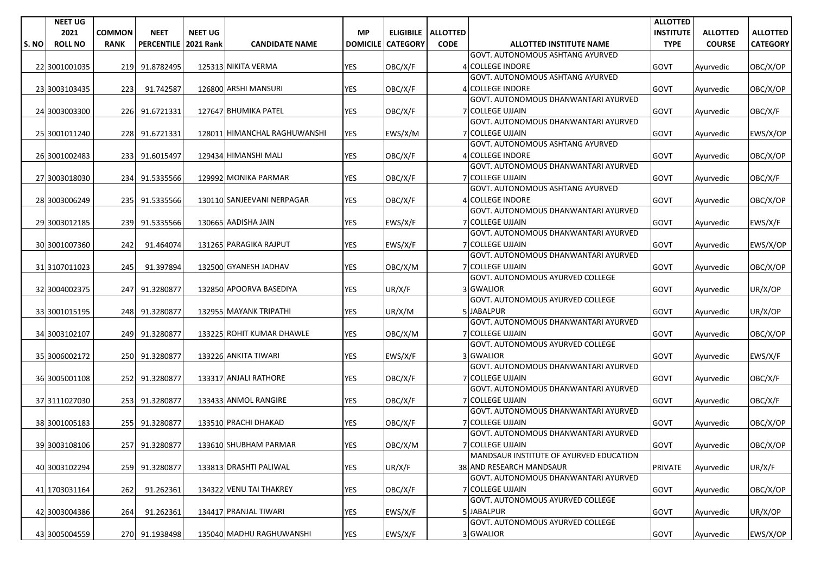|      | <b>NEET UG</b>         |                              |                                  |                                    |                              |                              |                 |                                     |                                                             | <b>ALLOTTED</b>                 |                                  |                                    |
|------|------------------------|------------------------------|----------------------------------|------------------------------------|------------------------------|------------------------------|-----------------|-------------------------------------|-------------------------------------------------------------|---------------------------------|----------------------------------|------------------------------------|
| S.NO | 2021<br><b>ROLL NO</b> | <b>COMMON</b><br><b>RANK</b> | <b>NEET</b><br><b>PERCENTILE</b> | <b>NEET UG</b><br><b>2021 Rank</b> | <b>CANDIDATE NAME</b>        | <b>MP</b><br><b>DOMICILE</b> | <b>CATEGORY</b> | ELIGIBILE   ALLOTTED<br><b>CODE</b> | <b>ALLOTTED INSTITUTE NAME</b>                              | <b>INSTITUTE</b><br><b>TYPE</b> | <b>ALLOTTED</b><br><b>COURSE</b> | <b>ALLOTTED</b><br><b>CATEGORY</b> |
|      |                        |                              |                                  |                                    |                              |                              |                 |                                     | <b>GOVT. AUTONOMOUS ASHTANG AYURVED</b>                     |                                 |                                  |                                    |
|      | 22 3001001035          |                              | 219 91.8782495                   |                                    | 125313 NIKITA VERMA          | YES                          | OBC/X/F         |                                     | 4 COLLEGE INDORE                                            | GOVT                            | Ayurvedic                        | OBC/X/OP                           |
|      |                        |                              |                                  |                                    |                              |                              |                 |                                     | <b>GOVT. AUTONOMOUS ASHTANG AYURVED</b>                     |                                 |                                  |                                    |
|      | 23 3003103435          | 223                          | 91.742587                        |                                    | 126800 ARSHI MANSURI         | YES                          | OBC/X/F         |                                     | 4 COLLEGE INDORE                                            | <b>GOVT</b>                     | Ayurvedic                        | OBC/X/OP                           |
|      |                        |                              |                                  |                                    |                              |                              |                 |                                     | GOVT. AUTONOMOUS DHANWANTARI AYURVED                        |                                 |                                  |                                    |
|      | 24 3003003300          |                              | 226 91.6721331                   |                                    | 127647 BHUMIKA PATEL         | <b>YES</b>                   | OBC/X/F         |                                     | <b>7 COLLEGE UJJAIN</b>                                     | GOVT                            | Ayurvedic                        | OBC/X/F                            |
|      |                        |                              |                                  |                                    |                              |                              |                 |                                     | GOVT. AUTONOMOUS DHANWANTARI AYURVED                        |                                 |                                  |                                    |
|      | 25 3001011240          |                              | 228 91.6721331                   |                                    | 128011 HIMANCHAL RAGHUWANSHI | <b>YES</b>                   | EWS/X/M         |                                     | 7 COLLEGE UJJAIN                                            | GOVT                            | Ayurvedic                        | EWS/X/OP                           |
|      |                        |                              |                                  |                                    |                              | <b>YES</b>                   |                 |                                     | GOVT. AUTONOMOUS ASHTANG AYURVED<br><b>4 COLLEGE INDORE</b> |                                 |                                  |                                    |
|      | 26 3001002483          |                              | 233 91.6015497                   |                                    | 129434 HIMANSHI MALI         |                              | OBC/X/F         |                                     | GOVT. AUTONOMOUS DHANWANTARI AYURVED                        | GOVT                            | Ayurvedic                        | OBC/X/OP                           |
|      | 27 3003018030          |                              | 234 91.5335566                   |                                    | 129992 MONIKA PARMAR         | YES                          | OBC/X/F         |                                     | 7 COLLEGE UJJAIN                                            | GOVT                            | Ayurvedic                        | OBC/X/F                            |
|      |                        |                              |                                  |                                    |                              |                              |                 |                                     | GOVT. AUTONOMOUS ASHTANG AYURVED                            |                                 |                                  |                                    |
|      | 28 3003006249          |                              | 235 91.5335566                   |                                    | 130110 SANJEEVANI NERPAGAR   | YES                          | OBC/X/F         |                                     | 4 COLLEGE INDORE                                            | GOVT                            | Ayurvedic                        | OBC/X/OP                           |
|      |                        |                              |                                  |                                    |                              |                              |                 |                                     | GOVT. AUTONOMOUS DHANWANTARI AYURVED                        |                                 |                                  |                                    |
|      | 29 3003012185          |                              | 239 91.5335566                   |                                    | 130665 AADISHA JAIN          | <b>YES</b>                   | EWS/X/F         |                                     | <b>7 COLLEGE UJJAIN</b>                                     | GOVT                            | Ayurvedic                        | EWS/X/F                            |
|      |                        |                              |                                  |                                    |                              |                              |                 |                                     | GOVT. AUTONOMOUS DHANWANTARI AYURVED                        |                                 |                                  |                                    |
|      | 30 3001007360          | 242                          | 91.464074                        |                                    | 131265 PARAGIKA RAJPUT       | YES                          | EWS/X/F         |                                     | <b>7 COLLEGE UJJAIN</b>                                     | GOVT                            | Ayurvedic                        | EWS/X/OP                           |
|      |                        |                              |                                  |                                    |                              |                              |                 |                                     | GOVT. AUTONOMOUS DHANWANTARI AYURVED                        |                                 |                                  |                                    |
|      | 31 3107011023          | 245                          | 91.397894                        |                                    | 132500 GYANESH JADHAV        | <b>YES</b>                   | OBC/X/M         |                                     | <b>7 COLLEGE UJJAIN</b><br>GOVT. AUTONOMOUS AYURVED COLLEGE | GOVT                            | Ayurvedic                        | OBC/X/OP                           |
|      | 32 3004002375          |                              | 247 91.3280877                   |                                    | 132850 APOORVA BASEDIYA      | <b>YES</b>                   | UR/X/F          |                                     | 3 GWALIOR                                                   | GOVT                            | Ayurvedic                        | UR/X/OP                            |
|      |                        |                              |                                  |                                    |                              |                              |                 |                                     | GOVT. AUTONOMOUS AYURVED COLLEGE                            |                                 |                                  |                                    |
|      | 33 3001015195          |                              | 248 91.3280877                   |                                    | 132955 MAYANK TRIPATHI       | <b>YES</b>                   | UR/X/M          |                                     | 5 JABALPUR                                                  | GOVT                            | Ayurvedic                        | UR/X/OP                            |
|      |                        |                              |                                  |                                    |                              |                              |                 |                                     | GOVT. AUTONOMOUS DHANWANTARI AYURVED                        |                                 |                                  |                                    |
|      | 34 3003102107          |                              | 249 91.3280877                   |                                    | 133225 ROHIT KUMAR DHAWLE    | YES                          | OBC/X/M         |                                     | 7 COLLEGE UJJAIN                                            | GOVT                            | Ayurvedic                        | OBC/X/OP                           |
|      |                        |                              |                                  |                                    |                              |                              |                 |                                     | GOVT. AUTONOMOUS AYURVED COLLEGE                            |                                 |                                  |                                    |
|      | 35 3006002172          |                              | 250 91.3280877                   |                                    | 133226 ANKITA TIWARI         | YES                          | EWS/X/F         |                                     | 3 GWALIOR                                                   | <b>GOVT</b>                     | Ayurvedic                        | EWS/X/F                            |
|      |                        |                              |                                  |                                    |                              |                              |                 |                                     | GOVT. AUTONOMOUS DHANWANTARI AYURVED<br>7 COLLEGE UJJAIN    |                                 |                                  |                                    |
|      | 36 3005001108          |                              | 252 91.3280877                   |                                    | 133317 ANJALI RATHORE        | YES                          | OBC/X/F         |                                     | GOVT. AUTONOMOUS DHANWANTARI AYURVED                        | <b>GOVT</b>                     | Ayurvedic                        | OBC/X/F                            |
|      | 37 3111027030          |                              | 253 91.3280877                   |                                    | 133433 ANMOL RANGIRE         | YES                          | OBC/X/F         |                                     | <b>7 COLLEGE UJJAIN</b>                                     | GOVT                            | Ayurvedic                        | OBC/X/F                            |
|      |                        |                              |                                  |                                    |                              |                              |                 |                                     | GOVT. AUTONOMOUS DHANWANTARI AYURVED                        |                                 |                                  |                                    |
|      | 38 3001005183          |                              | 255 91.3280877                   |                                    | 133510 PRACHI DHAKAD         | <b>YES</b>                   | OBC/X/F         |                                     | <b>7 COLLEGE UJJAIN</b>                                     | GOVT                            | Ayurvedic                        | OBC/X/OP                           |
|      |                        |                              |                                  |                                    |                              |                              |                 |                                     | GOVT. AUTONOMOUS DHANWANTARI AYURVED                        |                                 |                                  |                                    |
|      | 39 3003108106          |                              | 257 91.3280877                   |                                    | 133610 SHUBHAM PARMAR        | <b>YES</b>                   | OBC/X/M         |                                     | <b>7 COLLEGE UJJAIN</b>                                     | GOVT                            | Ayurvedic                        | OBC/X/OP                           |
|      |                        |                              |                                  |                                    |                              |                              |                 |                                     | MANDSAUR INSTITUTE OF AYURVED EDUCATION                     |                                 |                                  |                                    |
|      | 40 3003102294          | 259                          | 91.3280877                       |                                    | 133813 DRASHTI PALIWAL       | <b>YES</b>                   | UR/X/F          |                                     | 38 AND RESEARCH MANDSAUR                                    | PRIVATE                         | Ayurvedic                        | UR/X/F                             |
|      |                        |                              |                                  |                                    |                              | YES                          |                 |                                     | GOVT. AUTONOMOUS DHANWANTARI AYURVED<br>7 COLLEGE UJJAIN    | GOVT                            |                                  |                                    |
|      | 41 1703031164          | 262                          | 91.262361                        |                                    | 134322 VENU TAI THAKREY      |                              | OBC/X/F         |                                     | <b>GOVT. AUTONOMOUS AYURVED COLLEGE</b>                     |                                 | Ayurvedic                        | OBC/X/OP                           |
|      | 42 3003004386          | 264                          | 91.262361                        |                                    | 134417 PRANJAL TIWARI        | YES                          | EWS/X/F         |                                     | 5 JABALPUR                                                  | GOVT                            | Ayurvedic                        | UR/X/OP                            |
|      |                        |                              |                                  |                                    |                              |                              |                 |                                     | GOVT. AUTONOMOUS AYURVED COLLEGE                            |                                 |                                  |                                    |
|      | 43 3005004559          |                              | 270 91.1938498                   |                                    | 135040 MADHU RAGHUWANSHI     | YES                          | EWS/X/F         |                                     | 3 GWALIOR                                                   | GOVT                            | Ayurvedic                        | EWS/X/OP                           |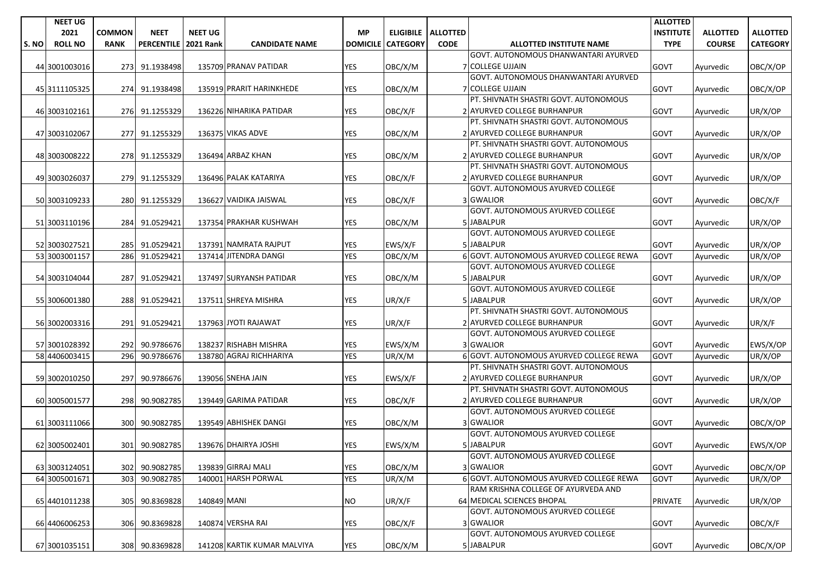|      | <b>NEET UG</b>                 |                  |                          |                  |                                           |                 |                 |                      |                                                                                | <b>ALLOTTED</b>  |                 |                 |
|------|--------------------------------|------------------|--------------------------|------------------|-------------------------------------------|-----------------|-----------------|----------------------|--------------------------------------------------------------------------------|------------------|-----------------|-----------------|
|      | 2021                           | <b>COMMON</b>    | <b>NEET</b>              | <b>NEET UG</b>   |                                           | <b>MP</b>       |                 | ELIGIBILE   ALLOTTED |                                                                                | <b>INSTITUTE</b> | <b>ALLOTTED</b> | <b>ALLOTTED</b> |
| S.NO | <b>ROLL NO</b>                 | <b>RANK</b>      | <b>PERCENTILE</b>        | <b>2021 Rank</b> | <b>CANDIDATE NAME</b>                     | <b>DOMICILE</b> | <b>CATEGORY</b> | <b>CODE</b>          | <b>ALLOTTED INSTITUTE NAME</b>                                                 | <b>TYPE</b>      | <b>COURSE</b>   | <b>CATEGORY</b> |
|      |                                |                  |                          |                  |                                           |                 |                 |                      | GOVT. AUTONOMOUS DHANWANTARI AYURVED                                           |                  |                 |                 |
|      | 44 3001003016                  |                  | 273 91.1938498           |                  | 135709 PRANAV PATIDAR                     | YES             | OBC/X/M         |                      | <b>7 COLLEGE UJJAIN</b>                                                        | GOVT             | Ayurvedic       | OBC/X/OP        |
|      |                                |                  |                          |                  |                                           |                 |                 |                      | GOVT. AUTONOMOUS DHANWANTARI AYURVED                                           |                  |                 |                 |
|      | 45 3111105325                  |                  | 274 91.1938498           |                  | 135919 PRARIT HARINKHEDE                  | <b>YES</b>      | OBC/X/M         |                      | 7 COLLEGE UJJAIN                                                               | GOVT             | Ayurvedic       | OBC/X/OP        |
|      |                                |                  |                          |                  |                                           |                 |                 |                      | PT. SHIVNATH SHASTRI GOVT. AUTONOMOUS                                          |                  |                 |                 |
|      | 46 3003102161                  |                  | 276 91.1255329           |                  | 136226 NIHARIKA PATIDAR                   | YES             | OBC/X/F         |                      | 2 AYURVED COLLEGE BURHANPUR                                                    | GOVT             | Ayurvedic       | UR/X/OP         |
|      |                                |                  |                          |                  |                                           |                 |                 |                      | PT. SHIVNATH SHASTRI GOVT. AUTONOMOUS                                          |                  |                 |                 |
|      | 47 3003102067                  |                  | 277 91.1255329           |                  | 136375 VIKAS ADVE                         | <b>YES</b>      | OBC/X/M         |                      | 2 AYURVED COLLEGE BURHANPUR                                                    | GOVT             | Ayurvedic       | UR/X/OP         |
|      |                                |                  |                          |                  |                                           |                 |                 |                      | PT. SHIVNATH SHASTRI GOVT. AUTONOMOUS                                          |                  |                 |                 |
|      | 48 3003008222                  |                  | 278 91.1255329           |                  | 136494 ARBAZ KHAN                         | <b>YES</b>      | OBC/X/M         |                      | 2 AYURVED COLLEGE BURHANPUR                                                    | <b>GOVT</b>      | Ayurvedic       | UR/X/OP         |
|      |                                |                  |                          |                  |                                           |                 |                 |                      | PT. SHIVNATH SHASTRI GOVT. AUTONOMOUS                                          |                  |                 |                 |
|      | 49 3003026037                  |                  | 279 91.1255329           |                  | 136496 PALAK KATARIYA                     | <b>YES</b>      | OBC/X/F         |                      | 2 AYURVED COLLEGE BURHANPUR                                                    | GOVT             | Ayurvedic       | UR/X/OP         |
|      |                                |                  |                          |                  |                                           |                 |                 |                      | GOVT. AUTONOMOUS AYURVED COLLEGE                                               |                  |                 |                 |
|      | 50 3003109233                  |                  | 280 91.1255329           |                  | 136627 VAIDIKA JAISWAL                    | YES             | OBC/X/F         |                      | 3 GWALIOR                                                                      | <b>GOVT</b>      | Ayurvedic       | OBC/X/F         |
|      |                                |                  |                          |                  |                                           |                 |                 |                      | GOVT. AUTONOMOUS AYURVED COLLEGE                                               |                  |                 |                 |
|      | 51 3003110196                  |                  | 284 91.0529421           |                  | 137354 PRAKHAR KUSHWAH                    | <b>YES</b>      | OBC/X/M         |                      | 5 JABALPUR                                                                     | <b>GOVT</b>      | Ayurvedic       | UR/X/OP         |
|      |                                |                  |                          |                  |                                           |                 |                 |                      | <b>GOVT. AUTONOMOUS AYURVED COLLEGE</b>                                        |                  |                 |                 |
|      | 52 3003027521                  |                  | 285 91.0529421           |                  | 137391 NAMRATA RAJPUT                     | YES             | EWS/X/F         |                      | 5 JABALPUR                                                                     | GOVT             | Ayurvedic       | UR/X/OP         |
|      | 53 3003001157                  | 286              | 91.0529421               |                  | 137414 JITENDRA DANGI                     | <b>YES</b>      | OBC/X/M         |                      | 6 GOVT. AUTONOMOUS AYURVED COLLEGE REWA                                        | GOVT             | Ayurvedic       | UR/X/OP         |
|      |                                |                  |                          |                  |                                           |                 |                 |                      | <b>GOVT. AUTONOMOUS AYURVED COLLEGE</b>                                        |                  |                 |                 |
|      | 54 3003104044                  | 287              | 91.0529421               |                  | 137497 SURYANSH PATIDAR                   | <b>YES</b>      | OBC/X/M         |                      | 5 JABALPUR                                                                     | GOVT             | Ayurvedic       | UR/X/OP         |
|      |                                |                  |                          |                  |                                           |                 |                 |                      | GOVT. AUTONOMOUS AYURVED COLLEGE                                               |                  |                 |                 |
|      | 55 3006001380                  |                  | 288 91.0529421           |                  | 137511 SHREYA MISHRA                      | <b>YES</b>      | UR/X/F          |                      | 5 JABALPUR                                                                     | GOVT             | Ayurvedic       | UR/X/OP         |
|      |                                |                  |                          |                  |                                           |                 |                 |                      | PT. SHIVNATH SHASTRI GOVT. AUTONOMOUS                                          |                  |                 |                 |
|      | 56 3002003316                  |                  | 291 91.0529421           |                  | 137963 JYOTI RAJAWAT                      | <b>YES</b>      | UR/X/F          |                      | 2 AYURVED COLLEGE BURHANPUR                                                    | GOVT             | Ayurvedic       | UR/X/F          |
|      |                                |                  |                          |                  |                                           |                 |                 |                      | <b>GOVT. AUTONOMOUS AYURVED COLLEGE</b>                                        |                  |                 |                 |
|      | 57 3001028392                  |                  | 292 90.9786676           |                  | 138237 RISHABH MISHRA                     | <b>YES</b>      | EWS/X/M         |                      | 3 GWALIOR                                                                      | GOVT             | Ayurvedic       | EWS/X/OP        |
|      | 58 4406003415                  | 296              | 90.9786676               |                  | 138780 AGRAJ RICHHARIYA                   | <b>YES</b>      | UR/X/M          |                      | 6 GOVT. AUTONOMOUS AYURVED COLLEGE REWA                                        | GOVT             | Ayurvedic       | UR/X/OP         |
|      |                                |                  |                          |                  |                                           |                 |                 |                      | PT. SHIVNATH SHASTRI GOVT. AUTONOMOUS                                          |                  |                 |                 |
|      | 59 3002010250                  | 297              | 90.9786676               |                  | 139056 SNEHA JAIN                         | YES             | EWS/X/F         |                      | 2 AYURVED COLLEGE BURHANPUR                                                    | <b>GOVT</b>      | Ayurvedic       | UR/X/OP         |
|      |                                |                  |                          |                  |                                           |                 |                 |                      | PT. SHIVNATH SHASTRI GOVT. AUTONOMOUS                                          |                  |                 |                 |
|      | 60 3005001577                  | 298I             | 90.9082785               |                  | 139449 GARIMA PATIDAR                     | YES             | OBC/X/F         |                      | 2 AYURVED COLLEGE BURHANPUR                                                    | <b>GOVT</b>      | Ayurvedic       | UR/X/OP         |
|      |                                |                  |                          |                  |                                           |                 |                 |                      | GOVT. AUTONOMOUS AYURVED COLLEGE                                               |                  |                 |                 |
|      | 61 3003111066                  |                  | 300 90.9082785           |                  | 139549 ABHISHEK DANGI                     | <b>YES</b>      | OBC/X/M         |                      | 3 GWALIOR                                                                      | GOVT             |                 |                 |
|      |                                |                  |                          |                  |                                           |                 |                 |                      | <b>GOVT. AUTONOMOUS AYURVED COLLEGE</b>                                        |                  | Ayurvedic       | OBC/X/OP        |
|      |                                |                  | 301 90.9082785           |                  | 139676 DHAIRYA JOSHI                      | <b>YES</b>      | EWS/X/M         |                      | 5 JABALPUR                                                                     | GOVT             |                 | EWS/X/OP        |
|      | 62 3005002401                  |                  |                          |                  |                                           |                 |                 |                      | <b>GOVT. AUTONOMOUS AYURVED COLLEGE</b>                                        |                  | Ayurvedic       |                 |
|      |                                |                  |                          |                  |                                           |                 |                 |                      |                                                                                |                  |                 |                 |
|      | 63 3003124051<br>64 3005001671 | 302              | 90.9082785<br>90.9082785 |                  | 139839 GIRRAJ MALI<br>140001 HARSH PORWAL | YES             | OBC/X/M         |                      | 3 GWALIOR                                                                      | GOVT             | Ayurvedic       | OBC/X/OP        |
|      |                                | 303 <sub>l</sub> |                          |                  |                                           | <b>YES</b>      | UR/X/M          |                      | 6 GOVT. AUTONOMOUS AYURVED COLLEGE REWA<br>RAM KRISHNA COLLEGE OF AYURVEDA AND | GOVT             | Ayurvedic       | UR/X/OP         |
|      |                                |                  |                          |                  |                                           |                 |                 |                      |                                                                                |                  |                 |                 |
|      | 65 4401011238                  | 305              | 90.8369828               | 140849 MANI      |                                           | <b>NO</b>       | UR/X/F          |                      | 64 MEDICAL SCIENCES BHOPAL<br>GOVT. AUTONOMOUS AYURVED COLLEGE                 | PRIVATE          | Ayurvedic       | UR/X/OP         |
|      |                                |                  |                          |                  |                                           |                 |                 |                      |                                                                                |                  |                 |                 |
|      | 66 4406006253                  | 306I             | 90.8369828               |                  | 140874 VERSHA RAI                         | YES             | OBC/X/F         |                      | 3 GWALIOR                                                                      | GOVT             | Ayurvedic       | OBC/X/F         |
|      |                                |                  |                          |                  |                                           |                 |                 |                      | GOVT. AUTONOMOUS AYURVED COLLEGE                                               |                  |                 |                 |
|      | 67 3001035151                  |                  | 308 90.8369828           |                  | 141208 KARTIK KUMAR MALVIYA               | YES             | OBC/X/M         |                      | 5 JABALPUR                                                                     | GOVT             | Ayurvedic       | OBC/X/OP        |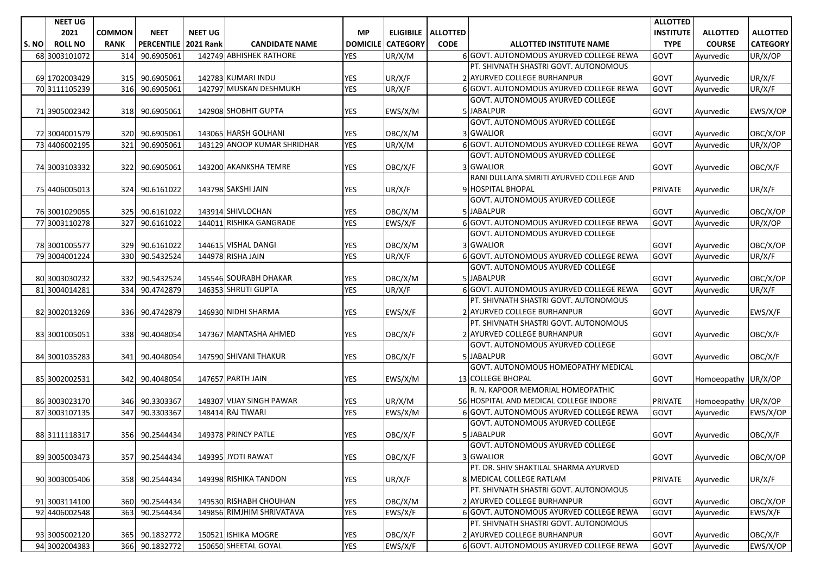|       | <b>NEET UG</b> |               |                   |                  |                             |                 |                 |                             |                                          | <b>ALLOTTED</b>  |                     |                 |
|-------|----------------|---------------|-------------------|------------------|-----------------------------|-----------------|-----------------|-----------------------------|------------------------------------------|------------------|---------------------|-----------------|
|       | 2021           | <b>COMMON</b> | <b>NEET</b>       | <b>NEET UG</b>   |                             | <b>MP</b>       |                 | <b>ELIGIBILE   ALLOTTED</b> |                                          | <b>INSTITUTE</b> | <b>ALLOTTED</b>     | <b>ALLOTTED</b> |
| S. NO | <b>ROLL NO</b> | <b>RANK</b>   | <b>PERCENTILE</b> | <b>2021 Rank</b> | <b>CANDIDATE NAME</b>       | <b>DOMICILE</b> | <b>CATEGORY</b> | <b>CODE</b>                 | <b>ALLOTTED INSTITUTE NAME</b>           | <b>TYPE</b>      | <b>COURSE</b>       | <b>CATEGORY</b> |
|       | 68 3003101072  | 314           | 90.6905061        |                  | 142749 ABHISHEK RATHORE     | <b>YES</b>      | UR/X/M          |                             | 6 GOVT. AUTONOMOUS AYURVED COLLEGE REWA  | GOVT             | Ayurvedic           | UR/X/OP         |
|       |                |               |                   |                  |                             |                 |                 |                             | PT. SHIVNATH SHASTRI GOVT. AUTONOMOUS    |                  |                     |                 |
|       | 69 1702003429  |               | 315 90.6905061    |                  | 142783 KUMARI INDU          | <b>YES</b>      | UR/X/F          |                             | 2 AYURVED COLLEGE BURHANPUR              | <b>GOVT</b>      | Ayurvedic           | UR/X/F          |
|       | 70 3111105239  | 316           | 90.6905061        |                  | 142797 MUSKAN DESHMUKH      | <b>YES</b>      | UR/X/F          |                             | 6 GOVT. AUTONOMOUS AYURVED COLLEGE REWA  | <b>GOVT</b>      | Ayurvedic           | UR/X/F          |
|       |                |               |                   |                  |                             |                 |                 |                             | GOVT. AUTONOMOUS AYURVED COLLEGE         |                  |                     |                 |
|       | 71 3905002342  |               | 318 90.6905061    |                  | 142908 SHOBHIT GUPTA        | YES             | EWS/X/M         |                             | 5 JABALPUR                               | <b>GOVT</b>      | Ayurvedic           | EWS/X/OP        |
|       |                |               |                   |                  |                             |                 |                 |                             | GOVT. AUTONOMOUS AYURVED COLLEGE         |                  |                     |                 |
|       | 72 3004001579  | 320 <b>1</b>  | 90.6905061        |                  | 143065 HARSH GOLHANI        | <b>YES</b>      | OBC/X/M         |                             | 3 GWALIOR                                | <b>GOVT</b>      | Ayurvedic           | OBC/X/OP        |
|       | 73 4406002195  | 321           | 90.6905061        |                  | 143129 ANOOP KUMAR SHRIDHAR | <b>YES</b>      | UR/X/M          |                             | 6 GOVT. AUTONOMOUS AYURVED COLLEGE REWA  | <b>GOVT</b>      | Ayurvedic           | UR/X/OP         |
|       |                |               |                   |                  |                             |                 |                 |                             | GOVT. AUTONOMOUS AYURVED COLLEGE         |                  |                     |                 |
|       | 74 3003103332  | 322 I         | 90.6905061        |                  | 143200 AKANKSHA TEMRE       | <b>YES</b>      | OBC/X/F         |                             | 3 GWALIOR                                | <b>GOVT</b>      | Ayurvedic           | OBC/X/F         |
|       |                |               |                   |                  |                             |                 |                 |                             | RANI DULLAIYA SMRITI AYURVED COLLEGE AND |                  |                     |                 |
|       | 75 4406005013  |               | 324 90.6161022    |                  | 143798 SAKSHI JAIN          | <b>YES</b>      | UR/X/F          |                             | 9 HOSPITAL BHOPAL                        | <b>PRIVATE</b>   | Ayurvedic           | UR/X/F          |
|       |                |               |                   |                  |                             |                 |                 |                             | GOVT. AUTONOMOUS AYURVED COLLEGE         |                  |                     |                 |
|       | 76 3001029055  | 325           | 90.6161022        |                  | 143914 SHIVLOCHAN           | <b>YES</b>      | OBC/X/M         |                             | 5 JABALPUR                               | <b>GOVT</b>      | Ayurvedic           | OBC/X/OP        |
|       | 77 3003110278  | 327           | 90.6161022        |                  | 144011 RISHIKA GANGRADE     | <b>YES</b>      | EWS/X/F         |                             | 6 GOVT. AUTONOMOUS AYURVED COLLEGE REWA  | GOVT             | Ayurvedic           | UR/X/OP         |
|       |                |               |                   |                  |                             |                 |                 |                             | GOVT. AUTONOMOUS AYURVED COLLEGE         |                  |                     |                 |
|       | 78 3001005577  |               | 329 90.6161022    |                  | 144615 VISHAL DANGI         | <b>YES</b>      | OBC/X/M         |                             | 3 GWALIOR                                | <b>GOVT</b>      | Avurvedic           | OBC/X/OP        |
|       | 79 3004001224  | 330           | 90.5432524        |                  | 144978 RISHA JAIN           | <b>YES</b>      | UR/X/F          |                             | 6 GOVT. AUTONOMOUS AYURVED COLLEGE REWA  | GOVT             | Ayurvedic           | UR/X/F          |
|       |                |               |                   |                  |                             |                 |                 |                             | GOVT. AUTONOMOUS AYURVED COLLEGE         |                  |                     |                 |
|       | 80 3003030232  | 332           | 90.5432524        |                  | 145546 SOURABH DHAKAR       | YES             | OBC/X/M         |                             | 5 JABALPUR                               | <b>GOVT</b>      | Ayurvedic           | OBC/X/OP        |
|       | 81 3004014281  | 334           | 90.4742879        |                  | 146353 SHRUTI GUPTA         | <b>YES</b>      | UR/X/F          |                             | 6 GOVT. AUTONOMOUS AYURVED COLLEGE REWA  | <b>GOVT</b>      | Ayurvedic           | UR/X/F          |
|       |                |               |                   |                  |                             |                 |                 |                             | PT. SHIVNATH SHASTRI GOVT. AUTONOMOUS    |                  |                     |                 |
|       | 82 3002013269  |               | 336 90.4742879    |                  | 146930 NIDHI SHARMA         | <b>YES</b>      | EWS/X/F         |                             | 2 AYURVED COLLEGE BURHANPUR              | <b>GOVT</b>      | Ayurvedic           | EWS/X/F         |
|       |                |               |                   |                  |                             |                 |                 |                             | PT. SHIVNATH SHASTRI GOVT. AUTONOMOUS    |                  |                     |                 |
|       | 83 3001005051  |               | 338 90.4048054    |                  | 147367 MANTASHA AHMED       | <b>YES</b>      | OBC/X/F         |                             | 2 AYURVED COLLEGE BURHANPUR              | <b>GOVT</b>      | Ayurvedic           | OBC/X/F         |
|       |                |               |                   |                  |                             |                 |                 |                             | GOVT. AUTONOMOUS AYURVED COLLEGE         |                  |                     |                 |
|       | 84 3001035283  | 341           | 90.4048054        |                  | 147590 SHIVANI THAKUR       | YES             | OBC/X/F         |                             | 5 JABALPUR                               | <b>GOVT</b>      | Ayurvedic           | OBC/X/F         |
|       |                |               |                   |                  |                             |                 |                 |                             | GOVT. AUTONOMOUS HOMEOPATHY MEDICAL      |                  |                     |                 |
|       | 85 3002002531  |               | 342 90.4048054    |                  | 147657 PARTH JAIN           | YES             | EWS/X/M         |                             | 13 COLLEGE BHOPAL                        | <b>GOVT</b>      | Homoeopathy UR/X/OP |                 |
|       |                |               |                   |                  |                             |                 |                 |                             | R. N. KAPOOR MEMORIAL HOMEOPATHIC        |                  |                     |                 |
|       | 86 3003023170  | 346           | 90.3303367        |                  | 148307 VIJAY SINGH PAWAR    | <b>YES</b>      | UR/X/M          |                             | 56 HOSPITAL AND MEDICAL COLLEGE INDORE   | <b>PRIVATE</b>   | Homoeopathy UR/X/OP |                 |
|       | 87 3003107135  | 347           | 90.3303367        |                  | 148414 RAJ TIWARI           | <b>YES</b>      | EWS/X/M         |                             | 6 GOVT. AUTONOMOUS AYURVED COLLEGE REWA  | <b>GOVT</b>      | Ayurvedic           | EWS/X/OP        |
|       |                |               |                   |                  |                             |                 |                 |                             | <b>GOVT. AUTONOMOUS AYURVED COLLEGE</b>  |                  |                     |                 |
|       | 88 3111118317  | 356           | 90.2544434        |                  | 149378 PRINCY PATLE         | <b>YES</b>      | OBC/X/F         |                             | 5 JABALPUR                               | GOVT             | Ayurvedic           | OBC/X/F         |
|       |                |               |                   |                  |                             |                 |                 |                             | GOVT. AUTONOMOUS AYURVED COLLEGE         |                  |                     |                 |
|       | 89 3005003473  |               | 357 90.2544434    |                  | 149395 JYOTI RAWAT          | <b>YES</b>      | OBC/X/F         |                             | 3 GWALIOR                                | GOVT             | Ayurvedic           | OBC/X/OP        |
|       |                |               |                   |                  |                             |                 |                 |                             | PT. DR. SHIV SHAKTILAL SHARMA AYURVED    |                  |                     |                 |
|       | 90 3003005406  |               | 358 90.2544434    |                  | 149398 RISHIKA TANDON       | <b>YES</b>      | UR/X/F          |                             | 8 MEDICAL COLLEGE RATLAM                 | PRIVATE          | Ayurvedic           | UR/X/F          |
|       |                |               |                   |                  |                             |                 |                 |                             | PT. SHIVNATH SHASTRI GOVT. AUTONOMOUS    |                  |                     |                 |
|       | 91 3003114100  |               | 360 90.2544434    |                  | 149530 RISHABH CHOUHAN      | <b>YES</b>      | OBC/X/M         |                             | 2 AYURVED COLLEGE BURHANPUR              | <b>GOVT</b>      | Ayurvedic           | OBC/X/OP        |
|       | 92 4406002548  | 363           | 90.2544434        |                  | 149856 RIMJHIM SHRIVATAVA   | <b>YES</b>      | EWS/X/F         |                             | 6 GOVT. AUTONOMOUS AYURVED COLLEGE REWA  | <b>GOVT</b>      | Ayurvedic           | EWS/X/F         |
|       |                |               |                   |                  |                             |                 |                 |                             | PT. SHIVNATH SHASTRI GOVT. AUTONOMOUS    |                  |                     |                 |
|       | 93 3005002120  | 365           | 90.1832772        |                  | 150521 ISHIKA MOGRE         | <b>YES</b>      | OBC/X/F         |                             | 2 AYURVED COLLEGE BURHANPUR              | GOVT             | Ayurvedic           | OBC/X/F         |
|       | 94 3002004383  | 366           | 90.1832772        |                  | 150650 SHEETAL GOYAL        | <b>YES</b>      | EWS/X/F         |                             | 6 GOVT. AUTONOMOUS AYURVED COLLEGE REWA  | GOVT             | Ayurvedic           | EWS/X/OP        |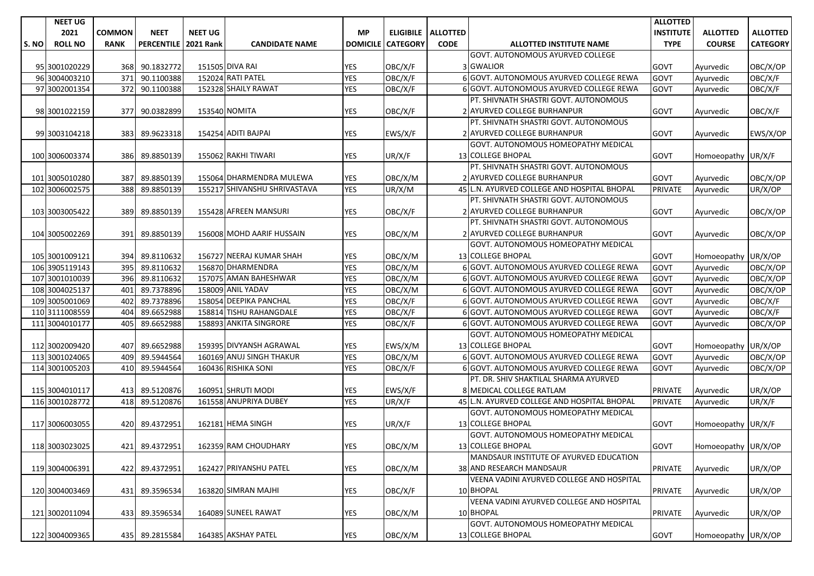|       | <b>NEET UG</b> |               |                   |                  |                              |                 |                 |                             |                                             | <b>ALLOTTED</b>  |                     |                 |
|-------|----------------|---------------|-------------------|------------------|------------------------------|-----------------|-----------------|-----------------------------|---------------------------------------------|------------------|---------------------|-----------------|
|       | 2021           | <b>COMMON</b> | <b>NEET</b>       | <b>NEET UG</b>   |                              | <b>MP</b>       |                 | <b>ELIGIBILE   ALLOTTED</b> |                                             | <b>INSTITUTE</b> | <b>ALLOTTED</b>     | <b>ALLOTTED</b> |
| S. NO | <b>ROLL NO</b> | <b>RANK</b>   | <b>PERCENTILE</b> | <b>2021 Rank</b> | <b>CANDIDATE NAME</b>        | <b>DOMICILE</b> | <b>CATEGORY</b> | <b>CODE</b>                 | <b>ALLOTTED INSTITUTE NAME</b>              | <b>TYPE</b>      | <b>COURSE</b>       | <b>CATEGORY</b> |
|       |                |               |                   |                  |                              |                 |                 |                             | GOVT. AUTONOMOUS AYURVED COLLEGE            |                  |                     |                 |
|       | 95 3001020229  | 368           | 90.1832772        |                  | 151505 DIVA RAI              | YES             | OBC/X/F         |                             | 3 GWALIOR                                   | GOVT             | Ayurvedic           | OBC/X/OP        |
|       | 96 3004003210  | 371           | 90.1100388        |                  | 152024 RATI PATEL            | <b>YES</b>      | OBC/X/F         |                             | 6 GOVT. AUTONOMOUS AYURVED COLLEGE REWA     | GOVT             | Avurvedic           | OBC/X/F         |
|       | 97 3002001354  | 372           | 90.1100388        |                  | 152328 SHAILY RAWAT          | <b>YES</b>      | OBC/X/F         |                             | 6 GOVT. AUTONOMOUS AYURVED COLLEGE REWA     | <b>GOVT</b>      | Ayurvedic           | OBC/X/F         |
|       |                |               |                   |                  |                              |                 |                 |                             | PT. SHIVNATH SHASTRI GOVT. AUTONOMOUS       |                  |                     |                 |
|       | 98 3001022159  | 377           | 90.0382899        |                  | 153540 NOMITA                | YES             | OBC/X/F         |                             | 2 AYURVED COLLEGE BURHANPUR                 | <b>GOVT</b>      | Ayurvedic           | OBC/X/F         |
|       |                |               |                   |                  |                              |                 |                 |                             | PT. SHIVNATH SHASTRI GOVT. AUTONOMOUS       |                  |                     |                 |
|       | 99 3003104218  | 383           | 89.9623318        |                  | 154254 ADITI BAJPAI          | <b>YES</b>      | EWS/X/F         |                             | 2 AYURVED COLLEGE BURHANPUR                 | GOVT             | Ayurvedic           | EWS/X/OP        |
|       |                |               |                   |                  |                              |                 |                 |                             | GOVT. AUTONOMOUS HOMEOPATHY MEDICAL         |                  |                     |                 |
|       | 100 3006003374 | 386           | 89.8850139        |                  | 155062 RAKHI TIWARI          | <b>YES</b>      | UR/X/F          |                             | 13 COLLEGE BHOPAL                           | GOVT             | Homoeopathy UR/X/F  |                 |
|       |                |               |                   |                  |                              |                 |                 |                             | PT. SHIVNATH SHASTRI GOVT. AUTONOMOUS       |                  |                     |                 |
|       | 101 3005010280 | 387           | 89.8850139        |                  | 155064 DHARMENDRA MULEWA     | <b>YES</b>      | OBC/X/M         |                             | 2 AYURVED COLLEGE BURHANPUR                 | <b>GOVT</b>      | Ayurvedic           | OBC/X/OP        |
|       | 102 3006002575 | 388           | 89.8850139        |                  | 155217 SHIVANSHU SHRIVASTAVA | <b>YES</b>      | UR/X/M          |                             | 45 L.N. AYURVED COLLEGE AND HOSPITAL BHOPAL | PRIVATE          | Ayurvedic           | UR/X/OP         |
|       |                |               |                   |                  |                              |                 |                 |                             | PT. SHIVNATH SHASTRI GOVT. AUTONOMOUS       |                  |                     |                 |
|       | 103 3003005422 | 389           | 89.8850139        |                  | 155428 AFREEN MANSURI        | YES             | OBC/X/F         |                             | 2 AYURVED COLLEGE BURHANPUR                 | <b>GOVT</b>      | Ayurvedic           | OBC/X/OP        |
|       |                |               |                   |                  |                              |                 |                 |                             | PT. SHIVNATH SHASTRI GOVT. AUTONOMOUS       |                  |                     |                 |
|       | 104 3005002269 | 391           | 89.8850139        |                  | 156008 MOHD AARIF HUSSAIN    | <b>YES</b>      | OBC/X/M         |                             | 2 AYURVED COLLEGE BURHANPUR                 | GOVT             | Ayurvedic           | OBC/X/OP        |
|       |                |               |                   |                  |                              |                 |                 |                             | GOVT. AUTONOMOUS HOMEOPATHY MEDICAL         |                  |                     |                 |
|       | 105 3001009121 | 394           | 89.8110632        |                  | 156727 NEERAJ KUMAR SHAH     | YES             | OBC/X/M         |                             | <b>13 COLLEGE BHOPAL</b>                    | GOVT             | Homoeopathy UR/X/OP |                 |
|       | 106 3905119143 | 395           | 89.8110632        |                  | 156870 DHARMENDRA            | <b>YES</b>      | OBC/X/M         |                             | 6 GOVT. AUTONOMOUS AYURVED COLLEGE REWA     | <b>GOVT</b>      | Ayurvedic           | OBC/X/OP        |
|       | 107 3001010039 | 396           | 89.8110632        |                  | 157075 AMAN BAHESHWAR        | <b>YES</b>      | OBC/X/M         |                             | 6 GOVT. AUTONOMOUS AYURVED COLLEGE REWA     | <b>GOVT</b>      | Ayurvedic           | OBC/X/OP        |
|       | 108 3004025137 | 401           | 89.7378896        |                  | 158009 ANIL YADAV            | <b>YES</b>      | OBC/X/M         |                             | 6 GOVT. AUTONOMOUS AYURVED COLLEGE REWA     | <b>GOVT</b>      | Ayurvedic           | OBC/X/OP        |
|       | 109 3005001069 | 402           | 89.7378896        |                  | 158054 DEEPIKA PANCHAL       | <b>YES</b>      | OBC/X/F         |                             | 6 GOVT. AUTONOMOUS AYURVED COLLEGE REWA     | <b>GOVT</b>      | Ayurvedic           | OBC/X/F         |
|       | 110 3111008559 | 404           | 89.6652988        |                  | 158814 TISHU RAHANGDALE      | <b>YES</b>      | OBC/X/F         |                             | 6 GOVT. AUTONOMOUS AYURVED COLLEGE REWA     | <b>GOVT</b>      | Ayurvedic           | OBC/X/F         |
|       | 111 3004010177 | 405           | 89.6652988        |                  | 158893 ANKITA SINGRORE       | <b>YES</b>      | OBC/X/F         |                             | 6 GOVT. AUTONOMOUS AYURVED COLLEGE REWA     | <b>GOVT</b>      | Ayurvedic           | OBC/X/OP        |
|       |                |               |                   |                  |                              |                 |                 |                             | GOVT. AUTONOMOUS HOMEOPATHY MEDICAL         |                  |                     |                 |
|       | 112 3002009420 | 407           | 89.6652988        |                  | 159395 DIVYANSH AGRAWAL      | YES             | EWS/X/M         |                             | 13 COLLEGE BHOPAL                           | GOVT             | Homoeopathy UR/X/OP |                 |
|       | 113 3001024065 | 409           | 89.5944564        |                  | 160169 ANUJ SINGH THAKUR     | <b>YES</b>      | OBC/X/M         |                             | 6 GOVT. AUTONOMOUS AYURVED COLLEGE REWA     | GOVT             | Ayurvedic           | OBC/X/OP        |
|       | 114 3001005203 | 410           | 89.5944564        |                  | 160436 RISHIKA SONI          | <b>YES</b>      | OBC/X/F         |                             | 6 GOVT. AUTONOMOUS AYURVED COLLEGE REWA     | <b>GOVT</b>      | Ayurvedic           | OBC/X/OP        |
|       |                |               |                   |                  |                              |                 |                 |                             | PT. DR. SHIV SHAKTILAL SHARMA AYURVED       |                  |                     |                 |
|       | 115 3004010117 | 413           | 89.5120876        |                  | 160951 SHRUTI MODI           | <b>YES</b>      | EWS/X/F         |                             | 8 MEDICAL COLLEGE RATLAM                    | <b>PRIVATE</b>   | Ayurvedic           | UR/X/OP         |
|       | 116 3001028772 | 418           | 89.5120876        |                  | 161558 ANUPRIYA DUBEY        | <b>YES</b>      | UR/X/F          |                             | 45 L.N. AYURVED COLLEGE AND HOSPITAL BHOPAL | <b>PRIVATE</b>   | Ayurvedic           | UR/X/F          |
|       |                |               |                   |                  |                              |                 |                 |                             | GOVT. AUTONOMOUS HOMEOPATHY MEDICAL         |                  |                     |                 |
|       | 117 3006003055 | 420           | 89.4372951        |                  | 162181 HEMA SINGH            | YES             | UR/X/F          |                             | 13 COLLEGE BHOPAL                           | <b>GOVT</b>      | Homoeopathy UR/X/F  |                 |
|       |                |               |                   |                  |                              |                 |                 |                             | GOVT. AUTONOMOUS HOMEOPATHY MEDICAL         |                  |                     |                 |
|       | 118 3003023025 |               | 421 89.4372951    |                  | 162359 RAM CHOUDHARY         | <b>YES</b>      | OBC/X/M         |                             | <b>13 COLLEGE BHOPAL</b>                    | <b>GOVT</b>      | Homoeopathy UR/X/OP |                 |
|       |                |               |                   |                  |                              |                 |                 |                             | MANDSAUR INSTITUTE OF AYURVED EDUCATION     |                  |                     |                 |
|       | 119 3004006391 | 422           | 89.4372951        |                  | 162427 PRIYANSHU PATEL       | <b>YES</b>      | OBC/X/M         |                             | 38 AND RESEARCH MANDSAUR                    | <b>PRIVATE</b>   | Avurvedic           | UR/X/OP         |
|       |                |               |                   |                  |                              |                 |                 |                             | VEENA VADINI AYURVED COLLEGE AND HOSPITAL   |                  |                     |                 |
|       | 120 3004003469 | 431           | 89.3596534        |                  | 163820 SIMRAN MAJHI          | <b>YES</b>      | OBC/X/F         |                             | 10 BHOPAL                                   | <b>PRIVATE</b>   | Ayurvedic           | UR/X/OP         |
|       |                |               |                   |                  |                              |                 |                 |                             | VEENA VADINI AYURVED COLLEGE AND HOSPITAL   |                  |                     |                 |
|       | 121 3002011094 | 433           | 89.3596534        |                  | 164089 SUNEEL RAWAT          | <b>YES</b>      | OBC/X/M         |                             | 10 BHOPAL                                   | PRIVATE          | Ayurvedic           | UR/X/OP         |
|       |                |               |                   |                  |                              |                 |                 |                             | GOVT. AUTONOMOUS HOMEOPATHY MEDICAL         |                  |                     |                 |
|       | 122 3004009365 |               | 435 89.2815584    |                  | 164385 AKSHAY PATEL          | YES             | OBC/X/M         |                             | 13 COLLEGE BHOPAL                           | GOVT             | Homoeopathy UR/X/OP |                 |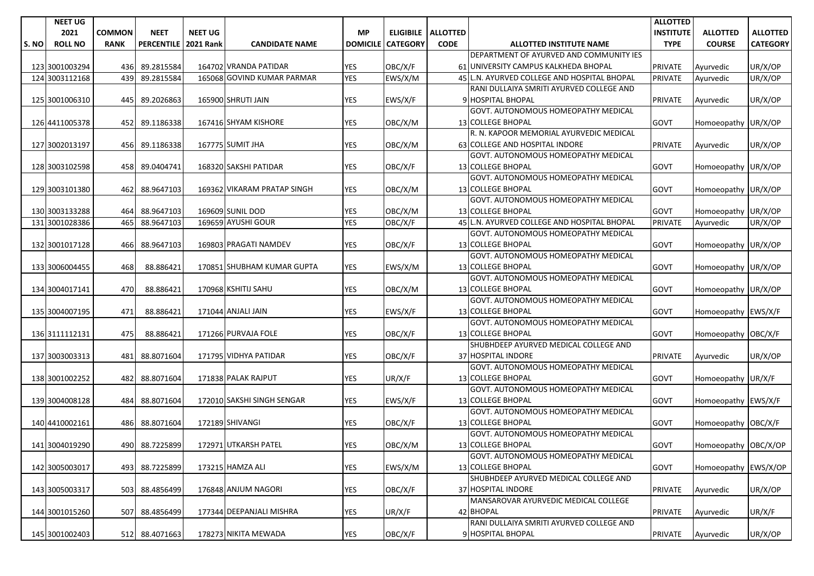|       | <b>NEET UG</b> |               |                   |                  |                             |                 |                 |                      |                                                            | <b>ALLOTTED</b>  |                      |                 |
|-------|----------------|---------------|-------------------|------------------|-----------------------------|-----------------|-----------------|----------------------|------------------------------------------------------------|------------------|----------------------|-----------------|
|       | 2021           | <b>COMMON</b> | <b>NEET</b>       | <b>NEET UG</b>   |                             | <b>MP</b>       |                 | ELIGIBILE   ALLOTTED |                                                            | <b>INSTITUTE</b> | <b>ALLOTTED</b>      | <b>ALLOTTED</b> |
| S. NO | <b>ROLL NO</b> | <b>RANK</b>   | <b>PERCENTILE</b> | <b>2021 Rank</b> | <b>CANDIDATE NAME</b>       | <b>DOMICILE</b> | <b>CATEGORY</b> | <b>CODE</b>          | <b>ALLOTTED INSTITUTE NAME</b>                             | <b>TYPE</b>      | <b>COURSE</b>        | <b>CATEGORY</b> |
|       |                |               |                   |                  |                             |                 |                 |                      | DEPARTMENT OF AYURVED AND COMMUNITY IES                    |                  |                      |                 |
|       | 123 3001003294 | 436           | 89.2815584        |                  | 164702 VRANDA PATIDAR       | <b>YES</b>      | OBC/X/F         |                      | 61 UNIVERSITY CAMPUS KALKHEDA BHOPAL                       | <b>PRIVATE</b>   | Ayurvedic            | UR/X/OP         |
|       | 124 3003112168 | 439           | 89.2815584        |                  | 165068 GOVIND KUMAR PARMAR  | <b>YES</b>      | EWS/X/M         |                      | 45 L.N. AYURVED COLLEGE AND HOSPITAL BHOPAL                | <b>PRIVATE</b>   | Ayurvedic            | UR/X/OP         |
|       |                |               |                   |                  |                             |                 |                 |                      | RANI DULLAIYA SMRITI AYURVED COLLEGE AND                   |                  |                      |                 |
|       | 125 3001006310 | 445           | 89.2026863        |                  | 165900 SHRUTI JAIN          | <b>YES</b>      | EWS/X/F         |                      | 9 HOSPITAL BHOPAL                                          | <b>PRIVATE</b>   | Ayurvedic            | UR/X/OP         |
|       |                |               |                   |                  |                             |                 |                 |                      | GOVT. AUTONOMOUS HOMEOPATHY MEDICAL                        |                  |                      |                 |
|       | 126 4411005378 | 452           | 89.1186338        |                  | 167416 SHYAM KISHORE        | YES             | OBC/X/M         |                      | <b>13 COLLEGE BHOPAL</b>                                   | <b>GOVT</b>      | Homoeopathy UR/X/OP  |                 |
|       |                |               |                   |                  |                             |                 |                 |                      | R. N. KAPOOR MEMORIAL AYURVEDIC MEDICAL                    |                  |                      |                 |
|       | 127 3002013197 | 456           | 89.1186338        |                  | 167775 SUMIT JHA            | <b>YES</b>      | OBC/X/M         |                      | 63 COLLEGE AND HOSPITAL INDORE                             | <b>PRIVATE</b>   | Ayurvedic            | UR/X/OP         |
|       |                |               |                   |                  |                             |                 |                 |                      | GOVT. AUTONOMOUS HOMEOPATHY MEDICAL                        |                  |                      |                 |
|       | 128 3003102598 | 458           | 89.0404741        |                  | 168320 SAKSHI PATIDAR       | <b>YES</b>      | OBC/X/F         |                      | <b>13 COLLEGE BHOPAL</b>                                   | <b>GOVT</b>      | Homoeopathy UR/X/OP  |                 |
|       |                |               |                   |                  |                             |                 |                 |                      | GOVT. AUTONOMOUS HOMEOPATHY MEDICAL                        |                  |                      |                 |
|       | 129 3003101380 | 462           | 88.9647103        |                  | 169362 VIKARAM PRATAP SINGH | YES             | OBC/X/M         |                      | 13 COLLEGE BHOPAL                                          | <b>GOVT</b>      | Homoeopathy UR/X/OP  |                 |
|       |                |               |                   |                  |                             |                 |                 |                      | GOVT. AUTONOMOUS HOMEOPATHY MEDICAL                        |                  |                      |                 |
|       | 130 3003133288 | 464           | 88.9647103        |                  | 169609 SUNIL DOD            | YES             | OBC/X/M         |                      | <b>13 COLLEGE BHOPAL</b>                                   | <b>GOVT</b>      | Homoeopathy UR/X/OP  |                 |
|       | 131 3001028386 | 465           | 88.9647103        |                  | 169659 AYUSHI GOUR          | <b>YES</b>      | OBC/X/F         |                      | 45 L.N. AYURVED COLLEGE AND HOSPITAL BHOPAL                | <b>PRIVATE</b>   | Ayurvedic            | UR/X/OP         |
|       |                |               |                   |                  |                             |                 |                 |                      | GOVT. AUTONOMOUS HOMEOPATHY MEDICAL                        |                  |                      |                 |
|       | 132 3001017128 | 466           | 88.9647103        |                  | 169803 PRAGATI NAMDEV       | YES             | OBC/X/F         |                      | 13 COLLEGE BHOPAL                                          | GOVT             | Homoeopathy UR/X/OP  |                 |
|       |                |               |                   |                  |                             |                 |                 |                      | GOVT. AUTONOMOUS HOMEOPATHY MEDICAL                        |                  |                      |                 |
|       | 133 3006004455 | 468           | 88.886421         |                  | 170851 SHUBHAM KUMAR GUPTA  | YES             | EWS/X/M         |                      | <b>13 COLLEGE BHOPAL</b>                                   | GOVT             | Homoeopathy UR/X/OP  |                 |
|       |                |               |                   |                  |                             |                 |                 |                      | GOVT. AUTONOMOUS HOMEOPATHY MEDICAL                        |                  |                      |                 |
|       | 134 3004017141 | 470           | 88.886421         |                  | 170968 KSHITIJ SAHU         | YES             | OBC/X/M         |                      | 13 COLLEGE BHOPAL                                          | GOVT             | Homoeopathy UR/X/OP  |                 |
|       |                |               |                   |                  |                             |                 |                 |                      | GOVT. AUTONOMOUS HOMEOPATHY MEDICAL                        |                  |                      |                 |
|       | 135 3004007195 | 471           | 88.886421         |                  | 171044 ANJALI JAIN          | <b>YES</b>      | EWS/X/F         |                      | 13 COLLEGE BHOPAL                                          | <b>GOVT</b>      | Homoeopathy EWS/X/F  |                 |
|       |                |               |                   |                  |                             |                 |                 |                      | GOVT. AUTONOMOUS HOMEOPATHY MEDICAL                        |                  |                      |                 |
|       | 136 3111112131 | 475           | 88.886421         |                  | 171266 PURVAJA FOLE         | YES             | OBC/X/F         |                      | 13 COLLEGE BHOPAL                                          | <b>GOVT</b>      | Homoeopathy OBC/X/F  |                 |
|       |                |               |                   |                  |                             |                 |                 |                      | SHUBHDEEP AYURVED MEDICAL COLLEGE AND                      |                  |                      |                 |
|       | 137 3003003313 | 481           | 88.8071604        |                  | 171795 VIDHYA PATIDAR       | <b>YES</b>      | OBC/X/F         |                      | 37 HOSPITAL INDORE                                         | <b>PRIVATE</b>   | Ayurvedic            | UR/X/OP         |
|       |                |               |                   |                  |                             |                 |                 |                      | GOVT. AUTONOMOUS HOMEOPATHY MEDICAL                        |                  |                      |                 |
|       | 138 3001002252 | 482           | 88.8071604        |                  | 171838 PALAK RAJPUT         | <b>YES</b>      | UR/X/F          |                      | 13 COLLEGE BHOPAL                                          | GOVT             | Homoeopathy UR/X/F   |                 |
|       |                |               |                   |                  |                             |                 |                 |                      | GOVT. AUTONOMOUS HOMEOPATHY MEDICAL                        |                  |                      |                 |
|       | 139 3004008128 | 484           | 88.8071604        |                  | 172010 SAKSHI SINGH SENGAR  | YES             | EWS/X/F         |                      | 13 COLLEGE BHOPAL                                          | GOVT             | Homoeopathy EWS/X/F  |                 |
|       |                |               |                   |                  |                             |                 |                 |                      | GOVT. AUTONOMOUS HOMEOPATHY MEDICAL                        |                  |                      |                 |
|       | 140 4410002161 | 486           | 88.8071604        |                  | 172189 SHIVANGI             | YES             | OBC/X/F         |                      | 13 COLLEGE BHOPAL                                          | <b>GOVT</b>      | Homoeopathy OBC/X/F  |                 |
|       |                |               |                   |                  |                             |                 |                 |                      | GOVT. AUTONOMOUS HOMEOPATHY MEDICAL<br>13 COLLEGE BHOPAL   |                  |                      |                 |
|       | 141 3004019290 |               | 490 88.7225899    |                  | 172971 UTKARSH PATEL        | <b>YES</b>      | OBC/X/M         |                      |                                                            | GOVT             | Homoeopathy OBC/X/OP |                 |
|       |                |               |                   |                  |                             |                 |                 |                      | GOVT. AUTONOMOUS HOMEOPATHY MEDICAL                        |                  |                      |                 |
|       | 142 3005003017 | 493           | 88.7225899        |                  | 173215 HAMZA ALI            | YES             | EWS/X/M         |                      | 13 COLLEGE BHOPAL<br>SHUBHDEEP AYURVED MEDICAL COLLEGE AND | GOVT             | Homoeopathy EWS/X/OP |                 |
|       |                |               |                   |                  | 176848 ANJUM NAGORI         |                 |                 |                      | 37 HOSPITAL INDORE                                         | PRIVATE          |                      |                 |
|       | 143 3005003317 | 503           | 88.4856499        |                  |                             | YES             | OBC/X/F         |                      | MANSAROVAR AYURVEDIC MEDICAL COLLEGE                       |                  | Ayurvedic            | UR/X/OP         |
|       | 144 3001015260 | 507           | 88.4856499        |                  | 177344 DEEPANJALI MISHRA    | <b>YES</b>      | UR/X/F          |                      | 42 BHOPAL                                                  | <b>PRIVATE</b>   | Ayurvedic            | UR/X/F          |
|       |                |               |                   |                  |                             |                 |                 |                      | RANI DULLAIYA SMRITI AYURVED COLLEGE AND                   |                  |                      |                 |
|       |                |               |                   |                  | 178273 NIKITA MEWADA        | YES             |                 |                      | 9 HOSPITAL BHOPAL                                          | <b>PRIVATE</b>   |                      |                 |
|       | 145 3001002403 |               | 512 88.4071663    |                  |                             |                 | OBC/X/F         |                      |                                                            |                  | Ayurvedic            | UR/X/OP         |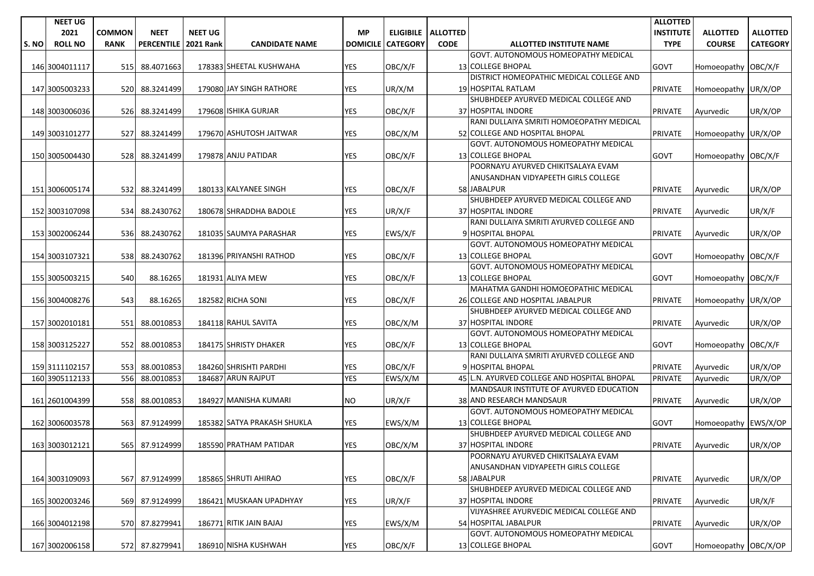|      | <b>NEET UG</b> |               |                   |                  |                             |                 |                 |                      |                                             | <b>ALLOTTED</b>  |                      |                 |
|------|----------------|---------------|-------------------|------------------|-----------------------------|-----------------|-----------------|----------------------|---------------------------------------------|------------------|----------------------|-----------------|
|      | 2021           | <b>COMMON</b> | <b>NEET</b>       | <b>NEET UG</b>   |                             | <b>MP</b>       |                 | ELIGIBILE   ALLOTTED |                                             | <b>INSTITUTE</b> | <b>ALLOTTED</b>      | <b>ALLOTTED</b> |
| S.NO | <b>ROLL NO</b> | <b>RANK</b>   | <b>PERCENTILE</b> | <b>2021 Rank</b> | <b>CANDIDATE NAME</b>       | <b>DOMICILE</b> | <b>CATEGORY</b> | <b>CODE</b>          | <b>ALLOTTED INSTITUTE NAME</b>              | <b>TYPE</b>      | <b>COURSE</b>        | <b>CATEGORY</b> |
|      |                |               |                   |                  |                             |                 |                 |                      | <b>GOVT. AUTONOMOUS HOMEOPATHY MEDICAL</b>  |                  |                      |                 |
|      | 146 3004011117 | 515           | 88.4071663        |                  | 178383 SHEETAL KUSHWAHA     | <b>YES</b>      | OBC/X/F         |                      | 13 COLLEGE BHOPAL                           | <b>GOVT</b>      | Homoeopathy OBC/X/F  |                 |
|      |                |               |                   |                  |                             |                 |                 |                      | DISTRICT HOMEOPATHIC MEDICAL COLLEGE AND    |                  |                      |                 |
|      | 147 3005003233 | 520           | 88.3241499        |                  | 179080 JAY SINGH RATHORE    | <b>YES</b>      | UR/X/M          |                      | 19 HOSPITAL RATLAM                          | <b>PRIVATE</b>   | Homoeopathy UR/X/OP  |                 |
|      |                |               |                   |                  |                             |                 |                 |                      | SHUBHDEEP AYURVED MEDICAL COLLEGE AND       |                  |                      |                 |
|      | 148 3003006036 |               | 526 88.3241499    |                  | 179608 ISHIKA GURJAR        | YES             | OBC/X/F         |                      | 37 HOSPITAL INDORE                          | <b>PRIVATE</b>   | Ayurvedic            | UR/X/OP         |
|      |                |               |                   |                  |                             |                 |                 |                      | RANI DULLAIYA SMRITI HOMOEOPATHY MEDICAL    |                  |                      |                 |
|      | 149 3003101277 | 527           | 88.3241499        |                  | 179670 ASHUTOSH JAITWAR     | YES             | OBC/X/M         |                      | 52 COLLEGE AND HOSPITAL BHOPAL              | <b>PRIVATE</b>   | Homoeopathy UR/X/OP  |                 |
|      |                |               |                   |                  |                             |                 |                 |                      | GOVT. AUTONOMOUS HOMEOPATHY MEDICAL         |                  |                      |                 |
|      | 150 3005004430 |               | 528 88.3241499    |                  | 179878 ANJU PATIDAR         | <b>YES</b>      | OBC/X/F         |                      | <b>13 COLLEGE BHOPAL</b>                    | GOVT             | Homoeopathy OBC/X/F  |                 |
|      |                |               |                   |                  |                             |                 |                 |                      | POORNAYU AYURVED CHIKITSALAYA EVAM          |                  |                      |                 |
|      |                |               |                   |                  |                             |                 |                 |                      | ANUSANDHAN VIDYAPEETH GIRLS COLLEGE         |                  |                      |                 |
|      | 151 3006005174 | 532           | 88.3241499        |                  | 180133 KALYANEE SINGH       | <b>YES</b>      | OBC/X/F         |                      | 58 JABALPUR                                 | <b>PRIVATE</b>   | Ayurvedic            | UR/X/OP         |
|      |                |               |                   |                  |                             |                 |                 |                      | SHUBHDEEP AYURVED MEDICAL COLLEGE AND       |                  |                      |                 |
|      | 152 3003107098 | 534           | 88.2430762        |                  | 180678 SHRADDHA BADOLE      | <b>YES</b>      | UR/X/F          |                      | 37 HOSPITAL INDORE                          | <b>PRIVATE</b>   | Ayurvedic            | UR/X/F          |
|      |                |               |                   |                  |                             |                 |                 |                      | RANI DULLAIYA SMRITI AYURVED COLLEGE AND    |                  |                      |                 |
|      | 153 3002006244 | 536           | 88.2430762        |                  | 181035 SAUMYA PARASHAR      | YES             | EWS/X/F         |                      | 9 HOSPITAL BHOPAL                           | <b>PRIVATE</b>   | Ayurvedic            | UR/X/OP         |
|      |                |               |                   |                  |                             |                 |                 |                      | GOVT. AUTONOMOUS HOMEOPATHY MEDICAL         |                  |                      |                 |
|      | 154 3003107321 |               | 538 88.2430762    |                  | 181396 PRIYANSHI RATHOD     | <b>YES</b>      | OBC/X/F         |                      | <b>13 COLLEGE BHOPAL</b>                    | GOVT             | Homoeopathy OBC/X/F  |                 |
|      |                |               |                   |                  |                             |                 |                 |                      | GOVT. AUTONOMOUS HOMEOPATHY MEDICAL         |                  |                      |                 |
|      | 155 3005003215 | 540           | 88.16265          |                  | 181931 ALIYA MEW            | YES             | OBC/X/F         |                      | <b>13 COLLEGE BHOPAL</b>                    | <b>GOVT</b>      | Homoeopathy OBC/X/F  |                 |
|      |                |               |                   |                  |                             |                 |                 |                      | MAHATMA GANDHI HOMOEOPATHIC MEDICAL         |                  |                      |                 |
|      | 156 3004008276 | 543           | 88.16265          |                  | 182582 RICHA SONI           | <b>YES</b>      | OBC/X/F         |                      | 26 COLLEGE AND HOSPITAL JABALPUR            | <b>PRIVATE</b>   | Homoeopathy UR/X/OP  |                 |
|      |                |               |                   |                  |                             |                 |                 |                      | SHUBHDEEP AYURVED MEDICAL COLLEGE AND       |                  |                      |                 |
|      | 157 3002010181 | 551           | 88.0010853        |                  | 184118 RAHUL SAVITA         | <b>YES</b>      | OBC/X/M         |                      | 37 HOSPITAL INDORE                          | <b>PRIVATE</b>   | Ayurvedic            | UR/X/OP         |
|      |                |               |                   |                  |                             |                 |                 |                      | GOVT. AUTONOMOUS HOMEOPATHY MEDICAL         |                  |                      |                 |
|      | 158 3003125227 | 552           | 88.0010853        |                  | 184175 SHRISTY DHAKER       | <b>YES</b>      | OBC/X/F         |                      | 13 COLLEGE BHOPAL                           | <b>GOVT</b>      | Homoeopathy OBC/X/F  |                 |
|      |                |               |                   |                  |                             |                 |                 |                      | RANI DULLAIYA SMRITI AYURVED COLLEGE AND    |                  |                      |                 |
|      | 159 3111102157 | 553           | 88.0010853        |                  | 184260 SHRISHTI PARDHI      | YES             | OBC/X/F         |                      | 9 HOSPITAL BHOPAL                           | <b>PRIVATE</b>   | Ayurvedic            | UR/X/OP         |
|      | 160 3905112133 | 556           | 88.0010853        |                  | 184687 ARUN RAJPUT          | <b>YES</b>      | EWS/X/M         |                      | 45 L.N. AYURVED COLLEGE AND HOSPITAL BHOPAL | PRIVATE          | Ayurvedic            | UR/X/OP         |
|      |                |               |                   |                  |                             |                 |                 |                      | MANDSAUR INSTITUTE OF AYURVED EDUCATION     |                  |                      |                 |
|      | 161 2601004399 | 558           | 88.0010853        |                  | 184927 MANISHA KUMARI       | NO              | UR/X/F          |                      | 38 AND RESEARCH MANDSAUR                    | <b>PRIVATE</b>   | Ayurvedic            | UR/X/OP         |
|      |                |               |                   |                  |                             |                 |                 |                      | GOVT. AUTONOMOUS HOMEOPATHY MEDICAL         |                  |                      |                 |
|      | 162 3006003578 | 563           | 87.9124999        |                  | 185382 SATYA PRAKASH SHUKLA | YES             | EWS/X/M         |                      | 13 COLLEGE BHOPAL                           | GOVT             | Homoeopathy EWS/X/OP |                 |
|      |                |               |                   |                  |                             |                 |                 |                      | SHUBHDEEP AYURVED MEDICAL COLLEGE AND       |                  |                      |                 |
|      | 163 3003012121 |               | 565 87.9124999    |                  | 185590 PRATHAM PATIDAR      | <b>YES</b>      | OBC/X/M         |                      | 37 HOSPITAL INDORE                          | <b>PRIVATE</b>   | Ayurvedic            | UR/X/OP         |
|      |                |               |                   |                  |                             |                 |                 |                      | POORNAYU AYURVED CHIKITSALAYA EVAM          |                  |                      |                 |
|      |                |               |                   |                  |                             |                 |                 |                      | ANUSANDHAN VIDYAPEETH GIRLS COLLEGE         |                  |                      |                 |
|      | 164 3003109093 | 567           | 87.9124999        |                  | 185865 SHRUTI AHIRAO        | YES             | OBC/X/F         |                      | 58 JABALPUR                                 | <b>PRIVATE</b>   | Ayurvedic            | UR/X/OP         |
|      |                |               |                   |                  |                             |                 |                 |                      | SHUBHDEEP AYURVED MEDICAL COLLEGE AND       |                  |                      |                 |
|      | 165 3002003246 | 569           | 87.9124999        |                  | 186421 MUSKAAN UPADHYAY     | YES             | UR/X/F          |                      | 37 HOSPITAL INDORE                          | <b>PRIVATE</b>   | Ayurvedic            | UR/X/F          |
|      |                |               |                   |                  |                             |                 |                 |                      | VIJYASHREE AYURVEDIC MEDICAL COLLEGE AND    |                  |                      |                 |
|      | 166 3004012198 |               | 570 87.8279941    |                  | 186771 RITIK JAIN BAJAJ     | <b>YES</b>      | EWS/X/M         |                      | 54 HOSPITAL JABALPUR                        | PRIVATE          | Ayurvedic            | UR/X/OP         |
|      |                |               |                   |                  |                             |                 |                 |                      | GOVT. AUTONOMOUS HOMEOPATHY MEDICAL         |                  |                      |                 |
|      | 167 3002006158 |               | 572 87.8279941    |                  | 186910 NISHA KUSHWAH        | YES             | OBC/X/F         |                      | 13 COLLEGE BHOPAL                           | GOVT             | Homoeopathy OBC/X/OP |                 |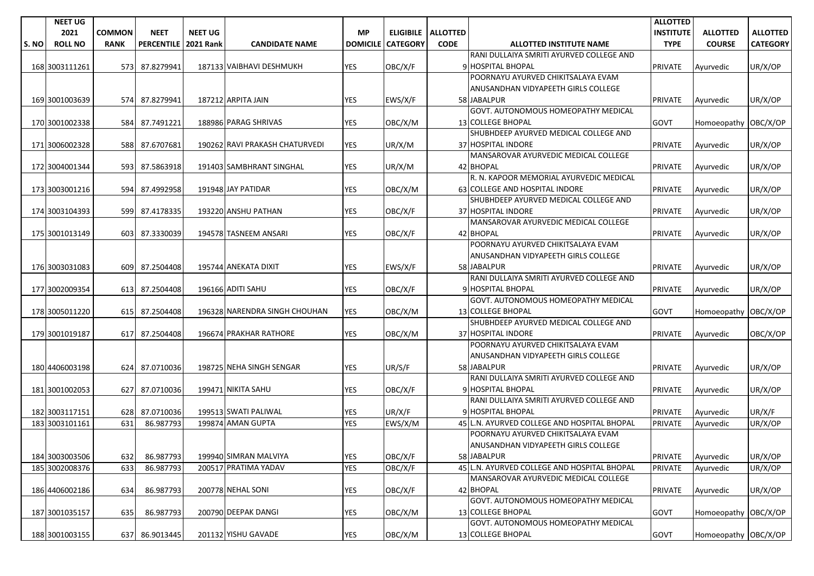|      | <b>NEET UG</b> |               |                        |                |                                |                 |                 |                      |                                                  | <b>ALLOTTED</b>  |                      |                 |
|------|----------------|---------------|------------------------|----------------|--------------------------------|-----------------|-----------------|----------------------|--------------------------------------------------|------------------|----------------------|-----------------|
|      | 2021           | <b>COMMON</b> | <b>NEET</b>            | <b>NEET UG</b> |                                | <b>MP</b>       |                 | ELIGIBILE   ALLOTTED |                                                  | <b>INSTITUTE</b> | <b>ALLOTTED</b>      | <b>ALLOTTED</b> |
| S.NO | <b>ROLL NO</b> | <b>RANK</b>   | PERCENTILE   2021 Rank |                | <b>CANDIDATE NAME</b>          | <b>DOMICILE</b> | <b>CATEGORY</b> | <b>CODE</b>          | <b>ALLOTTED INSTITUTE NAME</b>                   | <b>TYPE</b>      | <b>COURSE</b>        | <b>CATEGORY</b> |
|      |                |               |                        |                |                                |                 |                 |                      | RANI DULLAIYA SMRITI AYURVED COLLEGE AND         |                  |                      |                 |
|      | 168 3003111261 | 573           | 87.8279941             |                | 187133 VAIBHAVI DESHMUKH       | <b>YES</b>      | OBC/X/F         |                      | 9 HOSPITAL BHOPAL                                | <b>PRIVATE</b>   | Ayurvedic            | UR/X/OP         |
|      |                |               |                        |                |                                |                 |                 |                      | POORNAYU AYURVED CHIKITSALAYA EVAM               |                  |                      |                 |
|      |                |               |                        |                |                                |                 |                 |                      | ANUSANDHAN VIDYAPEETH GIRLS COLLEGE              |                  |                      |                 |
|      | 169 3001003639 |               | 574 87.8279941         |                | 187212 ARPITA JAIN             | <b>YES</b>      | EWS/X/F         |                      | 58 JABALPUR                                      | <b>PRIVATE</b>   | Ayurvedic            | UR/X/OP         |
|      |                |               |                        |                |                                |                 |                 |                      | GOVT. AUTONOMOUS HOMEOPATHY MEDICAL              |                  |                      |                 |
|      | 170 3001002338 |               | 584 87.7491221         |                | 188986 PARAG SHRIVAS           | <b>YES</b>      | OBC/X/M         |                      | <b>13 COLLEGE BHOPAL</b>                         | <b>GOVT</b>      | Homoeopathy OBC/X/OP |                 |
|      |                |               |                        |                |                                |                 |                 |                      | SHUBHDEEP AYURVED MEDICAL COLLEGE AND            |                  |                      |                 |
|      | 171 3006002328 | 588           | 87.6707681             |                | 190262 RAVI PRAKASH CHATURVEDI | YES             | UR/X/M          |                      | 37 HOSPITAL INDORE                               | PRIVATE          | Ayurvedic            | UR/X/OP         |
|      |                |               |                        |                |                                |                 |                 |                      | MANSAROVAR AYURVEDIC MEDICAL COLLEGE             |                  |                      |                 |
|      | 172 3004001344 | 593           | 87.5863918             |                | 191403 SAMBHRANT SINGHAL       | <b>YES</b>      | UR/X/M          |                      | 42 BHOPAL                                        | <b>PRIVATE</b>   | Ayurvedic            | UR/X/OP         |
|      |                |               |                        |                |                                |                 |                 |                      | R. N. KAPOOR MEMORIAL AYURVEDIC MEDICAL          |                  |                      |                 |
|      | 173 3003001216 | 594           | 87.4992958             |                | 191948 JAY PATIDAR             | <b>YES</b>      | OBC/X/M         |                      | 63 COLLEGE AND HOSPITAL INDORE                   | <b>PRIVATE</b>   | Ayurvedic            | UR/X/OP         |
|      |                |               |                        |                |                                |                 |                 |                      | SHUBHDEEP AYURVED MEDICAL COLLEGE AND            |                  |                      |                 |
|      | 174 3003104393 | 599           | 87.4178335             |                | 193220 ANSHU PATHAN            | <b>YES</b>      | OBC/X/F         |                      | 37 HOSPITAL INDORE                               | <b>PRIVATE</b>   | Ayurvedic            | UR/X/OP         |
|      |                |               |                        |                |                                |                 |                 |                      | MANSAROVAR AYURVEDIC MEDICAL COLLEGE             |                  |                      |                 |
|      | 175 3001013149 | 603           | 87.3330039             |                | 194578 TASNEEM ANSARI          | YES             | OBC/X/F         |                      | 42 BHOPAL                                        | <b>PRIVATE</b>   | Ayurvedic            | UR/X/OP         |
|      |                |               |                        |                |                                |                 |                 |                      | POORNAYU AYURVED CHIKITSALAYA EVAM               |                  |                      |                 |
|      |                |               |                        |                |                                |                 |                 |                      | ANUSANDHAN VIDYAPEETH GIRLS COLLEGE              |                  |                      |                 |
|      | 176 3003031083 |               | 609 87.2504408         |                | 195744 ANEKATA DIXIT           | <b>YES</b>      | EWS/X/F         |                      | 58 JABALPUR                                      | <b>PRIVATE</b>   | Ayurvedic            | UR/X/OP         |
|      |                |               |                        |                |                                |                 |                 |                      | RANI DULLAIYA SMRITI AYURVED COLLEGE AND         |                  |                      |                 |
|      | 177 3002009354 | 613           | 87.2504408             |                | 196166 ADITI SAHU              | YES             | OBC/X/F         |                      | 9 HOSPITAL BHOPAL                                | <b>PRIVATE</b>   | Ayurvedic            | UR/X/OP         |
|      |                |               |                        |                |                                |                 |                 |                      | GOVT. AUTONOMOUS HOMEOPATHY MEDICAL              |                  |                      |                 |
|      | 178 3005011220 | 615           | 87.2504408             |                | 196328 NARENDRA SINGH CHOUHAN  | <b>YES</b>      | OBC/X/M         |                      | <b>13 COLLEGE BHOPAL</b>                         | <b>GOVT</b>      | Homoeopathy OBC/X/OP |                 |
|      |                |               |                        |                |                                |                 |                 |                      | SHUBHDEEP AYURVED MEDICAL COLLEGE AND            |                  |                      |                 |
|      | 179 3001019187 | 617           | 87.2504408             |                | 196674 PRAKHAR RATHORE         | <b>YES</b>      | OBC/X/M         |                      | 37 HOSPITAL INDORE                               | <b>PRIVATE</b>   | Ayurvedic            | OBC/X/OP        |
|      |                |               |                        |                |                                |                 |                 |                      | POORNAYU AYURVED CHIKITSALAYA EVAM               |                  |                      |                 |
|      |                |               |                        |                |                                |                 |                 |                      | ANUSANDHAN VIDYAPEETH GIRLS COLLEGE              |                  |                      |                 |
|      | 180 4406003198 | 624           | 87.0710036             |                | 198725 NEHA SINGH SENGAR       | YES             | UR/S/F          |                      | 58 JABALPUR                                      | <b>PRIVATE</b>   | Ayurvedic            | UR/X/OP         |
|      |                |               |                        |                |                                |                 |                 |                      | RANI DULLAIYA SMRITI AYURVED COLLEGE AND         |                  |                      |                 |
|      | 181 3001002053 | 627           | 87.0710036             |                | 199471 NIKITA SAHU             | YES             | OBC/X/F         |                      | 9 HOSPITAL BHOPAL                                | <b>PRIVATE</b>   | Ayurvedic            | UR/X/OP         |
|      |                |               |                        |                |                                |                 |                 |                      | RANI DULLAIYA SMRITI AYURVED COLLEGE AND         |                  |                      |                 |
|      | 182 3003117151 | 628           | 87.0710036             |                | 199513 SWATI PALIWAL           | YES             | UR/X/F          |                      | 9 HOSPITAL BHOPAL                                | <b>PRIVATE</b>   | Ayurvedic            | UR/X/F          |
|      | 183 3003101161 | 631           | 86.987793              |                | 199874 AMAN GUPTA              | <b>YES</b>      | EWS/X/M         |                      | 45 L.N. AYURVED COLLEGE AND HOSPITAL BHOPAL      | <b>PRIVATE</b>   | Ayurvedic            | UR/X/OP         |
|      |                |               |                        |                |                                |                 |                 |                      | POORNAYU AYURVED CHIKITSALAYA EVAM               |                  |                      |                 |
|      |                |               |                        |                |                                |                 |                 |                      | ANUSANDHAN VIDYAPEETH GIRLS COLLEGE              |                  |                      |                 |
|      | 184 3003003506 | 632           | 86.987793              |                | 199940 SIMRAN MALVIYA          | <b>YES</b>      | OBC/X/F         |                      | 58 JABALPUR                                      | PRIVATE          | Ayurvedic            | UR/X/OP         |
|      | 185 3002008376 | 633           | 86.987793              |                | 200517 PRATIMA YADAV           | <b>YES</b>      | OBC/X/F         |                      | 45 L.N. AYURVED COLLEGE AND HOSPITAL BHOPAL      | PRIVATE          | Ayurvedic            | UR/X/OP         |
|      |                |               |                        |                | 200778 NEHAL SONI              |                 |                 |                      | MANSAROVAR AYURVEDIC MEDICAL COLLEGE             |                  |                      |                 |
|      | 186 4406002186 | 634           | 86.987793              |                |                                | YES             | OBC/X/F         |                      | 42 BHOPAL<br>GOVT. AUTONOMOUS HOMEOPATHY MEDICAL | <b>PRIVATE</b>   | Ayurvedic            | UR/X/OP         |
|      |                |               |                        |                | 200790 DEEPAK DANGI            |                 |                 |                      | 13 COLLEGE BHOPAL                                |                  |                      |                 |
|      | 187 3001035157 | 635           | 86.987793              |                |                                | YES             | OBC/X/M         |                      | GOVT. AUTONOMOUS HOMEOPATHY MEDICAL              | GOVT             | Homoeopathy OBC/X/OP |                 |
|      |                | 637           |                        |                | 201132 YISHU GAVADE            |                 |                 |                      | 13 COLLEGE BHOPAL                                |                  |                      |                 |
|      | 188 3001003155 |               | 86.9013445             |                |                                | YES             | OBC/X/M         |                      |                                                  | GOVT             | Homoeopathy OBC/X/OP |                 |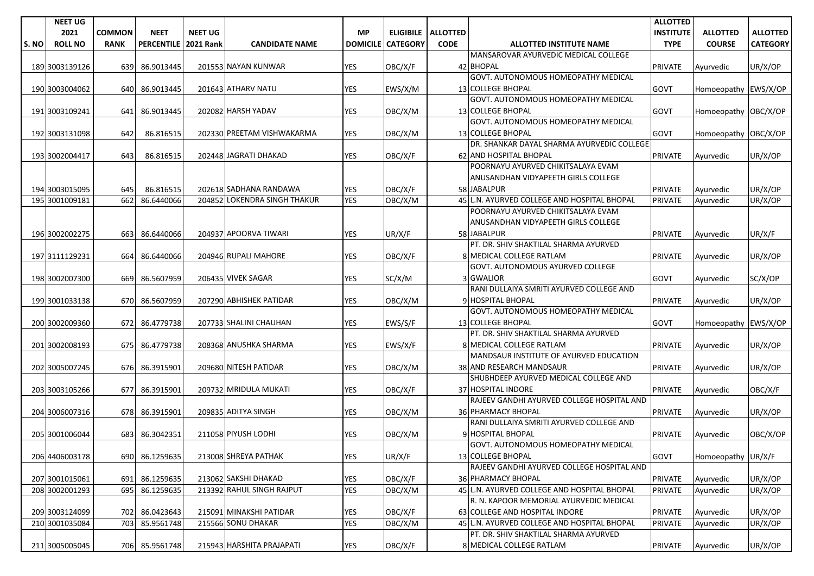|       | <b>NEET UG</b> |               |                        |                |                              |                 |                             |             |                                             | <b>ALLOTTED</b>  |                      |                 |
|-------|----------------|---------------|------------------------|----------------|------------------------------|-----------------|-----------------------------|-------------|---------------------------------------------|------------------|----------------------|-----------------|
|       | 2021           | <b>COMMON</b> | <b>NEET</b>            | <b>NEET UG</b> |                              | <b>MP</b>       | <b>ELIGIBILE   ALLOTTED</b> |             |                                             | <b>INSTITUTE</b> | <b>ALLOTTED</b>      | <b>ALLOTTED</b> |
| S. NO | <b>ROLL NO</b> | <b>RANK</b>   | PERCENTILE   2021 Rank |                | <b>CANDIDATE NAME</b>        | <b>DOMICILE</b> | <b>CATEGORY</b>             | <b>CODE</b> | <b>ALLOTTED INSTITUTE NAME</b>              | <b>TYPE</b>      | <b>COURSE</b>        | <b>CATEGORY</b> |
|       |                |               |                        |                |                              |                 |                             |             | MANSAROVAR AYURVEDIC MEDICAL COLLEGE        |                  |                      |                 |
|       | 189 3003139126 | 639           | 86.9013445             |                | 201553 NAYAN KUNWAR          | <b>YES</b>      | OBC/X/F                     |             | 42 BHOPAL                                   | PRIVATE          | Ayurvedic            | UR/X/OP         |
|       |                |               |                        |                |                              |                 |                             |             | <b>GOVT. AUTONOMOUS HOMEOPATHY MEDICAL</b>  |                  |                      |                 |
|       | 190 3003004062 | 640           | 86.9013445             |                | 201643 ATHARV NATU           | <b>YES</b>      | EWS/X/M                     |             | 13 COLLEGE BHOPAL                           | <b>GOVT</b>      | Homoeopathy EWS/X/OP |                 |
|       |                |               |                        |                |                              |                 |                             |             | GOVT. AUTONOMOUS HOMEOPATHY MEDICAL         |                  |                      |                 |
|       | 191 3003109241 | 641           | 86.9013445             |                | 202082 HARSH YADAV           | <b>YES</b>      | OBC/X/M                     |             | 13 COLLEGE BHOPAL                           | <b>GOVT</b>      | Homoeopathy OBC/X/OP |                 |
|       |                |               |                        |                |                              |                 |                             |             | GOVT. AUTONOMOUS HOMEOPATHY MEDICAL         |                  |                      |                 |
|       | 192 3003131098 | 642           | 86.816515              |                | 202330 PREETAM VISHWAKARMA   | YES             | OBC/X/M                     |             | 13 COLLEGE BHOPAL                           | GOVT             | Homoeopathy OBC/X/OP |                 |
|       |                |               |                        |                |                              |                 |                             |             | DR. SHANKAR DAYAL SHARMA AYURVEDIC COLLEGE  |                  |                      |                 |
|       | 193 3002004417 | 643           | 86.816515              |                | 202448 JAGRATI DHAKAD        | <b>YES</b>      | OBC/X/F                     |             | 62 AND HOSPITAL BHOPAL                      | <b>PRIVATE</b>   | Ayurvedic            | UR/X/OP         |
|       |                |               |                        |                |                              |                 |                             |             | POORNAYU AYURVED CHIKITSALAYA EVAM          |                  |                      |                 |
|       |                |               |                        |                |                              |                 |                             |             | ANUSANDHAN VIDYAPEETH GIRLS COLLEGE         |                  |                      |                 |
|       | 194 3003015095 | 645           | 86.816515              |                | 202618 SADHANA RANDAWA       | <b>YES</b>      | OBC/X/F                     |             | 58 JABALPUR                                 | <b>PRIVATE</b>   | Ayurvedic            | UR/X/OP         |
|       | 195 3001009181 | 662           | 86.6440066             |                | 204852 LOKENDRA SINGH THAKUR | <b>YES</b>      | OBC/X/M                     |             | 45 L.N. AYURVED COLLEGE AND HOSPITAL BHOPAL | <b>PRIVATE</b>   | Ayurvedic            | UR/X/OP         |
|       |                |               |                        |                |                              |                 |                             |             | POORNAYU AYURVED CHIKITSALAYA EVAM          |                  |                      |                 |
|       |                |               |                        |                |                              |                 |                             |             | ANUSANDHAN VIDYAPEETH GIRLS COLLEGE         |                  |                      |                 |
|       | 196 3002002275 | 663 <b>1</b>  | 86.6440066             |                | 204937 APOORVA TIWARI        | <b>YES</b>      | UR/X/F                      |             | 58 JABALPUR                                 | <b>PRIVATE</b>   | Ayurvedic            | UR/X/F          |
|       |                |               |                        |                |                              |                 |                             |             | PT. DR. SHIV SHAKTILAL SHARMA AYURVED       |                  |                      |                 |
|       | 197 3111129231 | 664           | 86.6440066             |                | 204946 RUPALI MAHORE         | YES             | OBC/X/F                     |             | <b>8 MEDICAL COLLEGE RATLAM</b>             | <b>PRIVATE</b>   | Ayurvedic            | UR/X/OP         |
|       |                |               |                        |                |                              |                 |                             |             | GOVT. AUTONOMOUS AYURVED COLLEGE            |                  |                      |                 |
|       | 198 3002007300 | 669           | 86.5607959             |                | 206435 VIVEK SAGAR           | YES             | SC/X/M                      |             | 3 GWALIOR                                   | GOVT             | Ayurvedic            | SC/X/OP         |
|       |                |               |                        |                |                              |                 |                             |             | RANI DULLAIYA SMRITI AYURVED COLLEGE AND    |                  |                      |                 |
|       | 199 3001033138 | 670           | 86.5607959             |                | 207290 ABHISHEK PATIDAR      | <b>YES</b>      | OBC/X/M                     |             | 9 HOSPITAL BHOPAL                           | <b>PRIVATE</b>   | Ayurvedic            | UR/X/OP         |
|       |                |               |                        |                |                              |                 |                             |             | GOVT. AUTONOMOUS HOMEOPATHY MEDICAL         |                  |                      |                 |
|       | 200 3002009360 | 672           | 86.4779738             |                | 207733 SHALINI CHAUHAN       | <b>YES</b>      | EWS/S/F                     |             | 13 COLLEGE BHOPAL                           | GOVT             | Homoeopathy EWS/X/OP |                 |
|       |                |               |                        |                |                              |                 |                             |             | PT. DR. SHIV SHAKTILAL SHARMA AYURVED       |                  |                      |                 |
|       | 201 3002008193 | 675           | 86.4779738             |                | 208368 ANUSHKA SHARMA        | <b>YES</b>      | EWS/X/F                     |             | 8 MEDICAL COLLEGE RATLAM                    | PRIVATE          | Ayurvedic            | UR/X/OP         |
|       |                |               |                        |                |                              |                 |                             |             | MANDSAUR INSTITUTE OF AYURVED EDUCATION     |                  |                      |                 |
|       | 202 3005007245 | 676           | 86.3915901             |                | 209680 NITESH PATIDAR        | <b>YES</b>      | OBC/X/M                     |             | 38 AND RESEARCH MANDSAUR                    | <b>PRIVATE</b>   | Ayurvedic            | UR/X/OP         |
|       |                |               |                        |                |                              |                 |                             |             | SHUBHDEEP AYURVED MEDICAL COLLEGE AND       |                  |                      |                 |
|       | 203 3003105266 | 677           | 86.3915901             |                | 209732 MRIDULA MUKATI        | <b>YES</b>      | OBC/X/F                     |             | 37 HOSPITAL INDORE                          | <b>PRIVATE</b>   | Ayurvedic            | OBC/X/F         |
|       |                |               |                        |                |                              |                 |                             |             | RAJEEV GANDHI AYURVED COLLEGE HOSPITAL AND  |                  |                      |                 |
|       | 204 3006007316 | 678           | 86.3915901             |                | 209835 ADITYA SINGH          | YES             | OBC/X/M                     |             | <b>36 PHARMACY BHOPAL</b>                   | <b>PRIVATE</b>   | Ayurvedic            | UR/X/OP         |
|       |                |               |                        |                |                              |                 |                             |             | RANI DULLAIYA SMRITI AYURVED COLLEGE AND    |                  |                      |                 |
|       | 205 3001006044 | 683           | 86.3042351             |                | 211058 PIYUSH LODHI          | YES             | OBC/X/M                     |             | 9 HOSPITAL BHOPAL                           | <b>PRIVATE</b>   | Ayurvedic            | OBC/X/OP        |
|       |                |               |                        |                |                              |                 |                             |             | <b>GOVT. AUTONOMOUS HOMEOPATHY MEDICAL</b>  |                  |                      |                 |
|       | 206 4406003178 |               | 690 86.1259635         |                | 213008 SHREYA PATHAK         | <b>YES</b>      | UR/X/F                      |             | 13 COLLEGE BHOPAL                           | GOVT             | Homoeopathy UR/X/F   |                 |
|       |                |               |                        |                |                              |                 |                             |             | RAJEEV GANDHI AYURVED COLLEGE HOSPITAL AND  |                  |                      |                 |
|       | 207 3001015061 | 691           | 86.1259635             |                | 213062 SAKSHI DHAKAD         | YES             | OBC/X/F                     |             | 36 PHARMACY BHOPAL                          | PRIVATE          | Ayurvedic            | UR/X/OP         |
|       | 208 3002001293 | 695           | 86.1259635             |                | 213392 RAHUL SINGH RAJPUT    | <b>YES</b>      | OBC/X/M                     |             | 45 L.N. AYURVED COLLEGE AND HOSPITAL BHOPAL | <b>PRIVATE</b>   | Ayurvedic            | UR/X/OP         |
|       |                |               |                        |                |                              |                 |                             |             | R. N. KAPOOR MEMORIAL AYURVEDIC MEDICAL     |                  |                      |                 |
|       | 209 3003124099 | 702           | 86.0423643             |                | 215091 MINAKSHI PATIDAR      | YES             | OBC/X/F                     |             | 63 COLLEGE AND HOSPITAL INDORE              | <b>PRIVATE</b>   | Ayurvedic            | UR/X/OP         |
|       | 210 3001035084 | 703           | 85.9561748             |                | 215566 SONU DHAKAR           | <b>YES</b>      | OBC/X/M                     |             | 45 L.N. AYURVED COLLEGE AND HOSPITAL BHOPAL | <b>PRIVATE</b>   | Ayurvedic            | UR/X/OP         |
|       |                |               |                        |                |                              |                 |                             |             | PT. DR. SHIV SHAKTILAL SHARMA AYURVED       |                  |                      |                 |
|       | 211 3005005045 |               | 706 85.9561748         |                | 215943 HARSHITA PRAJAPATI    | YES             | OBC/X/F                     |             | 8 MEDICAL COLLEGE RATLAM                    | <b>PRIVATE</b>   | Ayurvedic            | UR/X/OP         |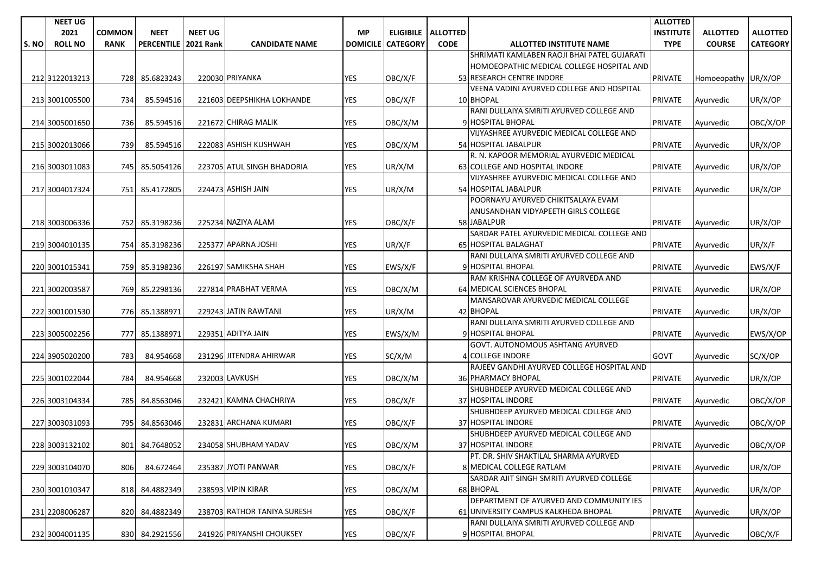| <b>COMMON</b><br><b>NEET</b><br><b>NEET UG</b><br><b>MP</b><br><b>INSTITUTE</b><br><b>ALLOTTED</b><br>2021<br>ELIGIBILE   ALLOTTED<br><b>ALLOTTED</b><br><b>TYPE</b><br>S.NO<br><b>ROLL NO</b><br><b>RANK</b><br><b>PERCENTILE</b><br><b>2021 Rank</b><br><b>CANDIDATE NAME</b><br><b>DOMICILE</b><br><b>CATEGORY</b><br><b>CODE</b><br><b>ALLOTTED INSTITUTE NAME</b><br><b>COURSE</b><br><b>CATEGORY</b><br>SHRIMATI KAMLABEN RAOJI BHAI PATEL GUJARATI<br>HOMOEOPATHIC MEDICAL COLLEGE HOSPITAL AND<br>220030 PRIYANKA<br><b>YES</b><br>OBC/X/F<br>53 RESEARCH CENTRE INDORE<br><b>PRIVATE</b><br>212 3122013213<br>728 85.6823243<br>Homoeopathy UR/X/OP<br>VEENA VADINI AYURVED COLLEGE AND HOSPITAL<br>85.594516<br>221603 DEEPSHIKHA LOKHANDE<br><b>YES</b><br>OBC/X/F<br>10 BHOPAL<br>UR/X/OP<br>213 3001005500<br>734<br><b>PRIVATE</b><br>Ayurvedic<br>RANI DULLAIYA SMRITI AYURVED COLLEGE AND<br>OBC/X/OP<br>214 3005001650<br>736<br>85.594516<br>221672 CHIRAG MALIK<br>YES<br>OBC/X/M<br>9 HOSPITAL BHOPAL<br><b>PRIVATE</b><br>Ayurvedic<br>VIJYASHREE AYURVEDIC MEDICAL COLLEGE AND<br>222083 ASHISH KUSHWAH<br><b>YES</b><br>739<br>85.594516<br>OBC/X/M<br>54 HOSPITAL JABALPUR<br><b>PRIVATE</b><br>UR/X/OP<br>215 3002013066<br>Ayurvedic<br>R. N. KAPOOR MEMORIAL AYURVEDIC MEDICAL<br><b>YES</b><br>63 COLLEGE AND HOSPITAL INDORE<br>UR/X/OP<br>745<br>85.5054126<br>223705 ATUL SINGH BHADORIA<br>UR/X/M<br><b>PRIVATE</b><br>216 3003011083<br>Ayurvedic<br>VIJYASHREE AYURVEDIC MEDICAL COLLEGE AND<br>224473 ASHISH JAIN<br>YES<br>UR/X/OP<br>217 3004017324<br>85.4172805<br>UR/X/M<br>54 HOSPITAL JABALPUR<br><b>PRIVATE</b><br>751<br>Ayurvedic<br>POORNAYU AYURVED CHIKITSALAYA EVAM<br>ANUSANDHAN VIDYAPEETH GIRLS COLLEGE<br>218 3003006336<br>752 85.3198236<br>225234 NAZIYA ALAM<br>YES<br>OBC/X/F<br>58 JABALPUR<br><b>PRIVATE</b><br>UR/X/OP<br>Avurvedic<br>SARDAR PATEL AYURVEDIC MEDICAL COLLEGE AND<br><b>YES</b><br>UR/X/F<br>219 3004010135<br>754 85.3198236<br>225377 APARNA JOSHI<br>UR/X/F<br>65 HOSPITAL BALAGHAT<br><b>PRIVATE</b><br>Ayurvedic<br>RANI DULLAIYA SMRITI AYURVED COLLEGE AND<br>9 HOSPITAL BHOPAL<br>226197 SAMIKSHA SHAH<br>YES<br>EWS/X/F<br>EWS/X/F<br>220 3001015341<br>759I<br>85.3198236<br><b>PRIVATE</b><br>Ayurvedic<br>RAM KRISHNA COLLEGE OF AYURVEDA AND<br>227814 PRABHAT VERMA<br><b>YES</b><br>64 MEDICAL SCIENCES BHOPAL<br>769<br>85.2298136<br>OBC/X/M<br><b>PRIVATE</b><br>UR/X/OP<br>221 3002003587<br>Ayurvedic<br>MANSAROVAR AYURVEDIC MEDICAL COLLEGE<br>229243 JATIN RAWTANI<br><b>YES</b><br>42 BHOPAL<br>222 3001001530<br>776<br>85.1388971<br>UR/X/M<br><b>PRIVATE</b><br>UR/X/OP<br>Ayurvedic<br>RANI DULLAIYA SMRITI AYURVED COLLEGE AND<br>229351 ADITYA JAIN<br><b>YES</b><br>EWS/X/M<br>9 HOSPITAL BHOPAL<br>EWS/X/OP<br>223 3005002256<br>777<br>85.1388971<br><b>PRIVATE</b><br>Ayurvedic<br>GOVT. AUTONOMOUS ASHTANG AYURVED<br>84.954668<br>231296 JITENDRA AHIRWAR<br><b>YES</b><br>SC/X/M<br><b>4 COLLEGE INDORE</b><br><b>GOVT</b><br>SC/X/OP<br>224 3905020200<br>783<br>Ayurvedic<br>RAJEEV GANDHI AYURVED COLLEGE HOSPITAL AND<br>84.954668<br>232003 LAVKUSH<br><b>YES</b><br>36 PHARMACY BHOPAL<br>UR/X/OP<br>225 3001022044<br>784<br>OBC/X/M<br><b>PRIVATE</b><br>Ayurvedic<br>SHUBHDEEP AYURVED MEDICAL COLLEGE AND<br>37 HOSPITAL INDORE<br>84.8563046<br>232421 KAMNA CHACHRIYA<br>YES<br>OBC/X/F<br>OBC/X/OP<br>226 3003104334<br>785I<br><b>PRIVATE</b><br>Ayurvedic<br>SHUBHDEEP AYURVED MEDICAL COLLEGE AND<br>232831 ARCHANA KUMARI<br><b>YES</b><br>37 HOSPITAL INDORE<br>227 3003031093<br>795<br>84.8563046<br>OBC/X/F<br><b>PRIVATE</b><br>OBC/X/OP<br>Ayurvedic<br>SHUBHDEEP AYURVED MEDICAL COLLEGE AND<br>234058 SHUBHAM YADAV<br><b>YES</b><br>37 HOSPITAL INDORE<br>OBC/X/OP<br>228 3003132102<br>801 84.7648052<br>OBC/X/M<br><b>PRIVATE</b><br>Ayurvedic<br>PT. DR. SHIV SHAKTILAL SHARMA AYURVED<br>235387 JYOTI PANWAR<br>YES<br>OBC/X/F<br>8 MEDICAL COLLEGE RATLAM<br>UR/X/OP<br>229 3003104070<br>806<br>84.672464<br><b>PRIVATE</b><br>Ayurvedic<br>SARDAR AJIT SINGH SMRITI AYURVED COLLEGE<br>238593 VIPIN KIRAR<br>YES<br>68 BHOPAL<br>PRIVATE<br>UR/X/OP<br>230 3001010347<br>818<br>84.4882349<br>OBC/X/M<br>Ayurvedic<br>DEPARTMENT OF AYURVED AND COMMUNITY IES<br>YES<br>UR/X/OP<br>231 2208006287<br>820<br>84.4882349<br>238703 RATHOR TANIYA SURESH<br>OBC/X/F<br>61 UNIVERSITY CAMPUS KALKHEDA BHOPAL<br><b>PRIVATE</b><br>Ayurvedic<br>RANI DULLAIYA SMRITI AYURVED COLLEGE AND<br><b>YES</b><br>OBC/X/F<br>232 3004001135<br>830 84.2921556<br>241926 PRIYANSHI CHOUKSEY<br>OBC/X/F<br>9 HOSPITAL BHOPAL<br><b>PRIVATE</b><br>Ayurvedic | <b>NEET UG</b> |  |  |  |  | <b>ALLOTTED</b> |  |
|-------------------------------------------------------------------------------------------------------------------------------------------------------------------------------------------------------------------------------------------------------------------------------------------------------------------------------------------------------------------------------------------------------------------------------------------------------------------------------------------------------------------------------------------------------------------------------------------------------------------------------------------------------------------------------------------------------------------------------------------------------------------------------------------------------------------------------------------------------------------------------------------------------------------------------------------------------------------------------------------------------------------------------------------------------------------------------------------------------------------------------------------------------------------------------------------------------------------------------------------------------------------------------------------------------------------------------------------------------------------------------------------------------------------------------------------------------------------------------------------------------------------------------------------------------------------------------------------------------------------------------------------------------------------------------------------------------------------------------------------------------------------------------------------------------------------------------------------------------------------------------------------------------------------------------------------------------------------------------------------------------------------------------------------------------------------------------------------------------------------------------------------------------------------------------------------------------------------------------------------------------------------------------------------------------------------------------------------------------------------------------------------------------------------------------------------------------------------------------------------------------------------------------------------------------------------------------------------------------------------------------------------------------------------------------------------------------------------------------------------------------------------------------------------------------------------------------------------------------------------------------------------------------------------------------------------------------------------------------------------------------------------------------------------------------------------------------------------------------------------------------------------------------------------------------------------------------------------------------------------------------------------------------------------------------------------------------------------------------------------------------------------------------------------------------------------------------------------------------------------------------------------------------------------------------------------------------------------------------------------------------------------------------------------------------------------------------------------------------------------------------------------------------------------------------------------------------------------------------------------------------------------------------------------------------------------------------------------------------------------------------------------------------------------------------------------------------------------------------------------------------------------------------------------------------------------------------------------------------------------------------------------------------------------------------------------------------------------------------------------------------------------------------------------------------------------------------------------------------------------------------------------------------------------------------------------------------------------------------------------------------------------------------------------------------------------------|----------------|--|--|--|--|-----------------|--|
|                                                                                                                                                                                                                                                                                                                                                                                                                                                                                                                                                                                                                                                                                                                                                                                                                                                                                                                                                                                                                                                                                                                                                                                                                                                                                                                                                                                                                                                                                                                                                                                                                                                                                                                                                                                                                                                                                                                                                                                                                                                                                                                                                                                                                                                                                                                                                                                                                                                                                                                                                                                                                                                                                                                                                                                                                                                                                                                                                                                                                                                                                                                                                                                                                                                                                                                                                                                                                                                                                                                                                                                                                                                                                                                                                                                                                                                                                                                                                                                                                                                                                                                                                                                                                                                                                                                                                                                                                                                                                                                                                                                                                                                                                                 |                |  |  |  |  |                 |  |
|                                                                                                                                                                                                                                                                                                                                                                                                                                                                                                                                                                                                                                                                                                                                                                                                                                                                                                                                                                                                                                                                                                                                                                                                                                                                                                                                                                                                                                                                                                                                                                                                                                                                                                                                                                                                                                                                                                                                                                                                                                                                                                                                                                                                                                                                                                                                                                                                                                                                                                                                                                                                                                                                                                                                                                                                                                                                                                                                                                                                                                                                                                                                                                                                                                                                                                                                                                                                                                                                                                                                                                                                                                                                                                                                                                                                                                                                                                                                                                                                                                                                                                                                                                                                                                                                                                                                                                                                                                                                                                                                                                                                                                                                                                 |                |  |  |  |  |                 |  |
|                                                                                                                                                                                                                                                                                                                                                                                                                                                                                                                                                                                                                                                                                                                                                                                                                                                                                                                                                                                                                                                                                                                                                                                                                                                                                                                                                                                                                                                                                                                                                                                                                                                                                                                                                                                                                                                                                                                                                                                                                                                                                                                                                                                                                                                                                                                                                                                                                                                                                                                                                                                                                                                                                                                                                                                                                                                                                                                                                                                                                                                                                                                                                                                                                                                                                                                                                                                                                                                                                                                                                                                                                                                                                                                                                                                                                                                                                                                                                                                                                                                                                                                                                                                                                                                                                                                                                                                                                                                                                                                                                                                                                                                                                                 |                |  |  |  |  |                 |  |
|                                                                                                                                                                                                                                                                                                                                                                                                                                                                                                                                                                                                                                                                                                                                                                                                                                                                                                                                                                                                                                                                                                                                                                                                                                                                                                                                                                                                                                                                                                                                                                                                                                                                                                                                                                                                                                                                                                                                                                                                                                                                                                                                                                                                                                                                                                                                                                                                                                                                                                                                                                                                                                                                                                                                                                                                                                                                                                                                                                                                                                                                                                                                                                                                                                                                                                                                                                                                                                                                                                                                                                                                                                                                                                                                                                                                                                                                                                                                                                                                                                                                                                                                                                                                                                                                                                                                                                                                                                                                                                                                                                                                                                                                                                 |                |  |  |  |  |                 |  |
|                                                                                                                                                                                                                                                                                                                                                                                                                                                                                                                                                                                                                                                                                                                                                                                                                                                                                                                                                                                                                                                                                                                                                                                                                                                                                                                                                                                                                                                                                                                                                                                                                                                                                                                                                                                                                                                                                                                                                                                                                                                                                                                                                                                                                                                                                                                                                                                                                                                                                                                                                                                                                                                                                                                                                                                                                                                                                                                                                                                                                                                                                                                                                                                                                                                                                                                                                                                                                                                                                                                                                                                                                                                                                                                                                                                                                                                                                                                                                                                                                                                                                                                                                                                                                                                                                                                                                                                                                                                                                                                                                                                                                                                                                                 |                |  |  |  |  |                 |  |
|                                                                                                                                                                                                                                                                                                                                                                                                                                                                                                                                                                                                                                                                                                                                                                                                                                                                                                                                                                                                                                                                                                                                                                                                                                                                                                                                                                                                                                                                                                                                                                                                                                                                                                                                                                                                                                                                                                                                                                                                                                                                                                                                                                                                                                                                                                                                                                                                                                                                                                                                                                                                                                                                                                                                                                                                                                                                                                                                                                                                                                                                                                                                                                                                                                                                                                                                                                                                                                                                                                                                                                                                                                                                                                                                                                                                                                                                                                                                                                                                                                                                                                                                                                                                                                                                                                                                                                                                                                                                                                                                                                                                                                                                                                 |                |  |  |  |  |                 |  |
|                                                                                                                                                                                                                                                                                                                                                                                                                                                                                                                                                                                                                                                                                                                                                                                                                                                                                                                                                                                                                                                                                                                                                                                                                                                                                                                                                                                                                                                                                                                                                                                                                                                                                                                                                                                                                                                                                                                                                                                                                                                                                                                                                                                                                                                                                                                                                                                                                                                                                                                                                                                                                                                                                                                                                                                                                                                                                                                                                                                                                                                                                                                                                                                                                                                                                                                                                                                                                                                                                                                                                                                                                                                                                                                                                                                                                                                                                                                                                                                                                                                                                                                                                                                                                                                                                                                                                                                                                                                                                                                                                                                                                                                                                                 |                |  |  |  |  |                 |  |
|                                                                                                                                                                                                                                                                                                                                                                                                                                                                                                                                                                                                                                                                                                                                                                                                                                                                                                                                                                                                                                                                                                                                                                                                                                                                                                                                                                                                                                                                                                                                                                                                                                                                                                                                                                                                                                                                                                                                                                                                                                                                                                                                                                                                                                                                                                                                                                                                                                                                                                                                                                                                                                                                                                                                                                                                                                                                                                                                                                                                                                                                                                                                                                                                                                                                                                                                                                                                                                                                                                                                                                                                                                                                                                                                                                                                                                                                                                                                                                                                                                                                                                                                                                                                                                                                                                                                                                                                                                                                                                                                                                                                                                                                                                 |                |  |  |  |  |                 |  |
|                                                                                                                                                                                                                                                                                                                                                                                                                                                                                                                                                                                                                                                                                                                                                                                                                                                                                                                                                                                                                                                                                                                                                                                                                                                                                                                                                                                                                                                                                                                                                                                                                                                                                                                                                                                                                                                                                                                                                                                                                                                                                                                                                                                                                                                                                                                                                                                                                                                                                                                                                                                                                                                                                                                                                                                                                                                                                                                                                                                                                                                                                                                                                                                                                                                                                                                                                                                                                                                                                                                                                                                                                                                                                                                                                                                                                                                                                                                                                                                                                                                                                                                                                                                                                                                                                                                                                                                                                                                                                                                                                                                                                                                                                                 |                |  |  |  |  |                 |  |
|                                                                                                                                                                                                                                                                                                                                                                                                                                                                                                                                                                                                                                                                                                                                                                                                                                                                                                                                                                                                                                                                                                                                                                                                                                                                                                                                                                                                                                                                                                                                                                                                                                                                                                                                                                                                                                                                                                                                                                                                                                                                                                                                                                                                                                                                                                                                                                                                                                                                                                                                                                                                                                                                                                                                                                                                                                                                                                                                                                                                                                                                                                                                                                                                                                                                                                                                                                                                                                                                                                                                                                                                                                                                                                                                                                                                                                                                                                                                                                                                                                                                                                                                                                                                                                                                                                                                                                                                                                                                                                                                                                                                                                                                                                 |                |  |  |  |  |                 |  |
|                                                                                                                                                                                                                                                                                                                                                                                                                                                                                                                                                                                                                                                                                                                                                                                                                                                                                                                                                                                                                                                                                                                                                                                                                                                                                                                                                                                                                                                                                                                                                                                                                                                                                                                                                                                                                                                                                                                                                                                                                                                                                                                                                                                                                                                                                                                                                                                                                                                                                                                                                                                                                                                                                                                                                                                                                                                                                                                                                                                                                                                                                                                                                                                                                                                                                                                                                                                                                                                                                                                                                                                                                                                                                                                                                                                                                                                                                                                                                                                                                                                                                                                                                                                                                                                                                                                                                                                                                                                                                                                                                                                                                                                                                                 |                |  |  |  |  |                 |  |
|                                                                                                                                                                                                                                                                                                                                                                                                                                                                                                                                                                                                                                                                                                                                                                                                                                                                                                                                                                                                                                                                                                                                                                                                                                                                                                                                                                                                                                                                                                                                                                                                                                                                                                                                                                                                                                                                                                                                                                                                                                                                                                                                                                                                                                                                                                                                                                                                                                                                                                                                                                                                                                                                                                                                                                                                                                                                                                                                                                                                                                                                                                                                                                                                                                                                                                                                                                                                                                                                                                                                                                                                                                                                                                                                                                                                                                                                                                                                                                                                                                                                                                                                                                                                                                                                                                                                                                                                                                                                                                                                                                                                                                                                                                 |                |  |  |  |  |                 |  |
|                                                                                                                                                                                                                                                                                                                                                                                                                                                                                                                                                                                                                                                                                                                                                                                                                                                                                                                                                                                                                                                                                                                                                                                                                                                                                                                                                                                                                                                                                                                                                                                                                                                                                                                                                                                                                                                                                                                                                                                                                                                                                                                                                                                                                                                                                                                                                                                                                                                                                                                                                                                                                                                                                                                                                                                                                                                                                                                                                                                                                                                                                                                                                                                                                                                                                                                                                                                                                                                                                                                                                                                                                                                                                                                                                                                                                                                                                                                                                                                                                                                                                                                                                                                                                                                                                                                                                                                                                                                                                                                                                                                                                                                                                                 |                |  |  |  |  |                 |  |
|                                                                                                                                                                                                                                                                                                                                                                                                                                                                                                                                                                                                                                                                                                                                                                                                                                                                                                                                                                                                                                                                                                                                                                                                                                                                                                                                                                                                                                                                                                                                                                                                                                                                                                                                                                                                                                                                                                                                                                                                                                                                                                                                                                                                                                                                                                                                                                                                                                                                                                                                                                                                                                                                                                                                                                                                                                                                                                                                                                                                                                                                                                                                                                                                                                                                                                                                                                                                                                                                                                                                                                                                                                                                                                                                                                                                                                                                                                                                                                                                                                                                                                                                                                                                                                                                                                                                                                                                                                                                                                                                                                                                                                                                                                 |                |  |  |  |  |                 |  |
|                                                                                                                                                                                                                                                                                                                                                                                                                                                                                                                                                                                                                                                                                                                                                                                                                                                                                                                                                                                                                                                                                                                                                                                                                                                                                                                                                                                                                                                                                                                                                                                                                                                                                                                                                                                                                                                                                                                                                                                                                                                                                                                                                                                                                                                                                                                                                                                                                                                                                                                                                                                                                                                                                                                                                                                                                                                                                                                                                                                                                                                                                                                                                                                                                                                                                                                                                                                                                                                                                                                                                                                                                                                                                                                                                                                                                                                                                                                                                                                                                                                                                                                                                                                                                                                                                                                                                                                                                                                                                                                                                                                                                                                                                                 |                |  |  |  |  |                 |  |
|                                                                                                                                                                                                                                                                                                                                                                                                                                                                                                                                                                                                                                                                                                                                                                                                                                                                                                                                                                                                                                                                                                                                                                                                                                                                                                                                                                                                                                                                                                                                                                                                                                                                                                                                                                                                                                                                                                                                                                                                                                                                                                                                                                                                                                                                                                                                                                                                                                                                                                                                                                                                                                                                                                                                                                                                                                                                                                                                                                                                                                                                                                                                                                                                                                                                                                                                                                                                                                                                                                                                                                                                                                                                                                                                                                                                                                                                                                                                                                                                                                                                                                                                                                                                                                                                                                                                                                                                                                                                                                                                                                                                                                                                                                 |                |  |  |  |  |                 |  |
|                                                                                                                                                                                                                                                                                                                                                                                                                                                                                                                                                                                                                                                                                                                                                                                                                                                                                                                                                                                                                                                                                                                                                                                                                                                                                                                                                                                                                                                                                                                                                                                                                                                                                                                                                                                                                                                                                                                                                                                                                                                                                                                                                                                                                                                                                                                                                                                                                                                                                                                                                                                                                                                                                                                                                                                                                                                                                                                                                                                                                                                                                                                                                                                                                                                                                                                                                                                                                                                                                                                                                                                                                                                                                                                                                                                                                                                                                                                                                                                                                                                                                                                                                                                                                                                                                                                                                                                                                                                                                                                                                                                                                                                                                                 |                |  |  |  |  |                 |  |
|                                                                                                                                                                                                                                                                                                                                                                                                                                                                                                                                                                                                                                                                                                                                                                                                                                                                                                                                                                                                                                                                                                                                                                                                                                                                                                                                                                                                                                                                                                                                                                                                                                                                                                                                                                                                                                                                                                                                                                                                                                                                                                                                                                                                                                                                                                                                                                                                                                                                                                                                                                                                                                                                                                                                                                                                                                                                                                                                                                                                                                                                                                                                                                                                                                                                                                                                                                                                                                                                                                                                                                                                                                                                                                                                                                                                                                                                                                                                                                                                                                                                                                                                                                                                                                                                                                                                                                                                                                                                                                                                                                                                                                                                                                 |                |  |  |  |  |                 |  |
|                                                                                                                                                                                                                                                                                                                                                                                                                                                                                                                                                                                                                                                                                                                                                                                                                                                                                                                                                                                                                                                                                                                                                                                                                                                                                                                                                                                                                                                                                                                                                                                                                                                                                                                                                                                                                                                                                                                                                                                                                                                                                                                                                                                                                                                                                                                                                                                                                                                                                                                                                                                                                                                                                                                                                                                                                                                                                                                                                                                                                                                                                                                                                                                                                                                                                                                                                                                                                                                                                                                                                                                                                                                                                                                                                                                                                                                                                                                                                                                                                                                                                                                                                                                                                                                                                                                                                                                                                                                                                                                                                                                                                                                                                                 |                |  |  |  |  |                 |  |
|                                                                                                                                                                                                                                                                                                                                                                                                                                                                                                                                                                                                                                                                                                                                                                                                                                                                                                                                                                                                                                                                                                                                                                                                                                                                                                                                                                                                                                                                                                                                                                                                                                                                                                                                                                                                                                                                                                                                                                                                                                                                                                                                                                                                                                                                                                                                                                                                                                                                                                                                                                                                                                                                                                                                                                                                                                                                                                                                                                                                                                                                                                                                                                                                                                                                                                                                                                                                                                                                                                                                                                                                                                                                                                                                                                                                                                                                                                                                                                                                                                                                                                                                                                                                                                                                                                                                                                                                                                                                                                                                                                                                                                                                                                 |                |  |  |  |  |                 |  |
|                                                                                                                                                                                                                                                                                                                                                                                                                                                                                                                                                                                                                                                                                                                                                                                                                                                                                                                                                                                                                                                                                                                                                                                                                                                                                                                                                                                                                                                                                                                                                                                                                                                                                                                                                                                                                                                                                                                                                                                                                                                                                                                                                                                                                                                                                                                                                                                                                                                                                                                                                                                                                                                                                                                                                                                                                                                                                                                                                                                                                                                                                                                                                                                                                                                                                                                                                                                                                                                                                                                                                                                                                                                                                                                                                                                                                                                                                                                                                                                                                                                                                                                                                                                                                                                                                                                                                                                                                                                                                                                                                                                                                                                                                                 |                |  |  |  |  |                 |  |
|                                                                                                                                                                                                                                                                                                                                                                                                                                                                                                                                                                                                                                                                                                                                                                                                                                                                                                                                                                                                                                                                                                                                                                                                                                                                                                                                                                                                                                                                                                                                                                                                                                                                                                                                                                                                                                                                                                                                                                                                                                                                                                                                                                                                                                                                                                                                                                                                                                                                                                                                                                                                                                                                                                                                                                                                                                                                                                                                                                                                                                                                                                                                                                                                                                                                                                                                                                                                                                                                                                                                                                                                                                                                                                                                                                                                                                                                                                                                                                                                                                                                                                                                                                                                                                                                                                                                                                                                                                                                                                                                                                                                                                                                                                 |                |  |  |  |  |                 |  |
|                                                                                                                                                                                                                                                                                                                                                                                                                                                                                                                                                                                                                                                                                                                                                                                                                                                                                                                                                                                                                                                                                                                                                                                                                                                                                                                                                                                                                                                                                                                                                                                                                                                                                                                                                                                                                                                                                                                                                                                                                                                                                                                                                                                                                                                                                                                                                                                                                                                                                                                                                                                                                                                                                                                                                                                                                                                                                                                                                                                                                                                                                                                                                                                                                                                                                                                                                                                                                                                                                                                                                                                                                                                                                                                                                                                                                                                                                                                                                                                                                                                                                                                                                                                                                                                                                                                                                                                                                                                                                                                                                                                                                                                                                                 |                |  |  |  |  |                 |  |
|                                                                                                                                                                                                                                                                                                                                                                                                                                                                                                                                                                                                                                                                                                                                                                                                                                                                                                                                                                                                                                                                                                                                                                                                                                                                                                                                                                                                                                                                                                                                                                                                                                                                                                                                                                                                                                                                                                                                                                                                                                                                                                                                                                                                                                                                                                                                                                                                                                                                                                                                                                                                                                                                                                                                                                                                                                                                                                                                                                                                                                                                                                                                                                                                                                                                                                                                                                                                                                                                                                                                                                                                                                                                                                                                                                                                                                                                                                                                                                                                                                                                                                                                                                                                                                                                                                                                                                                                                                                                                                                                                                                                                                                                                                 |                |  |  |  |  |                 |  |
|                                                                                                                                                                                                                                                                                                                                                                                                                                                                                                                                                                                                                                                                                                                                                                                                                                                                                                                                                                                                                                                                                                                                                                                                                                                                                                                                                                                                                                                                                                                                                                                                                                                                                                                                                                                                                                                                                                                                                                                                                                                                                                                                                                                                                                                                                                                                                                                                                                                                                                                                                                                                                                                                                                                                                                                                                                                                                                                                                                                                                                                                                                                                                                                                                                                                                                                                                                                                                                                                                                                                                                                                                                                                                                                                                                                                                                                                                                                                                                                                                                                                                                                                                                                                                                                                                                                                                                                                                                                                                                                                                                                                                                                                                                 |                |  |  |  |  |                 |  |
|                                                                                                                                                                                                                                                                                                                                                                                                                                                                                                                                                                                                                                                                                                                                                                                                                                                                                                                                                                                                                                                                                                                                                                                                                                                                                                                                                                                                                                                                                                                                                                                                                                                                                                                                                                                                                                                                                                                                                                                                                                                                                                                                                                                                                                                                                                                                                                                                                                                                                                                                                                                                                                                                                                                                                                                                                                                                                                                                                                                                                                                                                                                                                                                                                                                                                                                                                                                                                                                                                                                                                                                                                                                                                                                                                                                                                                                                                                                                                                                                                                                                                                                                                                                                                                                                                                                                                                                                                                                                                                                                                                                                                                                                                                 |                |  |  |  |  |                 |  |
|                                                                                                                                                                                                                                                                                                                                                                                                                                                                                                                                                                                                                                                                                                                                                                                                                                                                                                                                                                                                                                                                                                                                                                                                                                                                                                                                                                                                                                                                                                                                                                                                                                                                                                                                                                                                                                                                                                                                                                                                                                                                                                                                                                                                                                                                                                                                                                                                                                                                                                                                                                                                                                                                                                                                                                                                                                                                                                                                                                                                                                                                                                                                                                                                                                                                                                                                                                                                                                                                                                                                                                                                                                                                                                                                                                                                                                                                                                                                                                                                                                                                                                                                                                                                                                                                                                                                                                                                                                                                                                                                                                                                                                                                                                 |                |  |  |  |  |                 |  |
|                                                                                                                                                                                                                                                                                                                                                                                                                                                                                                                                                                                                                                                                                                                                                                                                                                                                                                                                                                                                                                                                                                                                                                                                                                                                                                                                                                                                                                                                                                                                                                                                                                                                                                                                                                                                                                                                                                                                                                                                                                                                                                                                                                                                                                                                                                                                                                                                                                                                                                                                                                                                                                                                                                                                                                                                                                                                                                                                                                                                                                                                                                                                                                                                                                                                                                                                                                                                                                                                                                                                                                                                                                                                                                                                                                                                                                                                                                                                                                                                                                                                                                                                                                                                                                                                                                                                                                                                                                                                                                                                                                                                                                                                                                 |                |  |  |  |  |                 |  |
|                                                                                                                                                                                                                                                                                                                                                                                                                                                                                                                                                                                                                                                                                                                                                                                                                                                                                                                                                                                                                                                                                                                                                                                                                                                                                                                                                                                                                                                                                                                                                                                                                                                                                                                                                                                                                                                                                                                                                                                                                                                                                                                                                                                                                                                                                                                                                                                                                                                                                                                                                                                                                                                                                                                                                                                                                                                                                                                                                                                                                                                                                                                                                                                                                                                                                                                                                                                                                                                                                                                                                                                                                                                                                                                                                                                                                                                                                                                                                                                                                                                                                                                                                                                                                                                                                                                                                                                                                                                                                                                                                                                                                                                                                                 |                |  |  |  |  |                 |  |
|                                                                                                                                                                                                                                                                                                                                                                                                                                                                                                                                                                                                                                                                                                                                                                                                                                                                                                                                                                                                                                                                                                                                                                                                                                                                                                                                                                                                                                                                                                                                                                                                                                                                                                                                                                                                                                                                                                                                                                                                                                                                                                                                                                                                                                                                                                                                                                                                                                                                                                                                                                                                                                                                                                                                                                                                                                                                                                                                                                                                                                                                                                                                                                                                                                                                                                                                                                                                                                                                                                                                                                                                                                                                                                                                                                                                                                                                                                                                                                                                                                                                                                                                                                                                                                                                                                                                                                                                                                                                                                                                                                                                                                                                                                 |                |  |  |  |  |                 |  |
|                                                                                                                                                                                                                                                                                                                                                                                                                                                                                                                                                                                                                                                                                                                                                                                                                                                                                                                                                                                                                                                                                                                                                                                                                                                                                                                                                                                                                                                                                                                                                                                                                                                                                                                                                                                                                                                                                                                                                                                                                                                                                                                                                                                                                                                                                                                                                                                                                                                                                                                                                                                                                                                                                                                                                                                                                                                                                                                                                                                                                                                                                                                                                                                                                                                                                                                                                                                                                                                                                                                                                                                                                                                                                                                                                                                                                                                                                                                                                                                                                                                                                                                                                                                                                                                                                                                                                                                                                                                                                                                                                                                                                                                                                                 |                |  |  |  |  |                 |  |
|                                                                                                                                                                                                                                                                                                                                                                                                                                                                                                                                                                                                                                                                                                                                                                                                                                                                                                                                                                                                                                                                                                                                                                                                                                                                                                                                                                                                                                                                                                                                                                                                                                                                                                                                                                                                                                                                                                                                                                                                                                                                                                                                                                                                                                                                                                                                                                                                                                                                                                                                                                                                                                                                                                                                                                                                                                                                                                                                                                                                                                                                                                                                                                                                                                                                                                                                                                                                                                                                                                                                                                                                                                                                                                                                                                                                                                                                                                                                                                                                                                                                                                                                                                                                                                                                                                                                                                                                                                                                                                                                                                                                                                                                                                 |                |  |  |  |  |                 |  |
|                                                                                                                                                                                                                                                                                                                                                                                                                                                                                                                                                                                                                                                                                                                                                                                                                                                                                                                                                                                                                                                                                                                                                                                                                                                                                                                                                                                                                                                                                                                                                                                                                                                                                                                                                                                                                                                                                                                                                                                                                                                                                                                                                                                                                                                                                                                                                                                                                                                                                                                                                                                                                                                                                                                                                                                                                                                                                                                                                                                                                                                                                                                                                                                                                                                                                                                                                                                                                                                                                                                                                                                                                                                                                                                                                                                                                                                                                                                                                                                                                                                                                                                                                                                                                                                                                                                                                                                                                                                                                                                                                                                                                                                                                                 |                |  |  |  |  |                 |  |
|                                                                                                                                                                                                                                                                                                                                                                                                                                                                                                                                                                                                                                                                                                                                                                                                                                                                                                                                                                                                                                                                                                                                                                                                                                                                                                                                                                                                                                                                                                                                                                                                                                                                                                                                                                                                                                                                                                                                                                                                                                                                                                                                                                                                                                                                                                                                                                                                                                                                                                                                                                                                                                                                                                                                                                                                                                                                                                                                                                                                                                                                                                                                                                                                                                                                                                                                                                                                                                                                                                                                                                                                                                                                                                                                                                                                                                                                                                                                                                                                                                                                                                                                                                                                                                                                                                                                                                                                                                                                                                                                                                                                                                                                                                 |                |  |  |  |  |                 |  |
|                                                                                                                                                                                                                                                                                                                                                                                                                                                                                                                                                                                                                                                                                                                                                                                                                                                                                                                                                                                                                                                                                                                                                                                                                                                                                                                                                                                                                                                                                                                                                                                                                                                                                                                                                                                                                                                                                                                                                                                                                                                                                                                                                                                                                                                                                                                                                                                                                                                                                                                                                                                                                                                                                                                                                                                                                                                                                                                                                                                                                                                                                                                                                                                                                                                                                                                                                                                                                                                                                                                                                                                                                                                                                                                                                                                                                                                                                                                                                                                                                                                                                                                                                                                                                                                                                                                                                                                                                                                                                                                                                                                                                                                                                                 |                |  |  |  |  |                 |  |
|                                                                                                                                                                                                                                                                                                                                                                                                                                                                                                                                                                                                                                                                                                                                                                                                                                                                                                                                                                                                                                                                                                                                                                                                                                                                                                                                                                                                                                                                                                                                                                                                                                                                                                                                                                                                                                                                                                                                                                                                                                                                                                                                                                                                                                                                                                                                                                                                                                                                                                                                                                                                                                                                                                                                                                                                                                                                                                                                                                                                                                                                                                                                                                                                                                                                                                                                                                                                                                                                                                                                                                                                                                                                                                                                                                                                                                                                                                                                                                                                                                                                                                                                                                                                                                                                                                                                                                                                                                                                                                                                                                                                                                                                                                 |                |  |  |  |  |                 |  |
|                                                                                                                                                                                                                                                                                                                                                                                                                                                                                                                                                                                                                                                                                                                                                                                                                                                                                                                                                                                                                                                                                                                                                                                                                                                                                                                                                                                                                                                                                                                                                                                                                                                                                                                                                                                                                                                                                                                                                                                                                                                                                                                                                                                                                                                                                                                                                                                                                                                                                                                                                                                                                                                                                                                                                                                                                                                                                                                                                                                                                                                                                                                                                                                                                                                                                                                                                                                                                                                                                                                                                                                                                                                                                                                                                                                                                                                                                                                                                                                                                                                                                                                                                                                                                                                                                                                                                                                                                                                                                                                                                                                                                                                                                                 |                |  |  |  |  |                 |  |
|                                                                                                                                                                                                                                                                                                                                                                                                                                                                                                                                                                                                                                                                                                                                                                                                                                                                                                                                                                                                                                                                                                                                                                                                                                                                                                                                                                                                                                                                                                                                                                                                                                                                                                                                                                                                                                                                                                                                                                                                                                                                                                                                                                                                                                                                                                                                                                                                                                                                                                                                                                                                                                                                                                                                                                                                                                                                                                                                                                                                                                                                                                                                                                                                                                                                                                                                                                                                                                                                                                                                                                                                                                                                                                                                                                                                                                                                                                                                                                                                                                                                                                                                                                                                                                                                                                                                                                                                                                                                                                                                                                                                                                                                                                 |                |  |  |  |  |                 |  |
|                                                                                                                                                                                                                                                                                                                                                                                                                                                                                                                                                                                                                                                                                                                                                                                                                                                                                                                                                                                                                                                                                                                                                                                                                                                                                                                                                                                                                                                                                                                                                                                                                                                                                                                                                                                                                                                                                                                                                                                                                                                                                                                                                                                                                                                                                                                                                                                                                                                                                                                                                                                                                                                                                                                                                                                                                                                                                                                                                                                                                                                                                                                                                                                                                                                                                                                                                                                                                                                                                                                                                                                                                                                                                                                                                                                                                                                                                                                                                                                                                                                                                                                                                                                                                                                                                                                                                                                                                                                                                                                                                                                                                                                                                                 |                |  |  |  |  |                 |  |
|                                                                                                                                                                                                                                                                                                                                                                                                                                                                                                                                                                                                                                                                                                                                                                                                                                                                                                                                                                                                                                                                                                                                                                                                                                                                                                                                                                                                                                                                                                                                                                                                                                                                                                                                                                                                                                                                                                                                                                                                                                                                                                                                                                                                                                                                                                                                                                                                                                                                                                                                                                                                                                                                                                                                                                                                                                                                                                                                                                                                                                                                                                                                                                                                                                                                                                                                                                                                                                                                                                                                                                                                                                                                                                                                                                                                                                                                                                                                                                                                                                                                                                                                                                                                                                                                                                                                                                                                                                                                                                                                                                                                                                                                                                 |                |  |  |  |  |                 |  |
|                                                                                                                                                                                                                                                                                                                                                                                                                                                                                                                                                                                                                                                                                                                                                                                                                                                                                                                                                                                                                                                                                                                                                                                                                                                                                                                                                                                                                                                                                                                                                                                                                                                                                                                                                                                                                                                                                                                                                                                                                                                                                                                                                                                                                                                                                                                                                                                                                                                                                                                                                                                                                                                                                                                                                                                                                                                                                                                                                                                                                                                                                                                                                                                                                                                                                                                                                                                                                                                                                                                                                                                                                                                                                                                                                                                                                                                                                                                                                                                                                                                                                                                                                                                                                                                                                                                                                                                                                                                                                                                                                                                                                                                                                                 |                |  |  |  |  |                 |  |
|                                                                                                                                                                                                                                                                                                                                                                                                                                                                                                                                                                                                                                                                                                                                                                                                                                                                                                                                                                                                                                                                                                                                                                                                                                                                                                                                                                                                                                                                                                                                                                                                                                                                                                                                                                                                                                                                                                                                                                                                                                                                                                                                                                                                                                                                                                                                                                                                                                                                                                                                                                                                                                                                                                                                                                                                                                                                                                                                                                                                                                                                                                                                                                                                                                                                                                                                                                                                                                                                                                                                                                                                                                                                                                                                                                                                                                                                                                                                                                                                                                                                                                                                                                                                                                                                                                                                                                                                                                                                                                                                                                                                                                                                                                 |                |  |  |  |  |                 |  |
|                                                                                                                                                                                                                                                                                                                                                                                                                                                                                                                                                                                                                                                                                                                                                                                                                                                                                                                                                                                                                                                                                                                                                                                                                                                                                                                                                                                                                                                                                                                                                                                                                                                                                                                                                                                                                                                                                                                                                                                                                                                                                                                                                                                                                                                                                                                                                                                                                                                                                                                                                                                                                                                                                                                                                                                                                                                                                                                                                                                                                                                                                                                                                                                                                                                                                                                                                                                                                                                                                                                                                                                                                                                                                                                                                                                                                                                                                                                                                                                                                                                                                                                                                                                                                                                                                                                                                                                                                                                                                                                                                                                                                                                                                                 |                |  |  |  |  |                 |  |
|                                                                                                                                                                                                                                                                                                                                                                                                                                                                                                                                                                                                                                                                                                                                                                                                                                                                                                                                                                                                                                                                                                                                                                                                                                                                                                                                                                                                                                                                                                                                                                                                                                                                                                                                                                                                                                                                                                                                                                                                                                                                                                                                                                                                                                                                                                                                                                                                                                                                                                                                                                                                                                                                                                                                                                                                                                                                                                                                                                                                                                                                                                                                                                                                                                                                                                                                                                                                                                                                                                                                                                                                                                                                                                                                                                                                                                                                                                                                                                                                                                                                                                                                                                                                                                                                                                                                                                                                                                                                                                                                                                                                                                                                                                 |                |  |  |  |  |                 |  |
|                                                                                                                                                                                                                                                                                                                                                                                                                                                                                                                                                                                                                                                                                                                                                                                                                                                                                                                                                                                                                                                                                                                                                                                                                                                                                                                                                                                                                                                                                                                                                                                                                                                                                                                                                                                                                                                                                                                                                                                                                                                                                                                                                                                                                                                                                                                                                                                                                                                                                                                                                                                                                                                                                                                                                                                                                                                                                                                                                                                                                                                                                                                                                                                                                                                                                                                                                                                                                                                                                                                                                                                                                                                                                                                                                                                                                                                                                                                                                                                                                                                                                                                                                                                                                                                                                                                                                                                                                                                                                                                                                                                                                                                                                                 |                |  |  |  |  |                 |  |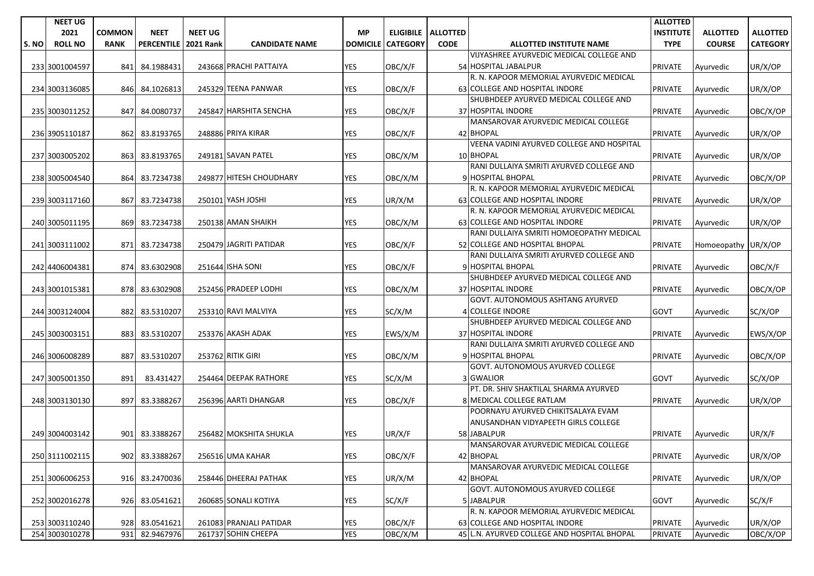|       | <b>NEET UG</b> |               |                   |                  |                         |                 |                    |             |                                                       | <b>ALLOTTED</b>  |                     |                 |
|-------|----------------|---------------|-------------------|------------------|-------------------------|-----------------|--------------------|-------------|-------------------------------------------------------|------------------|---------------------|-----------------|
|       | 2021           | <b>COMMON</b> | <b>NEET</b>       | <b>NEET UG</b>   |                         | <b>MP</b>       | ELIGIBILE ALLOTTED |             |                                                       | <b>INSTITUTE</b> | <b>ALLOTTED</b>     | <b>ALLOTTED</b> |
| S. NO | <b>ROLL NO</b> | <b>RANK</b>   | <b>PERCENTILE</b> | <b>2021 Rank</b> | <b>CANDIDATE NAME</b>   | <b>DOMICILE</b> | <b>CATEGORY</b>    | <b>CODE</b> | <b>ALLOTTED INSTITUTE NAME</b>                        | <b>TYPE</b>      | <b>COURSE</b>       | <b>CATEGORY</b> |
|       |                |               |                   |                  |                         |                 |                    |             | VIJYASHREE AYURVEDIC MEDICAL COLLEGE AND              |                  |                     |                 |
|       | 233 3001004597 | 841           | 84.1988431        |                  | 243668 PRACHI PATTAIYA  | <b>YES</b>      | OBC/X/F            |             | 54 HOSPITAL JABALPUR                                  | <b>PRIVATE</b>   | Ayurvedic           | UR/X/OP         |
|       |                |               |                   |                  |                         |                 |                    |             | R. N. KAPOOR MEMORIAL AYURVEDIC MEDICAL               |                  |                     |                 |
|       | 234 3003136085 | 846           | 84.1026813        |                  | 245329 TEENA PANWAR     | <b>YES</b>      | OBC/X/F            |             | 63 COLLEGE AND HOSPITAL INDORE                        | <b>PRIVATE</b>   | Ayurvedic           | UR/X/OP         |
|       |                |               |                   |                  |                         |                 |                    |             | SHUBHDEEP AYURVED MEDICAL COLLEGE AND                 |                  |                     |                 |
|       | 235 3003011252 | 847           | 84.0080737        |                  | 245847 HARSHITA SENCHA  | <b>YES</b>      | OBC/X/F            |             | 37 HOSPITAL INDORE                                    | <b>PRIVATE</b>   | Ayurvedic           | OBC/X/OP        |
|       |                |               |                   |                  |                         |                 |                    |             | MANSAROVAR AYURVEDIC MEDICAL COLLEGE                  |                  |                     |                 |
|       | 236 3905110187 | 862           | 83.8193765        |                  | 248886 PRIYA KIRAR      | YES             | OBC/X/F            |             | 42 BHOPAL                                             | <b>PRIVATE</b>   | Ayurvedic           | UR/X/OP         |
|       |                |               |                   |                  |                         |                 |                    |             | VEENA VADINI AYURVED COLLEGE AND HOSPITAL             |                  |                     |                 |
|       | 237 3003005202 | 863           | 83.8193765        |                  | 249181 SAVAN PATEL      | <b>YES</b>      | OBC/X/M            |             | 10 BHOPAL<br>RANI DULLAIYA SMRITI AYURVED COLLEGE AND | <b>PRIVATE</b>   | Ayurvedic           | UR/X/OP         |
|       |                |               |                   |                  | 249877 HITESH CHOUDHARY | <b>YES</b>      |                    |             | 9 HOSPITAL BHOPAL                                     |                  |                     | OBC/X/OP        |
|       | 238 3005004540 | 864           | 83.7234738        |                  |                         |                 | OBC/X/M            |             | R. N. KAPOOR MEMORIAL AYURVEDIC MEDICAL               | <b>PRIVATE</b>   | Ayurvedic           |                 |
|       | 239 3003117160 | 867           | 83.7234738        |                  | 250101 YASH JOSHI       | <b>YES</b>      | UR/X/M             |             | 63 COLLEGE AND HOSPITAL INDORE                        | PRIVATE          | Ayurvedic           | UR/X/OP         |
|       |                |               |                   |                  |                         |                 |                    |             | R. N. KAPOOR MEMORIAL AYURVEDIC MEDICAL               |                  |                     |                 |
|       | 240 3005011195 | 869           | 83.7234738        |                  | 250138 AMAN SHAIKH      | <b>YES</b>      | OBC/X/M            |             | 63 COLLEGE AND HOSPITAL INDORE                        | <b>PRIVATE</b>   | Ayurvedic           | UR/X/OP         |
|       |                |               |                   |                  |                         |                 |                    |             | RANI DULLAIYA SMRITI HOMOEOPATHY MEDICAL              |                  |                     |                 |
|       | 241 3003111002 |               | 871 83.7234738    |                  | 250479 JAGRITI PATIDAR  | <b>YES</b>      | OBC/X/F            |             | 52 COLLEGE AND HOSPITAL BHOPAL                        | <b>PRIVATE</b>   | Homoeopathy UR/X/OP |                 |
|       |                |               |                   |                  |                         |                 |                    |             | RANI DULLAIYA SMRITI AYURVED COLLEGE AND              |                  |                     |                 |
|       | 242 4406004381 |               | 874 83.6302908    |                  | 251644 ISHA SONI        | <b>YES</b>      | OBC/X/F            |             | 9 HOSPITAL BHOPAL                                     | <b>PRIVATE</b>   | Ayurvedic           | OBC/X/F         |
|       |                |               |                   |                  |                         |                 |                    |             | SHUBHDEEP AYURVED MEDICAL COLLEGE AND                 |                  |                     |                 |
|       | 243 3001015381 | 878           | 83.6302908        |                  | 252456 PRADEEP LODHI    | <b>YES</b>      | OBC/X/M            |             | 37 HOSPITAL INDORE                                    | <b>PRIVATE</b>   | Ayurvedic           | OBC/X/OP        |
|       |                |               |                   |                  |                         |                 |                    |             | GOVT. AUTONOMOUS ASHTANG AYURVED                      |                  |                     |                 |
|       | 244 3003124004 | 882           | 83.5310207        |                  | 253310 RAVI MALVIYA     | <b>YES</b>      | SC/X/M             |             | 4 COLLEGE INDORE                                      | <b>GOVT</b>      | Ayurvedic           | SC/X/OP         |
|       |                |               |                   |                  |                         |                 |                    |             | SHUBHDEEP AYURVED MEDICAL COLLEGE AND                 |                  |                     |                 |
|       | 245 3003003151 | 883           | 83.5310207        |                  | 253376 AKASH ADAK       | <b>YES</b>      | EWS/X/M            |             | 37 HOSPITAL INDORE                                    | <b>PRIVATE</b>   | Ayurvedic           | EWS/X/OP        |
|       |                |               |                   |                  |                         |                 |                    |             | RANI DULLAIYA SMRITI AYURVED COLLEGE AND              |                  |                     |                 |
|       | 246 3006008289 | 887           | 83.5310207        |                  | 253762 RITIK GIRI       | <b>YES</b>      | OBC/X/M            |             | 9 HOSPITAL BHOPAL                                     | <b>PRIVATE</b>   | Ayurvedic           | OBC/X/OP        |
|       |                |               |                   |                  |                         |                 |                    |             | GOVT. AUTONOMOUS AYURVED COLLEGE                      |                  |                     |                 |
|       | 247 3005001350 | 891           | 83.431427         |                  | 254464 DEEPAK RATHORE   | <b>YES</b>      | SC/X/M             |             | 3 GWALIOR<br>PT. DR. SHIV SHAKTILAL SHARMA AYURVED    | <b>GOVT</b>      | Ayurvedic           | SC/X/OP         |
|       | 248 3003130130 | 897           | 83.3388267        |                  | 256396 AARTI DHANGAR    | YES             | OBC/X/F            |             | 8 MEDICAL COLLEGE RATLAM                              | <b>PRIVATE</b>   |                     |                 |
|       |                |               |                   |                  |                         |                 |                    |             | POORNAYU AYURVED CHIKITSALAYA EVAM                    |                  | Ayurvedic           | UR/X/OP         |
|       |                |               |                   |                  |                         |                 |                    |             | ANUSANDHAN VIDYAPEETH GIRLS COLLEGE                   |                  |                     |                 |
|       | 249 3004003142 | 901           | 83.3388267        |                  | 256482 MOKSHITA SHUKLA  | <b>YES</b>      | UR/X/F             |             | 58 JABALPUR                                           | <b>PRIVATE</b>   | Ayurvedic           | UR/X/F          |
|       |                |               |                   |                  |                         |                 |                    |             | MANSAROVAR AYURVEDIC MEDICAL COLLEGE                  |                  |                     |                 |
|       | 250 3111002115 |               | 902 83.3388267    |                  | 256516 UMA KAHAR        | <b>YES</b>      | OBC/X/F            |             | 42 BHOPAL                                             | PRIVATE          | Ayurvedic           | UR/X/OP         |
|       |                |               |                   |                  |                         |                 |                    |             | MANSAROVAR AYURVEDIC MEDICAL COLLEGE                  |                  |                     |                 |
|       | 251 3006006253 | 916           | 83.2470036        |                  | 258446 DHEERAJ PATHAK   | <b>YES</b>      | UR/X/M             |             | 42 BHOPAL                                             | <b>PRIVATE</b>   | Ayurvedic           | UR/X/OP         |
|       |                |               |                   |                  |                         |                 |                    |             | GOVT. AUTONOMOUS AYURVED COLLEGE                      |                  |                     |                 |
|       | 252 3002016278 | 926           | 83.0541621        |                  | 260685 SONALI KOTIYA    | YES             | SC/X/F             |             | 5 JABALPUR                                            | <b>GOVT</b>      | Ayurvedic           | SC/X/F          |
|       |                |               |                   |                  |                         |                 |                    |             | R. N. KAPOOR MEMORIAL AYURVEDIC MEDICAL               |                  |                     |                 |
|       | 253 3003110240 | 928           | 83.0541621        |                  | 261083 PRANJALI PATIDAR | YES             | OBC/X/F            |             | 63 COLLEGE AND HOSPITAL INDORE                        | <b>PRIVATE</b>   | Ayurvedic           | UR/X/OP         |
|       | 254 3003010278 | 931           | 82.9467976        |                  | 261737 SOHIN CHEEPA     | YES             | OBC/X/M            |             | 45 L.N. AYURVED COLLEGE AND HOSPITAL BHOPAL           | <b>PRIVATE</b>   | Ayurvedic           | OBC/X/OP        |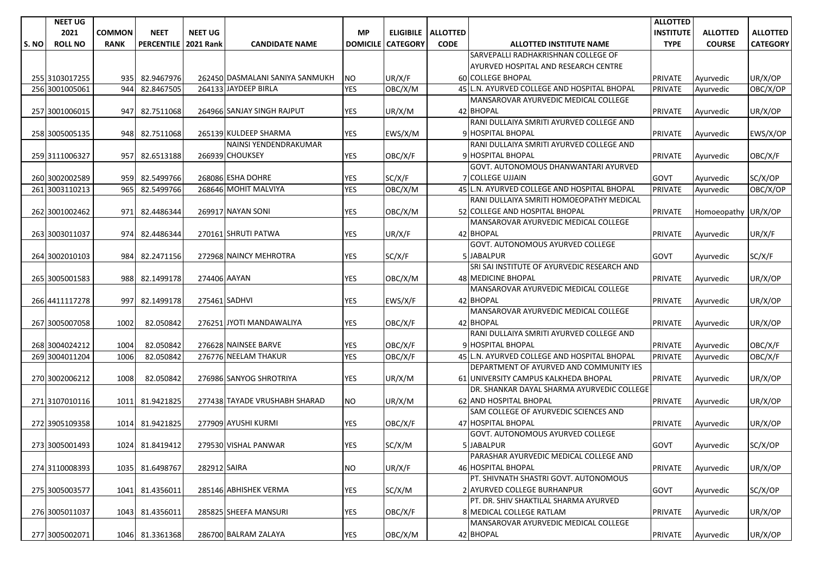|      | <b>NEET UG</b> |               |                   |                  |                                 |                 |                 |                             |                                             | <b>ALLOTTED</b>  |                     |                 |
|------|----------------|---------------|-------------------|------------------|---------------------------------|-----------------|-----------------|-----------------------------|---------------------------------------------|------------------|---------------------|-----------------|
|      | 2021           | <b>COMMON</b> | <b>NEET</b>       | <b>NEET UG</b>   |                                 | <b>MP</b>       |                 | <b>ELIGIBILE   ALLOTTED</b> |                                             | <b>INSTITUTE</b> | <b>ALLOTTED</b>     | <b>ALLOTTED</b> |
| S.NO | <b>ROLL NO</b> | <b>RANK</b>   | <b>PERCENTILE</b> | <b>2021 Rank</b> | <b>CANDIDATE NAME</b>           | <b>DOMICILE</b> | <b>CATEGORY</b> | <b>CODE</b>                 | <b>ALLOTTED INSTITUTE NAME</b>              | <b>TYPE</b>      | <b>COURSE</b>       | <b>CATEGORY</b> |
|      |                |               |                   |                  |                                 |                 |                 |                             | SARVEPALLI RADHAKRISHNAN COLLEGE OF         |                  |                     |                 |
|      |                |               |                   |                  |                                 |                 |                 |                             | AYURVED HOSPITAL AND RESEARCH CENTRE        |                  |                     |                 |
|      | 255 3103017255 | 935           | 82.9467976        |                  | 262450 DASMALANI SANIYA SANMUKH | NO.             | UR/X/F          |                             | 60 COLLEGE BHOPAL                           | <b>PRIVATE</b>   | Ayurvedic           | UR/X/OP         |
|      | 256 3001005061 | 944           | 82.8467505        |                  | 264133 JAYDEEP BIRLA            | <b>YES</b>      | OBC/X/M         |                             | 45 L.N. AYURVED COLLEGE AND HOSPITAL BHOPAL | <b>PRIVATE</b>   | Ayurvedic           | OBC/X/OP        |
|      |                |               |                   |                  |                                 |                 |                 |                             | MANSAROVAR AYURVEDIC MEDICAL COLLEGE        |                  |                     |                 |
|      | 257 3001006015 | 947           | 82.7511068        |                  | 264966 SANJAY SINGH RAJPUT      | YES             | UR/X/M          |                             | 42 BHOPAL                                   | <b>PRIVATE</b>   | Ayurvedic           | UR/X/OP         |
|      |                |               |                   |                  |                                 |                 |                 |                             | RANI DULLAIYA SMRITI AYURVED COLLEGE AND    |                  |                     |                 |
|      | 258 3005005135 | 948           | 82.7511068        |                  | 265139 KULDEEP SHARMA           | YES             | EWS/X/M         |                             | 9 HOSPITAL BHOPAL                           | <b>PRIVATE</b>   | Ayurvedic           | EWS/X/OP        |
|      |                |               |                   |                  | NAINSI YENDENDRAKUMAR           |                 |                 |                             | RANI DULLAIYA SMRITI AYURVED COLLEGE AND    |                  |                     |                 |
|      | 259 3111006327 | 957           | 82.6513188        |                  | 266939 CHOUKSEY                 | <b>YES</b>      | OBC/X/F         |                             | 9 HOSPITAL BHOPAL                           | <b>PRIVATE</b>   | Ayurvedic           | OBC/X/F         |
|      |                |               |                   |                  |                                 |                 |                 |                             | GOVT. AUTONOMOUS DHANWANTARI AYURVED        |                  |                     |                 |
|      | 260 3002002589 | 959           | 82.5499766        |                  | 268086 ESHA DOHRE               | YES             | SC/X/F          |                             | 7 COLLEGE UJJAIN                            | <b>GOVT</b>      | Ayurvedic           | SC/X/OP         |
|      | 261 3003110213 | 965           | 82.5499766        |                  | 268646 MOHIT MALVIYA            | <b>YES</b>      | OBC/X/M         |                             | 45 L.N. AYURVED COLLEGE AND HOSPITAL BHOPAL | <b>PRIVATE</b>   | Ayurvedic           | OBC/X/OP        |
|      |                |               |                   |                  |                                 |                 |                 |                             | RANI DULLAIYA SMRITI HOMOEOPATHY MEDICAL    |                  |                     |                 |
|      | 262 3001002462 | 971           | 82.4486344        |                  | 269917 NAYAN SONI               | YES             | OBC/X/M         |                             | 52 COLLEGE AND HOSPITAL BHOPAL              | <b>PRIVATE</b>   | Homoeopathy UR/X/OP |                 |
|      |                |               |                   |                  |                                 |                 |                 |                             | MANSAROVAR AYURVEDIC MEDICAL COLLEGE        |                  |                     |                 |
|      | 263 3003011037 | 974           | 82.4486344        |                  | 270161 SHRUTI PATWA             | <b>YES</b>      | UR/X/F          |                             | 42 BHOPAL                                   | <b>PRIVATE</b>   | Ayurvedic           | UR/X/F          |
|      |                |               |                   |                  |                                 |                 |                 |                             | <b>GOVT. AUTONOMOUS AYURVED COLLEGE</b>     |                  |                     |                 |
|      | 264 3002010103 | 984I          | 82.2471156        |                  | 272968 NAINCY MEHROTRA          | YES             | SC/X/F          |                             | 5 JABALPUR                                  | <b>GOVT</b>      | Ayurvedic           | SC/X/F          |
|      |                |               |                   |                  |                                 |                 |                 |                             | SRI SAI INSTITUTE OF AYURVEDIC RESEARCH AND |                  |                     |                 |
|      | 265 3005001583 | 988           | 82.1499178        | 274406 AAYAN     |                                 | YES             | OBC/X/M         |                             | 48 MEDICINE BHOPAL                          | <b>PRIVATE</b>   | Ayurvedic           | UR/X/OP         |
|      |                |               |                   |                  |                                 |                 |                 |                             | MANSAROVAR AYURVEDIC MEDICAL COLLEGE        |                  |                     |                 |
|      | 266 4411117278 | 997           | 82.1499178        |                  | 275461 SADHVI                   | <b>YES</b>      | EWS/X/F         |                             | 42 BHOPAL                                   | <b>PRIVATE</b>   | Ayurvedic           | UR/X/OP         |
|      |                |               |                   |                  |                                 |                 |                 |                             | MANSAROVAR AYURVEDIC MEDICAL COLLEGE        |                  |                     |                 |
|      | 267 3005007058 | 1002          | 82.050842         |                  | 276251 JYOTI MANDAWALIYA        | <b>YES</b>      | OBC/X/F         |                             | 42 BHOPAL                                   | <b>PRIVATE</b>   | Ayurvedic           | UR/X/OP         |
|      |                |               |                   |                  |                                 |                 |                 |                             | RANI DULLAIYA SMRITI AYURVED COLLEGE AND    |                  |                     |                 |
|      | 268 3004024212 | 1004          | 82.050842         |                  | 276628 NAINSEE BARVE            | YES             | OBC/X/F         |                             | 9 HOSPITAL BHOPAL                           | <b>PRIVATE</b>   | Ayurvedic           | OBC/X/F         |
|      | 269 3004011204 | 1006          | 82.050842         |                  | 276776 NEELAM THAKUR            | <b>YES</b>      | OBC/X/F         |                             | 45 L.N. AYURVED COLLEGE AND HOSPITAL BHOPAL | <b>PRIVATE</b>   | Ayurvedic           | OBC/X/F         |
|      |                |               |                   |                  |                                 |                 |                 |                             | DEPARTMENT OF AYURVED AND COMMUNITY IES     |                  |                     |                 |
|      | 270 3002006212 | 1008          | 82.050842         |                  | 276986 SANYOG SHROTRIYA         | <b>YES</b>      | UR/X/M          |                             | 61 UNIVERSITY CAMPUS KALKHEDA BHOPAL        | <b>PRIVATE</b>   | Ayurvedic           | UR/X/OP         |
|      |                |               |                   |                  |                                 |                 |                 |                             | DR. SHANKAR DAYAL SHARMA AYURVEDIC COLLEGE  |                  |                     |                 |
|      | 271 3107010116 | 1011          | 81.9421825        |                  | 277438 TAYADE VRUSHABH SHARAD   | NO.             | UR/X/M          |                             | 62 AND HOSPITAL BHOPAL                      | <b>PRIVATE</b>   | Ayurvedic           | UR/X/OP         |
|      |                |               |                   |                  |                                 |                 |                 |                             | SAM COLLEGE OF AYURVEDIC SCIENCES AND       |                  |                     |                 |
|      | 272 3905109358 | 1014          | 81.9421825        |                  | 277909 AYUSHI KURMI             | YES             | OBC/X/F         |                             | 47 HOSPITAL BHOPAL                          | <b>PRIVATE</b>   | Ayurvedic           | UR/X/OP         |
|      |                |               |                   |                  |                                 |                 |                 |                             | GOVT. AUTONOMOUS AYURVED COLLEGE            |                  |                     |                 |
|      | 273 3005001493 |               | 1024 81.8419412   |                  | 279530 VISHAL PANWAR            | <b>YES</b>      | SC/X/M          |                             | 5 JABALPUR                                  | <b>GOVT</b>      | Ayurvedic           | SC/X/OP         |
|      |                |               |                   |                  |                                 |                 |                 |                             | PARASHAR AYURVEDIC MEDICAL COLLEGE AND      |                  |                     |                 |
|      | 274 3110008393 | 1035          | 81.6498767        | 282912 SAIRA     |                                 | <b>NO</b>       | UR/X/F          |                             | 46 HOSPITAL BHOPAL                          | <b>PRIVATE</b>   | Ayurvedic           | UR/X/OP         |
|      |                |               |                   |                  |                                 |                 |                 |                             | PT. SHIVNATH SHASTRI GOVT. AUTONOMOUS       |                  |                     |                 |
|      | 275 3005003577 | 1041          | 81.4356011        |                  | 285146 ABHISHEK VERMA           | YES             | SC/X/M          |                             | 2 AYURVED COLLEGE BURHANPUR                 | <b>GOVT</b>      | Ayurvedic           | SC/X/OP         |
|      |                |               |                   |                  |                                 |                 |                 |                             | PT. DR. SHIV SHAKTILAL SHARMA AYURVED       |                  |                     |                 |
|      | 276 3005011037 |               | 1043 81.4356011   |                  | 285825 SHEEFA MANSURI           | YES             | OBC/X/F         |                             | 8 MEDICAL COLLEGE RATLAM                    | <b>PRIVATE</b>   | Ayurvedic           | UR/X/OP         |
|      |                |               |                   |                  |                                 |                 |                 |                             | MANSAROVAR AYURVEDIC MEDICAL COLLEGE        |                  |                     |                 |
|      | 277 3005002071 |               | 1046 81.3361368   |                  | 286700 BALRAM ZALAYA            | <b>YES</b>      | OBC/X/M         |                             | 42 BHOPAL                                   | <b>PRIVATE</b>   | Ayurvedic           | UR/X/OP         |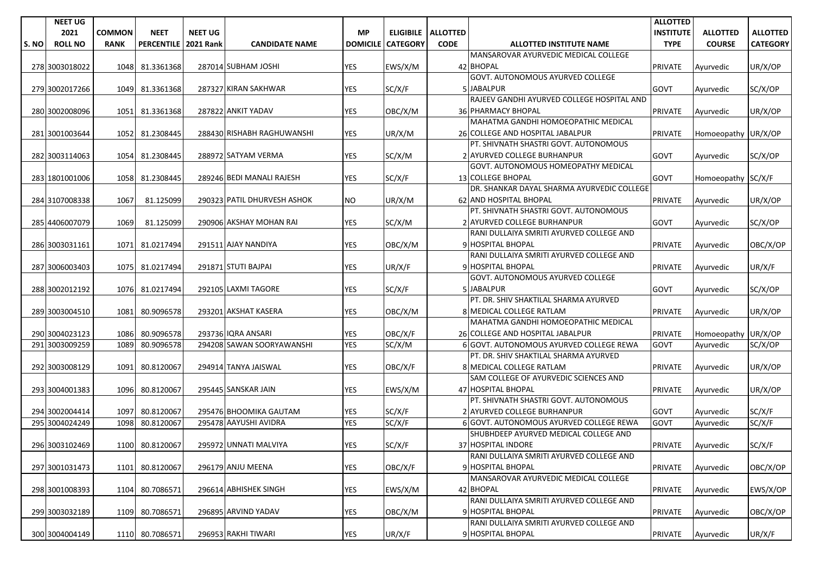|      | <b>NEET UG</b> |               |                   |                  |                             |                 |                 |                      |                                                                   | <b>ALLOTTED</b>  |                     |                 |
|------|----------------|---------------|-------------------|------------------|-----------------------------|-----------------|-----------------|----------------------|-------------------------------------------------------------------|------------------|---------------------|-----------------|
|      | 2021           | <b>COMMON</b> | <b>NEET</b>       | <b>NEET UG</b>   |                             | <b>MP</b>       |                 | ELIGIBILE   ALLOTTED |                                                                   | <b>INSTITUTE</b> | <b>ALLOTTED</b>     | <b>ALLOTTED</b> |
| S.NO | <b>ROLL NO</b> | <b>RANK</b>   | <b>PERCENTILE</b> | <b>2021 Rank</b> | <b>CANDIDATE NAME</b>       | <b>DOMICILE</b> | <b>CATEGORY</b> | <b>CODE</b>          | <b>ALLOTTED INSTITUTE NAME</b>                                    | <b>TYPE</b>      | <b>COURSE</b>       | <b>CATEGORY</b> |
|      |                |               |                   |                  |                             |                 |                 |                      | MANSAROVAR AYURVEDIC MEDICAL COLLEGE                              |                  |                     |                 |
|      | 278 3003018022 | 1048          | 81.3361368        |                  | 287014 SUBHAM JOSHI         | <b>YES</b>      | EWS/X/M         |                      | 42 BHOPAL                                                         | <b>PRIVATE</b>   | Ayurvedic           | UR/X/OP         |
|      |                |               |                   |                  |                             |                 |                 |                      | <b>GOVT. AUTONOMOUS AYURVED COLLEGE</b>                           |                  |                     |                 |
|      | 279 3002017266 | 1049          | 81.3361368        |                  | 287327 KIRAN SAKHWAR        | YES             | SC/X/F          |                      | 5JABALPUR                                                         | <b>GOVT</b>      | Ayurvedic           | SC/X/OP         |
|      |                |               |                   |                  |                             |                 |                 |                      | RAJEEV GANDHI AYURVED COLLEGE HOSPITAL AND                        |                  |                     |                 |
|      | 280 3002008096 | 1051          | 81.3361368        |                  | 287822 ANKIT YADAV          | YES             | OBC/X/M         |                      | 36 PHARMACY BHOPAL                                                | <b>PRIVATE</b>   | Ayurvedic           | UR/X/OP         |
|      |                |               |                   |                  |                             |                 |                 |                      | MAHATMA GANDHI HOMOEOPATHIC MEDICAL                               |                  |                     |                 |
|      | 281 3001003644 | 1052          | 81.2308445        |                  | 288430 RISHABH RAGHUWANSHI  | <b>YES</b>      | UR/X/M          |                      | 26 COLLEGE AND HOSPITAL JABALPUR                                  | <b>PRIVATE</b>   | Homoeopathy UR/X/OP |                 |
|      |                |               |                   |                  |                             |                 |                 |                      | PT. SHIVNATH SHASTRI GOVT. AUTONOMOUS                             |                  |                     |                 |
|      | 282 3003114063 | 1054          | 81.2308445        |                  | 288972 SATYAM VERMA         | YES             | SC/X/M          |                      | 2 AYURVED COLLEGE BURHANPUR                                       | <b>GOVT</b>      | Ayurvedic           | SC/X/OP         |
|      |                |               |                   |                  |                             |                 |                 |                      | GOVT. AUTONOMOUS HOMEOPATHY MEDICAL                               |                  |                     |                 |
|      | 283 1801001006 | 1058          | 81.2308445        |                  | 289246 BEDI MANALI RAJESH   | <b>YES</b>      | SC/X/F          |                      | <b>13 COLLEGE BHOPAL</b>                                          | GOVT             | Homoeopathy SC/X/F  |                 |
|      |                |               |                   |                  |                             |                 |                 |                      | DR. SHANKAR DAYAL SHARMA AYURVEDIC COLLEGE                        |                  |                     |                 |
|      | 284 3107008338 | 1067          | 81.125099         |                  | 290323 PATIL DHURVESH ASHOK | NO.             | UR/X/M          |                      | 62 AND HOSPITAL BHOPAL                                            | <b>PRIVATE</b>   | Ayurvedic           | UR/X/OP         |
|      |                |               |                   |                  |                             |                 |                 |                      | PT. SHIVNATH SHASTRI GOVT. AUTONOMOUS                             |                  |                     |                 |
|      | 285 4406007079 | 1069          | 81.125099         |                  | 290906 AKSHAY MOHAN RAI     | YES             | SC/X/M          |                      | 2 AYURVED COLLEGE BURHANPUR                                       | <b>GOVT</b>      | Ayurvedic           | SC/X/OP         |
|      |                |               |                   |                  |                             |                 |                 |                      | RANI DULLAIYA SMRITI AYURVED COLLEGE AND                          |                  |                     |                 |
|      | 286 3003031161 | 1071          | 81.0217494        |                  | 291511 AJAY NANDIYA         | <b>YES</b>      | OBC/X/M         |                      | 9 HOSPITAL BHOPAL                                                 | <b>PRIVATE</b>   | Ayurvedic           | OBC/X/OP        |
|      |                |               |                   |                  |                             |                 |                 |                      | RANI DULLAIYA SMRITI AYURVED COLLEGE AND                          |                  |                     |                 |
|      | 287 3006003403 | 1075          | 81.0217494        |                  | 291871 STUTI BAJPAI         | <b>YES</b>      | UR/X/F          |                      | 9 HOSPITAL BHOPAL                                                 | <b>PRIVATE</b>   | Ayurvedic           | UR/X/F          |
|      |                |               |                   |                  |                             |                 |                 |                      | GOVT. AUTONOMOUS AYURVED COLLEGE                                  |                  |                     |                 |
|      | 288 3002012192 | 1076          | 81.0217494        |                  | 292105 LAXMI TAGORE         | YES             | SC/X/F          |                      | 5 JABALPUR                                                        | <b>GOVT</b>      | Avurvedic           | SC/X/OP         |
|      |                |               |                   |                  |                             |                 |                 |                      | PT. DR. SHIV SHAKTILAL SHARMA AYURVED                             |                  |                     |                 |
|      | 289 3003004510 | 1081          | 80.9096578        |                  | 293201 AKSHAT KASERA        | <b>YES</b>      | OBC/X/M         |                      | 8 MEDICAL COLLEGE RATLAM                                          | <b>PRIVATE</b>   | Ayurvedic           | UR/X/OP         |
|      |                |               |                   |                  |                             |                 |                 |                      | MAHATMA GANDHI HOMOEOPATHIC MEDICAL                               |                  |                     |                 |
|      | 290 3004023123 | 1086          | 80.9096578        |                  | 293736 IQRA ANSARI          | YES             | OBC/X/F         |                      | 26 COLLEGE AND HOSPITAL JABALPUR                                  | <b>PRIVATE</b>   | Homoeopathy UR/X/OP |                 |
|      | 291 3003009259 | 1089          | 80.9096578        |                  | 294208 SAWAN SOORYAWANSHI   | <b>YES</b>      | SC/X/M          |                      | 6 GOVT. AUTONOMOUS AYURVED COLLEGE REWA                           | <b>GOVT</b>      | Ayurvedic           | SC/X/OP         |
|      |                |               |                   |                  |                             |                 |                 |                      | PT. DR. SHIV SHAKTILAL SHARMA AYURVED                             |                  |                     |                 |
|      | 292 3003008129 | 1091          | 80.8120067        |                  | 294914 TANYA JAISWAL        | <b>YES</b>      | OBC/X/F         |                      | 8 MEDICAL COLLEGE RATLAM<br>SAM COLLEGE OF AYURVEDIC SCIENCES AND | <b>PRIVATE</b>   | Ayurvedic           | UR/X/OP         |
|      |                | 1096          |                   |                  | 295445 SANSKAR JAIN         | <b>YES</b>      |                 |                      | 47 HOSPITAL BHOPAL                                                |                  |                     |                 |
|      | 293 3004001383 |               | 80.8120067        |                  |                             |                 | EWS/X/M         |                      | PT. SHIVNATH SHASTRI GOVT. AUTONOMOUS                             | <b>PRIVATE</b>   | Ayurvedic           | UR/X/OP         |
|      | 294 3002004414 | 1097          | 80.8120067        |                  | 295476 BHOOMIKA GAUTAM      | <b>YES</b>      | SC/X/F          |                      | 2 AYURVED COLLEGE BURHANPUR                                       | GOVT             | Ayurvedic           | SC/X/F          |
|      | 295 3004024249 | 1098          | 80.8120067        |                  | 295478 AAYUSHI AVIDRA       | <b>YES</b>      | SC/X/F          |                      | 6 GOVT. AUTONOMOUS AYURVED COLLEGE REWA                           | <b>GOVT</b>      | Ayurvedic           | SC/X/F          |
|      |                |               |                   |                  |                             |                 |                 |                      | SHUBHDEEP AYURVED MEDICAL COLLEGE AND                             |                  |                     |                 |
|      | 296 3003102469 |               | 1100 80.8120067   |                  | 295972 UNNATI MALVIYA       | <b>YES</b>      | SC/X/F          |                      | 37 HOSPITAL INDORE                                                | <b>PRIVATE</b>   | Ayurvedic           | SC/X/F          |
|      |                |               |                   |                  |                             |                 |                 |                      | RANI DULLAIYA SMRITI AYURVED COLLEGE AND                          |                  |                     |                 |
|      | 297 3001031473 | 1101          | 80.8120067        |                  | 296179 ANJU MEENA           | YES             | OBC/X/F         |                      | 9 HOSPITAL BHOPAL                                                 | <b>PRIVATE</b>   | Ayurvedic           | OBC/X/OP        |
|      |                |               |                   |                  |                             |                 |                 |                      | MANSAROVAR AYURVEDIC MEDICAL COLLEGE                              |                  |                     |                 |
|      | 298 3001008393 | 1104          | 80.7086571        |                  | 296614 ABHISHEK SINGH       | YES             | EWS/X/M         |                      | 42 BHOPAL                                                         | PRIVATE          | Ayurvedic           | EWS/X/OP        |
|      |                |               |                   |                  |                             |                 |                 |                      | RANI DULLAIYA SMRITI AYURVED COLLEGE AND                          |                  |                     |                 |
|      | 299 3003032189 | 1109          | 80.7086571        |                  | 296895 ARVIND YADAV         | YES             | OBC/X/M         |                      | 9 HOSPITAL BHOPAL                                                 | <b>PRIVATE</b>   | Ayurvedic           | OBC/X/OP        |
|      |                |               |                   |                  |                             |                 |                 |                      | RANI DULLAIYA SMRITI AYURVED COLLEGE AND                          |                  |                     |                 |
|      | 300 3004004149 |               | 1110 80.7086571   |                  | 296953 RAKHI TIWARI         | <b>YES</b>      | UR/X/F          |                      | 9 HOSPITAL BHOPAL                                                 | <b>PRIVATE</b>   | Ayurvedic           | UR/X/F          |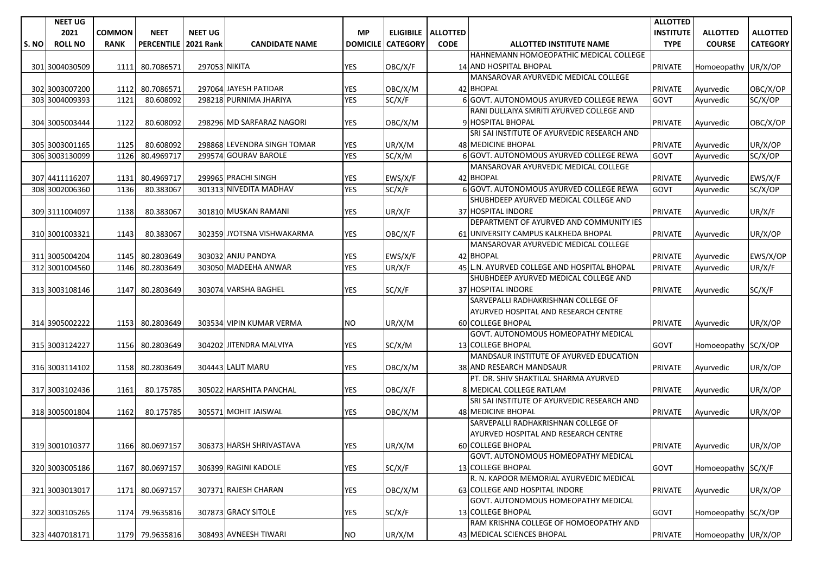|      | <b>NEET UG</b> |               |                   |                  |                             |                 |                 |                    |                                                              | <b>ALLOTTED</b>  |                     |                 |
|------|----------------|---------------|-------------------|------------------|-----------------------------|-----------------|-----------------|--------------------|--------------------------------------------------------------|------------------|---------------------|-----------------|
|      | 2021           | <b>COMMON</b> | <b>NEET</b>       | <b>NEET UG</b>   |                             | <b>MP</b>       |                 | ELIGIBILE ALLOTTED |                                                              | <b>INSTITUTE</b> | <b>ALLOTTED</b>     | <b>ALLOTTED</b> |
| S.NO | <b>ROLL NO</b> | <b>RANK</b>   | <b>PERCENTILE</b> | <b>2021 Rank</b> | <b>CANDIDATE NAME</b>       | <b>DOMICILE</b> | <b>CATEGORY</b> | <b>CODE</b>        | <b>ALLOTTED INSTITUTE NAME</b>                               | <b>TYPE</b>      | <b>COURSE</b>       | <b>CATEGORY</b> |
|      |                |               |                   |                  |                             |                 |                 |                    | HAHNEMANN HOMOEOPATHIC MEDICAL COLLEGE                       |                  |                     |                 |
|      | 301 3004030509 | 1111          | 80.7086571        | 297053 NIKITA    |                             | <b>YES</b>      | OBC/X/F         |                    | 14 AND HOSPITAL BHOPAL                                       | <b>PRIVATE</b>   | Homoeopathy UR/X/OP |                 |
|      |                |               |                   |                  |                             |                 |                 |                    | MANSAROVAR AYURVEDIC MEDICAL COLLEGE                         |                  |                     |                 |
|      | 302 3003007200 | 1112          | 80.7086571        |                  | 297064 JAYESH PATIDAR       | YES             | OBC/X/M         |                    | 42 BHOPAL                                                    | <b>PRIVATE</b>   | Ayurvedic           | OBC/X/OP        |
|      | 303 3004009393 | 1121          | 80.608092         |                  | 298218 PURNIMA JHARIYA      | <b>YES</b>      | SC/X/F          |                    | 6 GOVT. AUTONOMOUS AYURVED COLLEGE REWA                      | GOVT             | Avurvedic           | SC/X/OP         |
|      |                |               |                   |                  |                             |                 |                 |                    | RANI DULLAIYA SMRITI AYURVED COLLEGE AND                     |                  |                     |                 |
|      | 304 3005003444 | 1122          | 80.608092         |                  | 298296 MD SARFARAZ NAGORI   | YES             | OBC/X/M         |                    | 9 HOSPITAL BHOPAL                                            | <b>PRIVATE</b>   | Ayurvedic           | OBC/X/OP        |
|      |                |               |                   |                  |                             |                 |                 |                    | SRI SAI INSTITUTE OF AYURVEDIC RESEARCH AND                  |                  |                     |                 |
|      | 305 3003001165 | 1125          | 80.608092         |                  | 298868 LEVENDRA SINGH TOMAR | <b>YES</b>      | UR/X/M          |                    | 48 MEDICINE BHOPAL                                           | PRIVATE          | Ayurvedic           | UR/X/OP         |
|      | 306 3003130099 | 1126          | 80.4969717        |                  | 299574 GOURAV BAROLE        | <b>YES</b>      | SC/X/M          |                    | 6 GOVT. AUTONOMOUS AYURVED COLLEGE REWA                      | <b>GOVT</b>      | Avurvedic           | SC/X/OP         |
|      |                |               |                   |                  |                             |                 |                 |                    | MANSAROVAR AYURVEDIC MEDICAL COLLEGE                         |                  |                     |                 |
|      | 307 4411116207 | 1131          | 80.4969717        |                  | 299965 PRACHI SINGH         | <b>YES</b>      | EWS/X/F         |                    | 42 BHOPAL                                                    | <b>PRIVATE</b>   | Ayurvedic           | EWS/X/F         |
|      | 308 3002006360 | 1136          | 80.383067         |                  | 301313 NIVEDITA MADHAV      | <b>YES</b>      | SC/X/F          |                    | 6 GOVT. AUTONOMOUS AYURVED COLLEGE REWA                      | GOVT             | Avurvedic           | SC/X/OP         |
|      |                |               |                   |                  |                             |                 |                 |                    | SHUBHDEEP AYURVED MEDICAL COLLEGE AND                        |                  |                     |                 |
|      | 309 3111004097 | 1138          | 80.383067         |                  | 301810 MUSKAN RAMANI        | <b>YES</b>      | UR/X/F          |                    | 37 HOSPITAL INDORE                                           | <b>PRIVATE</b>   | Ayurvedic           | UR/X/F          |
|      |                |               |                   |                  |                             |                 |                 |                    | DEPARTMENT OF AYURVED AND COMMUNITY IES                      |                  |                     |                 |
|      | 310 3001003321 | 1143          | 80.383067         |                  | 302359 JYOTSNA VISHWAKARMA  | YES             | OBC/X/F         |                    | 61 UNIVERSITY CAMPUS KALKHEDA BHOPAL                         | <b>PRIVATE</b>   | Ayurvedic           | UR/X/OP         |
|      |                |               |                   |                  |                             |                 |                 |                    | MANSAROVAR AYURVEDIC MEDICAL COLLEGE                         |                  |                     |                 |
|      | 311 3005004204 | 1145          | 80.2803649        |                  | 303032 ANJU PANDYA          | <b>YES</b>      | EWS/X/F         |                    | 42 BHOPAL                                                    | <b>PRIVATE</b>   | Ayurvedic           | EWS/X/OP        |
|      | 312 3001004560 | 1146          | 80.2803649        |                  | 303050 MADEEHA ANWAR        | <b>YES</b>      | UR/X/F          |                    | 45 L.N. AYURVED COLLEGE AND HOSPITAL BHOPAL                  | <b>PRIVATE</b>   | Ayurvedic           | UR/X/F          |
|      |                |               |                   |                  |                             |                 |                 |                    | SHUBHDEEP AYURVED MEDICAL COLLEGE AND                        |                  |                     |                 |
|      | 313 3003108146 | 1147          | 80.2803649        |                  | 303074 VARSHA BAGHEL        | <b>YES</b>      | SC/X/F          |                    | 37 HOSPITAL INDORE                                           | <b>PRIVATE</b>   | Ayurvedic           | SC/X/F          |
|      |                |               |                   |                  |                             |                 |                 |                    | SARVEPALLI RADHAKRISHNAN COLLEGE OF                          |                  |                     |                 |
|      |                |               |                   |                  |                             |                 |                 |                    | AYURVED HOSPITAL AND RESEARCH CENTRE                         |                  |                     |                 |
|      | 314 3905002222 | 1153          | 80.2803649        |                  | 303534 VIPIN KUMAR VERMA    | <b>NO</b>       | UR/X/M          |                    | 60 COLLEGE BHOPAL                                            | <b>PRIVATE</b>   | Ayurvedic           | UR/X/OP         |
|      |                |               |                   |                  |                             |                 |                 |                    | GOVT. AUTONOMOUS HOMEOPATHY MEDICAL                          |                  |                     |                 |
|      | 315 3003124227 | 1156          | 80.2803649        |                  | 304202 JITENDRA MALVIYA     | <b>YES</b>      | SC/X/M          |                    | 13 COLLEGE BHOPAL<br>MANDSAUR INSTITUTE OF AYURVED EDUCATION | <b>GOVT</b>      | Homoeopathy SC/X/OP |                 |
|      |                | 1158          |                   |                  | 304443 LALIT MARU           |                 |                 |                    | 38 AND RESEARCH MANDSAUR                                     |                  |                     |                 |
|      | 316 3003114102 |               | 80.2803649        |                  |                             | YES             | OBC/X/M         |                    | PT. DR. SHIV SHAKTILAL SHARMA AYURVED                        | <b>PRIVATE</b>   | Ayurvedic           | UR/X/OP         |
|      | 317 3003102436 | 1161          | 80.175785         |                  | 305022 HARSHITA PANCHAL     | <b>YES</b>      | OBC/X/F         |                    | 8 MEDICAL COLLEGE RATLAM                                     | <b>PRIVATE</b>   | Ayurvedic           | UR/X/OP         |
|      |                |               |                   |                  |                             |                 |                 |                    | SRI SAI INSTITUTE OF AYURVEDIC RESEARCH AND                  |                  |                     |                 |
|      | 318 3005001804 | 1162          | 80.175785         |                  | 305571 MOHIT JAISWAL        | YES             | OBC/X/M         |                    | <b>48 MEDICINE BHOPAL</b>                                    | <b>PRIVATE</b>   | Ayurvedic           | UR/X/OP         |
|      |                |               |                   |                  |                             |                 |                 |                    | SARVEPALLI RADHAKRISHNAN COLLEGE OF                          |                  |                     |                 |
|      |                |               |                   |                  |                             |                 |                 |                    | AYURVED HOSPITAL AND RESEARCH CENTRE                         |                  |                     |                 |
|      | 319 3001010377 |               | 1166 80.0697157   |                  | 306373 HARSH SHRIVASTAVA    | <b>YES</b>      | UR/X/M          |                    | 60 COLLEGE BHOPAL                                            | <b>PRIVATE</b>   | Ayurvedic           | UR/X/OP         |
|      |                |               |                   |                  |                             |                 |                 |                    | GOVT. AUTONOMOUS HOMEOPATHY MEDICAL                          |                  |                     |                 |
|      | 320 3003005186 | 1167          | 80.0697157        |                  | 306399 RAGINI KADOLE        | <b>YES</b>      | SC/X/F          |                    | 13 COLLEGE BHOPAL                                            | GOVT             | Homoeopathy SC/X/F  |                 |
|      |                |               |                   |                  |                             |                 |                 |                    | R. N. KAPOOR MEMORIAL AYURVEDIC MEDICAL                      |                  |                     |                 |
|      | 321 3003013017 | 1171          | 80.0697157        |                  | 307371 RAJESH CHARAN        | YES             | OBC/X/M         |                    | 63 COLLEGE AND HOSPITAL INDORE                               | <b>PRIVATE</b>   | Ayurvedic           | UR/X/OP         |
|      |                |               |                   |                  |                             |                 |                 |                    | GOVT. AUTONOMOUS HOMEOPATHY MEDICAL                          |                  |                     |                 |
|      | 322 3003105265 | 1174          | 79.9635816        |                  | 307873 GRACY SITOLE         | YES             | SC/X/F          |                    | 13 COLLEGE BHOPAL                                            | GOVT             | Homoeopathy SC/X/OP |                 |
|      |                |               |                   |                  |                             |                 |                 |                    | RAM KRISHNA COLLEGE OF HOMOEOPATHY AND                       |                  |                     |                 |
|      | 323 4407018171 |               | 1179 79.9635816   |                  | 308493 AVNEESH TIWARI       | <b>NO</b>       | UR/X/M          |                    | 43 MEDICAL SCIENCES BHOPAL                                   | <b>PRIVATE</b>   | Homoeopathy UR/X/OP |                 |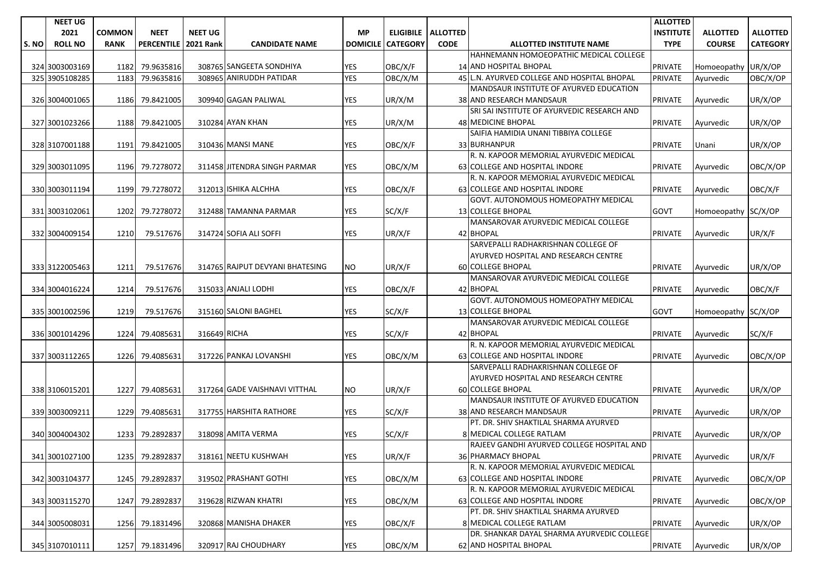|      | <b>NEET UG</b> |               |                        |                |                                 |                 |                       |                             |                                             | <b>ALLOTTED</b>  |                     |                 |
|------|----------------|---------------|------------------------|----------------|---------------------------------|-----------------|-----------------------|-----------------------------|---------------------------------------------|------------------|---------------------|-----------------|
|      | 2021           | <b>COMMON</b> | <b>NEET</b>            | <b>NEET UG</b> |                                 | <b>MP</b>       |                       | <b>ELIGIBILE   ALLOTTED</b> |                                             | <b>INSTITUTE</b> | <b>ALLOTTED</b>     | <b>ALLOTTED</b> |
| S.NO | <b>ROLL NO</b> | <b>RANK</b>   | PERCENTILE   2021 Rank |                | <b>CANDIDATE NAME</b>           | <b>DOMICILE</b> | <b>CATEGORY</b>       | <b>CODE</b>                 | <b>ALLOTTED INSTITUTE NAME</b>              | <b>TYPE</b>      | <b>COURSE</b>       | <b>CATEGORY</b> |
|      |                |               |                        |                |                                 |                 |                       |                             | HAHNEMANN HOMOEOPATHIC MEDICAL COLLEGE      |                  |                     |                 |
|      | 324 3003003169 |               | 1182 79.9635816        |                | 308765 SANGEETA SONDHIYA        | <b>YES</b>      | OBC/X/F               |                             | <b>14 AND HOSPITAL BHOPAL</b>               | <b>PRIVATE</b>   | Homoeopathy UR/X/OP |                 |
|      | 325 3905108285 | 1183          | 79.9635816             |                | 308965 ANIRUDDH PATIDAR         | <b>YES</b>      | $\overline{O}$ BC/X/M |                             | 45 L.N. AYURVED COLLEGE AND HOSPITAL BHOPAL | <b>PRIVATE</b>   | Ayurvedic           | OBC/X/OP        |
|      |                |               |                        |                |                                 |                 |                       |                             | MANDSAUR INSTITUTE OF AYURVED EDUCATION     |                  |                     |                 |
|      | 326 3004001065 | 1186          | 79.8421005             |                | 309940 GAGAN PALIWAL            | <b>YES</b>      | UR/X/M                |                             | 38 AND RESEARCH MANDSAUR                    | <b>PRIVATE</b>   | Ayurvedic           | UR/X/OP         |
|      |                |               |                        |                |                                 |                 |                       |                             | SRI SAI INSTITUTE OF AYURVEDIC RESEARCH AND |                  |                     |                 |
|      | 327 3001023266 | 1188          | 79.8421005             |                | 310284 AYAN KHAN                | <b>YES</b>      | UR/X/M                |                             | 48 MEDICINE BHOPAL                          | <b>PRIVATE</b>   | Ayurvedic           | UR/X/OP         |
|      |                |               |                        |                |                                 |                 |                       |                             | SAIFIA HAMIDIA UNANI TIBBIYA COLLEGE        |                  |                     |                 |
|      | 328 3107001188 | 1191          | 79.8421005             |                | 310436 MANSI MANE               | YES             | OBC/X/F               |                             | 33 BURHANPUR                                | <b>PRIVATE</b>   | Unani               | UR/X/OP         |
|      |                |               |                        |                |                                 |                 |                       |                             | R. N. KAPOOR MEMORIAL AYURVEDIC MEDICAL     |                  |                     |                 |
|      | 329 3003011095 | 1196          | 79.7278072             |                | 311458 JITENDRA SINGH PARMAR    | <b>YES</b>      | OBC/X/M               |                             | 63 COLLEGE AND HOSPITAL INDORE              | <b>PRIVATE</b>   | Ayurvedic           | OBC/X/OP        |
|      |                |               |                        |                |                                 |                 |                       |                             | R. N. KAPOOR MEMORIAL AYURVEDIC MEDICAL     |                  |                     |                 |
|      | 330 3003011194 | 1199          | 79.7278072             |                | 312013 ISHIKA ALCHHA            | <b>YES</b>      | OBC/X/F               |                             | 63 COLLEGE AND HOSPITAL INDORE              | <b>PRIVATE</b>   | Ayurvedic           | OBC/X/F         |
|      |                |               |                        |                |                                 |                 |                       |                             | GOVT. AUTONOMOUS HOMEOPATHY MEDICAL         |                  |                     |                 |
|      | 331 3003102061 | 1202          | 79.7278072             |                | 312488 TAMANNA PARMAR           | <b>YES</b>      | SC/X/F                |                             | <b>13 COLLEGE BHOPAL</b>                    | <b>GOVT</b>      | Homoeopathy SC/X/OP |                 |
|      |                |               |                        |                |                                 |                 |                       |                             | MANSAROVAR AYURVEDIC MEDICAL COLLEGE        |                  |                     |                 |
|      | 332 3004009154 | 1210          | 79.517676              |                | 314724 SOFIA ALI SOFFI          | YES             | UR/X/F                |                             | 42 BHOPAL                                   | <b>PRIVATE</b>   | Ayurvedic           | UR/X/F          |
|      |                |               |                        |                |                                 |                 |                       |                             | SARVEPALLI RADHAKRISHNAN COLLEGE OF         |                  |                     |                 |
|      |                |               |                        |                |                                 |                 |                       |                             | AYURVED HOSPITAL AND RESEARCH CENTRE        |                  |                     |                 |
|      | 333 3122005463 | 1211          | 79.517676              |                | 314765 RAJPUT DEVYANI BHATESING | <b>NO</b>       | UR/X/F                |                             | <b>60 COLLEGE BHOPAL</b>                    | <b>PRIVATE</b>   | Ayurvedic           | UR/X/OP         |
|      |                |               |                        |                |                                 |                 |                       |                             | MANSAROVAR AYURVEDIC MEDICAL COLLEGE        |                  |                     |                 |
|      | 334 3004016224 | 1214          | 79.517676              |                | 315033 ANJALI LODHI             | <b>YES</b>      | OBC/X/F               |                             | 42 BHOPAL                                   | <b>PRIVATE</b>   | Ayurvedic           | OBC/X/F         |
|      |                |               |                        |                |                                 |                 |                       |                             | GOVT. AUTONOMOUS HOMEOPATHY MEDICAL         |                  |                     |                 |
|      | 335 3001002596 | 1219          | 79.517676              |                | 315160 SALONI BAGHEL            | <b>YES</b>      | SC/X/F                |                             | 13 COLLEGE BHOPAL                           | <b>GOVT</b>      | Homoeopathy SC/X/OP |                 |
|      |                |               |                        |                |                                 |                 |                       |                             | MANSAROVAR AYURVEDIC MEDICAL COLLEGE        |                  |                     |                 |
|      | 336 3001014296 |               | 1224 79.4085631        | 316649 RICHA   |                                 | <b>YES</b>      | SC/X/F                |                             | 42 BHOPAL                                   | <b>PRIVATE</b>   | Ayurvedic           | SC/X/F          |
|      |                |               |                        |                |                                 |                 |                       |                             | R. N. KAPOOR MEMORIAL AYURVEDIC MEDICAL     |                  |                     |                 |
|      | 337 3003112265 | 1226          | 79.4085631             |                | 317226 PANKAJ LOVANSHI          | YES             | OBC/X/M               |                             | 63 COLLEGE AND HOSPITAL INDORE              | <b>PRIVATE</b>   | Ayurvedic           | OBC/X/OP        |
|      |                |               |                        |                |                                 |                 |                       |                             | SARVEPALLI RADHAKRISHNAN COLLEGE OF         |                  |                     |                 |
|      |                |               |                        |                |                                 |                 |                       |                             | AYURVED HOSPITAL AND RESEARCH CENTRE        |                  |                     |                 |
|      | 338 3106015201 |               | 1227 79.4085631        |                | 317264 GADE VAISHNAVI VITTHAL   | NO.             | UR/X/F                |                             | <b>60 COLLEGE BHOPAL</b>                    | <b>PRIVATE</b>   | Ayurvedic           | UR/X/OP         |
|      |                |               |                        |                |                                 |                 |                       |                             | MANDSAUR INSTITUTE OF AYURVED EDUCATION     |                  |                     |                 |
|      | 339 3003009211 | 1229          | 79.4085631             |                | 317755 HARSHITA RATHORE         | YES             | SC/X/F                |                             | 38 AND RESEARCH MANDSAUR                    | <b>PRIVATE</b>   | Ayurvedic           | UR/X/OP         |
|      |                |               |                        |                |                                 |                 |                       |                             | PT. DR. SHIV SHAKTILAL SHARMA AYURVED       |                  |                     |                 |
|      | 340 3004004302 | 1233          | 79.2892837             |                | 318098 AMITA VERMA              | YES             | SC/X/F                |                             | 8 MEDICAL COLLEGE RATLAM                    | <b>PRIVATE</b>   | Ayurvedic           | UR/X/OP         |
|      |                |               |                        |                |                                 |                 |                       |                             | RAJEEV GANDHI AYURVED COLLEGE HOSPITAL AND  |                  |                     |                 |
|      | 341 3001027100 |               | 1235 79.2892837        |                | 318161 NEETU KUSHWAH            | <b>YES</b>      | UR/X/F                |                             | 36 PHARMACY BHOPAL                          | <b>PRIVATE</b>   | Ayurvedic           | UR/X/F          |
|      |                |               |                        |                |                                 |                 |                       |                             | R. N. KAPOOR MEMORIAL AYURVEDIC MEDICAL     |                  |                     |                 |
|      | 342 3003104377 |               | 1245 79.2892837        |                | 319502 PRASHANT GOTHI           | <b>YES</b>      | OBC/X/M               |                             | 63 COLLEGE AND HOSPITAL INDORE              | <b>PRIVATE</b>   | Ayurvedic           | OBC/X/OP        |
|      |                |               |                        |                |                                 |                 |                       |                             | R. N. KAPOOR MEMORIAL AYURVEDIC MEDICAL     |                  |                     |                 |
|      | 343 3003115270 | 1247          | 79.2892837             |                | 319628 RIZWAN KHATRI            | YES             | OBC/X/M               |                             | 63 COLLEGE AND HOSPITAL INDORE              | <b>PRIVATE</b>   | Ayurvedic           | OBC/X/OP        |
|      |                |               |                        |                |                                 |                 |                       |                             | PT. DR. SHIV SHAKTILAL SHARMA AYURVED       |                  |                     |                 |
|      | 344 3005008031 |               | 1256 79.1831496        |                | 320868 MANISHA DHAKER           | YES             | OBC/X/F               |                             | 8 MEDICAL COLLEGE RATLAM                    | <b>PRIVATE</b>   | Ayurvedic           | UR/X/OP         |
|      |                |               |                        |                |                                 |                 |                       |                             | DR. SHANKAR DAYAL SHARMA AYURVEDIC COLLEGE  |                  |                     |                 |
|      | 345 3107010111 |               | 1257 79.1831496        |                | 320917 RAJ CHOUDHARY            | YES             | OBC/X/M               |                             | 62 AND HOSPITAL BHOPAL                      | PRIVATE          | Ayurvedic           | UR/X/OP         |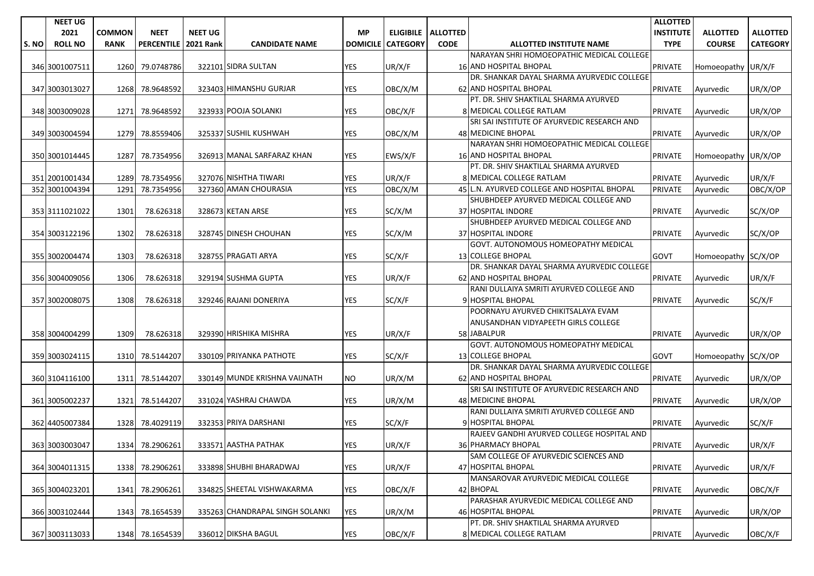|       | <b>NEET UG</b> |               |                   |                  |                                 |                 |                      |             |                                             | <b>ALLOTTED</b>  |                     |                 |
|-------|----------------|---------------|-------------------|------------------|---------------------------------|-----------------|----------------------|-------------|---------------------------------------------|------------------|---------------------|-----------------|
|       | 2021           | <b>COMMON</b> | <b>NEET</b>       | <b>NEET UG</b>   |                                 | <b>MP</b>       | ELIGIBILE   ALLOTTED |             |                                             | <b>INSTITUTE</b> | <b>ALLOTTED</b>     | <b>ALLOTTED</b> |
| S. NO | <b>ROLL NO</b> | <b>RANK</b>   | <b>PERCENTILE</b> | <b>2021 Rank</b> | <b>CANDIDATE NAME</b>           | <b>DOMICILE</b> | <b>CATEGORY</b>      | <b>CODE</b> | <b>ALLOTTED INSTITUTE NAME</b>              | <b>TYPE</b>      | <b>COURSE</b>       | <b>CATEGORY</b> |
|       |                |               |                   |                  |                                 |                 |                      |             | NARAYAN SHRI HOMOEOPATHIC MEDICAL COLLEGE   |                  |                     |                 |
|       | 346 3001007511 | 1260          | 79.0748786        |                  | 322101 SIDRA SULTAN             | <b>YES</b>      | UR/X/F               |             | <b>16 AND HOSPITAL BHOPAL</b>               | PRIVATE          | Homoeopathy UR/X/F  |                 |
|       |                |               |                   |                  |                                 |                 |                      |             | DR. SHANKAR DAYAL SHARMA AYURVEDIC COLLEGE  |                  |                     |                 |
|       | 347 3003013027 | 1268          | 78.9648592        |                  | 323403 HIMANSHU GURJAR          | <b>YES</b>      | OBC/X/M              |             | 62 AND HOSPITAL BHOPAL                      | PRIVATE          | Ayurvedic           | UR/X/OP         |
|       |                |               |                   |                  |                                 |                 |                      |             | PT. DR. SHIV SHAKTILAL SHARMA AYURVED       |                  |                     |                 |
|       | 348 3003009028 | 1271          | 78.9648592        |                  | 323933 POOJA SOLANKI            | <b>YES</b>      | OBC/X/F              |             | 8 MEDICAL COLLEGE RATLAM                    | <b>PRIVATE</b>   | Ayurvedic           | UR/X/OP         |
|       |                |               |                   |                  |                                 |                 |                      |             | SRI SAI INSTITUTE OF AYURVEDIC RESEARCH AND |                  |                     |                 |
|       | 349 3003004594 | 1279          | 78.8559406        |                  | 325337 SUSHIL KUSHWAH           | YES             | OBC/X/M              |             | 48 MEDICINE BHOPAL                          | <b>PRIVATE</b>   | Ayurvedic           | UR/X/OP         |
|       |                |               |                   |                  |                                 |                 |                      |             | NARAYAN SHRI HOMOEOPATHIC MEDICAL COLLEGE   |                  |                     |                 |
|       | 350 3001014445 | 1287          | 78.7354956        |                  | 326913 MANAL SARFARAZ KHAN      | <b>YES</b>      | EWS/X/F              |             | <b>16 AND HOSPITAL BHOPAL</b>               | <b>PRIVATE</b>   | Homoeopathy UR/X/OP |                 |
|       |                |               |                   |                  |                                 |                 |                      |             | PT. DR. SHIV SHAKTILAL SHARMA AYURVED       |                  |                     |                 |
|       | 351 2001001434 | 1289          | 78.7354956        |                  | 327076 NISHTHA TIWARI           | <b>YES</b>      | UR/X/F               |             | 8 MEDICAL COLLEGE RATLAM                    | <b>PRIVATE</b>   | Ayurvedic           | UR/X/F          |
|       | 352 3001004394 | 1291          | 78.7354956        |                  | 327360 AMAN CHOURASIA           | <b>YES</b>      | OBC/X/M              |             | 45 L.N. AYURVED COLLEGE AND HOSPITAL BHOPAL | <b>PRIVATE</b>   | Ayurvedic           | OBC/X/OP        |
|       |                |               |                   |                  |                                 |                 |                      |             | SHUBHDEEP AYURVED MEDICAL COLLEGE AND       |                  |                     |                 |
|       | 353 3111021022 | 1301          | 78.626318         |                  | 328673 KETAN ARSE               | <b>YES</b>      | SC/X/M               |             | 37 HOSPITAL INDORE                          | PRIVATE          | Ayurvedic           | SC/X/OP         |
|       |                |               |                   |                  |                                 |                 |                      |             | SHUBHDEEP AYURVED MEDICAL COLLEGE AND       |                  |                     |                 |
|       | 354 3003122196 | 1302          | 78.626318         |                  | 328745 DINESH CHOUHAN           | YES             | SC/X/M               |             | 37 HOSPITAL INDORE                          | <b>PRIVATE</b>   | Ayurvedic           | SC/X/OP         |
|       |                |               |                   |                  |                                 |                 |                      |             | <b>GOVT. AUTONOMOUS HOMEOPATHY MEDICAL</b>  |                  |                     |                 |
|       | 355 3002004474 | 1303          | 78.626318         |                  | 328755 PRAGATI ARYA             | <b>YES</b>      | SC/X/F               |             | <b>13 COLLEGE BHOPAL</b>                    | <b>GOVT</b>      | Homoeopathy SC/X/OP |                 |
|       |                |               |                   |                  |                                 |                 |                      |             | DR. SHANKAR DAYAL SHARMA AYURVEDIC COLLEGE  |                  |                     |                 |
|       | 356 3004009056 | 1306          | 78.626318         |                  | 329194 SUSHMA GUPTA             | YES             | UR/X/F               |             | 62 AND HOSPITAL BHOPAL                      | <b>PRIVATE</b>   | Ayurvedic           | UR/X/F          |
|       |                |               |                   |                  |                                 |                 |                      |             | RANI DULLAIYA SMRITI AYURVED COLLEGE AND    |                  |                     |                 |
|       | 357 3002008075 | 1308          | 78.626318         |                  | 329246 RAJANI DONERIYA          | <b>YES</b>      | SC/X/F               |             | 9 HOSPITAL BHOPAL                           | <b>PRIVATE</b>   | Ayurvedic           | SC/X/F          |
|       |                |               |                   |                  |                                 |                 |                      |             | POORNAYU AYURVED CHIKITSALAYA EVAM          |                  |                     |                 |
|       |                |               |                   |                  |                                 |                 |                      |             | ANUSANDHAN VIDYAPEETH GIRLS COLLEGE         |                  |                     |                 |
|       | 358 3004004299 | 1309          | 78.626318         |                  | 329390 HRISHIKA MISHRA          | <b>YES</b>      | UR/X/F               |             | 58 JABALPUR                                 | <b>PRIVATE</b>   | Ayurvedic           | UR/X/OP         |
|       |                |               |                   |                  |                                 |                 |                      |             | GOVT. AUTONOMOUS HOMEOPATHY MEDICAL         |                  |                     |                 |
|       | 359 3003024115 | 1310          | 78.5144207        |                  | 330109 PRIYANKA PATHOTE         | <b>YES</b>      | SC/X/F               |             | <b>13 COLLEGE BHOPAL</b>                    | <b>GOVT</b>      | Homoeopathy SC/X/OP |                 |
|       |                |               |                   |                  |                                 |                 |                      |             | DR. SHANKAR DAYAL SHARMA AYURVEDIC COLLEGE  |                  |                     |                 |
|       | 360 3104116100 | 1311          | 78.5144207        |                  | 330149 MUNDE KRISHNA VAIJNATH   | NO.             | UR/X/M               |             | <b>62 AND HOSPITAL BHOPAL</b>               | <b>PRIVATE</b>   | Ayurvedic           | UR/X/OP         |
|       |                |               |                   |                  |                                 |                 |                      |             | SRI SAI INSTITUTE OF AYURVEDIC RESEARCH AND |                  |                     |                 |
|       | 361 3005002237 | 1321          | 78.5144207        |                  | 331024 YASHRAJ CHAWDA           | YES             | UR/X/M               |             | <b>48 MEDICINE BHOPAL</b>                   | <b>PRIVATE</b>   | Ayurvedic           | UR/X/OP         |
|       |                |               |                   |                  |                                 |                 |                      |             | RANI DULLAIYA SMRITI AYURVED COLLEGE AND    |                  |                     |                 |
|       | 362 4405007384 | 1328          | 78.4029119        |                  | 332353 PRIYA DARSHANI           | <b>YES</b>      | SC/X/F               |             | 9 HOSPITAL BHOPAL                           | <b>PRIVATE</b>   | Ayurvedic           | SC/X/F          |
|       |                |               |                   |                  |                                 |                 |                      |             | RAJEEV GANDHI AYURVED COLLEGE HOSPITAL AND  |                  |                     |                 |
|       | 363 3003003047 |               | 1334 78.2906261   |                  | 333571 AASTHA PATHAK            | <b>YES</b>      | UR/X/F               |             | 36 PHARMACY BHOPAL                          | <b>PRIVATE</b>   | Ayurvedic           | UR/X/F          |
|       |                |               |                   |                  |                                 |                 |                      |             | SAM COLLEGE OF AYURVEDIC SCIENCES AND       |                  |                     |                 |
|       | 364 3004011315 | 1338          | 78.2906261        |                  | 333898 SHUBHI BHARADWAJ         | <b>YES</b>      | UR/X/F               |             | 47 HOSPITAL BHOPAL                          | <b>PRIVATE</b>   | Avurvedic           | UR/X/F          |
|       |                |               |                   |                  |                                 |                 |                      |             | MANSAROVAR AYURVEDIC MEDICAL COLLEGE        |                  |                     |                 |
|       | 365 3004023201 | 1341          | 78.2906261        |                  | 334825 SHEETAL VISHWAKARMA      | YES             | OBC/X/F              |             | 42 BHOPAL                                   | <b>PRIVATE</b>   | Ayurvedic           | OBC/X/F         |
|       |                |               |                   |                  |                                 |                 |                      |             | PARASHAR AYURVEDIC MEDICAL COLLEGE AND      |                  |                     |                 |
|       | 366 3003102444 | 1343          | 78.1654539        |                  | 335263 CHANDRAPAL SINGH SOLANKI | YES             | UR/X/M               |             | 46 HOSPITAL BHOPAL                          | <b>PRIVATE</b>   | Ayurvedic           | UR/X/OP         |
|       |                |               |                   |                  |                                 |                 |                      |             | PT. DR. SHIV SHAKTILAL SHARMA AYURVED       |                  |                     |                 |
|       | 367 3003113033 |               | 1348 78.1654539   |                  | 336012 DIKSHA BAGUL             | <b>YES</b>      | OBC/X/F              |             | 8 MEDICAL COLLEGE RATLAM                    | <b>PRIVATE</b>   | Ayurvedic           | OBC/X/F         |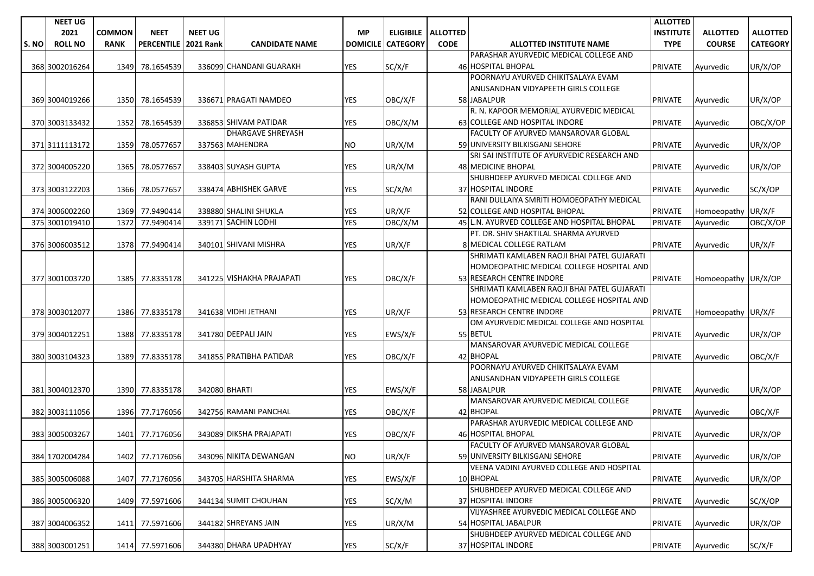|      | <b>NEET UG</b> |               |                        |                |                           |                 |                 |                             |                                             | <b>ALLOTTED</b>  |                     |                 |
|------|----------------|---------------|------------------------|----------------|---------------------------|-----------------|-----------------|-----------------------------|---------------------------------------------|------------------|---------------------|-----------------|
|      | 2021           | <b>COMMON</b> | <b>NEET</b>            | <b>NEET UG</b> |                           | <b>MP</b>       |                 | <b>ELIGIBILE   ALLOTTED</b> |                                             | <b>INSTITUTE</b> | <b>ALLOTTED</b>     | <b>ALLOTTED</b> |
| S.NO | <b>ROLL NO</b> | <b>RANK</b>   | PERCENTILE   2021 Rank |                | <b>CANDIDATE NAME</b>     | <b>DOMICILE</b> | <b>CATEGORY</b> | <b>CODE</b>                 | <b>ALLOTTED INSTITUTE NAME</b>              | <b>TYPE</b>      | <b>COURSE</b>       | <b>CATEGORY</b> |
|      |                |               |                        |                |                           |                 |                 |                             | PARASHAR AYURVEDIC MEDICAL COLLEGE AND      |                  |                     |                 |
|      | 368 3002016264 | 1349          | 78.1654539             |                | 336099 CHANDANI GUARAKH   | <b>YES</b>      | SC/X/F          |                             | 46 HOSPITAL BHOPAL                          | <b>PRIVATE</b>   | Ayurvedic           | UR/X/OP         |
|      |                |               |                        |                |                           |                 |                 |                             | POORNAYU AYURVED CHIKITSALAYA EVAM          |                  |                     |                 |
|      |                |               |                        |                |                           |                 |                 |                             | ANUSANDHAN VIDYAPEETH GIRLS COLLEGE         |                  |                     |                 |
|      | 369 3004019266 |               | 1350 78.1654539        |                | 336671 PRAGATI NAMDEO     | <b>YES</b>      | OBC/X/F         |                             | 58 JABALPUR                                 | <b>PRIVATE</b>   | Ayurvedic           | UR/X/OP         |
|      |                |               |                        |                |                           |                 |                 |                             | R. N. KAPOOR MEMORIAL AYURVEDIC MEDICAL     |                  |                     |                 |
|      | 370 3003133432 | 1352          | 78.1654539             |                | 336853 SHIVAM PATIDAR     | <b>YES</b>      | OBC/X/M         |                             | 63 COLLEGE AND HOSPITAL INDORE              | <b>PRIVATE</b>   | Ayurvedic           | OBC/X/OP        |
|      |                |               |                        |                | <b>DHARGAVE SHREYASH</b>  |                 |                 |                             | FACULTY OF AYURVED MANSAROVAR GLOBAL        |                  |                     |                 |
|      | 371 3111113172 | 1359          | 78.0577657             |                | 337563 MAHENDRA           | NO.             | UR/X/M          |                             | 59 UNIVERSITY BILKISGANJ SEHORE             | <b>PRIVATE</b>   | Ayurvedic           | UR/X/OP         |
|      |                |               |                        |                |                           |                 |                 |                             | SRI SAI INSTITUTE OF AYURVEDIC RESEARCH AND |                  |                     |                 |
|      | 372 3004005220 | 1365          | 78.0577657             |                | 338403 SUYASH GUPTA       | <b>YES</b>      | UR/X/M          |                             | 48 MEDICINE BHOPAL                          | <b>PRIVATE</b>   | Ayurvedic           | UR/X/OP         |
|      |                |               |                        |                |                           |                 |                 |                             | SHUBHDEEP AYURVED MEDICAL COLLEGE AND       |                  |                     |                 |
|      | 373 3003122203 | 1366          | 78.0577657             |                | 338474 ABHISHEK GARVE     | <b>YES</b>      | SC/X/M          |                             | 37 HOSPITAL INDORE                          | <b>PRIVATE</b>   | Ayurvedic           | SC/X/OP         |
|      |                |               |                        |                |                           |                 |                 |                             | RANI DULLAIYA SMRITI HOMOEOPATHY MEDICAL    |                  |                     |                 |
|      | 374 3006002260 | 1369          | 77.9490414             |                | 338880 SHALINI SHUKLA     | YES             | UR/X/F          |                             | 52 COLLEGE AND HOSPITAL BHOPAL              | <b>PRIVATE</b>   | Homoeopathy UR/X/F  |                 |
|      | 375 3001019410 | 1372          | 77.9490414             |                | 339171 SACHIN LODHI       | <b>YES</b>      | OBC/X/M         |                             | 45 L.N. AYURVED COLLEGE AND HOSPITAL BHOPAL | <b>PRIVATE</b>   | Ayurvedic           | OBC/X/OP        |
|      |                |               |                        |                |                           |                 |                 |                             | PT. DR. SHIV SHAKTILAL SHARMA AYURVED       |                  |                     |                 |
|      | 376 3006003512 |               | 1378 77.9490414        |                | 340101 SHIVANI MISHRA     | <b>YES</b>      | UR/X/F          |                             | 8 MEDICAL COLLEGE RATLAM                    | <b>PRIVATE</b>   | Ayurvedic           | UR/X/F          |
|      |                |               |                        |                |                           |                 |                 |                             | SHRIMATI KAMLABEN RAOJI BHAI PATEL GUJARATI |                  |                     |                 |
|      |                |               |                        |                |                           |                 |                 |                             | HOMOEOPATHIC MEDICAL COLLEGE HOSPITAL AND   |                  |                     |                 |
|      | 377 3001003720 |               | 1385 77.8335178        |                | 341225 VISHAKHA PRAJAPATI | <b>YES</b>      | OBC/X/F         |                             | 53 RESEARCH CENTRE INDORE                   | PRIVATE          | Homoeopathy UR/X/OP |                 |
|      |                |               |                        |                |                           |                 |                 |                             | SHRIMATI KAMLABEN RAOJI BHAI PATEL GUJARATI |                  |                     |                 |
|      |                |               |                        |                |                           |                 |                 |                             | HOMOEOPATHIC MEDICAL COLLEGE HOSPITAL AND   |                  |                     |                 |
|      | 378 3003012077 | 1386          | 77.8335178             |                | 341638 VIDHI JETHANI      | <b>YES</b>      | UR/X/F          |                             | 53 RESEARCH CENTRE INDORE                   | <b>PRIVATE</b>   | Homoeopathy UR/X/F  |                 |
|      |                |               |                        |                |                           |                 |                 |                             | OM AYURVEDIC MEDICAL COLLEGE AND HOSPITAL   |                  |                     |                 |
|      | 379 3004012251 | 1388          | 77.8335178             |                | 341780 DEEPALI JAIN       | <b>YES</b>      | EWS/X/F         |                             | 55 BETUL                                    | <b>PRIVATE</b>   | Ayurvedic           | UR/X/OP         |
|      |                |               |                        |                |                           |                 |                 |                             | MANSAROVAR AYURVEDIC MEDICAL COLLEGE        |                  |                     |                 |
|      | 380 3003104323 | 1389          | 77.8335178             |                | 341855 PRATIBHA PATIDAR   | <b>YES</b>      | OBC/X/F         |                             | 42 BHOPAL                                   | <b>PRIVATE</b>   | Ayurvedic           | OBC/X/F         |
|      |                |               |                        |                |                           |                 |                 |                             | POORNAYU AYURVED CHIKITSALAYA EVAM          |                  |                     |                 |
|      |                |               |                        |                |                           |                 |                 |                             | ANUSANDHAN VIDYAPEETH GIRLS COLLEGE         |                  |                     |                 |
|      | 381 3004012370 |               | 1390 77.8335178        |                | 342080 BHARTI             | <b>YES</b>      | EWS/X/F         |                             | 58 JABALPUR                                 | <b>PRIVATE</b>   | Ayurvedic           | UR/X/OP         |
|      |                |               |                        |                |                           |                 |                 |                             | MANSAROVAR AYURVEDIC MEDICAL COLLEGE        |                  |                     |                 |
|      | 382 3003111056 |               | 1396 77.7176056        |                | 342756 RAMANI PANCHAL     | <b>YES</b>      | OBC/X/F         |                             | 42 BHOPAL                                   | <b>PRIVATE</b>   | Ayurvedic           | OBC/X/F         |
|      |                |               |                        |                |                           |                 |                 |                             | PARASHAR AYURVEDIC MEDICAL COLLEGE AND      |                  |                     |                 |
|      | 383 3005003267 | 1401          | 77.7176056             |                | 343089 DIKSHA PRAJAPATI   | YES             | OBC/X/F         |                             | 46 HOSPITAL BHOPAL                          | <b>PRIVATE</b>   | Ayurvedic           | UR/X/OP         |
|      |                |               |                        |                |                           |                 |                 |                             | FACULTY OF AYURVED MANSAROVAR GLOBAL        |                  |                     |                 |
|      | 384 1702004284 |               | 1402 77.7176056        |                | 343096 NIKITA DEWANGAN    | <b>NO</b>       | UR/X/F          |                             | 59 UNIVERSITY BILKISGANJ SEHORE             | PRIVATE          | Ayurvedic           | UR/X/OP         |
|      |                |               |                        |                |                           |                 |                 |                             | VEENA VADINI AYURVED COLLEGE AND HOSPITAL   |                  |                     |                 |
|      | 385 3005006088 |               | 1407 77.7176056        |                | 343705 HARSHITA SHARMA    | <b>YES</b>      | EWS/X/F         |                             | 10 BHOPAL                                   | <b>PRIVATE</b>   | Ayurvedic           | UR/X/OP         |
|      |                |               |                        |                |                           |                 |                 |                             | SHUBHDEEP AYURVED MEDICAL COLLEGE AND       |                  |                     |                 |
|      | 386 3005006320 |               | 1409 77.5971606        |                | 344134 SUMIT CHOUHAN      | YES             | SC/X/M          |                             | 37 HOSPITAL INDORE                          | <b>PRIVATE</b>   | Ayurvedic           | SC/X/OP         |
|      |                |               |                        |                |                           |                 |                 |                             | VIJYASHREE AYURVEDIC MEDICAL COLLEGE AND    |                  |                     |                 |
|      | 387 3004006352 |               | 1411 77.5971606        |                | 344182 SHREYANS JAIN      | YES             | UR/X/M          |                             | 54 HOSPITAL JABALPUR                        | <b>PRIVATE</b>   | Ayurvedic           | UR/X/OP         |
|      |                |               |                        |                |                           |                 |                 |                             | SHUBHDEEP AYURVED MEDICAL COLLEGE AND       |                  |                     |                 |
|      | 388 3003001251 |               | 1414 77.5971606        |                | 344380 DHARA UPADHYAY     | <b>YES</b>      | SC/X/F          |                             | 37 HOSPITAL INDORE                          | <b>PRIVATE</b>   | Ayurvedic           | SC/X/F          |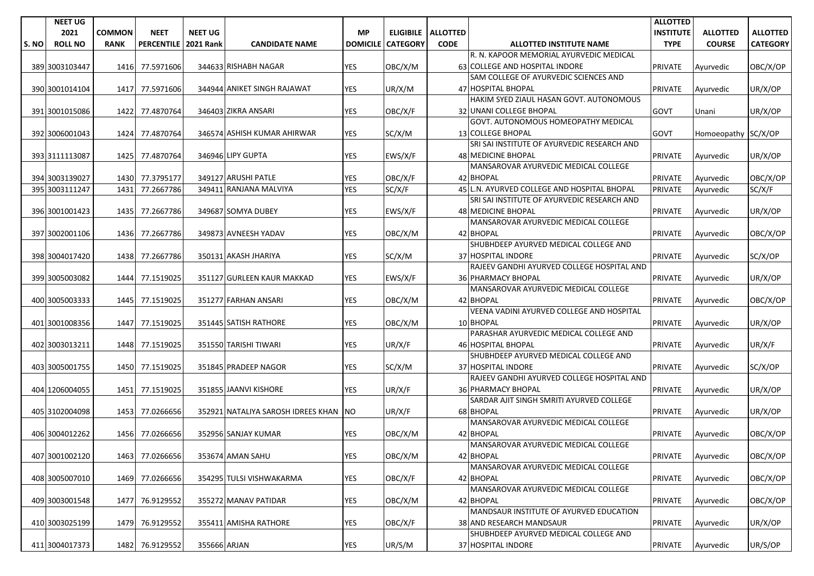|      | <b>NEET UG</b> |               |                        |                |                                        |                 |                 |                             |                                             | <b>ALLOTTED</b>  |                     |                 |
|------|----------------|---------------|------------------------|----------------|----------------------------------------|-----------------|-----------------|-----------------------------|---------------------------------------------|------------------|---------------------|-----------------|
|      | 2021           | <b>COMMON</b> | <b>NEET</b>            | <b>NEET UG</b> |                                        | <b>MP</b>       |                 | <b>ELIGIBILE   ALLOTTED</b> |                                             | <b>INSTITUTE</b> | <b>ALLOTTED</b>     | <b>ALLOTTED</b> |
| S.NO | <b>ROLL NO</b> | <b>RANK</b>   | PERCENTILE   2021 Rank |                | <b>CANDIDATE NAME</b>                  | <b>DOMICILE</b> | <b>CATEGORY</b> | <b>CODE</b>                 | <b>ALLOTTED INSTITUTE NAME</b>              | <b>TYPE</b>      | <b>COURSE</b>       | <b>CATEGORY</b> |
|      |                |               |                        |                |                                        |                 |                 |                             | R. N. KAPOOR MEMORIAL AYURVEDIC MEDICAL     |                  |                     |                 |
|      | 389 3003103447 | 1416          | 77.5971606             |                | 344633 RISHABH NAGAR                   | <b>YES</b>      | OBC/X/M         |                             | 63 COLLEGE AND HOSPITAL INDORE              | <b>PRIVATE</b>   | Ayurvedic           | OBC/X/OP        |
|      |                |               |                        |                |                                        |                 |                 |                             | SAM COLLEGE OF AYURVEDIC SCIENCES AND       |                  |                     |                 |
|      | 390 3001014104 | 1417          | 77.5971606             |                | 344944 ANIKET SINGH RAJAWAT            | <b>YES</b>      | UR/X/M          |                             | 47 HOSPITAL BHOPAL                          | PRIVATE          | Ayurvedic           | UR/X/OP         |
|      |                |               |                        |                |                                        |                 |                 |                             | HAKIM SYED ZIAUL HASAN GOVT. AUTONOMOUS     |                  |                     |                 |
|      | 391 3001015086 | 1422          | 77.4870764             |                | 346403 ZIKRA ANSARI                    | <b>YES</b>      | OBC/X/F         |                             | 32 UNANI COLLEGE BHOPAL                     | <b>GOVT</b>      | Unani               | UR/X/OP         |
|      |                |               |                        |                |                                        |                 |                 |                             | GOVT. AUTONOMOUS HOMEOPATHY MEDICAL         |                  |                     |                 |
|      | 392 3006001043 |               | 1424 77.4870764        |                | 346574 ASHISH KUMAR AHIRWAR            | YES             | SC/X/M          |                             | <b>13 COLLEGE BHOPAL</b>                    | <b>GOVT</b>      | Homoeopathy SC/X/OP |                 |
|      |                |               |                        |                |                                        |                 |                 |                             | SRI SAI INSTITUTE OF AYURVEDIC RESEARCH AND |                  |                     |                 |
|      | 393 3111113087 | 1425          | 77.4870764             |                | 346946 LIPY GUPTA                      | <b>YES</b>      | EWS/X/F         |                             | 48 MEDICINE BHOPAL                          | <b>PRIVATE</b>   | Ayurvedic           | UR/X/OP         |
|      |                |               |                        |                |                                        |                 |                 |                             | MANSAROVAR AYURVEDIC MEDICAL COLLEGE        |                  |                     |                 |
|      | 394 3003139027 | 1430          | 77.3795177             |                | 349127 ARUSHI PATLE                    | YES             | OBC/X/F         |                             | 42 BHOPAL                                   | <b>PRIVATE</b>   | Ayurvedic           | OBC/X/OP        |
|      | 395 3003111247 | 1431          | 77.2667786             |                | 349411 RANJANA MALVIYA                 | <b>YES</b>      | SC/X/F          |                             | 45 L.N. AYURVED COLLEGE AND HOSPITAL BHOPAL | <b>PRIVATE</b>   | Ayurvedic           | SC/X/F          |
|      |                |               |                        |                |                                        |                 |                 |                             | SRI SAI INSTITUTE OF AYURVEDIC RESEARCH AND |                  |                     |                 |
|      | 396 3001001423 | 1435          | 77.2667786             |                | 349687 SOMYA DUBEY                     | YES             | EWS/X/F         |                             | 48 MEDICINE BHOPAL                          | <b>PRIVATE</b>   | Ayurvedic           | UR/X/OP         |
|      |                |               |                        |                |                                        |                 |                 |                             | MANSAROVAR AYURVEDIC MEDICAL COLLEGE        |                  |                     |                 |
|      | 397 3002001106 | 1436          | 77.2667786             |                | 349873 AVNEESH YADAV                   | <b>YES</b>      | OBC/X/M         |                             | 42 BHOPAL                                   | <b>PRIVATE</b>   | Ayurvedic           | OBC/X/OP        |
|      |                |               |                        |                |                                        |                 |                 |                             | SHUBHDEEP AYURVED MEDICAL COLLEGE AND       |                  |                     |                 |
|      | 398 3004017420 | 1438          | 77.2667786             |                | 350131 AKASH JHARIYA                   | YES             | SC/X/M          |                             | 37 HOSPITAL INDORE                          | <b>PRIVATE</b>   | Ayurvedic           | SC/X/OP         |
|      |                |               |                        |                |                                        |                 |                 |                             | RAJEEV GANDHI AYURVED COLLEGE HOSPITAL AND  |                  |                     |                 |
|      | 399 3005003082 | 1444          | 77.1519025             |                | 351127 GURLEEN KAUR MAKKAD             | <b>YES</b>      | EWS/X/F         |                             | <b>36 PHARMACY BHOPAL</b>                   | <b>PRIVATE</b>   | Ayurvedic           | UR/X/OP         |
|      |                |               |                        |                |                                        |                 |                 |                             | MANSAROVAR AYURVEDIC MEDICAL COLLEGE        |                  |                     |                 |
|      | 400 3005003333 | 1445          | 77.1519025             |                | 351277 FARHAN ANSARI                   | <b>YES</b>      | OBC/X/M         |                             | 42 BHOPAL                                   | <b>PRIVATE</b>   | Ayurvedic           | OBC/X/OP        |
|      |                |               |                        |                |                                        |                 |                 |                             | VEENA VADINI AYURVED COLLEGE AND HOSPITAL   |                  |                     |                 |
|      | 401 3001008356 | 1447          | 77.1519025             |                | 351445 SATISH RATHORE                  | <b>YES</b>      | OBC/X/M         |                             | 10 BHOPAL                                   | <b>PRIVATE</b>   | Ayurvedic           | UR/X/OP         |
|      |                |               |                        |                |                                        |                 |                 |                             | PARASHAR AYURVEDIC MEDICAL COLLEGE AND      |                  |                     |                 |
|      | 402 3003013211 | 1448          | 77.1519025             |                | 351550 TARISHI TIWARI                  | <b>YES</b>      | UR/X/F          |                             | 46 HOSPITAL BHOPAL                          | <b>PRIVATE</b>   | Ayurvedic           | UR/X/F          |
|      |                |               |                        |                |                                        |                 |                 |                             | SHUBHDEEP AYURVED MEDICAL COLLEGE AND       |                  |                     |                 |
|      | 403 3005001755 | 1450          | 77.1519025             |                | 351845 PRADEEP NAGOR                   | <b>YES</b>      | SC/X/M          |                             | 37 HOSPITAL INDORE                          | <b>PRIVATE</b>   | Ayurvedic           | SC/X/OP         |
|      |                |               |                        |                |                                        |                 |                 |                             | RAJEEV GANDHI AYURVED COLLEGE HOSPITAL AND  |                  |                     |                 |
|      | 404 1206004055 | 1451          | 77.1519025             |                | 351855 JAANVI KISHORE                  | YES             | UR/X/F          |                             | 36 PHARMACY BHOPAL                          | <b>PRIVATE</b>   | Ayurvedic           | UR/X/OP         |
|      |                |               |                        |                |                                        |                 |                 |                             | SARDAR AJIT SINGH SMRITI AYURVED COLLEGE    |                  |                     |                 |
|      | 405 3102004098 | 1453          | 77.0266656             |                | 352921 NATALIYA SAROSH IDREES KHAN INO |                 | UR/X/F          |                             | 68 BHOPAL                                   | <b>PRIVATE</b>   | Ayurvedic           | UR/X/OP         |
|      |                |               |                        |                |                                        |                 |                 |                             | MANSAROVAR AYURVEDIC MEDICAL COLLEGE        |                  |                     |                 |
|      | 406 3004012262 | 1456          | 77.0266656             |                | 352956 SANJAY KUMAR                    | <b>YES</b>      | OBC/X/M         |                             | 42 BHOPAL                                   | PRIVATE          | Ayurvedic           | OBC/X/OP        |
|      |                |               |                        |                |                                        |                 |                 |                             | MANSAROVAR AYURVEDIC MEDICAL COLLEGE        |                  |                     |                 |
|      | 407 3001002120 | 1463          | 77.0266656             |                | 353674 AMAN SAHU                       | <b>YES</b>      | OBC/X/M         |                             | 42 BHOPAL                                   | <b>PRIVATE</b>   | Ayurvedic           | OBC/X/OP        |
|      |                |               |                        |                |                                        |                 |                 |                             | MANSAROVAR AYURVEDIC MEDICAL COLLEGE        |                  |                     |                 |
|      | 408 3005007010 | 1469          | 77.0266656             |                | 354295 TULSI VISHWAKARMA               | <b>YES</b>      | OBC/X/F         |                             | 42 BHOPAL                                   | <b>PRIVATE</b>   | Ayurvedic           | OBC/X/OP        |
|      |                |               |                        |                |                                        |                 |                 |                             | MANSAROVAR AYURVEDIC MEDICAL COLLEGE        |                  |                     |                 |
|      | 409 3003001548 | 1477          | 76.9129552             |                | 355272 MANAV PATIDAR                   | YES             | OBC/X/M         |                             | 42 BHOPAL                                   | <b>PRIVATE</b>   | Avurvedic           | OBC/X/OP        |
|      |                |               |                        |                |                                        |                 |                 |                             | MANDSAUR INSTITUTE OF AYURVED EDUCATION     |                  |                     |                 |
|      | 410 3003025199 | 1479          | 76.9129552             |                | 355411 AMISHA RATHORE                  | YES             | OBC/X/F         |                             | 38 AND RESEARCH MANDSAUR                    | <b>PRIVATE</b>   | Ayurvedic           | UR/X/OP         |
|      |                |               |                        |                |                                        |                 |                 |                             | SHUBHDEEP AYURVED MEDICAL COLLEGE AND       |                  |                     |                 |
|      | 411 3004017373 | 1482          | 76.9129552             | 355666 ARJAN   |                                        | YES             | UR/S/M          |                             | 37 HOSPITAL INDORE                          | <b>PRIVATE</b>   | Ayurvedic           | UR/S/OP         |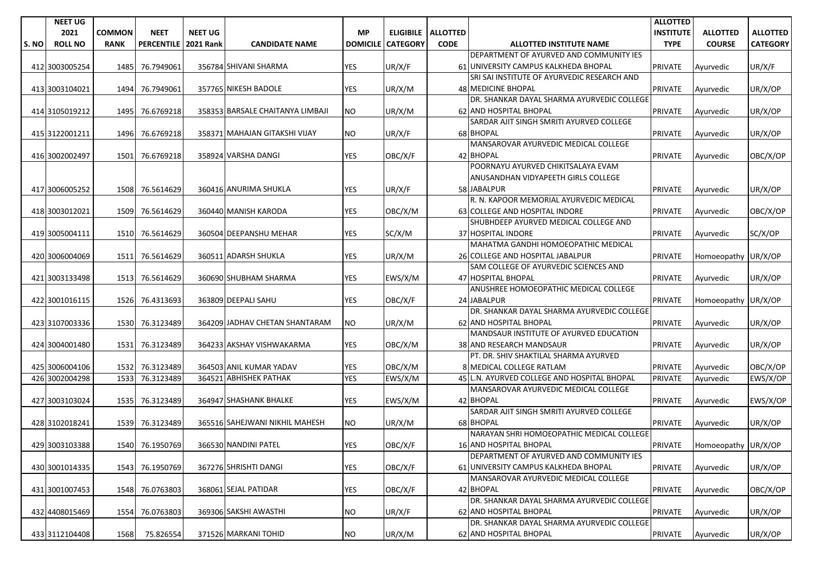|       | <b>NEET UG</b> |               |                   |                  |                                  |                 |                 |                      |                                             | <b>ALLOTTED</b>  |                     |                 |
|-------|----------------|---------------|-------------------|------------------|----------------------------------|-----------------|-----------------|----------------------|---------------------------------------------|------------------|---------------------|-----------------|
|       | 2021           | <b>COMMON</b> | <b>NEET</b>       | <b>NEET UG</b>   |                                  | <b>MP</b>       |                 | ELIGIBILE   ALLOTTED |                                             | <b>INSTITUTE</b> | <b>ALLOTTED</b>     | <b>ALLOTTED</b> |
| S. NO | <b>ROLL NO</b> | <b>RANK</b>   | <b>PERCENTILE</b> | <b>2021 Rank</b> | <b>CANDIDATE NAME</b>            | <b>DOMICILE</b> | <b>CATEGORY</b> | <b>CODE</b>          | <b>ALLOTTED INSTITUTE NAME</b>              | <b>TYPE</b>      | <b>COURSE</b>       | <b>CATEGORY</b> |
|       |                |               |                   |                  |                                  |                 |                 |                      | DEPARTMENT OF AYURVED AND COMMUNITY IES     |                  |                     |                 |
|       | 412 3003005254 | 1485          | 76.7949061        |                  | 356784 SHIVANI SHARMA            | <b>YES</b>      | UR/X/F          |                      | 61 UNIVERSITY CAMPUS KALKHEDA BHOPAL        | PRIVATE          | Ayurvedic           | UR/X/F          |
|       |                |               |                   |                  |                                  |                 |                 |                      | SRI SAI INSTITUTE OF AYURVEDIC RESEARCH AND |                  |                     |                 |
|       | 413 3003104021 | 1494          | 76.7949061        |                  | 357765 NIKESH BADOLE             | <b>YES</b>      | UR/X/M          |                      | 48 MEDICINE BHOPAL                          | PRIVATE          | Ayurvedic           | UR/X/OP         |
|       |                |               |                   |                  |                                  |                 |                 |                      | DR. SHANKAR DAYAL SHARMA AYURVEDIC COLLEGE  |                  |                     |                 |
|       | 414 3105019212 | 1495          | 76.6769218        |                  | 358353 BARSALE CHAITANYA LIMBAJI | NO              | UR/X/M          |                      | 62 AND HOSPITAL BHOPAL                      | <b>PRIVATE</b>   | Ayurvedic           | UR/X/OP         |
|       |                |               |                   |                  |                                  |                 |                 |                      | SARDAR AJIT SINGH SMRITI AYURVED COLLEGE    |                  |                     |                 |
|       | 415 3122001211 | 1496          | 76.6769218        |                  | 358371 MAHAJAN GITAKSHI VIJAY    | NO              | UR/X/F          |                      | 68 BHOPAL                                   | <b>PRIVATE</b>   | Ayurvedic           | UR/X/OP         |
|       |                |               |                   |                  |                                  |                 |                 |                      | MANSAROVAR AYURVEDIC MEDICAL COLLEGE        |                  |                     |                 |
|       | 416 3002002497 | 1501          | 76.6769218        |                  | 358924 VARSHA DANGI              | <b>YES</b>      | OBC/X/F         |                      | 42 BHOPAL                                   | PRIVATE          | Ayurvedic           | OBC/X/OP        |
|       |                |               |                   |                  |                                  |                 |                 |                      | POORNAYU AYURVED CHIKITSALAYA EVAM          |                  |                     |                 |
|       |                |               |                   |                  |                                  |                 |                 |                      | ANUSANDHAN VIDYAPEETH GIRLS COLLEGE         |                  |                     |                 |
|       | 417 3006005252 |               | 1508 76.5614629   |                  | 360416 ANURIMA SHUKLA            | <b>YES</b>      | UR/X/F          |                      | 58 JABALPUR                                 | <b>PRIVATE</b>   | Ayurvedic           | UR/X/OP         |
|       |                |               |                   |                  |                                  |                 |                 |                      | R. N. KAPOOR MEMORIAL AYURVEDIC MEDICAL     |                  |                     |                 |
|       | 418 3003012021 | 1509          | 76.5614629        |                  | 360440 MANISH KARODA             | <b>YES</b>      | OBC/X/M         |                      | 63 COLLEGE AND HOSPITAL INDORE              | <b>PRIVATE</b>   | Ayurvedic           | OBC/X/OP        |
|       |                |               |                   |                  |                                  |                 |                 |                      | SHUBHDEEP AYURVED MEDICAL COLLEGE AND       |                  |                     |                 |
|       | 419 3005004111 |               | 1510 76.5614629   |                  | 360504 DEEPANSHU MEHAR           | YES             | SC/X/M          |                      | 37 HOSPITAL INDORE                          | <b>PRIVATE</b>   | Ayurvedic           | SC/X/OP         |
|       |                |               |                   |                  |                                  |                 |                 |                      | MAHATMA GANDHI HOMOEOPATHIC MEDICAL         |                  |                     |                 |
|       | 420 3006004069 |               | 1511 76.5614629   |                  | 360511 ADARSH SHUKLA             | <b>YES</b>      | UR/X/M          |                      | 26 COLLEGE AND HOSPITAL JABALPUR            | <b>PRIVATE</b>   | Homoeopathy UR/X/OP |                 |
|       |                |               |                   |                  |                                  |                 |                 |                      | SAM COLLEGE OF AYURVEDIC SCIENCES AND       |                  |                     |                 |
|       | 421 3003133498 |               | 1513 76.5614629   |                  | 360690 SHUBHAM SHARMA            | YES             | EWS/X/M         |                      | 47 HOSPITAL BHOPAL                          | <b>PRIVATE</b>   | Ayurvedic           | UR/X/OP         |
|       |                |               |                   |                  |                                  |                 |                 |                      | ANUSHREE HOMOEOPATHIC MEDICAL COLLEGE       |                  |                     |                 |
|       | 422 3001016115 |               | 1526 76.4313693   |                  | 363809 DEEPALI SAHU              | <b>YES</b>      | OBC/X/F         |                      | 24 JABALPUR                                 | <b>PRIVATE</b>   | Homoeopathy UR/X/OP |                 |
|       |                |               |                   |                  |                                  |                 |                 |                      | DR. SHANKAR DAYAL SHARMA AYURVEDIC COLLEGE  |                  |                     |                 |
|       | 423 3107003336 |               | 1530 76.3123489   |                  | 364209 JADHAV CHETAN SHANTARAM   | <b>NO</b>       | UR/X/M          |                      | 62 AND HOSPITAL BHOPAL                      | <b>PRIVATE</b>   | Ayurvedic           | UR/X/OP         |
|       |                |               |                   |                  |                                  |                 |                 |                      | MANDSAUR INSTITUTE OF AYURVED EDUCATION     |                  |                     |                 |
|       | 424 3004001480 | 1531          | 76.3123489        |                  | 364233 AKSHAY VISHWAKARMA        | <b>YES</b>      | OBC/X/M         |                      | 38 AND RESEARCH MANDSAUR                    | PRIVATE          | Ayurvedic           | UR/X/OP         |
|       |                |               |                   |                  |                                  |                 |                 |                      | PT. DR. SHIV SHAKTILAL SHARMA AYURVED       |                  |                     |                 |
|       | 425 3006004106 | 1532          | 76.3123489        |                  | 364503 ANIL KUMAR YADAV          | YES             | OBC/X/M         |                      | 8 MEDICAL COLLEGE RATLAM                    | <b>PRIVATE</b>   | Ayurvedic           | OBC/X/OP        |
|       | 426 3002004298 | 1533          | 76.3123489        |                  | 364521 ABHISHEK PATHAK           | <b>YES</b>      | EWS/X/M         |                      | 45 L.N. AYURVED COLLEGE AND HOSPITAL BHOPAL | PRIVATE          | Ayurvedic           | EWS/X/OP        |
|       |                |               |                   |                  |                                  |                 |                 |                      | MANSAROVAR AYURVEDIC MEDICAL COLLEGE        |                  |                     |                 |
|       | 427 3003103024 | 1535          | 76.3123489        |                  | 364947 SHASHANK BHALKE           | YES             | EWS/X/M         |                      | 42 BHOPAL                                   | <b>PRIVATE</b>   | Ayurvedic           | EWS/X/OP        |
|       |                |               |                   |                  |                                  |                 |                 |                      | SARDAR AJIT SINGH SMRITI AYURVED COLLEGE    |                  |                     |                 |
|       | 428 3102018241 | 1539          | 76.3123489        |                  | 365516 SAHEJWANI NIKHIL MAHESH   | <b>NO</b>       | UR/X/M          |                      | 68 BHOPAL                                   | <b>PRIVATE</b>   | Ayurvedic           | UR/X/OP         |
|       |                |               |                   |                  |                                  |                 |                 |                      | NARAYAN SHRI HOMOEOPATHIC MEDICAL COLLEGE   |                  |                     |                 |
|       | 429 3003103388 |               | 1540 76.1950769   |                  | 366530 NANDINI PATEL             | <b>YES</b>      | OBC/X/F         |                      | 16 AND HOSPITAL BHOPAL                      | <b>PRIVATE</b>   | Homoeopathy UR/X/OP |                 |
|       |                |               |                   |                  |                                  |                 |                 |                      | DEPARTMENT OF AYURVED AND COMMUNITY IES     |                  |                     |                 |
|       | 430 3001014335 |               | 1543 76.1950769   |                  | 367276 SHRISHTI DANGI            | <b>YES</b>      | OBC/X/F         |                      | 61 UNIVERSITY CAMPUS KALKHEDA BHOPAL        | <b>PRIVATE</b>   | Avurvedic           | UR/X/OP         |
|       |                |               |                   |                  |                                  |                 |                 |                      | MANSAROVAR AYURVEDIC MEDICAL COLLEGE        |                  |                     |                 |
|       | 431 3001007453 | 1548          | 76.0763803        |                  | 368061 SEJAL PATIDAR             | <b>YES</b>      | OBC/X/F         |                      | 42 BHOPAL                                   | PRIVATE          | Ayurvedic           | OBC/X/OP        |
|       |                |               |                   |                  |                                  |                 |                 |                      | DR. SHANKAR DAYAL SHARMA AYURVEDIC COLLEGE  |                  |                     |                 |
|       | 432 4408015469 | 1554          | 76.0763803        |                  | 369306 SAKSHI AWASTHI            | <b>NO</b>       | UR/X/F          |                      | 62 AND HOSPITAL BHOPAL                      | <b>PRIVATE</b>   |                     | UR/X/OP         |
|       |                |               |                   |                  |                                  |                 |                 |                      | DR. SHANKAR DAYAL SHARMA AYURVEDIC COLLEGE  |                  | Ayurvedic           |                 |
|       |                |               |                   |                  |                                  |                 |                 |                      |                                             |                  |                     |                 |
|       | 433 3112104408 | 1568          | 75.826554         |                  | 371526 MARKANI TOHID             | <b>NO</b>       | UR/X/M          |                      | 62 AND HOSPITAL BHOPAL                      | <b>PRIVATE</b>   | Ayurvedic           | UR/X/OP         |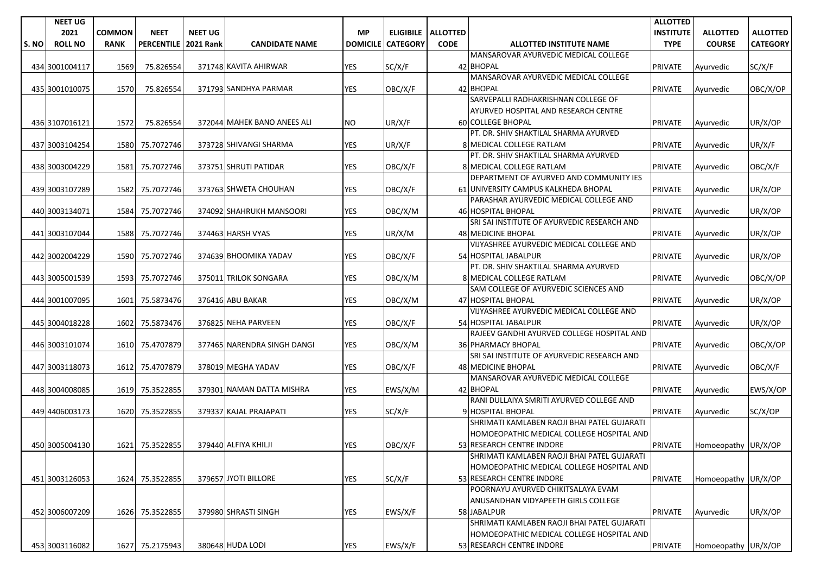|      | <b>NEET UG</b> |               |                      |                |                             |                 |                 |                      |                                             | <b>ALLOTTED</b>  |                     |                 |
|------|----------------|---------------|----------------------|----------------|-----------------------------|-----------------|-----------------|----------------------|---------------------------------------------|------------------|---------------------|-----------------|
|      | 2021           | <b>COMMON</b> | <b>NEET</b>          | <b>NEET UG</b> |                             | <b>MP</b>       |                 | ELIGIBILE   ALLOTTED |                                             | <b>INSTITUTE</b> | <b>ALLOTTED</b>     | <b>ALLOTTED</b> |
| S.NO | <b>ROLL NO</b> | <b>RANK</b>   | PERCENTILE 2021 Rank |                | <b>CANDIDATE NAME</b>       | <b>DOMICILE</b> | <b>CATEGORY</b> | <b>CODE</b>          | <b>ALLOTTED INSTITUTE NAME</b>              | <b>TYPE</b>      | <b>COURSE</b>       | <b>CATEGORY</b> |
|      |                |               |                      |                |                             |                 |                 |                      | MANSAROVAR AYURVEDIC MEDICAL COLLEGE        |                  |                     |                 |
|      | 434 3001004117 | 1569          | 75.826554            |                | 371748 KAVITA AHIRWAR       | YES             | SC/X/F          |                      | 42 BHOPAL                                   | <b>PRIVATE</b>   | Ayurvedic           | SC/X/F          |
|      |                |               |                      |                |                             |                 |                 |                      | MANSAROVAR AYURVEDIC MEDICAL COLLEGE        |                  |                     |                 |
|      | 435 3001010075 | 1570          | 75.826554            |                | 371793 SANDHYA PARMAR       | <b>YES</b>      | OBC/X/F         |                      | 42 BHOPAL                                   | <b>PRIVATE</b>   | Ayurvedic           | OBC/X/OP        |
|      |                |               |                      |                |                             |                 |                 |                      | SARVEPALLI RADHAKRISHNAN COLLEGE OF         |                  |                     |                 |
|      |                |               |                      |                |                             |                 |                 |                      | AYURVED HOSPITAL AND RESEARCH CENTRE        |                  |                     |                 |
|      | 436 3107016121 | 1572          | 75.826554            |                | 372044 MAHEK BANO ANEES ALI | NO.             | UR/X/F          |                      | <b>60 COLLEGE BHOPAL</b>                    | <b>PRIVATE</b>   | Ayurvedic           | UR/X/OP         |
|      |                |               |                      |                |                             |                 |                 |                      | PT. DR. SHIV SHAKTILAL SHARMA AYURVED       |                  |                     |                 |
|      | 437 3003104254 | 1580          | 75.7072746           |                | 373728 SHIVANGI SHARMA      | YES             | UR/X/F          |                      | 8 MEDICAL COLLEGE RATLAM                    | <b>PRIVATE</b>   | Ayurvedic           | UR/X/F          |
|      |                |               |                      |                |                             |                 |                 |                      | PT. DR. SHIV SHAKTILAL SHARMA AYURVED       |                  |                     |                 |
|      | 438 3003004229 | 1581          | 75.7072746           |                | 373751 SHRUTI PATIDAR       | <b>YES</b>      | OBC/X/F         |                      | 8 MEDICAL COLLEGE RATLAM                    | <b>PRIVATE</b>   | Ayurvedic           | OBC/X/F         |
|      |                |               |                      |                |                             |                 |                 |                      | DEPARTMENT OF AYURVED AND COMMUNITY IES     |                  |                     |                 |
|      | 439 3003107289 | 1582          | 75.7072746           |                | 373763 SHWETA CHOUHAN       | <b>YES</b>      | OBC/X/F         |                      | 61 UNIVERSITY CAMPUS KALKHEDA BHOPAL        | <b>PRIVATE</b>   | Ayurvedic           | UR/X/OP         |
|      |                |               |                      |                |                             |                 |                 |                      | PARASHAR AYURVEDIC MEDICAL COLLEGE AND      |                  |                     |                 |
|      | 440 3003134071 | 1584          | 75.7072746           |                | 374092 SHAHRUKH MANSOORI    | YES             | OBC/X/M         |                      | 46 HOSPITAL BHOPAL                          | <b>PRIVATE</b>   | Ayurvedic           | UR/X/OP         |
|      |                |               |                      |                |                             |                 |                 |                      | SRI SAI INSTITUTE OF AYURVEDIC RESEARCH AND |                  |                     |                 |
|      | 441 3003107044 | 1588          | 75.7072746           |                | 374463 HARSH VYAS           | YES             | UR/X/M          |                      | 48 MEDICINE BHOPAL                          | <b>PRIVATE</b>   | Ayurvedic           | UR/X/OP         |
|      |                |               |                      |                |                             |                 |                 |                      | VIJYASHREE AYURVEDIC MEDICAL COLLEGE AND    |                  |                     |                 |
|      | 442 3002004229 | 1590          | 75.7072746           |                | 374639 BHOOMIKA YADAV       | <b>YES</b>      | OBC/X/F         |                      | 54 HOSPITAL JABALPUR                        | <b>PRIVATE</b>   | Ayurvedic           | UR/X/OP         |
|      |                |               |                      |                |                             |                 |                 |                      | PT. DR. SHIV SHAKTILAL SHARMA AYURVED       |                  |                     |                 |
|      | 443 3005001539 | 1593          | 75.7072746           |                | 375011 TRILOK SONGARA       | YES             | OBC/X/M         |                      | 8 MEDICAL COLLEGE RATLAM                    | <b>PRIVATE</b>   | Ayurvedic           | OBC/X/OP        |
|      |                |               |                      |                |                             |                 |                 |                      | SAM COLLEGE OF AYURVEDIC SCIENCES AND       |                  |                     |                 |
|      | 444 3001007095 | 1601          | 75.5873476           |                | 376416 ABU BAKAR            | <b>YES</b>      | OBC/X/M         |                      | 47 HOSPITAL BHOPAL                          | <b>PRIVATE</b>   | Ayurvedic           | UR/X/OP         |
|      |                |               |                      |                |                             |                 |                 |                      | VIJYASHREE AYURVEDIC MEDICAL COLLEGE AND    |                  |                     |                 |
|      | 445 3004018228 | 1602          | 75.5873476           |                | 376825 NEHA PARVEEN         | <b>YES</b>      | OBC/X/F         |                      | 54 HOSPITAL JABALPUR                        | <b>PRIVATE</b>   | Ayurvedic           | UR/X/OP         |
|      |                |               |                      |                |                             |                 |                 |                      | RAJEEV GANDHI AYURVED COLLEGE HOSPITAL AND  |                  |                     |                 |
|      | 446 3003101074 | 1610          | 75.4707879           |                | 377465 NARENDRA SINGH DANGI | YES             | OBC/X/M         |                      | 36 PHARMACY BHOPAL                          | <b>PRIVATE</b>   | Ayurvedic           | OBC/X/OP        |
|      |                |               |                      |                |                             |                 |                 |                      | SRI SAI INSTITUTE OF AYURVEDIC RESEARCH AND |                  |                     |                 |
|      | 447 3003118073 | 1612          | 75.4707879           |                | 378019 MEGHA YADAV          | <b>YES</b>      | OBC/X/F         |                      | 48 MEDICINE BHOPAL                          | <b>PRIVATE</b>   | Ayurvedic           | OBC/X/F         |
|      |                |               |                      |                |                             |                 |                 |                      | MANSAROVAR AYURVEDIC MEDICAL COLLEGE        |                  |                     |                 |
|      | 448 3004008085 | 1619          | 75.3522855           |                | 379301 NAMAN DATTA MISHRA   | YES             | EWS/X/M         |                      | 42 BHOPAL                                   | <b>PRIVATE</b>   | Ayurvedic           | EWS/X/OP        |
|      |                |               |                      |                |                             |                 |                 |                      | RANI DULLAIYA SMRITI AYURVED COLLEGE AND    |                  |                     |                 |
|      | 449 4406003173 | 1620          | 75.3522855           |                | 379337 KAJAL PRAJAPATI      | YES             | SC/X/F          |                      | 9 HOSPITAL BHOPAL                           | <b>PRIVATE</b>   | Ayurvedic           | SC/X/OP         |
|      |                |               |                      |                |                             |                 |                 |                      | SHRIMATI KAMLABEN RAOJI BHAI PATEL GUJARATI |                  |                     |                 |
|      |                |               |                      |                |                             |                 |                 |                      | HOMOEOPATHIC MEDICAL COLLEGE HOSPITAL AND   |                  |                     |                 |
|      | 450 3005004130 |               | 1621 75.3522855      |                | 379440 ALFIYA KHILJI        | <b>YES</b>      | OBC/X/F         |                      | 53 RESEARCH CENTRE INDORE                   | <b>PRIVATE</b>   | Homoeopathy UR/X/OP |                 |
|      |                |               |                      |                |                             |                 |                 |                      | SHRIMATI KAMLABEN RAOJI BHAI PATEL GUJARATI |                  |                     |                 |
|      |                |               |                      |                |                             |                 |                 |                      | HOMOEOPATHIC MEDICAL COLLEGE HOSPITAL AND   |                  |                     |                 |
|      | 451 3003126053 |               | 1624 75.3522855      |                | 379657 JYOTI BILLORE        | YES             | SC/X/F          |                      | 53 RESEARCH CENTRE INDORE                   | <b>PRIVATE</b>   | Homoeopathy UR/X/OP |                 |
|      |                |               |                      |                |                             |                 |                 |                      | POORNAYU AYURVED CHIKITSALAYA EVAM          |                  |                     |                 |
|      |                |               |                      |                |                             |                 |                 |                      | ANUSANDHAN VIDYAPEETH GIRLS COLLEGE         |                  |                     |                 |
|      | 452 3006007209 | 1626          | 75.3522855           |                | 379980 SHRASTI SINGH        | YES             | EWS/X/F         |                      | 58 JABALPUR                                 | <b>PRIVATE</b>   | Ayurvedic           | UR/X/OP         |
|      |                |               |                      |                |                             |                 |                 |                      | SHRIMATI KAMLABEN RAOJI BHAI PATEL GUJARATI |                  |                     |                 |
|      |                |               |                      |                |                             |                 |                 |                      | HOMOEOPATHIC MEDICAL COLLEGE HOSPITAL AND   |                  |                     |                 |
|      | 453 3003116082 |               | 1627 75.2175943      |                | 380648 HUDA LODI            | YES             | EWS/X/F         |                      | 53 RESEARCH CENTRE INDORE                   | <b>PRIVATE</b>   | Homoeopathy UR/X/OP |                 |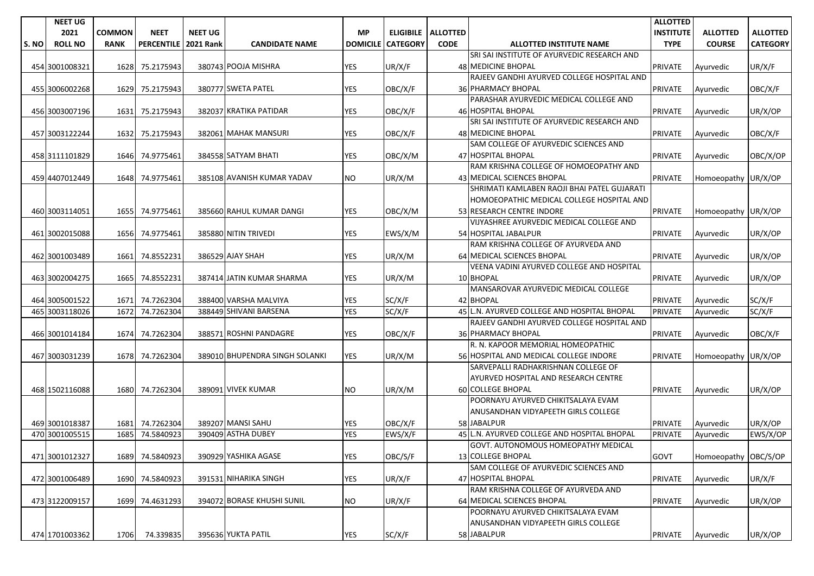|       | <b>NEET UG</b> |               |                   |                  |                                |                 |                 |                      |                                             | <b>ALLOTTED</b>  |                      |                 |
|-------|----------------|---------------|-------------------|------------------|--------------------------------|-----------------|-----------------|----------------------|---------------------------------------------|------------------|----------------------|-----------------|
|       | 2021           | <b>COMMON</b> | <b>NEET</b>       | <b>NEET UG</b>   |                                | <b>MP</b>       |                 | ELIGIBILE   ALLOTTED |                                             | <b>INSTITUTE</b> | <b>ALLOTTED</b>      | <b>ALLOTTED</b> |
| S. NO | <b>ROLL NO</b> | <b>RANK</b>   | <b>PERCENTILE</b> | <b>2021 Rank</b> | <b>CANDIDATE NAME</b>          | <b>DOMICILE</b> | <b>CATEGORY</b> | <b>CODE</b>          | <b>ALLOTTED INSTITUTE NAME</b>              | <b>TYPE</b>      | <b>COURSE</b>        | <b>CATEGORY</b> |
|       |                |               |                   |                  |                                |                 |                 |                      | SRI SAI INSTITUTE OF AYURVEDIC RESEARCH AND |                  |                      |                 |
|       | 454 3001008321 | 1628          | 75.2175943        |                  | 380743 POOJA MISHRA            | <b>YES</b>      | UR/X/F          |                      | <b>48 MEDICINE BHOPAL</b>                   | PRIVATE          | Ayurvedic            | UR/X/F          |
|       |                |               |                   |                  |                                |                 |                 |                      | RAJEEV GANDHI AYURVED COLLEGE HOSPITAL AND  |                  |                      |                 |
|       | 455 3006002268 | 1629          | 75.2175943        |                  | 380777 SWETA PATEL             | <b>YES</b>      | OBC/X/F         |                      | 36 PHARMACY BHOPAL                          | <b>PRIVATE</b>   | Ayurvedic            | OBC/X/F         |
|       |                |               |                   |                  |                                |                 |                 |                      | PARASHAR AYURVEDIC MEDICAL COLLEGE AND      |                  |                      |                 |
|       | 456 3003007196 | 1631          | 75.2175943        |                  | 382037 KRATIKA PATIDAR         | <b>YES</b>      | OBC/X/F         |                      | 46 HOSPITAL BHOPAL                          | <b>PRIVATE</b>   | Ayurvedic            | UR/X/OP         |
|       |                |               |                   |                  |                                |                 |                 |                      | SRI SAI INSTITUTE OF AYURVEDIC RESEARCH AND |                  |                      |                 |
|       | 457 3003122244 | 1632          | 75.2175943        |                  | 382061 MAHAK MANSURI           | YES             | OBC/X/F         |                      | 48 MEDICINE BHOPAL                          | <b>PRIVATE</b>   | Ayurvedic            | OBC/X/F         |
|       |                |               |                   |                  |                                |                 |                 |                      | SAM COLLEGE OF AYURVEDIC SCIENCES AND       |                  |                      |                 |
|       | 458 3111101829 | 1646          | 74.9775461        |                  | 384558 SATYAM BHATI            | <b>YES</b>      | OBC/X/M         |                      | 47 HOSPITAL BHOPAL                          | <b>PRIVATE</b>   | Ayurvedic            | OBC/X/OP        |
|       |                |               |                   |                  |                                |                 |                 |                      | RAM KRISHNA COLLEGE OF HOMOEOPATHY AND      |                  |                      |                 |
|       | 459 4407012449 | 1648          | 74.9775461        |                  | 385108 AVANISH KUMAR YADAV     | <b>NO</b>       | UR/X/M          |                      | 43 MEDICAL SCIENCES BHOPAL                  | <b>PRIVATE</b>   | Homoeopathy UR/X/OP  |                 |
|       |                |               |                   |                  |                                |                 |                 |                      | SHRIMATI KAMLABEN RAOJI BHAI PATEL GUJARATI |                  |                      |                 |
|       |                |               |                   |                  |                                |                 |                 |                      | HOMOEOPATHIC MEDICAL COLLEGE HOSPITAL AND   |                  |                      |                 |
|       | 460 3003114051 | 1655          | 74.9775461        |                  | 385660 RAHUL KUMAR DANGI       | <b>YES</b>      | OBC/X/M         |                      | 53 RESEARCH CENTRE INDORE                   | <b>PRIVATE</b>   | Homoeopathy UR/X/OP  |                 |
|       |                |               |                   |                  |                                |                 |                 |                      | VIJYASHREE AYURVEDIC MEDICAL COLLEGE AND    |                  |                      |                 |
|       | 461 3002015088 | 1656          | 74.9775461        |                  | 385880 NITIN TRIVEDI           | YES             | EWS/X/M         |                      | 54 HOSPITAL JABALPUR                        | <b>PRIVATE</b>   | Avurvedic            | UR/X/OP         |
|       |                |               |                   |                  |                                |                 |                 |                      | RAM KRISHNA COLLEGE OF AYURVEDA AND         |                  |                      |                 |
|       | 462 3001003489 | 1661          | 74.8552231        |                  | 386529 AJAY SHAH               | YES             | UR/X/M          |                      | 64 MEDICAL SCIENCES BHOPAL                  | <b>PRIVATE</b>   | Ayurvedic            | UR/X/OP         |
|       |                |               |                   |                  |                                |                 |                 |                      | VEENA VADINI AYURVED COLLEGE AND HOSPITAL   |                  |                      |                 |
|       | 463 3002004275 | 1665          | 74.8552231        |                  | 387414 JATIN KUMAR SHARMA      | YES             | UR/X/M          |                      | 10 BHOPAL                                   | <b>PRIVATE</b>   | Ayurvedic            | UR/X/OP         |
|       |                |               |                   |                  |                                |                 |                 |                      | MANSAROVAR AYURVEDIC MEDICAL COLLEGE        |                  |                      |                 |
|       | 464 3005001522 | 1671          | 74.7262304        |                  | 388400 VARSHA MALVIYA          | YES             | SC/X/F          |                      | 42 BHOPAL                                   | <b>PRIVATE</b>   | Ayurvedic            | SC/X/F          |
|       | 465 3003118026 | 1672          | 74.7262304        |                  | 388449 SHIVANI BARSENA         | <b>YES</b>      | SC/X/F          |                      | 45 L.N. AYURVED COLLEGE AND HOSPITAL BHOPAL | <b>PRIVATE</b>   | Ayurvedic            | SC/X/F          |
|       |                |               |                   |                  |                                |                 |                 |                      | RAJEEV GANDHI AYURVED COLLEGE HOSPITAL AND  |                  |                      |                 |
|       | 466 3001014184 | 1674          | 74.7262304        |                  | 388571 ROSHNI PANDAGRE         | YES             | OBC/X/F         |                      | 36 PHARMACY BHOPAL                          | <b>PRIVATE</b>   | Ayurvedic            | OBC/X/F         |
|       |                |               |                   |                  |                                |                 |                 |                      | R. N. KAPOOR MEMORIAL HOMEOPATHIC           |                  |                      |                 |
|       | 467 3003031239 | 1678          | 74.7262304        |                  | 389010 BHUPENDRA SINGH SOLANKI | <b>YES</b>      | UR/X/M          |                      | 56 HOSPITAL AND MEDICAL COLLEGE INDORE      | <b>PRIVATE</b>   | Homoeopathy UR/X/OP  |                 |
|       |                |               |                   |                  |                                |                 |                 |                      | SARVEPALLI RADHAKRISHNAN COLLEGE OF         |                  |                      |                 |
|       |                |               |                   |                  |                                |                 |                 |                      | AYURVED HOSPITAL AND RESEARCH CENTRE        |                  |                      |                 |
|       | 468 1502116088 |               | 1680 74.7262304   |                  | 389091 VIVEK KUMAR             | <b>NO</b>       | UR/X/M          |                      | <b>60 COLLEGE BHOPAL</b>                    | <b>PRIVATE</b>   | Avurvedic            | UR/X/OP         |
|       |                |               |                   |                  |                                |                 |                 |                      | POORNAYU AYURVED CHIKITSALAYA EVAM          |                  |                      |                 |
|       |                |               |                   |                  |                                |                 |                 |                      | ANUSANDHAN VIDYAPEETH GIRLS COLLEGE         |                  |                      |                 |
|       | 469 3001018387 | 1681          | 74.7262304        |                  | 389207 MANSI SAHU              | <b>YES</b>      | OBC/X/F         |                      | 58 JABALPUR                                 | <b>PRIVATE</b>   | Ayurvedic            | UR/X/OP         |
|       | 470 3001005515 | 1685          | 74.5840923        |                  | 390409 ASTHA DUBEY             | <b>YES</b>      | EWS/X/F         |                      | 45 L.N. AYURVED COLLEGE AND HOSPITAL BHOPAL | PRIVATE          | Ayurvedic            | EWS/X/OP        |
|       |                |               |                   |                  |                                |                 |                 |                      | GOVT. AUTONOMOUS HOMEOPATHY MEDICAL         |                  |                      |                 |
|       | 471 3001012327 | 1689          | 74.5840923        |                  | 390929 YASHIKA AGASE           | <b>YES</b>      | OBC/S/F         |                      | 13 COLLEGE BHOPAL                           | <b>GOVT</b>      | Homoeopathy OBC/S/OP |                 |
|       |                |               |                   |                  |                                |                 |                 |                      | SAM COLLEGE OF AYURVEDIC SCIENCES AND       |                  |                      |                 |
|       | 472 3001006489 | 1690          | 74.5840923        |                  | 391531 NIHARIKA SINGH          | <b>YES</b>      | UR/X/F          |                      | 47 HOSPITAL BHOPAL                          | <b>PRIVATE</b>   | Avurvedic            | UR/X/F          |
|       |                |               |                   |                  |                                |                 |                 |                      | RAM KRISHNA COLLEGE OF AYURVEDA AND         |                  |                      |                 |
|       | 473 3122009157 | 1699          | 74.4631293        |                  | 394072 BORASE KHUSHI SUNIL     | <b>NO</b>       | UR/X/F          |                      | 64 MEDICAL SCIENCES BHOPAL                  | <b>PRIVATE</b>   | Avurvedic            | UR/X/OP         |
|       |                |               |                   |                  |                                |                 |                 |                      | POORNAYU AYURVED CHIKITSALAYA EVAM          |                  |                      |                 |
|       |                |               |                   |                  |                                |                 |                 |                      | ANUSANDHAN VIDYAPEETH GIRLS COLLEGE         |                  |                      |                 |
|       | 474 1701003362 | 1706          | 74.339835         |                  | 395636 YUKTA PATIL             | <b>YES</b>      | SC/X/F          |                      | 58 JABALPUR                                 | <b>PRIVATE</b>   | Ayurvedic            | UR/X/OP         |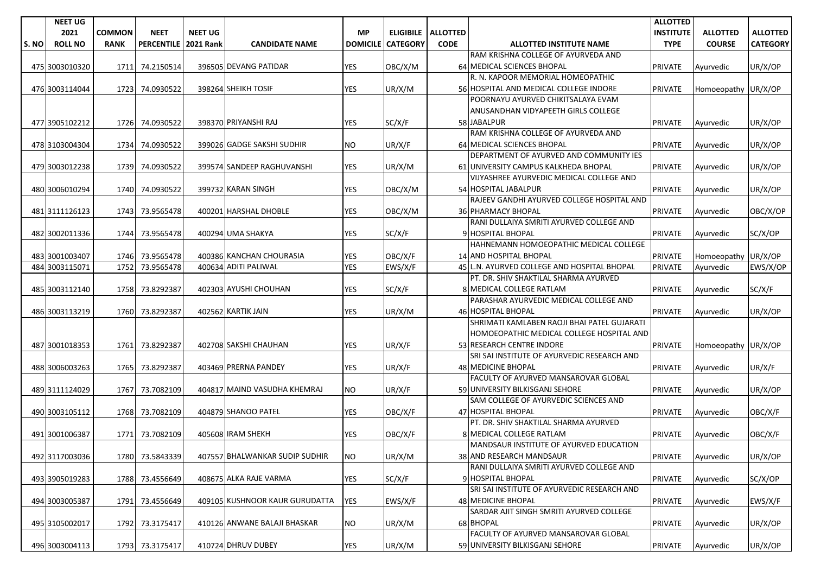|       | <b>NEET UG</b> |               |                      |                |                                |                 |                 |                      |                                             | <b>ALLOTTED</b>  |                     |                 |
|-------|----------------|---------------|----------------------|----------------|--------------------------------|-----------------|-----------------|----------------------|---------------------------------------------|------------------|---------------------|-----------------|
|       | 2021           | <b>COMMON</b> | <b>NEET</b>          | <b>NEET UG</b> |                                | <b>MP</b>       |                 | ELIGIBILE   ALLOTTED |                                             | <b>INSTITUTE</b> | <b>ALLOTTED</b>     | <b>ALLOTTED</b> |
| S. NO | <b>ROLL NO</b> | <b>RANK</b>   | PERCENTILE 2021 Rank |                | <b>CANDIDATE NAME</b>          | <b>DOMICILE</b> | <b>CATEGORY</b> | <b>CODE</b>          | <b>ALLOTTED INSTITUTE NAME</b>              | <b>TYPE</b>      | <b>COURSE</b>       | <b>CATEGORY</b> |
|       |                |               |                      |                |                                |                 |                 |                      | RAM KRISHNA COLLEGE OF AYURVEDA AND         |                  |                     |                 |
|       | 475 3003010320 | 1711          | 74.2150514           |                | 396505 DEVANG PATIDAR          | <b>YES</b>      | OBC/X/M         |                      | 64 MEDICAL SCIENCES BHOPAL                  | <b>PRIVATE</b>   | Ayurvedic           | UR/X/OP         |
|       |                |               |                      |                |                                |                 |                 |                      | R. N. KAPOOR MEMORIAL HOMEOPATHIC           |                  |                     |                 |
|       | 476 3003114044 | 1723          | 74.0930522           |                | 398264 SHEIKH TOSIF            | <b>YES</b>      | UR/X/M          |                      | 56 HOSPITAL AND MEDICAL COLLEGE INDORE      | <b>PRIVATE</b>   | Homoeopathy UR/X/OP |                 |
|       |                |               |                      |                |                                |                 |                 |                      | POORNAYU AYURVED CHIKITSALAYA EVAM          |                  |                     |                 |
|       |                |               |                      |                |                                |                 |                 |                      | ANUSANDHAN VIDYAPEETH GIRLS COLLEGE         |                  |                     |                 |
|       | 477 3905102212 |               | 1726 74.0930522      |                | 398370 PRIYANSHI RAJ           | <b>YES</b>      | SC/X/F          |                      | 58 JABALPUR                                 | <b>PRIVATE</b>   | Ayurvedic           | UR/X/OP         |
|       |                |               |                      |                |                                |                 |                 |                      | RAM KRISHNA COLLEGE OF AYURVEDA AND         |                  |                     |                 |
|       | 478 3103004304 | 1734          | 74.0930522           |                | 399026 GADGE SAKSHI SUDHIR     | NO.             | UR/X/F          |                      | 64 MEDICAL SCIENCES BHOPAL                  | <b>PRIVATE</b>   | Ayurvedic           | UR/X/OP         |
|       |                |               |                      |                |                                |                 |                 |                      | DEPARTMENT OF AYURVED AND COMMUNITY IES     |                  |                     |                 |
|       | 479 3003012238 | 1739          | 74.0930522           |                | 399574 SANDEEP RAGHUVANSHI     | <b>YES</b>      | UR/X/M          |                      | 61 UNIVERSITY CAMPUS KALKHEDA BHOPAL        | <b>PRIVATE</b>   | Ayurvedic           | UR/X/OP         |
|       |                |               |                      |                |                                |                 |                 |                      | VIJYASHREE AYURVEDIC MEDICAL COLLEGE AND    |                  |                     |                 |
|       | 480 3006010294 | 1740          | 74.0930522           |                | 399732 KARAN SINGH             | <b>YES</b>      | OBC/X/M         |                      | 54 HOSPITAL JABALPUR                        | <b>PRIVATE</b>   | Ayurvedic           | UR/X/OP         |
|       |                |               |                      |                |                                |                 |                 |                      | RAJEEV GANDHI AYURVED COLLEGE HOSPITAL AND  |                  |                     |                 |
|       | 481 3111126123 | 1743          | 73.9565478           |                | 400201 HARSHAL DHOBLE          | YES             | OBC/X/M         |                      | <b>36 PHARMACY BHOPAL</b>                   | <b>PRIVATE</b>   | Ayurvedic           | OBC/X/OP        |
|       |                |               |                      |                |                                |                 |                 |                      | RANI DULLAIYA SMRITI AYURVED COLLEGE AND    |                  |                     |                 |
|       | 482 3002011336 | 1744          | 73.9565478           |                | 400294 UMA SHAKYA              | YES             | SC/X/F          |                      | 9 HOSPITAL BHOPAL                           | <b>PRIVATE</b>   | Ayurvedic           | SC/X/OP         |
|       |                |               |                      |                |                                |                 |                 |                      | HAHNEMANN HOMOEOPATHIC MEDICAL COLLEGE      |                  |                     |                 |
|       | 483 3001003407 |               | 1746 73.9565478      |                | 400386 KANCHAN CHOURASIA       | <b>YES</b>      | OBC/X/F         |                      | 14 AND HOSPITAL BHOPAL                      | <b>PRIVATE</b>   | Homoeopathy UR/X/OP |                 |
|       | 484 3003115071 | 1752          | 73.9565478           |                | 400634 ADITI PALIWAL           | <b>YES</b>      | EWS/X/F         |                      | 45 L.N. AYURVED COLLEGE AND HOSPITAL BHOPAL | PRIVATE          | Ayurvedic           | EWS/X/OP        |
|       |                |               |                      |                |                                |                 |                 |                      | PT. DR. SHIV SHAKTILAL SHARMA AYURVED       |                  |                     |                 |
|       | 485 3003112140 | 1758          | 73.8292387           |                | 402303 AYUSHI CHOUHAN          | YES             | SC/X/F          |                      | 8 MEDICAL COLLEGE RATLAM                    | <b>PRIVATE</b>   | Ayurvedic           | SC/X/F          |
|       |                |               |                      |                |                                |                 |                 |                      | PARASHAR AYURVEDIC MEDICAL COLLEGE AND      |                  |                     |                 |
|       | 486 3003113219 | 1760          | 73.8292387           |                | 402562 KARTIK JAIN             | YES             | UR/X/M          |                      | 46 HOSPITAL BHOPAL                          | <b>PRIVATE</b>   | Ayurvedic           | UR/X/OP         |
|       |                |               |                      |                |                                |                 |                 |                      | SHRIMATI KAMLABEN RAOJI BHAI PATEL GUJARATI |                  |                     |                 |
|       |                |               |                      |                |                                |                 |                 |                      | HOMOEOPATHIC MEDICAL COLLEGE HOSPITAL AND   |                  |                     |                 |
|       | 487 3001018353 | 1761          | 73.8292387           |                | 402708 SAKSHI CHAUHAN          | <b>YES</b>      | UR/X/F          |                      | 53 RESEARCH CENTRE INDORE                   | <b>PRIVATE</b>   | Homoeopathy UR/X/OP |                 |
|       |                |               |                      |                |                                |                 |                 |                      | SRI SAI INSTITUTE OF AYURVEDIC RESEARCH AND |                  |                     |                 |
|       | 488 3006003263 | 1765          | 73.8292387           |                | 403469 PRERNA PANDEY           | <b>YES</b>      | UR/X/F          |                      | 48 MEDICINE BHOPAL                          | <b>PRIVATE</b>   | Ayurvedic           | UR/X/F          |
|       |                |               |                      |                |                                |                 |                 |                      | FACULTY OF AYURVED MANSAROVAR GLOBAL        |                  |                     |                 |
|       | 489 3111124029 | 1767          | 73.7082109           |                | 404817 MAIND VASUDHA KHEMRAJ   | NO.             | UR/X/F          |                      | 59 UNIVERSITY BILKISGANJ SEHORE             | <b>PRIVATE</b>   | Ayurvedic           | UR/X/OP         |
|       |                |               |                      |                |                                |                 |                 |                      | SAM COLLEGE OF AYURVEDIC SCIENCES AND       |                  |                     |                 |
|       | 490 3003105112 | 1768          | 73.7082109           |                | 404879 SHANOO PATEL            | YES             | OBC/X/F         |                      | 47 HOSPITAL BHOPAL                          | <b>PRIVATE</b>   | Ayurvedic           | OBC/X/F         |
|       |                |               |                      |                |                                |                 |                 |                      | PT. DR. SHIV SHAKTILAL SHARMA AYURVED       |                  |                     |                 |
|       | 491 3001006387 | 1771          | 73.7082109           |                | 405608 IRAM SHEKH              | <b>YES</b>      | OBC/X/F         |                      | 8 MEDICAL COLLEGE RATLAM                    | <b>PRIVATE</b>   | Ayurvedic           | OBC/X/F         |
|       |                |               |                      |                |                                |                 |                 |                      | MANDSAUR INSTITUTE OF AYURVED EDUCATION     |                  |                     |                 |
|       | 492 3117003036 |               | 1780 73.5843339      |                | 407557 BHALWANKAR SUDIP SUDHIR | <b>NO</b>       | UR/X/M          |                      | 38 AND RESEARCH MANDSAUR                    | <b>PRIVATE</b>   | Ayurvedic           | UR/X/OP         |
|       |                |               |                      |                |                                |                 |                 |                      | RANI DULLAIYA SMRITI AYURVED COLLEGE AND    |                  |                     |                 |
|       | 493 3905019283 |               | 1788 73.4556649      |                | 408675 ALKA RAJE VARMA         | <b>YES</b>      | SC/X/F          |                      | 9 HOSPITAL BHOPAL                           | <b>PRIVATE</b>   | Ayurvedic           | SC/X/OP         |
|       |                |               |                      |                |                                |                 |                 |                      | SRI SAI INSTITUTE OF AYURVEDIC RESEARCH AND |                  |                     |                 |
|       | 494 3003005387 | 1791          | 73.4556649           |                | 409105 KUSHNOOR KAUR GURUDATTA | YES             | EWS/X/F         |                      | 48 MEDICINE BHOPAL                          | <b>PRIVATE</b>   | Ayurvedic           | EWS/X/F         |
|       |                |               |                      |                |                                |                 |                 |                      | SARDAR AJIT SINGH SMRITI AYURVED COLLEGE    |                  |                     |                 |
|       | 495 3105002017 | 1792          | 73.3175417           |                | 410126 ANWANE BALAJI BHASKAR   | <b>NO</b>       | UR/X/M          |                      | 68 BHOPAL                                   | <b>PRIVATE</b>   | Ayurvedic           | UR/X/OP         |
|       |                |               |                      |                |                                |                 |                 |                      | FACULTY OF AYURVED MANSAROVAR GLOBAL        |                  |                     |                 |
|       | 496 3003004113 |               | 1793 73.3175417      |                | 410724 DHRUV DUBEY             | YES             | UR/X/M          |                      | 59 UNIVERSITY BILKISGANJ SEHORE             | <b>PRIVATE</b>   | Ayurvedic           | UR/X/OP         |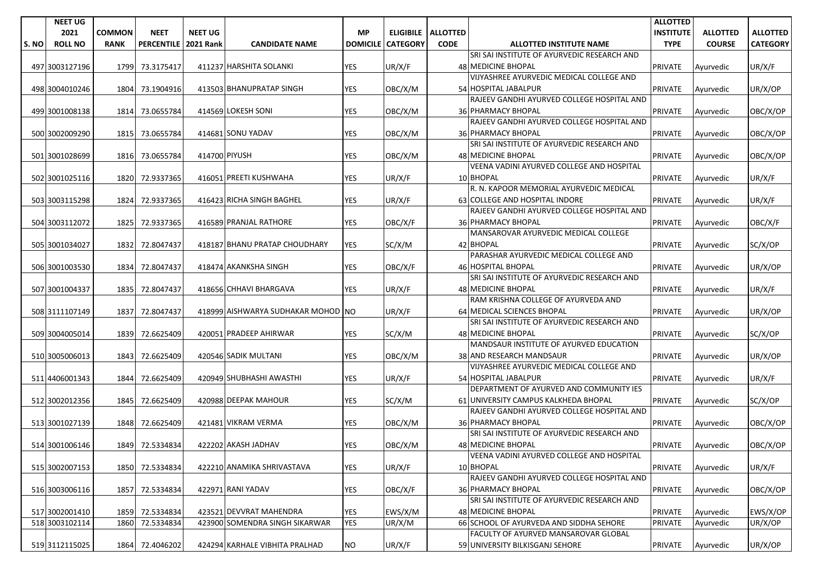|      | <b>NEET UG</b> |               |                   |                  |                                    |                 |                 |                             |                                                                 | <b>ALLOTTED</b>  |                 |                 |
|------|----------------|---------------|-------------------|------------------|------------------------------------|-----------------|-----------------|-----------------------------|-----------------------------------------------------------------|------------------|-----------------|-----------------|
|      | 2021           | <b>COMMON</b> | <b>NEET</b>       | <b>NEET UG</b>   |                                    | <b>MP</b>       |                 | <b>ELIGIBILE   ALLOTTED</b> |                                                                 | <b>INSTITUTE</b> | <b>ALLOTTED</b> | <b>ALLOTTED</b> |
| S.NO | <b>ROLL NO</b> | <b>RANK</b>   | <b>PERCENTILE</b> | <b>2021 Rank</b> | <b>CANDIDATE NAME</b>              | <b>DOMICILE</b> | <b>CATEGORY</b> | <b>CODE</b>                 | <b>ALLOTTED INSTITUTE NAME</b>                                  | <b>TYPE</b>      | <b>COURSE</b>   | <b>CATEGORY</b> |
|      |                |               |                   |                  |                                    |                 |                 |                             | SRI SAI INSTITUTE OF AYURVEDIC RESEARCH AND                     |                  |                 |                 |
|      | 497 3003127196 | 1799          | 73.3175417        |                  | 411237 HARSHITA SOLANKI            | <b>YES</b>      | UR/X/F          |                             | <b>48 MEDICINE BHOPAL</b>                                       | <b>PRIVATE</b>   | Ayurvedic       | UR/X/F          |
|      |                |               |                   |                  |                                    |                 |                 |                             | VIJYASHREE AYURVEDIC MEDICAL COLLEGE AND                        |                  |                 |                 |
|      | 498 3004010246 |               | 1804 73.1904916   |                  | 413503 BHANUPRATAP SINGH           | <b>YES</b>      | OBC/X/M         |                             | 54 HOSPITAL JABALPUR                                            | <b>PRIVATE</b>   | Ayurvedic       | UR/X/OP         |
|      |                |               |                   |                  |                                    |                 |                 |                             | RAJEEV GANDHI AYURVED COLLEGE HOSPITAL AND                      |                  |                 |                 |
|      | 499 3001008138 |               | 1814 73.0655784   |                  | 414569 LOKESH SONI                 | <b>YES</b>      | OBC/X/M         |                             | 36 PHARMACY BHOPAL                                              | <b>PRIVATE</b>   | Ayurvedic       | OBC/X/OP        |
|      |                |               |                   |                  |                                    |                 |                 |                             | RAJEEV GANDHI AYURVED COLLEGE HOSPITAL AND                      |                  |                 |                 |
|      | 500 3002009290 | 1815          | 73.0655784        |                  | 414681 SONU YADAV                  | YES             | OBC/X/M         |                             | 36 PHARMACY BHOPAL                                              | <b>PRIVATE</b>   | Ayurvedic       | OBC/X/OP        |
|      |                |               |                   |                  |                                    |                 |                 |                             | SRI SAI INSTITUTE OF AYURVEDIC RESEARCH AND                     |                  |                 |                 |
|      | 501 3001028699 | 1816          | 73.0655784        | 414700 PIYUSH    |                                    | <b>YES</b>      | OBC/X/M         |                             | 48 MEDICINE BHOPAL                                              | <b>PRIVATE</b>   | Ayurvedic       | OBC/X/OP        |
|      |                |               |                   |                  |                                    |                 |                 |                             | VEENA VADINI AYURVED COLLEGE AND HOSPITAL                       |                  |                 |                 |
|      | 502 3001025116 |               | 1820 72.9337365   |                  | 416051 PREETI KUSHWAHA             | <b>YES</b>      | UR/X/F          |                             | 10 BHOPAL                                                       | <b>PRIVATE</b>   | Ayurvedic       | UR/X/F          |
|      |                |               |                   |                  |                                    |                 |                 |                             | R. N. KAPOOR MEMORIAL AYURVEDIC MEDICAL                         |                  |                 |                 |
|      | 503 3003115298 | 1824          | 72.9337365        |                  | 416423 RICHA SINGH BAGHEL          | <b>YES</b>      | UR/X/F          |                             | 63 COLLEGE AND HOSPITAL INDORE                                  | <b>PRIVATE</b>   | Ayurvedic       | UR/X/F          |
|      |                |               |                   |                  |                                    |                 |                 |                             | RAJEEV GANDHI AYURVED COLLEGE HOSPITAL AND                      |                  |                 |                 |
|      | 504 3003112072 | 1825          | 72.9337365        |                  | 416589 PRANJAL RATHORE             | <b>YES</b>      | OBC/X/F         |                             | <b>36 PHARMACY BHOPAL</b>                                       | <b>PRIVATE</b>   | Ayurvedic       | OBC/X/F         |
|      |                |               |                   |                  |                                    |                 |                 |                             | MANSAROVAR AYURVEDIC MEDICAL COLLEGE                            |                  |                 |                 |
|      | 505 3001034027 |               | 1832 72.8047437   |                  | 418187 BHANU PRATAP CHOUDHARY      | <b>YES</b>      | SC/X/M          |                             | 42 BHOPAL                                                       | <b>PRIVATE</b>   | Avurvedic       | SC/X/OP         |
|      |                |               |                   |                  |                                    |                 |                 |                             | PARASHAR AYURVEDIC MEDICAL COLLEGE AND                          |                  |                 |                 |
|      | 506 3001003530 |               | 1834 72.8047437   |                  | 418474 AKANKSHA SINGH              | YES             | OBC/X/F         |                             | 46 HOSPITAL BHOPAL                                              | <b>PRIVATE</b>   | Ayurvedic       | UR/X/OP         |
|      |                |               |                   |                  |                                    |                 |                 |                             | SRI SAI INSTITUTE OF AYURVEDIC RESEARCH AND                     |                  |                 |                 |
|      | 507 3001004337 | 1835          | 72.8047437        |                  | 418656 CHHAVI BHARGAVA             | <b>YES</b>      | UR/X/F          |                             | 48 MEDICINE BHOPAL                                              | <b>PRIVATE</b>   | Ayurvedic       | UR/X/F          |
|      |                |               |                   |                  |                                    |                 |                 |                             | RAM KRISHNA COLLEGE OF AYURVEDA AND                             |                  |                 |                 |
|      | 508 3111107149 |               | 1837 72.8047437   |                  | 418999 AISHWARYA SUDHAKAR MOHOD NO |                 | UR/X/F          |                             | 64 MEDICAL SCIENCES BHOPAL                                      | <b>PRIVATE</b>   | Ayurvedic       | UR/X/OP         |
|      |                |               |                   |                  |                                    |                 |                 |                             | SRI SAI INSTITUTE OF AYURVEDIC RESEARCH AND                     |                  |                 |                 |
|      |                |               |                   |                  | 420051 PRADEEP AHIRWAR             | <b>YES</b>      |                 |                             | 48 MEDICINE BHOPAL                                              |                  |                 |                 |
|      | 509 3004005014 | 1839          | 72.6625409        |                  |                                    |                 | SC/X/M          |                             | MANDSAUR INSTITUTE OF AYURVED EDUCATION                         | <b>PRIVATE</b>   | Ayurvedic       | SC/X/OP         |
|      |                |               |                   |                  | 420546 SADIK MULTANI               | <b>YES</b>      |                 |                             | 38 AND RESEARCH MANDSAUR                                        |                  |                 |                 |
|      | 510 3005006013 | 1843          | 72.6625409        |                  |                                    |                 | OBC/X/M         |                             | VIJYASHREE AYURVEDIC MEDICAL COLLEGE AND                        | <b>PRIVATE</b>   | Ayurvedic       | UR/X/OP         |
|      |                |               |                   |                  |                                    |                 |                 |                             |                                                                 |                  |                 |                 |
|      | 511 4406001343 | 1844          | 72.6625409        |                  | 420949 SHUBHASHI AWASTHI           | YES             | UR/X/F          |                             | 54 HOSPITAL JABALPUR<br>DEPARTMENT OF AYURVED AND COMMUNITY IES | <b>PRIVATE</b>   | Ayurvedic       | UR/X/F          |
|      |                |               |                   |                  |                                    |                 |                 |                             |                                                                 |                  |                 |                 |
|      | 512 3002012356 | 1845          | 72.6625409        |                  | 420988 DEEPAK MAHOUR               | YES             | SC/X/M          |                             | 61 UNIVERSITY CAMPUS KALKHEDA BHOPAL                            | <b>PRIVATE</b>   | Ayurvedic       | SC/X/OP         |
|      |                |               |                   |                  |                                    |                 |                 |                             | RAJEEV GANDHI AYURVED COLLEGE HOSPITAL AND                      |                  |                 |                 |
|      | 513 3001027139 | 1848          | 72.6625409        |                  | 421481 VIKRAM VERMA                | <b>YES</b>      | OBC/X/M         |                             | 36 PHARMACY BHOPAL                                              | <b>PRIVATE</b>   | Ayurvedic       | OBC/X/OP        |
|      |                |               |                   |                  |                                    |                 |                 |                             | SRI SAI INSTITUTE OF AYURVEDIC RESEARCH AND                     |                  |                 |                 |
|      | 514 3001006146 |               | 1849 72.5334834   |                  | 422202 AKASH JADHAV                | <b>YES</b>      | OBC/X/M         |                             | 48 MEDICINE BHOPAL                                              | <b>PRIVATE</b>   | Ayurvedic       | OBC/X/OP        |
|      |                |               |                   |                  |                                    |                 |                 |                             | VEENA VADINI AYURVED COLLEGE AND HOSPITAL                       |                  |                 |                 |
|      | 515 3002007153 | 1850          | 72.5334834        |                  | 422210 ANAMIKA SHRIVASTAVA         | YES             | UR/X/F          |                             | 10 BHOPAL                                                       | <b>PRIVATE</b>   | Ayurvedic       | UR/X/F          |
|      |                |               |                   |                  |                                    |                 |                 |                             | RAJEEV GANDHI AYURVED COLLEGE HOSPITAL AND                      |                  |                 |                 |
|      | 516 3003006116 | 1857          | 72.5334834        |                  | 422971 RANI YADAV                  | YES             | OBC/X/F         |                             | 36 PHARMACY BHOPAL                                              | PRIVATE          | Avurvedic       | OBC/X/OP        |
|      |                |               |                   |                  |                                    |                 |                 |                             | SRI SAI INSTITUTE OF AYURVEDIC RESEARCH AND                     |                  |                 |                 |
|      | 517 3002001410 | 1859          | 72.5334834        |                  | 423521 DEVVRAT MAHENDRA            | YES             | EWS/X/M         |                             | 48 MEDICINE BHOPAL                                              | <b>PRIVATE</b>   | Ayurvedic       | EWS/X/OP        |
|      | 518 3003102114 | 1860          | 72.5334834        |                  | 423900 SOMENDRA SINGH SIKARWAR     | <b>YES</b>      | UR/X/M          |                             | 66 SCHOOL OF AYURVEDA AND SIDDHA SEHORE                         | <b>PRIVATE</b>   | Ayurvedic       | UR/X/OP         |
|      |                |               |                   |                  |                                    |                 |                 |                             | FACULTY OF AYURVED MANSAROVAR GLOBAL                            |                  |                 |                 |
|      | 519 3112115025 |               | 1864 72.4046202   |                  | 424294 KARHALE VIBHITA PRALHAD     | <b>NO</b>       | UR/X/F          |                             | 59 UNIVERSITY BILKISGANJ SEHORE                                 | <b>PRIVATE</b>   | Ayurvedic       | UR/X/OP         |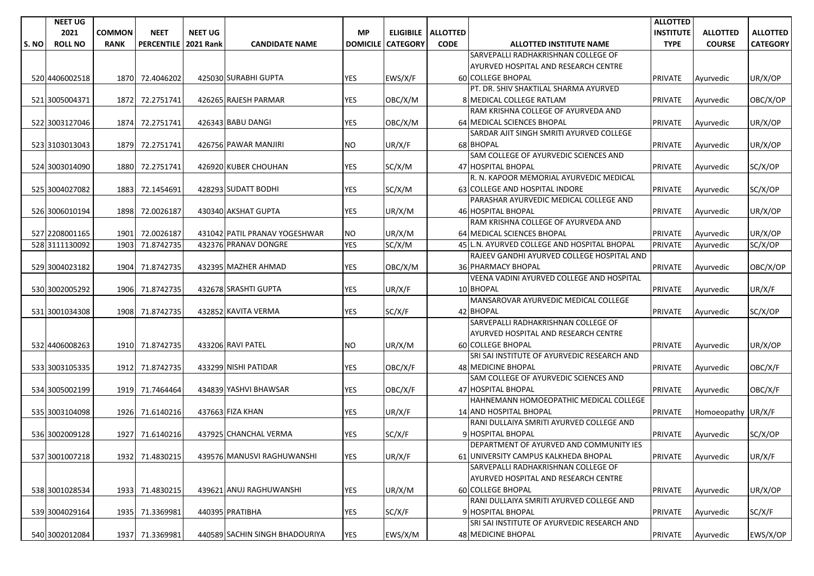|       | <b>NEET UG</b> |               |                   |                  |                                |                 |                 |                             |                                                                         | <b>ALLOTTED</b>  |                    |                 |
|-------|----------------|---------------|-------------------|------------------|--------------------------------|-----------------|-----------------|-----------------------------|-------------------------------------------------------------------------|------------------|--------------------|-----------------|
|       | 2021           | <b>COMMON</b> | <b>NEET</b>       | <b>NEET UG</b>   |                                | <b>MP</b>       |                 | <b>ELIGIBILE   ALLOTTED</b> |                                                                         | <b>INSTITUTE</b> | <b>ALLOTTED</b>    | <b>ALLOTTED</b> |
| S. NO | <b>ROLL NO</b> | <b>RANK</b>   | <b>PERCENTILE</b> | <b>2021 Rank</b> | <b>CANDIDATE NAME</b>          | <b>DOMICILE</b> | <b>CATEGORY</b> | <b>CODE</b>                 | <b>ALLOTTED INSTITUTE NAME</b>                                          | <b>TYPE</b>      | <b>COURSE</b>      | <b>CATEGORY</b> |
|       |                |               |                   |                  |                                |                 |                 |                             | SARVEPALLI RADHAKRISHNAN COLLEGE OF                                     |                  |                    |                 |
|       |                |               |                   |                  |                                |                 |                 |                             | AYURVED HOSPITAL AND RESEARCH CENTRE                                    |                  |                    |                 |
|       | 520 4406002518 |               | 1870 72.4046202   |                  | 425030 SURABHI GUPTA           | <b>YES</b>      | EWS/X/F         |                             | <b>60 COLLEGE BHOPAL</b>                                                | <b>PRIVATE</b>   | Ayurvedic          | UR/X/OP         |
|       |                |               |                   |                  |                                |                 |                 |                             | PT. DR. SHIV SHAKTILAL SHARMA AYURVED                                   |                  |                    |                 |
|       | 521 3005004371 | 1872          | 72.2751741        |                  | 426265 RAJESH PARMAR           | YES             | OBC/X/M         |                             | 8 MEDICAL COLLEGE RATLAM                                                | <b>PRIVATE</b>   | Ayurvedic          | OBC/X/OP        |
|       |                |               |                   |                  |                                |                 |                 |                             | RAM KRISHNA COLLEGE OF AYURVEDA AND                                     |                  |                    |                 |
|       | 522 3003127046 |               | 1874 72.2751741   |                  | 426343 BABU DANGI              | YES             | OBC/X/M         |                             | 64 MEDICAL SCIENCES BHOPAL                                              | <b>PRIVATE</b>   | Ayurvedic          | UR/X/OP         |
|       |                |               |                   |                  |                                |                 |                 |                             | SARDAR AJIT SINGH SMRITI AYURVED COLLEGE                                |                  |                    |                 |
|       | 523 3103013043 | 1879          | 72.2751741        |                  | 426756 PAWAR MANJIRI           | NO.             | UR/X/F          |                             | 68 BHOPAL                                                               | <b>PRIVATE</b>   | Ayurvedic          | UR/X/OP         |
|       |                |               |                   |                  |                                |                 |                 |                             | SAM COLLEGE OF AYURVEDIC SCIENCES AND                                   |                  |                    |                 |
|       | 524 3003014090 | 1880          | 72.2751741        |                  | 426920 KUBER CHOUHAN           | <b>YES</b>      | SC/X/M          |                             | 47 HOSPITAL BHOPAL                                                      | <b>PRIVATE</b>   | Ayurvedic          | SC/X/OP         |
|       |                |               |                   |                  |                                |                 |                 |                             | R. N. KAPOOR MEMORIAL AYURVEDIC MEDICAL                                 |                  |                    |                 |
|       | 525 3004027082 | 1883          | 72.1454691        |                  | 428293 SUDATT BODHI            | <b>YES</b>      | SC/X/M          |                             | 63 COLLEGE AND HOSPITAL INDORE                                          | <b>PRIVATE</b>   | Ayurvedic          | SC/X/OP         |
|       |                |               |                   |                  |                                |                 |                 |                             | PARASHAR AYURVEDIC MEDICAL COLLEGE AND                                  |                  |                    |                 |
|       | 526 3006010194 | 1898          | 72.0026187        |                  | 430340 AKSHAT GUPTA            | <b>YES</b>      | UR/X/M          |                             | 46 HOSPITAL BHOPAL                                                      | <b>PRIVATE</b>   | Ayurvedic          | UR/X/OP         |
|       |                |               |                   |                  |                                |                 |                 |                             | RAM KRISHNA COLLEGE OF AYURVEDA AND                                     |                  |                    |                 |
|       | 527 2208001165 | 1901          | 72.0026187        |                  | 431042 PATIL PRANAV YOGESHWAR  | NO.             | UR/X/M          |                             | 64 MEDICAL SCIENCES BHOPAL                                              | <b>PRIVATE</b>   | Ayurvedic          | UR/X/OP         |
|       | 528 3111130092 | 1903          | 71.8742735        |                  | 432376 PRANAV DONGRE           | <b>YES</b>      | SC/X/M          |                             | 45 L.N. AYURVED COLLEGE AND HOSPITAL BHOPAL                             | <b>PRIVATE</b>   | Avurvedic          | SC/X/OP         |
|       |                |               |                   |                  |                                |                 |                 |                             | RAJEEV GANDHI AYURVED COLLEGE HOSPITAL AND                              |                  |                    |                 |
|       | 529 3004023182 |               | 1904 71.8742735   |                  | 432395 MAZHER AHMAD            | YES             | OBC/X/M         |                             | <b>36 PHARMACY BHOPAL</b>                                               | <b>PRIVATE</b>   | Ayurvedic          | OBC/X/OP        |
|       |                |               |                   |                  |                                |                 |                 |                             | VEENA VADINI AYURVED COLLEGE AND HOSPITAL                               |                  |                    |                 |
|       | 530 3002005292 | 1906          | 71.8742735        |                  | 432678 SRASHTI GUPTA           | <b>YES</b>      | UR/X/F          |                             | 10 BHOPAL                                                               | <b>PRIVATE</b>   | Ayurvedic          | UR/X/F          |
|       |                |               |                   |                  |                                |                 |                 |                             | MANSAROVAR AYURVEDIC MEDICAL COLLEGE                                    |                  |                    |                 |
|       | 531 3001034308 | 1908          | 71.8742735        |                  | 432852 KAVITA VERMA            | <b>YES</b>      | SC/X/F          |                             | 42 BHOPAL                                                               | <b>PRIVATE</b>   | Ayurvedic          | SC/X/OP         |
|       |                |               |                   |                  |                                |                 |                 |                             | SARVEPALLI RADHAKRISHNAN COLLEGE OF                                     |                  |                    |                 |
|       |                |               |                   |                  |                                |                 |                 |                             | AYURVED HOSPITAL AND RESEARCH CENTRE                                    |                  |                    |                 |
|       | 532 4406008263 |               | 1910 71.8742735   |                  | 433206 RAVI PATEL              | NO.             | UR/X/M          |                             | <b>60 COLLEGE BHOPAL</b><br>SRI SAI INSTITUTE OF AYURVEDIC RESEARCH AND | <b>PRIVATE</b>   | Ayurvedic          | UR/X/OP         |
|       |                | 1912          |                   |                  | 433299 NISHI PATIDAR           | <b>YES</b>      |                 |                             | <b>48 MEDICINE BHOPAL</b>                                               | <b>PRIVATE</b>   |                    |                 |
|       | 533 3003105335 |               | 71.8742735        |                  |                                |                 | OBC/X/F         |                             | SAM COLLEGE OF AYURVEDIC SCIENCES AND                                   |                  | Ayurvedic          | OBC/X/F         |
|       | 534 3005002199 |               | 1919 71.7464464   |                  | 434839 YASHVI BHAWSAR          | <b>YES</b>      | OBC/X/F         |                             | 47 HOSPITAL BHOPAL                                                      | <b>PRIVATE</b>   | Ayurvedic          | OBC/X/F         |
|       |                |               |                   |                  |                                |                 |                 |                             | HAHNEMANN HOMOEOPATHIC MEDICAL COLLEGE                                  |                  |                    |                 |
|       | 535 3003104098 | 1926          | 71.6140216        |                  | 437663 FIZA KHAN               | YES             | UR/X/F          |                             | 14 AND HOSPITAL BHOPAL                                                  | <b>PRIVATE</b>   | Homoeopathy UR/X/F |                 |
|       |                |               |                   |                  |                                |                 |                 |                             | RANI DULLAIYA SMRITI AYURVED COLLEGE AND                                |                  |                    |                 |
|       | 536 3002009128 | 1927          | 71.6140216        |                  | 437925 CHANCHAL VERMA          | YES             | SC/X/F          |                             | 9 HOSPITAL BHOPAL                                                       | <b>PRIVATE</b>   | Ayurvedic          | SC/X/OP         |
|       |                |               |                   |                  |                                |                 |                 |                             | DEPARTMENT OF AYURVED AND COMMUNITY IES                                 |                  |                    |                 |
|       | 537 3001007218 |               | 1932 71.4830215   |                  | 439576 MANUSVI RAGHUWANSHI     | <b>YES</b>      | UR/X/F          |                             | 61 UNIVERSITY CAMPUS KALKHEDA BHOPAL                                    | <b>PRIVATE</b>   | Ayurvedic          | UR/X/F          |
|       |                |               |                   |                  |                                |                 |                 |                             | SARVEPALLI RADHAKRISHNAN COLLEGE OF                                     |                  |                    |                 |
|       |                |               |                   |                  |                                |                 |                 |                             | AYURVED HOSPITAL AND RESEARCH CENTRE                                    |                  |                    |                 |
|       | 538 3001028534 |               | 1933 71.4830215   |                  | 439621 ANUJ RAGHUWANSHI        | <b>YES</b>      | UR/X/M          |                             | 60 COLLEGE BHOPAL                                                       | <b>PRIVATE</b>   | Ayurvedic          | UR/X/OP         |
|       |                |               |                   |                  |                                |                 |                 |                             | RANI DULLAIYA SMRITI AYURVED COLLEGE AND                                |                  |                    |                 |
|       | 539 3004029164 |               | 1935 71.3369981   |                  | 440395 PRATIBHA                | YES             | SC/X/F          |                             | 9 HOSPITAL BHOPAL                                                       | <b>PRIVATE</b>   | Ayurvedic          | SC/X/F          |
|       |                |               |                   |                  |                                |                 |                 |                             | SRI SAI INSTITUTE OF AYURVEDIC RESEARCH AND                             |                  |                    |                 |
|       | 540 3002012084 |               | 1937 71.3369981   |                  | 440589 SACHIN SINGH BHADOURIYA | YES             | EWS/X/M         |                             | 48 MEDICINE BHOPAL                                                      | <b>PRIVATE</b>   | Ayurvedic          | EWS/X/OP        |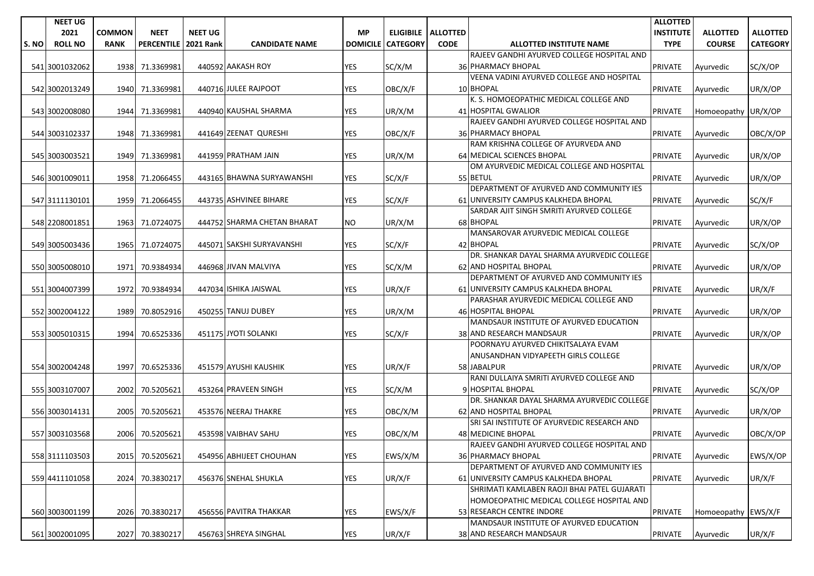|      | <b>NEET UG</b> |               |                   |                  |                             |                 |                 |                      |                                             | <b>ALLOTTED</b>  |                     |                 |
|------|----------------|---------------|-------------------|------------------|-----------------------------|-----------------|-----------------|----------------------|---------------------------------------------|------------------|---------------------|-----------------|
|      | 2021           | <b>COMMON</b> | <b>NEET</b>       | <b>NEET UG</b>   |                             | <b>MP</b>       |                 | ELIGIBILE   ALLOTTED |                                             | <b>INSTITUTE</b> | <b>ALLOTTED</b>     | <b>ALLOTTED</b> |
| S.NO | <b>ROLL NO</b> | <b>RANK</b>   | <b>PERCENTILE</b> | <b>2021 Rank</b> | <b>CANDIDATE NAME</b>       | <b>DOMICILE</b> | <b>CATEGORY</b> | <b>CODE</b>          | <b>ALLOTTED INSTITUTE NAME</b>              | <b>TYPE</b>      | <b>COURSE</b>       | <b>CATEGORY</b> |
|      |                |               |                   |                  |                             |                 |                 |                      | RAJEEV GANDHI AYURVED COLLEGE HOSPITAL AND  |                  |                     |                 |
|      | 541 3001032062 | 1938          | 71.3369981        |                  | 440592 AAKASH ROY           | <b>YES</b>      | SC/X/M          |                      | 36 PHARMACY BHOPAL                          | <b>PRIVATE</b>   | Ayurvedic           | SC/X/OP         |
|      |                |               |                   |                  |                             |                 |                 |                      | VEENA VADINI AYURVED COLLEGE AND HOSPITAL   |                  |                     |                 |
|      | 542 3002013249 | 1940          | 71.3369981        |                  | 440716 JULEE RAJPOOT        | YES             | OBC/X/F         |                      | 10 BHOPAL                                   | <b>PRIVATE</b>   | Ayurvedic           | UR/X/OP         |
|      |                |               |                   |                  |                             |                 |                 |                      | K. S. HOMOEOPATHIC MEDICAL COLLEGE AND      |                  |                     |                 |
|      | 543 3002008080 | 1944          | 71.3369981        |                  | 440940 KAUSHAL SHARMA       | YES             | UR/X/M          |                      | 41 HOSPITAL GWALIOR                         | <b>PRIVATE</b>   | Homoeopathy UR/X/OP |                 |
|      |                |               |                   |                  |                             |                 |                 |                      | RAJEEV GANDHI AYURVED COLLEGE HOSPITAL AND  |                  |                     |                 |
|      | 544 3003102337 | 1948          | 71.3369981        |                  | 441649 ZEENAT QURESHI       | <b>YES</b>      | OBC/X/F         |                      | <b>36 PHARMACY BHOPAL</b>                   | <b>PRIVATE</b>   | Ayurvedic           | OBC/X/OP        |
|      |                |               |                   |                  |                             |                 |                 |                      | RAM KRISHNA COLLEGE OF AYURVEDA AND         |                  |                     |                 |
|      | 545 3003003521 | 1949          | 71.3369981        |                  | 441959 PRATHAM JAIN         | YES             | UR/X/M          |                      | 64 MEDICAL SCIENCES BHOPAL                  | <b>PRIVATE</b>   | Ayurvedic           | UR/X/OP         |
|      |                |               |                   |                  |                             |                 |                 |                      | OM AYURVEDIC MEDICAL COLLEGE AND HOSPITAL   |                  |                     |                 |
|      | 546 3001009011 | 1958          | 71.2066455        |                  | 443165 BHAWNA SURYAWANSHI   | <b>YES</b>      | SC/X/F          |                      | 55 BETUL                                    | <b>PRIVATE</b>   | Ayurvedic           | UR/X/OP         |
|      |                |               |                   |                  |                             |                 |                 |                      | DEPARTMENT OF AYURVED AND COMMUNITY IES     |                  |                     |                 |
|      | 547 3111130101 | 1959          | 71.2066455        |                  | 443735 ASHVINEE BIHARE      | <b>YES</b>      | SC/X/F          |                      | 61 UNIVERSITY CAMPUS KALKHEDA BHOPAL        | <b>PRIVATE</b>   | Ayurvedic           | SC/X/F          |
|      |                |               |                   |                  |                             |                 |                 |                      | SARDAR AJIT SINGH SMRITI AYURVED COLLEGE    |                  |                     |                 |
|      | 548 2208001851 | 1963          | 71.0724075        |                  | 444752 SHARMA CHETAN BHARAT | NO.             | UR/X/M          |                      | 68 BHOPAL                                   | <b>PRIVATE</b>   | Ayurvedic           | UR/X/OP         |
|      |                |               |                   |                  |                             |                 |                 |                      | MANSAROVAR AYURVEDIC MEDICAL COLLEGE        |                  |                     |                 |
|      | 549 3005003436 | 1965          | 71.0724075        |                  | 445071 SAKSHI SURYAVANSHI   | <b>YES</b>      | SC/X/F          |                      | 42 BHOPAL                                   | <b>PRIVATE</b>   | Ayurvedic           | SC/X/OP         |
|      |                |               |                   |                  |                             |                 |                 |                      | DR. SHANKAR DAYAL SHARMA AYURVEDIC COLLEGE  |                  |                     |                 |
|      | 550 3005008010 | 1971          | 70.9384934        |                  | 446968 JIVAN MALVIYA        | <b>YES</b>      | SC/X/M          |                      | 62 AND HOSPITAL BHOPAL                      | <b>PRIVATE</b>   | Ayurvedic           | UR/X/OP         |
|      |                |               |                   |                  |                             |                 |                 |                      | DEPARTMENT OF AYURVED AND COMMUNITY IES     |                  |                     |                 |
|      | 551 3004007399 | 1972          | 70.9384934        |                  | 447034 ISHIKA JAISWAL       | YES             | UR/X/F          |                      | 61 UNIVERSITY CAMPUS KALKHEDA BHOPAL        | <b>PRIVATE</b>   | Avurvedic           | UR/X/F          |
|      |                |               |                   |                  |                             |                 |                 |                      | PARASHAR AYURVEDIC MEDICAL COLLEGE AND      |                  |                     |                 |
|      | 552 3002004122 | 1989          | 70.8052916        |                  | 450255 TANUJ DUBEY          | YES             | UR/X/M          |                      | 46 HOSPITAL BHOPAL                          | <b>PRIVATE</b>   | Ayurvedic           | UR/X/OP         |
|      |                |               |                   |                  |                             |                 |                 |                      | MANDSAUR INSTITUTE OF AYURVED EDUCATION     |                  |                     |                 |
|      | 553 3005010315 | 1994          | 70.6525336        |                  | 451175 JYOTI SOLANKI        | <b>YES</b>      | SC/X/F          |                      | 38 AND RESEARCH MANDSAUR                    | <b>PRIVATE</b>   | Ayurvedic           | UR/X/OP         |
|      |                |               |                   |                  |                             |                 |                 |                      | POORNAYU AYURVED CHIKITSALAYA EVAM          |                  |                     |                 |
|      |                |               |                   |                  |                             |                 |                 |                      | ANUSANDHAN VIDYAPEETH GIRLS COLLEGE         |                  |                     |                 |
|      | 554 3002004248 | 1997          | 70.6525336        |                  | 451579 AYUSHI KAUSHIK       | <b>YES</b>      | UR/X/F          |                      | 58 JABALPUR                                 | <b>PRIVATE</b>   | Ayurvedic           | UR/X/OP         |
|      |                |               |                   |                  |                             |                 |                 |                      | RANI DULLAIYA SMRITI AYURVED COLLEGE AND    |                  |                     |                 |
|      | 555 3003107007 | 2002          | 70.5205621        |                  | 453264 PRAVEEN SINGH        | <b>YES</b>      | SC/X/M          |                      | 9 HOSPITAL BHOPAL                           | <b>PRIVATE</b>   | Ayurvedic           | SC/X/OP         |
|      |                |               |                   |                  |                             |                 |                 |                      | DR. SHANKAR DAYAL SHARMA AYURVEDIC COLLEGE  |                  |                     |                 |
|      | 556 3003014131 | 2005          | 70.5205621        |                  | 453576 NEERAJ THAKRE        | <b>YES</b>      | OBC/X/M         |                      | 62 AND HOSPITAL BHOPAL                      | <b>PRIVATE</b>   | Ayurvedic           | UR/X/OP         |
|      |                |               |                   |                  |                             |                 |                 |                      | SRI SAI INSTITUTE OF AYURVEDIC RESEARCH AND |                  |                     |                 |
|      | 557 3003103568 | 2006          | 70.5205621        |                  | 453598 VAIBHAV SAHU         | YES             | OBC/X/M         |                      | 48 MEDICINE BHOPAL                          | <b>PRIVATE</b>   | Ayurvedic           | OBC/X/OP        |
|      |                |               |                   |                  |                             |                 |                 |                      | RAJEEV GANDHI AYURVED COLLEGE HOSPITAL AND  |                  |                     |                 |
|      | 558 3111103503 |               | 2015 70.5205621   |                  | 454956 ABHIJEET CHOUHAN     | <b>YES</b>      | EWS/X/M         |                      | 36 PHARMACY BHOPAL                          | PRIVATE          | Ayurvedic           | EWS/X/OP        |
|      |                |               |                   |                  |                             |                 |                 |                      | DEPARTMENT OF AYURVED AND COMMUNITY IES     |                  |                     |                 |
|      | 559 4411101058 | 2024          | 70.3830217        |                  | 456376 SNEHAL SHUKLA        | YES             | UR/X/F          |                      | 61 UNIVERSITY CAMPUS KALKHEDA BHOPAL        | <b>PRIVATE</b>   | Ayurvedic           | UR/X/F          |
|      |                |               |                   |                  |                             |                 |                 |                      | SHRIMATI KAMLABEN RAOJI BHAI PATEL GUJARATI |                  |                     |                 |
|      |                |               |                   |                  |                             |                 |                 |                      | HOMOEOPATHIC MEDICAL COLLEGE HOSPITAL AND   |                  |                     |                 |
|      | 560 3003001199 | 2026          | 70.3830217        |                  | 456556 PAVITRA THAKKAR      | <b>YES</b>      | EWS/X/F         |                      | 53 RESEARCH CENTRE INDORE                   | <b>PRIVATE</b>   | Homoeopathy EWS/X/F |                 |
|      |                |               |                   |                  |                             |                 |                 |                      | MANDSAUR INSTITUTE OF AYURVED EDUCATION     |                  |                     |                 |
|      | 561 3002001095 | 2027          | 70.3830217        |                  | 456763 SHREYA SINGHAL       | YES             | UR/X/F          |                      | 38 AND RESEARCH MANDSAUR                    | <b>PRIVATE</b>   | Ayurvedic           | UR/X/F          |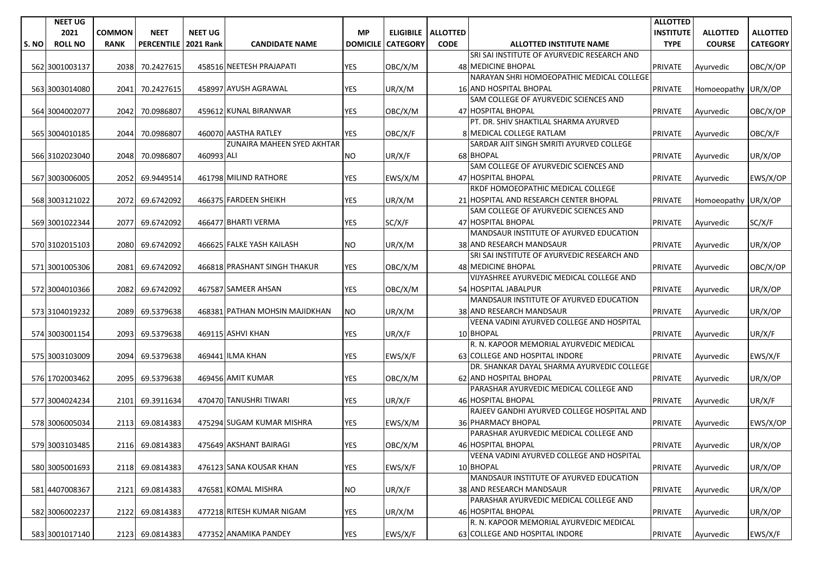|       | <b>NEET UG</b> |               |                   |                  |                                |                 |                 |                      |                                                                  | <b>ALLOTTED</b>  |                     |                 |
|-------|----------------|---------------|-------------------|------------------|--------------------------------|-----------------|-----------------|----------------------|------------------------------------------------------------------|------------------|---------------------|-----------------|
|       | 2021           | <b>COMMON</b> | <b>NEET</b>       | <b>NEET UG</b>   |                                | <b>MP</b>       |                 | ELIGIBILE   ALLOTTED |                                                                  | <b>INSTITUTE</b> | <b>ALLOTTED</b>     | <b>ALLOTTED</b> |
| S. NO | <b>ROLL NO</b> | <b>RANK</b>   | <b>PERCENTILE</b> | <b>2021 Rank</b> | <b>CANDIDATE NAME</b>          | <b>DOMICILE</b> | <b>CATEGORY</b> | <b>CODE</b>          | <b>ALLOTTED INSTITUTE NAME</b>                                   | <b>TYPE</b>      | <b>COURSE</b>       | <b>CATEGORY</b> |
|       |                |               |                   |                  |                                |                 |                 |                      | SRI SAI INSTITUTE OF AYURVEDIC RESEARCH AND                      |                  |                     |                 |
|       | 562 3001003137 | 2038          | 70.2427615        |                  | 458516 NEETESH PRAJAPATI       | <b>YES</b>      | OBC/X/M         |                      | 48 MEDICINE BHOPAL                                               | PRIVATE          | Ayurvedic           | OBC/X/OP        |
|       |                |               |                   |                  |                                |                 |                 |                      | NARAYAN SHRI HOMOEOPATHIC MEDICAL COLLEGE                        |                  |                     |                 |
|       | 563 3003014080 | 2041          | 70.2427615        |                  | 458997 AYUSH AGRAWAL           | <b>YES</b>      | UR/X/M          |                      | 16 AND HOSPITAL BHOPAL                                           | <b>PRIVATE</b>   | Homoeopathy UR/X/OP |                 |
|       |                |               |                   |                  |                                |                 |                 |                      | SAM COLLEGE OF AYURVEDIC SCIENCES AND                            |                  |                     |                 |
|       | 564 3004002077 | 2042          | 70.0986807        |                  | 459612 KUNAL BIRANWAR          | <b>YES</b>      | OBC/X/M         |                      | 47 HOSPITAL BHOPAL                                               | <b>PRIVATE</b>   | Ayurvedic           | OBC/X/OP        |
|       |                |               |                   |                  |                                |                 |                 |                      | PT. DR. SHIV SHAKTILAL SHARMA AYURVED                            |                  |                     |                 |
|       | 565 3004010185 | 2044          | 70.0986807        |                  | 460070 AASTHA RATLEY           | YES             | OBC/X/F         |                      | 8 MEDICAL COLLEGE RATLAM                                         | <b>PRIVATE</b>   | Ayurvedic           | OBC/X/F         |
|       |                |               |                   |                  | ZUNAIRA MAHEEN SYED AKHTAR     |                 |                 |                      | SARDAR AJIT SINGH SMRITI AYURVED COLLEGE                         |                  |                     |                 |
|       | 566 3102023040 | 2048          | 70.0986807        | 460993 ALI       |                                | <b>NO</b>       | UR/X/F          |                      | 68 BHOPAL                                                        | <b>PRIVATE</b>   | Ayurvedic           | UR/X/OP         |
|       |                |               |                   |                  |                                |                 |                 |                      | SAM COLLEGE OF AYURVEDIC SCIENCES AND                            |                  |                     |                 |
|       | 567 3003006005 | 2052          | 69.9449514        |                  | 461798 MILIND RATHORE          | <b>YES</b>      | EWS/X/M         |                      | 47 HOSPITAL BHOPAL                                               | <b>PRIVATE</b>   | Ayurvedic           | EWS/X/OP        |
|       |                |               |                   |                  |                                |                 |                 |                      | RKDF HOMOEOPATHIC MEDICAL COLLEGE                                |                  |                     |                 |
|       | 568 3003121022 | 2072          | 69.6742092        |                  | 466375 FARDEEN SHEIKH          | YES             | UR/X/M          |                      | 21 HOSPITAL AND RESEARCH CENTER BHOPAL                           | <b>PRIVATE</b>   | Homoeopathy UR/X/OP |                 |
|       |                |               |                   |                  |                                |                 |                 |                      | SAM COLLEGE OF AYURVEDIC SCIENCES AND                            |                  |                     |                 |
|       | 569 3001022344 | 2077          | 69.6742092        |                  | 466477 BHARTI VERMA            | YES             | SC/X/F          |                      | 47 HOSPITAL BHOPAL                                               | <b>PRIVATE</b>   | Ayurvedic           | SC/X/F          |
|       |                |               |                   |                  |                                |                 |                 |                      | MANDSAUR INSTITUTE OF AYURVED EDUCATION                          |                  |                     |                 |
|       | 570 3102015103 | 2080          | 69.6742092        |                  | 466625 FALKE YASH KAILASH      | NO.             | UR/X/M          |                      | 38 AND RESEARCH MANDSAUR                                         | <b>PRIVATE</b>   | Avurvedic           | UR/X/OP         |
|       |                |               |                   |                  |                                |                 |                 |                      | SRI SAI INSTITUTE OF AYURVEDIC RESEARCH AND                      |                  |                     |                 |
|       | 571 3001005306 | 2081          | 69.6742092        |                  | 466818 PRASHANT SINGH THAKUR   | YES             | OBC/X/M         |                      | 48 MEDICINE BHOPAL                                               | <b>PRIVATE</b>   | Ayurvedic           | OBC/X/OP        |
|       |                |               |                   |                  |                                |                 |                 |                      | VIJYASHREE AYURVEDIC MEDICAL COLLEGE AND                         |                  |                     |                 |
|       | 572 3004010366 | 2082          | 69.6742092        |                  | 467587 SAMEER AHSAN            | <b>YES</b>      | OBC/X/M         |                      | 54 HOSPITAL JABALPUR                                             | <b>PRIVATE</b>   | Ayurvedic           | UR/X/OP         |
|       |                |               |                   |                  |                                |                 |                 |                      | MANDSAUR INSTITUTE OF AYURVED EDUCATION                          |                  |                     |                 |
|       | 573 3104019232 | 2089          | 69.5379638        |                  | 468381 PATHAN MOHSIN MAJIDKHAN | <b>NO</b>       | UR/X/M          |                      | 38 AND RESEARCH MANDSAUR                                         | <b>PRIVATE</b>   | Ayurvedic           | UR/X/OP         |
|       |                |               |                   |                  |                                |                 |                 |                      | VEENA VADINI AYURVED COLLEGE AND HOSPITAL                        |                  |                     |                 |
|       | 574 3003001154 | 2093          | 69.5379638        |                  | 469115 ASHVI KHAN              | YES             | UR/X/F          |                      | 10 BHOPAL                                                        | <b>PRIVATE</b>   | Ayurvedic           | UR/X/F          |
|       |                |               |                   |                  |                                |                 |                 |                      | R. N. KAPOOR MEMORIAL AYURVEDIC MEDICAL                          |                  |                     |                 |
|       | 575 3003103009 | 2094          | 69.5379638        |                  | 469441 ILMA KHAN               | YES             | EWS/X/F         |                      | 63 COLLEGE AND HOSPITAL INDORE                                   | <b>PRIVATE</b>   | Ayurvedic           | EWS/X/F         |
|       |                |               |                   |                  |                                |                 |                 |                      | DR. SHANKAR DAYAL SHARMA AYURVEDIC COLLEGE                       |                  |                     |                 |
|       | 576 1702003462 | 2095          | 69.5379638        |                  | 469456 AMIT KUMAR              | YES             | OBC/X/M         |                      | 62 AND HOSPITAL BHOPAL                                           | <b>PRIVATE</b>   | Ayurvedic           | UR/X/OP         |
|       |                |               |                   |                  |                                |                 |                 |                      | PARASHAR AYURVEDIC MEDICAL COLLEGE AND                           |                  |                     |                 |
|       | 577 3004024234 | 2101          | 69.3911634        |                  | 470470 TANUSHRI TIWARI         | YES             | UR/X/F          |                      | 46 HOSPITAL BHOPAL<br>RAJEEV GANDHI AYURVED COLLEGE HOSPITAL AND | <b>PRIVATE</b>   | Ayurvedic           | UR/X/F          |
|       |                | 2113          | 69.0814383        |                  | 475294 SUGAM KUMAR MISHRA      | <b>YES</b>      | EWS/X/M         |                      | 36 PHARMACY BHOPAL                                               | <b>PRIVATE</b>   |                     | EWS/X/OP        |
|       | 578 3006005034 |               |                   |                  |                                |                 |                 |                      | PARASHAR AYURVEDIC MEDICAL COLLEGE AND                           |                  | Ayurvedic           |                 |
|       | 579 3003103485 |               | 2116 69.0814383   |                  | 475649 AKSHANT BAIRAGI         | <b>YES</b>      | OBC/X/M         |                      | 46 HOSPITAL BHOPAL                                               | <b>PRIVATE</b>   | Ayurvedic           | UR/X/OP         |
|       |                |               |                   |                  |                                |                 |                 |                      | VEENA VADINI AYURVED COLLEGE AND HOSPITAL                        |                  |                     |                 |
|       | 580 3005001693 | 2118          | 69.0814383        |                  | 476123 SANA KOUSAR KHAN        | YES             | EWS/X/F         |                      | 10 BHOPAL                                                        | <b>PRIVATE</b>   | Ayurvedic           | UR/X/OP         |
|       |                |               |                   |                  |                                |                 |                 |                      | MANDSAUR INSTITUTE OF AYURVED EDUCATION                          |                  |                     |                 |
|       | 581 4407008367 | 2121          | 69.0814383        |                  | 476581 KOMAL MISHRA            | <b>NO</b>       | UR/X/F          |                      | 38 AND RESEARCH MANDSAUR                                         | PRIVATE          | Ayurvedic           | UR/X/OP         |
|       |                |               |                   |                  |                                |                 |                 |                      | PARASHAR AYURVEDIC MEDICAL COLLEGE AND                           |                  |                     |                 |
|       | 582 3006002237 | 2122          | 69.0814383        |                  | 477218 RITESH KUMAR NIGAM      | YES             | UR/X/M          |                      | 46 HOSPITAL BHOPAL                                               | <b>PRIVATE</b>   | Ayurvedic           | UR/X/OP         |
|       |                |               |                   |                  |                                |                 |                 |                      | R. N. KAPOOR MEMORIAL AYURVEDIC MEDICAL                          |                  |                     |                 |
|       | 583 3001017140 | 2123          | 69.0814383        |                  | 477352 ANAMIKA PANDEY          | YES             | EWS/X/F         |                      | 63 COLLEGE AND HOSPITAL INDORE                                   | <b>PRIVATE</b>   | Ayurvedic           | EWS/X/F         |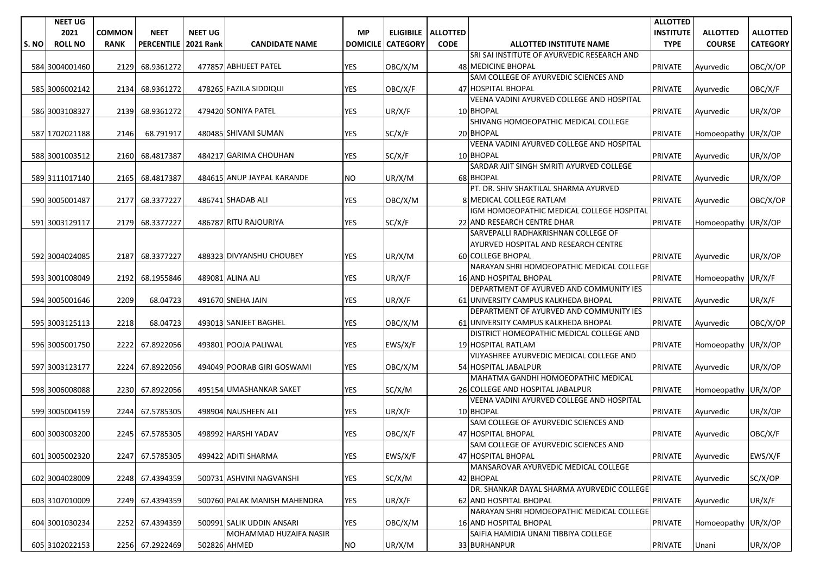|       | <b>NEET UG</b> |               |                      |                |                              |                 |                 |                      |                                                                | <b>ALLOTTED</b>  |                     |                 |
|-------|----------------|---------------|----------------------|----------------|------------------------------|-----------------|-----------------|----------------------|----------------------------------------------------------------|------------------|---------------------|-----------------|
|       | 2021           | <b>COMMON</b> | <b>NEET</b>          | <b>NEET UG</b> |                              | <b>MP</b>       |                 | ELIGIBILE   ALLOTTED |                                                                | <b>INSTITUTE</b> | <b>ALLOTTED</b>     | <b>ALLOTTED</b> |
| S. NO | <b>ROLL NO</b> | <b>RANK</b>   | PERCENTILE 2021 Rank |                | <b>CANDIDATE NAME</b>        | <b>DOMICILE</b> | <b>CATEGORY</b> | <b>CODE</b>          | <b>ALLOTTED INSTITUTE NAME</b>                                 | <b>TYPE</b>      | <b>COURSE</b>       | <b>CATEGORY</b> |
|       |                |               |                      |                |                              |                 |                 |                      | SRI SAI INSTITUTE OF AYURVEDIC RESEARCH AND                    |                  |                     |                 |
|       | 584 3004001460 | 2129          | 68.9361272           |                | 477857 ABHIJEET PATEL        | <b>YES</b>      | OBC/X/M         |                      | 48 MEDICINE BHOPAL                                             | <b>PRIVATE</b>   | Ayurvedic           | OBC/X/OP        |
|       |                |               |                      |                |                              |                 |                 |                      | SAM COLLEGE OF AYURVEDIC SCIENCES AND                          |                  |                     |                 |
|       | 585 3006002142 | 2134          | 68.9361272           |                | 478265 FAZILA SIDDIQUI       | <b>YES</b>      | OBC/X/F         |                      | 47 HOSPITAL BHOPAL                                             | <b>PRIVATE</b>   | Ayurvedic           | OBC/X/F         |
|       |                |               |                      |                |                              |                 |                 |                      | VEENA VADINI AYURVED COLLEGE AND HOSPITAL                      |                  |                     |                 |
|       | 586 3003108327 | 2139          | 68.9361272           |                | 479420 SONIYA PATEL          | YES             | UR/X/F          |                      | 10 BHOPAL                                                      | <b>PRIVATE</b>   | Ayurvedic           | UR/X/OP         |
|       |                |               |                      |                |                              |                 |                 |                      | SHIVANG HOMOEOPATHIC MEDICAL COLLEGE                           |                  |                     |                 |
|       | 587 1702021188 | 2146          | 68.791917            |                | 480485 SHIVANI SUMAN         | YES             | SC/X/F          |                      | 20 BHOPAL                                                      | <b>PRIVATE</b>   | Homoeopathy UR/X/OP |                 |
|       |                |               |                      |                |                              |                 |                 |                      | VEENA VADINI AYURVED COLLEGE AND HOSPITAL                      |                  |                     |                 |
|       | 588 3001003512 | 2160          | 68.4817387           |                | 484217 GARIMA CHOUHAN        | <b>YES</b>      | SC/X/F          |                      | 10 BHOPAL                                                      | <b>PRIVATE</b>   | Ayurvedic           | UR/X/OP         |
|       |                |               |                      |                |                              |                 |                 |                      | SARDAR AJIT SINGH SMRITI AYURVED COLLEGE                       |                  |                     |                 |
|       | 589 3111017140 | 2165          | 68.4817387           |                | 484615 ANUP JAYPAL KARANDE   | <b>NO</b>       | UR/X/M          |                      | 68 BHOPAL                                                      | <b>PRIVATE</b>   | Ayurvedic           | UR/X/OP         |
|       |                |               |                      |                |                              |                 |                 |                      | PT. DR. SHIV SHAKTILAL SHARMA AYURVED                          |                  |                     |                 |
|       | 590 3005001487 | 2177          | 68.3377227           |                | 486741 SHADAB ALI            | YES             | OBC/X/M         |                      | 8 MEDICAL COLLEGE RATLAM                                       | <b>PRIVATE</b>   | Ayurvedic           | OBC/X/OP        |
|       |                |               |                      |                |                              |                 |                 |                      | IGM HOMOEOPATHIC MEDICAL COLLEGE HOSPITAL                      |                  |                     |                 |
|       | 591 3003129117 | 2179          | 68.3377227           |                | 486787 RITU RAJOURIYA        | <b>YES</b>      | SC/X/F          |                      | 22 AND RESEARCH CENTRE DHAR                                    | <b>PRIVATE</b>   | Homoeopathy UR/X/OP |                 |
|       |                |               |                      |                |                              |                 |                 |                      | SARVEPALLI RADHAKRISHNAN COLLEGE OF                            |                  |                     |                 |
|       |                |               |                      |                |                              |                 |                 |                      | AYURVED HOSPITAL AND RESEARCH CENTRE                           |                  |                     |                 |
|       | 592 3004024085 | 2187          | 68.3377227           |                | 488323 DIVYANSHU CHOUBEY     | <b>YES</b>      | UR/X/M          |                      | 60 COLLEGE BHOPAL                                              | <b>PRIVATE</b>   | Ayurvedic           | UR/X/OP         |
|       |                |               |                      |                |                              |                 |                 |                      | NARAYAN SHRI HOMOEOPATHIC MEDICAL COLLEGE                      |                  |                     |                 |
|       | 593 3001008049 | 2192          | 68.1955846           |                | 489081 ALINA ALI             | YES             | UR/X/F          |                      | <b>16 AND HOSPITAL BHOPAL</b>                                  | <b>PRIVATE</b>   | Homoeopathy UR/X/F  |                 |
|       |                |               |                      |                |                              |                 |                 |                      | DEPARTMENT OF AYURVED AND COMMUNITY IES                        |                  |                     |                 |
|       | 594 3005001646 | 2209          | 68.04723             |                | 491670 SNEHA JAIN            | <b>YES</b>      | UR/X/F          |                      | 61 UNIVERSITY CAMPUS KALKHEDA BHOPAL                           | <b>PRIVATE</b>   | Ayurvedic           | UR/X/F          |
|       |                |               |                      |                |                              |                 |                 |                      | DEPARTMENT OF AYURVED AND COMMUNITY IES                        |                  |                     |                 |
|       | 595 3003125113 | 2218          | 68.04723             |                | 493013 SANJEET BAGHEL        | <b>YES</b>      | OBC/X/M         |                      | 61 UNIVERSITY CAMPUS KALKHEDA BHOPAL                           | <b>PRIVATE</b>   | Ayurvedic           | OBC/X/OP        |
|       |                |               |                      |                |                              |                 |                 |                      | DISTRICT HOMEOPATHIC MEDICAL COLLEGE AND                       |                  |                     |                 |
|       | 596 3005001750 | 2222          | 67.8922056           |                | 493801 POOJA PALIWAL         | YES             | EWS/X/F         |                      | 19 HOSPITAL RATLAM                                             | <b>PRIVATE</b>   | Homoeopathy UR/X/OP |                 |
|       |                |               |                      |                |                              |                 |                 |                      | VIJYASHREE AYURVEDIC MEDICAL COLLEGE AND                       |                  |                     |                 |
|       | 597 3003123177 | 2224          | 67.8922056           |                | 494049 POORAB GIRI GOSWAMI   | <b>YES</b>      | OBC/X/M         |                      | 54 HOSPITAL JABALPUR                                           | <b>PRIVATE</b>   | Ayurvedic           | UR/X/OP         |
|       |                |               |                      |                |                              |                 |                 |                      | MAHATMA GANDHI HOMOEOPATHIC MEDICAL                            |                  |                     |                 |
|       | 598 3006008088 | 2230          |                      |                | 495154 UMASHANKAR SAKET      | <b>YES</b>      |                 |                      | 26 COLLEGE AND HOSPITAL JABALPUR                               |                  |                     |                 |
|       |                |               | 67.8922056           |                |                              |                 | SC/X/M          |                      | VEENA VADINI AYURVED COLLEGE AND HOSPITAL                      | <b>PRIVATE</b>   | Homoeopathy UR/X/OP |                 |
|       |                |               |                      |                | 498904 NAUSHEEN ALI          |                 |                 |                      |                                                                |                  |                     |                 |
|       | 599 3005004159 | 2244          | 67.5785305           |                |                              | YES             | UR/X/F          |                      | 10 BHOPAL<br>SAM COLLEGE OF AYURVEDIC SCIENCES AND             | <b>PRIVATE</b>   | Ayurvedic           | UR/X/OP         |
|       |                |               |                      |                | 498992 HARSHI YADAV          | <b>YES</b>      |                 |                      | 47 HOSPITAL BHOPAL                                             |                  |                     |                 |
|       | 600 3003003200 | 2245          | 67.5785305           |                |                              |                 | OBC/X/F         |                      | SAM COLLEGE OF AYURVEDIC SCIENCES AND                          | <b>PRIVATE</b>   | Ayurvedic           | OBC/X/F         |
|       |                |               | 2247 67.5785305      |                | 499422 ADITI SHARMA          | <b>YES</b>      | EWS/X/F         |                      | 47 HOSPITAL BHOPAL                                             | <b>PRIVATE</b>   |                     |                 |
|       | 601 3005002320 |               |                      |                |                              |                 |                 |                      | MANSAROVAR AYURVEDIC MEDICAL COLLEGE                           |                  | Ayurvedic           | EWS/X/F         |
|       |                |               |                      |                | 500731 ASHVINI NAGVANSHI     |                 |                 |                      | 42 BHOPAL                                                      |                  |                     |                 |
|       | 602 3004028009 | 2248          | 67.4394359           |                |                              | <b>YES</b>      | SC/X/M          |                      | DR. SHANKAR DAYAL SHARMA AYURVEDIC COLLEGE                     | <b>PRIVATE</b>   | Ayurvedic           | SC/X/OP         |
|       |                |               |                      |                | 500760 PALAK MANISH MAHENDRA |                 |                 |                      | 62 AND HOSPITAL BHOPAL                                         | PRIVATE          |                     |                 |
|       | 603 3107010009 | 2249          | 67.4394359           |                |                              | YES             | UR/X/F          |                      | NARAYAN SHRI HOMOEOPATHIC MEDICAL COLLEGE                      |                  | Ayurvedic           | UR/X/F          |
|       |                |               |                      |                | 500991 SALIK UDDIN ANSARI    |                 |                 |                      |                                                                |                  |                     |                 |
|       | 604 3001030234 | 2252          | 67.4394359           |                | MOHAMMAD HUZAIFA NASIR       | YES             | OBC/X/M         |                      | 16 AND HOSPITAL BHOPAL<br>SAIFIA HAMIDIA UNANI TIBBIYA COLLEGE | <b>PRIVATE</b>   | Homoeopathy UR/X/OP |                 |
|       |                |               |                      |                |                              |                 |                 |                      |                                                                |                  |                     |                 |
|       | 605 3102022153 |               | 2256 67.2922469      |                | 502826 AHMED                 | <b>NO</b>       | UR/X/M          |                      | 33 BURHANPUR                                                   | PRIVATE          | Unani               | UR/X/OP         |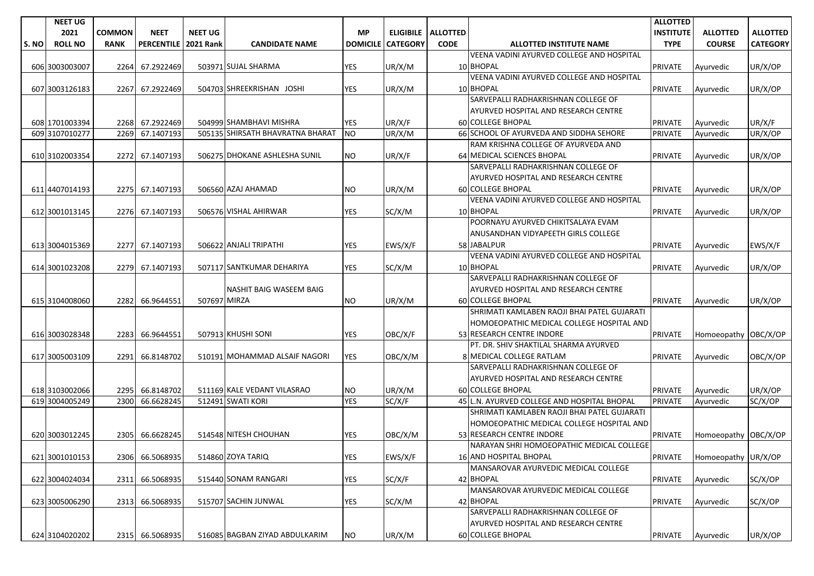|       | <b>NEET UG</b> |               |                   |                  |                                  |                 |                 |                             |                                             | <b>ALLOTTED</b>  |                      |                 |
|-------|----------------|---------------|-------------------|------------------|----------------------------------|-----------------|-----------------|-----------------------------|---------------------------------------------|------------------|----------------------|-----------------|
|       | 2021           | <b>COMMON</b> | <b>NEET</b>       | <b>NEET UG</b>   |                                  | <b>MP</b>       |                 | <b>ELIGIBILE   ALLOTTED</b> |                                             | <b>INSTITUTE</b> | <b>ALLOTTED</b>      | <b>ALLOTTED</b> |
| S. NO | <b>ROLL NO</b> | <b>RANK</b>   | <b>PERCENTILE</b> | <b>2021 Rank</b> | <b>CANDIDATE NAME</b>            | <b>DOMICILE</b> | <b>CATEGORY</b> | <b>CODE</b>                 | <b>ALLOTTED INSTITUTE NAME</b>              | <b>TYPE</b>      | <b>COURSE</b>        | <b>CATEGORY</b> |
|       |                |               |                   |                  |                                  |                 |                 |                             | VEENA VADINI AYURVED COLLEGE AND HOSPITAL   |                  |                      |                 |
|       | 606 3003003007 | 2264          | 67.2922469        |                  | 503971 SUJAL SHARMA              | <b>YES</b>      | UR/X/M          |                             | 10 BHOPAL                                   | <b>PRIVATE</b>   | Ayurvedic            | UR/X/OP         |
|       |                |               |                   |                  |                                  |                 |                 |                             | VEENA VADINI AYURVED COLLEGE AND HOSPITAL   |                  |                      |                 |
|       | 607 3003126183 | 2267          | 67.2922469        |                  | 504703 SHREEKRISHAN JOSHI        | <b>YES</b>      | UR/X/M          |                             | 10 BHOPAL                                   | PRIVATE          | Ayurvedic            | UR/X/OP         |
|       |                |               |                   |                  |                                  |                 |                 |                             | SARVEPALLI RADHAKRISHNAN COLLEGE OF         |                  |                      |                 |
|       |                |               |                   |                  |                                  |                 |                 |                             | AYURVED HOSPITAL AND RESEARCH CENTRE        |                  |                      |                 |
|       | 608 1701003394 |               | 2268 67.2922469   |                  | 504999 SHAMBHAVI MISHRA          | <b>YES</b>      | UR/X/F          |                             | <b>60 COLLEGE BHOPAL</b>                    | <b>PRIVATE</b>   | Ayurvedic            | UR/X/F          |
|       | 609 3107010277 | 2269          | 67.1407193        |                  | 505135 SHIRSATH BHAVRATNA BHARAT | NO              | UR/X/M          |                             | 66 SCHOOL OF AYURVEDA AND SIDDHA SEHORE     | PRIVATE          | Ayurvedic            | UR/X/OP         |
|       |                |               |                   |                  |                                  |                 |                 |                             | RAM KRISHNA COLLEGE OF AYURVEDA AND         |                  |                      |                 |
|       | 610 3102003354 | 2272          | 67.1407193        |                  | 506275 DHOKANE ASHLESHA SUNIL    | <b>NO</b>       | UR/X/F          |                             | 64 MEDICAL SCIENCES BHOPAL                  | <b>PRIVATE</b>   | Ayurvedic            | UR/X/OP         |
|       |                |               |                   |                  |                                  |                 |                 |                             | SARVEPALLI RADHAKRISHNAN COLLEGE OF         |                  |                      |                 |
|       |                |               |                   |                  |                                  |                 |                 |                             | AYURVED HOSPITAL AND RESEARCH CENTRE        |                  |                      |                 |
|       | 611 4407014193 |               | 2275 67.1407193   |                  | 506560 AZAJ AHAMAD               | NO.             | UR/X/M          |                             | <b>60 COLLEGE BHOPAL</b>                    | <b>PRIVATE</b>   | Ayurvedic            | UR/X/OP         |
|       |                |               |                   |                  |                                  |                 |                 |                             | VEENA VADINI AYURVED COLLEGE AND HOSPITAL   |                  |                      |                 |
|       | 612 3001013145 | 2276          | 67.1407193        |                  | 506576 VISHAL AHIRWAR            | <b>YES</b>      | SC/X/M          |                             | 10 BHOPAL                                   | <b>PRIVATE</b>   | Ayurvedic            | UR/X/OP         |
|       |                |               |                   |                  |                                  |                 |                 |                             | POORNAYU AYURVED CHIKITSALAYA EVAM          |                  |                      |                 |
|       |                |               |                   |                  |                                  |                 |                 |                             | ANUSANDHAN VIDYAPEETH GIRLS COLLEGE         |                  |                      |                 |
|       | 613 3004015369 | 2277          | 67.1407193        |                  | 506622 ANJALI TRIPATHI           | YES             | EWS/X/F         |                             | 58 JABALPUR                                 | <b>PRIVATE</b>   | Ayurvedic            | EWS/X/F         |
|       |                |               |                   |                  |                                  |                 |                 |                             | VEENA VADINI AYURVED COLLEGE AND HOSPITAL   |                  |                      |                 |
|       | 614 3001023208 |               | 2279 67.1407193   |                  | 507117 SANTKUMAR DEHARIYA        | YES             | SC/X/M          |                             | 10 BHOPAL                                   | <b>PRIVATE</b>   | Ayurvedic            | UR/X/OP         |
|       |                |               |                   |                  |                                  |                 |                 |                             | SARVEPALLI RADHAKRISHNAN COLLEGE OF         |                  |                      |                 |
|       |                |               |                   |                  | NASHIT BAIG WASEEM BAIG          |                 |                 |                             | AYURVED HOSPITAL AND RESEARCH CENTRE        |                  |                      |                 |
|       | 615 3104008060 | 2282          | 66.9644551        | 507697 MIRZA     |                                  | <b>NO</b>       | UR/X/M          |                             | 60 COLLEGE BHOPAL                           | <b>PRIVATE</b>   | Ayurvedic            | UR/X/OP         |
|       |                |               |                   |                  |                                  |                 |                 |                             | SHRIMATI KAMLABEN RAOJI BHAI PATEL GUJARATI |                  |                      |                 |
|       |                |               |                   |                  |                                  |                 |                 |                             | HOMOEOPATHIC MEDICAL COLLEGE HOSPITAL AND   |                  |                      |                 |
|       | 616 3003028348 |               | 2283 66.9644551   |                  | 507913 KHUSHI SONI               | <b>YES</b>      | OBC/X/F         |                             | 53 RESEARCH CENTRE INDORE                   | <b>PRIVATE</b>   | Homoeopathy OBC/X/OP |                 |
|       |                |               |                   |                  |                                  |                 |                 |                             | PT. DR. SHIV SHAKTILAL SHARMA AYURVED       |                  |                      |                 |
|       | 617 3005003109 | 2291          | 66.8148702        |                  | 510191 MOHAMMAD ALSAIF NAGORI    | <b>YES</b>      | OBC/X/M         |                             | 8 MEDICAL COLLEGE RATLAM                    | <b>PRIVATE</b>   | Ayurvedic            | OBC/X/OP        |
|       |                |               |                   |                  |                                  |                 |                 |                             | SARVEPALLI RADHAKRISHNAN COLLEGE OF         |                  |                      |                 |
|       |                |               |                   |                  |                                  |                 |                 |                             | AYURVED HOSPITAL AND RESEARCH CENTRE        |                  |                      |                 |
|       | 618 3103002066 | 2295          | 66.8148702        |                  | 511169 KALE VEDANT VILASRAO      | NO.             | UR/X/M          |                             | 60 COLLEGE BHOPAL                           | <b>PRIVATE</b>   | Ayurvedic            | UR/X/OP         |
|       | 619 3004005249 | 2300          | 66.6628245        |                  | 512491 SWATI KORI                | <b>YES</b>      | SC/X/F          |                             | 45 L.N. AYURVED COLLEGE AND HOSPITAL BHOPAL | PRIVATE          | Ayurvedic            | SC/X/OP         |
|       |                |               |                   |                  |                                  |                 |                 |                             | SHRIMATI KAMLABEN RAOJI BHAI PATEL GUJARATI |                  |                      |                 |
|       |                |               |                   |                  |                                  |                 |                 |                             | HOMOEOPATHIC MEDICAL COLLEGE HOSPITAL AND   |                  |                      |                 |
|       | 620 3003012245 | 2305          | 66.6628245        |                  | 514548 NITESH CHOUHAN            | YES             | OBC/X/M         |                             | 53 RESEARCH CENTRE INDORE                   | <b>PRIVATE</b>   | Homoeopathy OBC/X/OP |                 |
|       |                |               |                   |                  |                                  |                 |                 |                             | NARAYAN SHRI HOMOEOPATHIC MEDICAL COLLEGE   |                  |                      |                 |
|       | 621 3001010153 | 2306          | 66.5068935        |                  | 514860 ZOYA TARIQ                | <b>YES</b>      | EWS/X/F         |                             | 16 AND HOSPITAL BHOPAL                      | PRIVATE          | Homoeopathy UR/X/OP  |                 |
|       |                |               |                   |                  |                                  |                 |                 |                             | MANSAROVAR AYURVEDIC MEDICAL COLLEGE        |                  |                      |                 |
|       | 622 3004024034 |               | 2311 66.5068935   |                  | 515440 SONAM RANGARI             | YES             | SC/X/F          |                             | 42 BHOPAL                                   | <b>PRIVATE</b>   | Ayurvedic            | SC/X/OP         |
|       |                |               |                   |                  |                                  |                 |                 |                             | MANSAROVAR AYURVEDIC MEDICAL COLLEGE        |                  |                      |                 |
|       | 623 3005006290 |               | 2313 66.5068935   |                  | 515707 SACHIN JUNWAL             | YES             | SC/X/M          |                             | 42 BHOPAL                                   | <b>PRIVATE</b>   | Ayurvedic            | SC/X/OP         |
|       |                |               |                   |                  |                                  |                 |                 |                             | SARVEPALLI RADHAKRISHNAN COLLEGE OF         |                  |                      |                 |
|       |                |               |                   |                  |                                  |                 |                 |                             | AYURVED HOSPITAL AND RESEARCH CENTRE        |                  |                      |                 |
|       | 624 3104020202 |               | 2315 66.5068935   |                  | 516085 BAGBAN ZIYAD ABDULKARIM   | <b>NO</b>       | UR/X/M          |                             | 60 COLLEGE BHOPAL                           | <b>PRIVATE</b>   | Ayurvedic            | UR/X/OP         |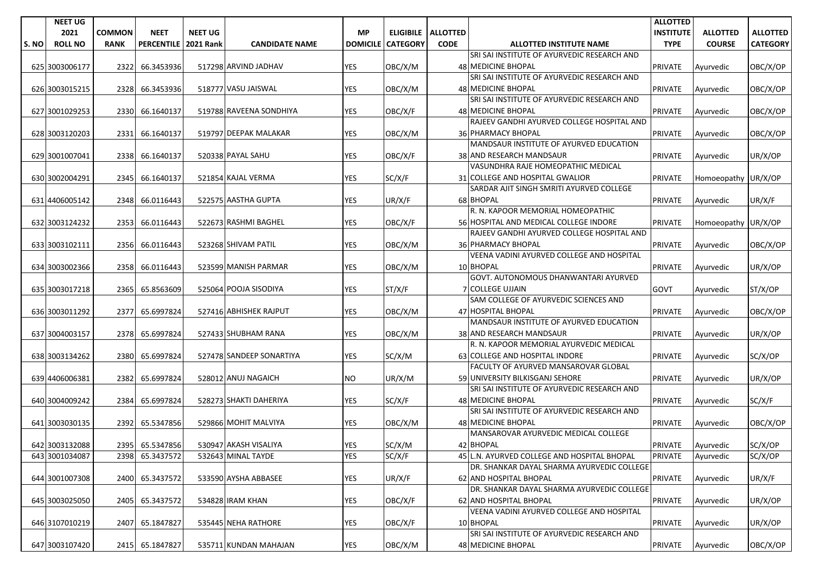|      | <b>NEET UG</b> |               |                   |                  |                          |                 |                 |                             |                                             | <b>ALLOTTED</b>  |                     |                 |
|------|----------------|---------------|-------------------|------------------|--------------------------|-----------------|-----------------|-----------------------------|---------------------------------------------|------------------|---------------------|-----------------|
|      | 2021           | <b>COMMON</b> | <b>NEET</b>       | <b>NEET UG</b>   |                          | <b>MP</b>       |                 | <b>ELIGIBILE   ALLOTTED</b> |                                             | <b>INSTITUTE</b> | <b>ALLOTTED</b>     | <b>ALLOTTED</b> |
| S.NO | <b>ROLL NO</b> | <b>RANK</b>   | <b>PERCENTILE</b> | <b>2021 Rank</b> | <b>CANDIDATE NAME</b>    | <b>DOMICILE</b> | <b>CATEGORY</b> | <b>CODE</b>                 | <b>ALLOTTED INSTITUTE NAME</b>              | <b>TYPE</b>      | <b>COURSE</b>       | <b>CATEGORY</b> |
|      |                |               |                   |                  |                          |                 |                 |                             | SRI SAI INSTITUTE OF AYURVEDIC RESEARCH AND |                  |                     |                 |
|      | 625 3003006177 | 2322          | 66.3453936        |                  | 517298 ARVIND JADHAV     | <b>YES</b>      | OBC/X/M         |                             | 48 MEDICINE BHOPAL                          | <b>PRIVATE</b>   | Ayurvedic           | OBC/X/OP        |
|      |                |               |                   |                  |                          |                 |                 |                             | SRI SAI INSTITUTE OF AYURVEDIC RESEARCH AND |                  |                     |                 |
|      | 626 3003015215 | 2328          | 66.3453936        |                  | 518777 VASU JAISWAL      | <b>YES</b>      | OBC/X/M         |                             | 48 MEDICINE BHOPAL                          | <b>PRIVATE</b>   | Ayurvedic           | OBC/X/OP        |
|      |                |               |                   |                  |                          |                 |                 |                             | SRI SAI INSTITUTE OF AYURVEDIC RESEARCH AND |                  |                     |                 |
|      | 627 3001029253 | 2330          | 66.1640137        |                  | 519788 RAVEENA SONDHIYA  | <b>YES</b>      | OBC/X/F         |                             | 48 MEDICINE BHOPAL                          | <b>PRIVATE</b>   | Ayurvedic           | OBC/X/OP        |
|      |                |               |                   |                  |                          |                 |                 |                             | RAJEEV GANDHI AYURVED COLLEGE HOSPITAL AND  |                  |                     |                 |
|      | 628 3003120203 | 2331          | 66.1640137        |                  | 519797 DEEPAK MALAKAR    | YES             | OBC/X/M         |                             | <b>36 PHARMACY BHOPAL</b>                   | <b>PRIVATE</b>   | Ayurvedic           | OBC/X/OP        |
|      |                |               |                   |                  |                          |                 |                 |                             | MANDSAUR INSTITUTE OF AYURVED EDUCATION     |                  |                     |                 |
|      | 629 3001007041 | 2338          | 66.1640137        |                  | 520338 PAYAL SAHU        | <b>YES</b>      | OBC/X/F         |                             | 38 AND RESEARCH MANDSAUR                    | <b>PRIVATE</b>   | Ayurvedic           | UR/X/OP         |
|      |                |               |                   |                  |                          |                 |                 |                             | VASUNDHRA RAJE HOMEOPATHIC MEDICAL          |                  |                     |                 |
|      | 630 3002004291 | 2345          | 66.1640137        |                  | 521854 KAJAL VERMA       | <b>YES</b>      | SC/X/F          |                             | 31 COLLEGE AND HOSPITAL GWALIOR             | <b>PRIVATE</b>   | Homoeopathy UR/X/OP |                 |
|      |                |               |                   |                  |                          |                 |                 |                             | SARDAR AJIT SINGH SMRITI AYURVED COLLEGE    |                  |                     |                 |
|      | 631 4406005142 | 2348          | 66.0116443        |                  | 522575 AASTHA GUPTA      | YES             | UR/X/F          |                             | 68 BHOPAL                                   | <b>PRIVATE</b>   | Ayurvedic           | UR/X/F          |
|      |                |               |                   |                  |                          |                 |                 |                             | R. N. KAPOOR MEMORIAL HOMEOPATHIC           |                  |                     |                 |
|      | 632 3003124232 | 2353          | 66.0116443        |                  | 522673 RASHMI BAGHEL     | YES             | OBC/X/F         |                             | 56 HOSPITAL AND MEDICAL COLLEGE INDORE      | <b>PRIVATE</b>   | Homoeopathy UR/X/OP |                 |
|      |                |               |                   |                  |                          |                 |                 |                             | RAJEEV GANDHI AYURVED COLLEGE HOSPITAL AND  |                  |                     |                 |
|      | 633 3003102111 | 2356          | 66.0116443        |                  | 523268 SHIVAM PATIL      | YES             | OBC/X/M         |                             | 36 PHARMACY BHOPAL                          | <b>PRIVATE</b>   | Ayurvedic           | OBC/X/OP        |
|      |                |               |                   |                  |                          |                 |                 |                             | VEENA VADINI AYURVED COLLEGE AND HOSPITAL   |                  |                     |                 |
|      | 634 3003002366 | 2358          | 66.0116443        |                  | 523599 MANISH PARMAR     | YES             | OBC/X/M         |                             | 10 BHOPAL                                   | <b>PRIVATE</b>   | Ayurvedic           | UR/X/OP         |
|      |                |               |                   |                  |                          |                 |                 |                             | GOVT, AUTONOMOUS DHANWANTARI AYURVED        |                  |                     |                 |
|      | 635 3003017218 | 2365          | 65.8563609        |                  | 525064 POOJA SISODIYA    | <b>YES</b>      | ST/X/F          |                             | <b>7 COLLEGE UJJAIN</b>                     | <b>GOVT</b>      | Ayurvedic           | ST/X/OP         |
|      |                |               |                   |                  |                          |                 |                 |                             | SAM COLLEGE OF AYURVEDIC SCIENCES AND       |                  |                     |                 |
|      | 636 3003011292 | 2377          | 65.6997824        |                  | 527416 ABHISHEK RAJPUT   | <b>YES</b>      | OBC/X/M         |                             | 47 HOSPITAL BHOPAL                          | <b>PRIVATE</b>   | Ayurvedic           | OBC/X/OP        |
|      |                |               |                   |                  |                          |                 |                 |                             | MANDSAUR INSTITUTE OF AYURVED EDUCATION     |                  |                     |                 |
|      | 637 3004003157 | 2378          | 65.6997824        |                  | 527433 SHUBHAM RANA      | <b>YES</b>      | OBC/X/M         |                             | 38 AND RESEARCH MANDSAUR                    | <b>PRIVATE</b>   | Ayurvedic           | UR/X/OP         |
|      |                |               |                   |                  |                          |                 |                 |                             | R. N. KAPOOR MEMORIAL AYURVEDIC MEDICAL     |                  |                     |                 |
|      | 638 3003134262 | 2380          | 65.6997824        |                  | 527478 SANDEEP SONARTIYA | <b>YES</b>      | SC/X/M          |                             | 63 COLLEGE AND HOSPITAL INDORE              | <b>PRIVATE</b>   | Ayurvedic           | SC/X/OP         |
|      |                |               |                   |                  |                          |                 |                 |                             | FACULTY OF AYURVED MANSAROVAR GLOBAL        |                  |                     |                 |
|      | 639 4406006381 | 2382          | 65.6997824        |                  | 528012 ANUJ NAGAICH      | NO.             | UR/X/M          |                             | 59 UNIVERSITY BILKISGANJ SEHORE             | <b>PRIVATE</b>   | Ayurvedic           | UR/X/OP         |
|      |                |               |                   |                  |                          |                 |                 |                             | SRI SAI INSTITUTE OF AYURVEDIC RESEARCH AND |                  |                     |                 |
|      | 640 3004009242 | 2384          | 65.6997824        |                  | 528273 SHAKTI DAHERIYA   | YES             | SC/X/F          |                             | <b>48 MEDICINE BHOPAL</b>                   | <b>PRIVATE</b>   | Ayurvedic           | SC/X/F          |
|      |                |               |                   |                  |                          |                 |                 |                             | SRI SAI INSTITUTE OF AYURVEDIC RESEARCH AND |                  |                     |                 |
|      | 641 3003030135 | 2392          | 65.5347856        |                  | 529866 MOHIT MALVIYA     | <b>YES</b>      | OBC/X/M         |                             | 48 MEDICINE BHOPAL                          | <b>PRIVATE</b>   | Ayurvedic           | OBC/X/OP        |
|      |                |               |                   |                  |                          |                 |                 |                             | MANSAROVAR AYURVEDIC MEDICAL COLLEGE        |                  |                     |                 |
|      | 642 3003132088 |               | 2395 65.5347856   |                  | 530947 AKASH VISALIYA    | <b>YES</b>      | SC/X/M          |                             | 42 BHOPAL                                   | <b>PRIVATE</b>   | Ayurvedic           | SC/X/OP         |
|      | 643 3001034087 | 2398          | 65.3437572        |                  | 532643 MINAL TAYDE       | <b>YES</b>      | SC/X/F          |                             | 45 L.N. AYURVED COLLEGE AND HOSPITAL BHOPAL | <b>PRIVATE</b>   | Ayurvedic           | SC/X/OP         |
|      |                |               |                   |                  |                          |                 |                 |                             | DR. SHANKAR DAYAL SHARMA AYURVEDIC COLLEGE  |                  |                     |                 |
|      | 644 3001007308 | 2400          | 65.3437572        |                  | 533590 AYSHA ABBASEE     | YES             | UR/X/F          |                             | 62 AND HOSPITAL BHOPAL                      | <b>PRIVATE</b>   | Ayurvedic           | UR/X/F          |
|      |                |               |                   |                  |                          |                 |                 |                             | DR. SHANKAR DAYAL SHARMA AYURVEDIC COLLEGE  |                  |                     |                 |
|      | 645 3003025050 | 2405          | 65.3437572        |                  | 534828 IRAM KHAN         | YES             | OBC/X/F         |                             | 62 AND HOSPITAL BHOPAL                      | <b>PRIVATE</b>   | Ayurvedic           | UR/X/OP         |
|      |                |               |                   |                  |                          |                 |                 |                             | VEENA VADINI AYURVED COLLEGE AND HOSPITAL   |                  |                     |                 |
|      | 646 3107010219 | 2407          | 65.1847827        |                  | 535445 NEHA RATHORE      | YES             | OBC/X/F         |                             | 10 BHOPAL                                   | <b>PRIVATE</b>   | Ayurvedic           | UR/X/OP         |
|      |                |               |                   |                  |                          |                 |                 |                             | SRI SAI INSTITUTE OF AYURVEDIC RESEARCH AND |                  |                     |                 |
|      | 647 3003107420 | 2415          | 65.1847827        |                  | 535711 KUNDAN MAHAJAN    | YES             | OBC/X/M         |                             | 48 MEDICINE BHOPAL                          | <b>PRIVATE</b>   | Ayurvedic           | OBC/X/OP        |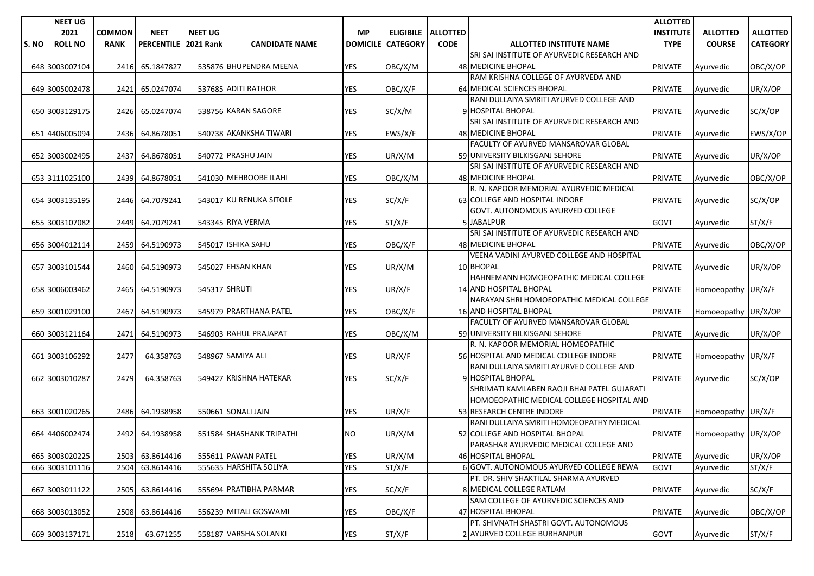| <b>COMMON</b><br><b>NEET</b><br><b>NEET UG</b><br><b>MP</b><br>2021<br>ELIGIBILE   ALLOTTED<br>S. NO<br><b>ROLL NO</b><br><b>RANK</b><br><b>PERCENTILE</b><br><b>2021 Rank</b><br><b>CANDIDATE NAME</b><br><b>DOMICILE</b><br><b>CATEGORY</b><br><b>CODE</b><br><b>ALLOTTED INSTITUTE NAME</b><br>SRI SAI INSTITUTE OF AYURVEDIC RESEARCH AND<br>65.1847827<br>535876 BHUPENDRA MEENA<br><b>YES</b><br>OBC/X/M<br><b>48 MEDICINE BHOPAL</b><br>648 3003007104<br>2416 | <b>INSTITUTE</b><br><b>ALLOTTED</b><br><b>TYPE</b><br><b>COURSE</b><br><b>PRIVATE</b><br>Ayurvedic | <b>ALLOTTED</b><br><b>CATEGORY</b><br>OBC/X/OP |
|-----------------------------------------------------------------------------------------------------------------------------------------------------------------------------------------------------------------------------------------------------------------------------------------------------------------------------------------------------------------------------------------------------------------------------------------------------------------------|----------------------------------------------------------------------------------------------------|------------------------------------------------|
|                                                                                                                                                                                                                                                                                                                                                                                                                                                                       |                                                                                                    |                                                |
|                                                                                                                                                                                                                                                                                                                                                                                                                                                                       |                                                                                                    |                                                |
|                                                                                                                                                                                                                                                                                                                                                                                                                                                                       |                                                                                                    |                                                |
|                                                                                                                                                                                                                                                                                                                                                                                                                                                                       |                                                                                                    |                                                |
| RAM KRISHNA COLLEGE OF AYURVEDA AND                                                                                                                                                                                                                                                                                                                                                                                                                                   |                                                                                                    |                                                |
| 537685 ADITI RATHOR<br>64 MEDICAL SCIENCES BHOPAL<br>YES<br>649 3005002478<br>2421<br>65.0247074<br>OBC/X/F<br><b>PRIVATE</b>                                                                                                                                                                                                                                                                                                                                         | Ayurvedic                                                                                          | UR/X/OP                                        |
| RANI DULLAIYA SMRITI AYURVED COLLEGE AND                                                                                                                                                                                                                                                                                                                                                                                                                              |                                                                                                    |                                                |
| 538756 KARAN SAGORE<br><b>YES</b><br>SC/X/M<br>9 HOSPITAL BHOPAL<br>650 3003129175<br>2426<br>65.0247074<br><b>PRIVATE</b>                                                                                                                                                                                                                                                                                                                                            | Ayurvedic                                                                                          | SC/X/OP                                        |
| SRI SAI INSTITUTE OF AYURVEDIC RESEARCH AND                                                                                                                                                                                                                                                                                                                                                                                                                           |                                                                                                    |                                                |
| 540738 AKANKSHA TIWARI<br><b>YES</b><br>EWS/X/F<br>48 MEDICINE BHOPAL<br>651 4406005094<br>2436<br>64.8678051<br><b>PRIVATE</b>                                                                                                                                                                                                                                                                                                                                       | Ayurvedic                                                                                          | EWS/X/OP                                       |
| FACULTY OF AYURVED MANSAROVAR GLOBAL                                                                                                                                                                                                                                                                                                                                                                                                                                  |                                                                                                    |                                                |
| <b>YES</b><br>2437<br>64.8678051<br>540772 PRASHU JAIN<br>UR/X/M<br>59 UNIVERSITY BILKISGANJ SEHORE<br><b>PRIVATE</b><br>652 3003002495                                                                                                                                                                                                                                                                                                                               | Ayurvedic                                                                                          | UR/X/OP                                        |
| SRI SAI INSTITUTE OF AYURVEDIC RESEARCH AND                                                                                                                                                                                                                                                                                                                                                                                                                           |                                                                                                    |                                                |
| 541030 MEHBOOBE ILAHI<br><b>YES</b><br>OBC/X/M<br>653 3111025100<br>2439<br>64.8678051<br>48 MEDICINE BHOPAL<br><b>PRIVATE</b>                                                                                                                                                                                                                                                                                                                                        | Ayurvedic                                                                                          | OBC/X/OP                                       |
| R. N. KAPOOR MEMORIAL AYURVEDIC MEDICAL                                                                                                                                                                                                                                                                                                                                                                                                                               |                                                                                                    |                                                |
| 64.7079241<br>543017 KU RENUKA SITOLE<br><b>YES</b><br>SC/X/F<br>63 COLLEGE AND HOSPITAL INDORE<br><b>PRIVATE</b><br>654 3003135195<br>2446                                                                                                                                                                                                                                                                                                                           | Ayurvedic                                                                                          | SC/X/OP                                        |
| GOVT. AUTONOMOUS AYURVED COLLEGE                                                                                                                                                                                                                                                                                                                                                                                                                                      |                                                                                                    |                                                |
| ST/X/F<br>655 3003107082<br>2449<br>64.7079241<br>543345 RIYA VERMA<br>YES<br>5 JABALPUR<br><b>GOVT</b>                                                                                                                                                                                                                                                                                                                                                               | Ayurvedic                                                                                          | ST/X/F                                         |
| SRI SAI INSTITUTE OF AYURVEDIC RESEARCH AND                                                                                                                                                                                                                                                                                                                                                                                                                           |                                                                                                    |                                                |
| 545017 ISHIKA SAHU<br><b>YES</b><br>656 3004012114<br>2459<br>64.5190973<br>OBC/X/F<br><b>48 MEDICINE BHOPAL</b><br><b>PRIVATE</b>                                                                                                                                                                                                                                                                                                                                    | Ayurvedic                                                                                          | OBC/X/OP                                       |
| VEENA VADINI AYURVED COLLEGE AND HOSPITAL                                                                                                                                                                                                                                                                                                                                                                                                                             |                                                                                                    |                                                |
| 545027 EHSAN KHAN<br><b>YES</b><br>10 BHOPAL<br>657 3003101544<br>2460<br>64.5190973<br>UR/X/M<br><b>PRIVATE</b>                                                                                                                                                                                                                                                                                                                                                      | Ayurvedic                                                                                          | UR/X/OP                                        |
| HAHNEMANN HOMOEOPATHIC MEDICAL COLLEGE                                                                                                                                                                                                                                                                                                                                                                                                                                |                                                                                                    |                                                |
| 545317 SHRUTI<br>YES<br>658 3006003462<br>2465<br>64.5190973<br>UR/X/F<br>14 AND HOSPITAL BHOPAL<br><b>PRIVATE</b>                                                                                                                                                                                                                                                                                                                                                    | Homoeopathy UR/X/F                                                                                 |                                                |
| NARAYAN SHRI HOMOEOPATHIC MEDICAL COLLEGE                                                                                                                                                                                                                                                                                                                                                                                                                             |                                                                                                    |                                                |
| 545979 PRARTHANA PATEL<br><b>YES</b><br>OBC/X/F<br><b>16 AND HOSPITAL BHOPAL</b><br><b>PRIVATE</b><br>659 3001029100<br>2467<br>64.5190973                                                                                                                                                                                                                                                                                                                            | Homoeopathy UR/X/OP                                                                                |                                                |
| FACULTY OF AYURVED MANSAROVAR GLOBAL                                                                                                                                                                                                                                                                                                                                                                                                                                  |                                                                                                    |                                                |
| 546903 RAHUL PRAJAPAT<br><b>YES</b><br>59 UNIVERSITY BILKISGANJ SEHORE<br>PRIVATE<br>660 3003121164<br>2471<br>64.5190973<br>OBC/X/M                                                                                                                                                                                                                                                                                                                                  | Ayurvedic                                                                                          | UR/X/OP                                        |
| R. N. KAPOOR MEMORIAL HOMEOPATHIC                                                                                                                                                                                                                                                                                                                                                                                                                                     |                                                                                                    |                                                |
| 548967 SAMIYA ALI<br>56 HOSPITAL AND MEDICAL COLLEGE INDORE<br>661 3003106292<br>2477<br>64.358763<br>YES<br>UR/X/F<br><b>PRIVATE</b>                                                                                                                                                                                                                                                                                                                                 | Homoeopathy UR/X/F                                                                                 |                                                |
| RANI DULLAIYA SMRITI AYURVED COLLEGE AND                                                                                                                                                                                                                                                                                                                                                                                                                              |                                                                                                    |                                                |
| 549427 KRISHNA HATEKAR<br>9 HOSPITAL BHOPAL<br>2479<br>64.358763<br><b>YES</b><br>SC/X/F<br>662 3003010287<br><b>PRIVATE</b>                                                                                                                                                                                                                                                                                                                                          | Ayurvedic                                                                                          | SC/X/OP                                        |
| SHRIMATI KAMLABEN RAOJI BHAI PATEL GUJARATI                                                                                                                                                                                                                                                                                                                                                                                                                           |                                                                                                    |                                                |
| HOMOEOPATHIC MEDICAL COLLEGE HOSPITAL AND<br>550661 SONALI JAIN                                                                                                                                                                                                                                                                                                                                                                                                       |                                                                                                    |                                                |
| 64.1938958<br><b>YES</b><br>UR/X/F<br>53 RESEARCH CENTRE INDORE<br><b>PRIVATE</b><br>663 3001020265<br>2486<br>RANI DULLAIYA SMRITI HOMOEOPATHY MEDICAL                                                                                                                                                                                                                                                                                                               | Homoeopathy UR/X/F                                                                                 |                                                |
| 551584 SHASHANK TRIPATHI<br>UR/X/M<br>52 COLLEGE AND HOSPITAL BHOPAL<br>664 4406002474<br>2492<br>64.1938958<br>NO.<br><b>PRIVATE</b>                                                                                                                                                                                                                                                                                                                                 | Homoeopathy UR/X/OP                                                                                |                                                |
| PARASHAR AYURVEDIC MEDICAL COLLEGE AND                                                                                                                                                                                                                                                                                                                                                                                                                                |                                                                                                    |                                                |
| <b>YES</b><br>665 3003020225<br>2503 63.8614416<br>555611 PAWAN PATEL<br>UR/X/M<br>46 HOSPITAL BHOPAL<br><b>PRIVATE</b>                                                                                                                                                                                                                                                                                                                                               | Ayurvedic                                                                                          | UR/X/OP                                        |
| <b>YES</b><br>ST/X/F<br>666 3003101116<br>555635 HARSHITA SOLIYA<br>6 GOVT. AUTONOMOUS AYURVED COLLEGE REWA<br>2504<br>63.8614416<br><b>GOVT</b>                                                                                                                                                                                                                                                                                                                      | Ayurvedic                                                                                          | ST/X/F                                         |
| PT. DR. SHIV SHAKTILAL SHARMA AYURVED                                                                                                                                                                                                                                                                                                                                                                                                                                 |                                                                                                    |                                                |
| 667 3003011122<br>555694 PRATIBHA PARMAR<br><b>YES</b><br>SC/X/F<br>8 MEDICAL COLLEGE RATLAM<br>2505<br>63.8614416<br><b>PRIVATE</b>                                                                                                                                                                                                                                                                                                                                  | Ayurvedic                                                                                          | SC/X/F                                         |
| SAM COLLEGE OF AYURVEDIC SCIENCES AND                                                                                                                                                                                                                                                                                                                                                                                                                                 |                                                                                                    |                                                |
| 556239 MITALI GOSWAMI<br>YES<br>47 HOSPITAL BHOPAL<br>668 3003013052<br>2508<br>63.8614416<br>OBC/X/F<br><b>PRIVATE</b>                                                                                                                                                                                                                                                                                                                                               | Ayurvedic                                                                                          | OBC/X/OP                                       |
| PT. SHIVNATH SHASTRI GOVT. AUTONOMOUS                                                                                                                                                                                                                                                                                                                                                                                                                                 |                                                                                                    |                                                |
| YES<br>ST/X/F<br>2 AYURVED COLLEGE BURHANPUR<br>669 3003137171<br>2518<br>63.671255<br>558187 VARSHA SOLANKI<br>GOVT                                                                                                                                                                                                                                                                                                                                                  | Ayurvedic                                                                                          | ST/X/F                                         |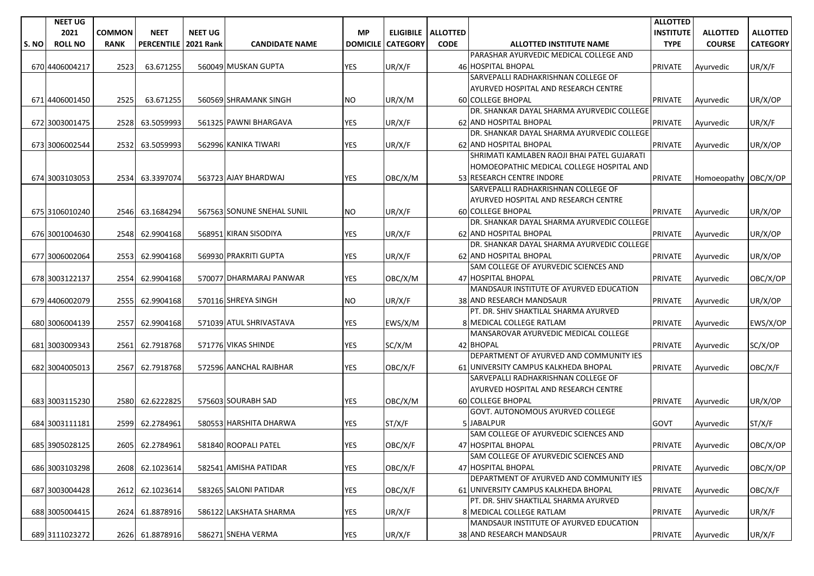|      | <b>NEET UG</b>   |               |                      |                |                            |                 |                 |                      |                                             | <b>ALLOTTED</b>  |                      |                 |
|------|------------------|---------------|----------------------|----------------|----------------------------|-----------------|-----------------|----------------------|---------------------------------------------|------------------|----------------------|-----------------|
|      | 2021             | <b>COMMON</b> | <b>NEET</b>          | <b>NEET UG</b> |                            | <b>MP</b>       |                 | ELIGIBILE   ALLOTTED |                                             | <b>INSTITUTE</b> | <b>ALLOTTED</b>      | <b>ALLOTTED</b> |
| S.NO | <b>ROLL NO</b>   | <b>RANK</b>   | PERCENTILE 2021 Rank |                | <b>CANDIDATE NAME</b>      | <b>DOMICILE</b> | <b>CATEGORY</b> | <b>CODE</b>          | <b>ALLOTTED INSTITUTE NAME</b>              | <b>TYPE</b>      | <b>COURSE</b>        | <b>CATEGORY</b> |
|      |                  |               |                      |                |                            |                 |                 |                      | PARASHAR AYURVEDIC MEDICAL COLLEGE AND      |                  |                      |                 |
|      | 670 4406004217   | 2523          | 63.671255            |                | 560049 MUSKAN GUPTA        | YES             | UR/X/F          |                      | 46 HOSPITAL BHOPAL                          | <b>PRIVATE</b>   | Avurvedic            | UR/X/F          |
|      |                  |               |                      |                |                            |                 |                 |                      | SARVEPALLI RADHAKRISHNAN COLLEGE OF         |                  |                      |                 |
|      |                  |               |                      |                |                            |                 |                 |                      | AYURVED HOSPITAL AND RESEARCH CENTRE        |                  |                      |                 |
|      | 671 440 600 1450 | 2525          | 63.671255            |                | 560569 SHRAMANK SINGH      | NO.             | UR/X/M          |                      | 60 COLLEGE BHOPAL                           | <b>PRIVATE</b>   | Ayurvedic            | UR/X/OP         |
|      |                  |               |                      |                |                            |                 |                 |                      | DR. SHANKAR DAYAL SHARMA AYURVEDIC COLLEGE  |                  |                      |                 |
|      | 672 3003001475   | 2528          | 63.5059993           |                | 561325 PAWNI BHARGAVA      | <b>YES</b>      | UR/X/F          |                      | 62 AND HOSPITAL BHOPAL                      | <b>PRIVATE</b>   | Ayurvedic            | UR/X/F          |
|      |                  |               |                      |                |                            |                 |                 |                      | DR. SHANKAR DAYAL SHARMA AYURVEDIC COLLEGE  |                  |                      |                 |
|      | 673 3006002544   | 2532          | 63.5059993           |                | 562996 KANIKA TIWARI       | <b>YES</b>      | UR/X/F          |                      | <b>62 AND HOSPITAL BHOPAL</b>               | <b>PRIVATE</b>   | Ayurvedic            | UR/X/OP         |
|      |                  |               |                      |                |                            |                 |                 |                      | SHRIMATI KAMLABEN RAOJI BHAI PATEL GUJARATI |                  |                      |                 |
|      |                  |               |                      |                |                            |                 |                 |                      | HOMOEOPATHIC MEDICAL COLLEGE HOSPITAL AND   |                  |                      |                 |
|      | 674 3003103053   | 2534          | 63.3397074           |                | 563723 AJAY BHARDWAJ       | YES             | OBC/X/M         |                      | 53 RESEARCH CENTRE INDORE                   | <b>PRIVATE</b>   | Homoeopathy OBC/X/OP |                 |
|      |                  |               |                      |                |                            |                 |                 |                      | SARVEPALLI RADHAKRISHNAN COLLEGE OF         |                  |                      |                 |
|      |                  |               |                      |                |                            |                 |                 |                      | AYURVED HOSPITAL AND RESEARCH CENTRE        |                  |                      |                 |
|      | 675 3106010240   | 2546          | 63.1684294           |                | 567563 SONUNE SNEHAL SUNIL | NO.             | UR/X/F          |                      | <b>60 COLLEGE BHOPAL</b>                    | <b>PRIVATE</b>   | Ayurvedic            | UR/X/OP         |
|      |                  |               |                      |                |                            |                 |                 |                      | DR. SHANKAR DAYAL SHARMA AYURVEDIC COLLEGE  |                  |                      |                 |
|      | 676 3001004630   | 2548          | 62.9904168           |                | 568951 KIRAN SISODIYA      | YES             | UR/X/F          |                      | <b>62 AND HOSPITAL BHOPAL</b>               | <b>PRIVATE</b>   | Ayurvedic            | UR/X/OP         |
|      |                  |               |                      |                |                            |                 |                 |                      | DR. SHANKAR DAYAL SHARMA AYURVEDIC COLLEGE  |                  |                      |                 |
|      | 677 3006002064   | 25531         | 62.9904168           |                | 569930 PRAKRITI GUPTA      | YES             | UR/X/F          |                      | 62 AND HOSPITAL BHOPAL                      | <b>PRIVATE</b>   | Avurvedic            | UR/X/OP         |
|      |                  |               |                      |                |                            |                 |                 |                      | SAM COLLEGE OF AYURVEDIC SCIENCES AND       |                  |                      |                 |
|      | 678 3003122137   | 2554          | 62.9904168           |                | 570077 DHARMARAJ PANWAR    | YES             | OBC/X/M         |                      | 47 HOSPITAL BHOPAL                          | <b>PRIVATE</b>   | Ayurvedic            | OBC/X/OP        |
|      |                  |               |                      |                |                            |                 |                 |                      | MANDSAUR INSTITUTE OF AYURVED EDUCATION     |                  |                      |                 |
|      | 679 4406002079   | 2555          | 62.9904168           |                | 570116 SHREYA SINGH        | NO.             | UR/X/F          |                      | 38 AND RESEARCH MANDSAUR                    | <b>PRIVATE</b>   | Ayurvedic            | UR/X/OP         |
|      |                  |               |                      |                |                            |                 |                 |                      | PT. DR. SHIV SHAKTILAL SHARMA AYURVED       |                  |                      |                 |
|      | 680 3006004139   | 2557          | 62.9904168           |                | 571039 ATUL SHRIVASTAVA    | YES             | EWS/X/M         |                      | 8 MEDICAL COLLEGE RATLAM                    | <b>PRIVATE</b>   | Ayurvedic            | EWS/X/OP        |
|      |                  |               |                      |                |                            |                 |                 |                      | MANSAROVAR AYURVEDIC MEDICAL COLLEGE        |                  |                      |                 |
|      | 681 3003009343   | 2561          | 62.7918768           |                | 571776 VIKAS SHINDE        | YES             | SC/X/M          |                      | 42 BHOPAL                                   | <b>PRIVATE</b>   | Ayurvedic            | SC/X/OP         |
|      |                  |               |                      |                |                            |                 |                 |                      | DEPARTMENT OF AYURVED AND COMMUNITY IES     |                  |                      |                 |
|      | 682 3004005013   | 2567          | 62.7918768           |                | 572596 AANCHAL RAJBHAR     | <b>YES</b>      | OBC/X/F         |                      | 61 UNIVERSITY CAMPUS KALKHEDA BHOPAL        | <b>PRIVATE</b>   | Ayurvedic            | OBC/X/F         |
|      |                  |               |                      |                |                            |                 |                 |                      | SARVEPALLI RADHAKRISHNAN COLLEGE OF         |                  |                      |                 |
|      |                  |               |                      |                |                            |                 |                 |                      | AYURVED HOSPITAL AND RESEARCH CENTRE        |                  |                      |                 |
|      | 683 3003115230   | 2580          | 62.6222825           |                | 575603 SOURABH SAD         | <b>YES</b>      | OBC/X/M         |                      | 60 COLLEGE BHOPAL                           | <b>PRIVATE</b>   | Avurvedic            | UR/X/OP         |
|      |                  |               |                      |                |                            |                 |                 |                      | <b>GOVT. AUTONOMOUS AYURVED COLLEGE</b>     |                  |                      |                 |
|      | 684 3003111181   | 2599          | 62.2784961           |                | 580553 HARSHITA DHARWA     | YES             | ST/X/F          |                      | 5JABALPUR                                   | <b>GOVT</b>      | Ayurvedic            | ST/X/F          |
|      |                  |               |                      |                |                            |                 |                 |                      | SAM COLLEGE OF AYURVEDIC SCIENCES AND       |                  |                      |                 |
|      | 685 3905028125   |               | 2605 62.2784961      |                | 581840 ROOPALI PATEL       | <b>YES</b>      | OBC/X/F         |                      | 47 HOSPITAL BHOPAL                          | <b>PRIVATE</b>   | Ayurvedic            | OBC/X/OP        |
|      |                  |               |                      |                |                            |                 |                 |                      | SAM COLLEGE OF AYURVEDIC SCIENCES AND       |                  |                      |                 |
|      | 686 3003103298   | 2608          | 62.1023614           |                | 582541 AMISHA PATIDAR      | <b>YES</b>      | OBC/X/F         |                      | 47 HOSPITAL BHOPAL                          | <b>PRIVATE</b>   | Ayurvedic            | OBC/X/OP        |
|      |                  |               |                      |                |                            |                 |                 |                      | DEPARTMENT OF AYURVED AND COMMUNITY IES     |                  |                      |                 |
|      | 687 3003004428   | 2612          | 62.1023614           |                | 583265 SALONI PATIDAR      | YES             | OBC/X/F         |                      | 61 UNIVERSITY CAMPUS KALKHEDA BHOPAL        | <b>PRIVATE</b>   | Ayurvedic            | OBC/X/F         |
|      |                  |               |                      |                |                            |                 |                 |                      | PT. DR. SHIV SHAKTILAL SHARMA AYURVED       |                  |                      |                 |
|      | 688 3005004415   | 2624          | 61.8878916           |                | 586122 LAKSHATA SHARMA     | <b>YES</b>      | UR/X/F          |                      | 8 MEDICAL COLLEGE RATLAM                    | <b>PRIVATE</b>   | Ayurvedic            | UR/X/F          |
|      |                  |               |                      |                |                            |                 |                 |                      | MANDSAUR INSTITUTE OF AYURVED EDUCATION     |                  |                      |                 |
|      | 689 3111023272   | 2626          | 61.8878916           |                | 586271 SNEHA VERMA         | YES             | UR/X/F          |                      | 38 AND RESEARCH MANDSAUR                    | <b>PRIVATE</b>   | Ayurvedic            | UR/X/F          |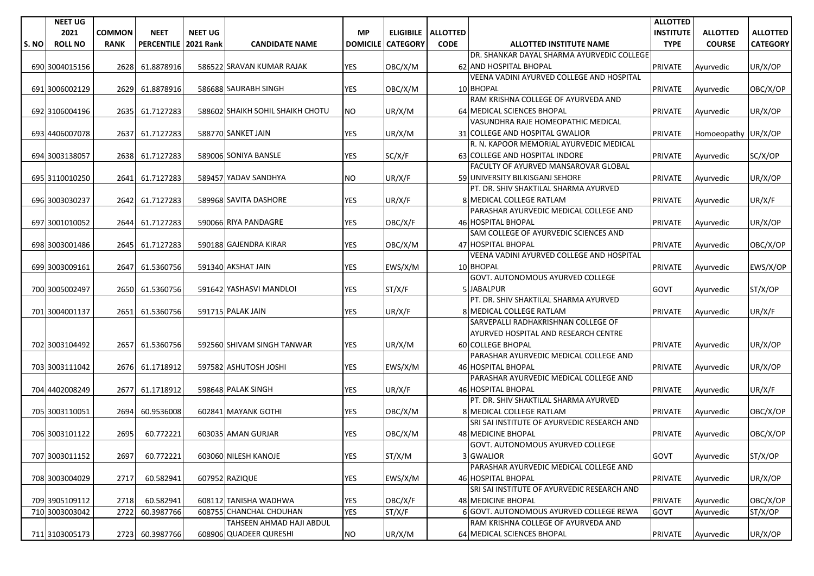|       | <b>NEET UG</b> |               |                   |                  |                                  |                 |                 |                      |                                                                               | <b>ALLOTTED</b>  |                     |                 |
|-------|----------------|---------------|-------------------|------------------|----------------------------------|-----------------|-----------------|----------------------|-------------------------------------------------------------------------------|------------------|---------------------|-----------------|
|       | 2021           | <b>COMMON</b> | <b>NEET</b>       | <b>NEET UG</b>   |                                  | <b>MP</b>       |                 | ELIGIBILE   ALLOTTED |                                                                               | <b>INSTITUTE</b> | <b>ALLOTTED</b>     | <b>ALLOTTED</b> |
| S. NO | <b>ROLL NO</b> | <b>RANK</b>   | <b>PERCENTILE</b> | <b>2021 Rank</b> | <b>CANDIDATE NAME</b>            | <b>DOMICILE</b> | <b>CATEGORY</b> | <b>CODE</b>          | <b>ALLOTTED INSTITUTE NAME</b>                                                | <b>TYPE</b>      | <b>COURSE</b>       | <b>CATEGORY</b> |
|       |                |               |                   |                  |                                  |                 |                 |                      | DR. SHANKAR DAYAL SHARMA AYURVEDIC COLLEGE                                    |                  |                     |                 |
|       | 690 3004015156 | 2628          | 61.8878916        |                  | 586522 SRAVAN KUMAR RAJAK        | YES             | OBC/X/M         |                      | 62 AND HOSPITAL BHOPAL                                                        | <b>PRIVATE</b>   | Ayurvedic           | UR/X/OP         |
|       |                |               |                   |                  |                                  |                 |                 |                      | VEENA VADINI AYURVED COLLEGE AND HOSPITAL                                     |                  |                     |                 |
|       | 691 3006002129 | 2629          | 61.8878916        |                  | 586688 SAURABH SINGH             | <b>YES</b>      | OBC/X/M         |                      | 10 BHOPAL                                                                     | <b>PRIVATE</b>   | Ayurvedic           | OBC/X/OP        |
|       |                |               |                   |                  |                                  |                 |                 |                      | RAM KRISHNA COLLEGE OF AYURVEDA AND                                           |                  |                     |                 |
|       | 692 3106004196 | 2635          | 61.7127283        |                  | 588602 SHAIKH SOHIL SHAIKH CHOTU | NO.             | UR/X/M          |                      | 64 MEDICAL SCIENCES BHOPAL                                                    | <b>PRIVATE</b>   | Ayurvedic           | UR/X/OP         |
|       |                |               |                   |                  |                                  |                 |                 |                      | VASUNDHRA RAJE HOMEOPATHIC MEDICAL                                            |                  |                     |                 |
|       | 693 4406007078 | 2637          | 61.7127283        |                  | 588770 SANKET JAIN               | <b>YES</b>      | UR/X/M          |                      | 31 COLLEGE AND HOSPITAL GWALIOR                                               | <b>PRIVATE</b>   | Homoeopathy UR/X/OP |                 |
|       |                |               |                   |                  |                                  |                 |                 |                      | R. N. KAPOOR MEMORIAL AYURVEDIC MEDICAL                                       |                  |                     |                 |
|       | 694 3003138057 | 2638          | 61.7127283        |                  | 589006 SONIYA BANSLE             | <b>YES</b>      | SC/X/F          |                      | 63 COLLEGE AND HOSPITAL INDORE<br><b>FACULTY OF AYURVED MANSAROVAR GLOBAL</b> | <b>PRIVATE</b>   | Ayurvedic           | SC/X/OP         |
|       |                |               |                   |                  | 589457 YADAV SANDHYA             | <b>NO</b>       |                 |                      | 59 UNIVERSITY BILKISGANJ SEHORE                                               |                  |                     |                 |
|       | 695 3110010250 | 2641          | 61.7127283        |                  |                                  |                 | UR/X/F          |                      | PT. DR. SHIV SHAKTILAL SHARMA AYURVED                                         | <b>PRIVATE</b>   | Ayurvedic           | UR/X/OP         |
|       | 696 3003030237 | 2642          | 61.7127283        |                  | 589968 SAVITA DASHORE            | <b>YES</b>      | UR/X/F          |                      | 8 MEDICAL COLLEGE RATLAM                                                      | <b>PRIVATE</b>   | Ayurvedic           | UR/X/F          |
|       |                |               |                   |                  |                                  |                 |                 |                      | PARASHAR AYURVEDIC MEDICAL COLLEGE AND                                        |                  |                     |                 |
|       | 697 3001010052 | 2644          | 61.7127283        |                  | 590066 RIYA PANDAGRE             | YES             | OBC/X/F         |                      | 46 HOSPITAL BHOPAL                                                            | <b>PRIVATE</b>   | Ayurvedic           | UR/X/OP         |
|       |                |               |                   |                  |                                  |                 |                 |                      | SAM COLLEGE OF AYURVEDIC SCIENCES AND                                         |                  |                     |                 |
|       | 698 3003001486 | 2645          | 61.7127283        |                  | 590188 GAJENDRA KIRAR            | <b>YES</b>      | OBC/X/M         |                      | 47 HOSPITAL BHOPAL                                                            | <b>PRIVATE</b>   | Ayurvedic           | OBC/X/OP        |
|       |                |               |                   |                  |                                  |                 |                 |                      | VEENA VADINI AYURVED COLLEGE AND HOSPITAL                                     |                  |                     |                 |
|       | 699 3003009161 | 2647          | 61.5360756        |                  | 591340 AKSHAT JAIN               | <b>YES</b>      | EWS/X/M         |                      | 10 BHOPAL                                                                     | <b>PRIVATE</b>   | Ayurvedic           | EWS/X/OP        |
|       |                |               |                   |                  |                                  |                 |                 |                      | GOVT. AUTONOMOUS AYURVED COLLEGE                                              |                  |                     |                 |
|       | 700 3005002497 | 2650          | 61.5360756        |                  | 591642 YASHASVI MANDLOI          | <b>YES</b>      | ST/X/F          |                      | 5 JABALPUR                                                                    | <b>GOVT</b>      | Ayurvedic           | ST/X/OP         |
|       |                |               |                   |                  |                                  |                 |                 |                      | PT. DR. SHIV SHAKTILAL SHARMA AYURVED                                         |                  |                     |                 |
|       | 701 3004001137 | 2651          | 61.5360756        |                  | 591715 PALAK JAIN                | <b>YES</b>      | UR/X/F          |                      | 8 MEDICAL COLLEGE RATLAM                                                      | <b>PRIVATE</b>   | Ayurvedic           | UR/X/F          |
|       |                |               |                   |                  |                                  |                 |                 |                      | SARVEPALLI RADHAKRISHNAN COLLEGE OF                                           |                  |                     |                 |
|       |                |               |                   |                  |                                  |                 |                 |                      | AYURVED HOSPITAL AND RESEARCH CENTRE                                          |                  |                     |                 |
|       | 702 3003104492 | 2657          | 61.5360756        |                  | 592560 SHIVAM SINGH TANWAR       | YES             | UR/X/M          |                      | 60 COLLEGE BHOPAL                                                             | <b>PRIVATE</b>   | Ayurvedic           | UR/X/OP         |
|       |                |               |                   |                  |                                  |                 |                 |                      | PARASHAR AYURVEDIC MEDICAL COLLEGE AND                                        |                  |                     |                 |
|       | 703 3003111042 | 2676          | 61.1718912        |                  | 597582 ASHUTOSH JOSHI            | <b>YES</b>      | EWS/X/M         |                      | 46 HOSPITAL BHOPAL                                                            | <b>PRIVATE</b>   | Ayurvedic           | UR/X/OP         |
|       |                |               |                   |                  |                                  |                 |                 |                      | PARASHAR AYURVEDIC MEDICAL COLLEGE AND                                        |                  |                     |                 |
|       | 704 4402008249 | 2677          | 61.1718912        |                  | 598648 PALAK SINGH               | <b>YES</b>      | UR/X/F          |                      | 46 HOSPITAL BHOPAL                                                            | <b>PRIVATE</b>   | Ayurvedic           | UR/X/F          |
|       |                |               |                   |                  | 602841 MAYANK GOTHI              |                 |                 |                      | PT. DR. SHIV SHAKTILAL SHARMA AYURVED<br>8 MEDICAL COLLEGE RATLAM             |                  |                     |                 |
|       | 705 3003110051 | 2694          | 60.9536008        |                  |                                  | <b>YES</b>      | OBC/X/M         |                      | SRI SAI INSTITUTE OF AYURVEDIC RESEARCH AND                                   | <b>PRIVATE</b>   | Ayurvedic           | OBC/X/OP        |
|       | 706 3003101122 | 2695          | 60.772221         |                  | 603035 AMAN GURJAR               | YES             | OBC/X/M         |                      | 48 MEDICINE BHOPAL                                                            | <b>PRIVATE</b>   | Ayurvedic           | OBC/X/OP        |
|       |                |               |                   |                  |                                  |                 |                 |                      | <b>GOVT. AUTONOMOUS AYURVED COLLEGE</b>                                       |                  |                     |                 |
|       | 707 3003011152 | 2697          | 60.772221         |                  | 603060 NILESH KANOJE             | <b>YES</b>      | ST/X/M          |                      | 3 GWALIOR                                                                     | GOVT             | Ayurvedic           | ST/X/OP         |
|       |                |               |                   |                  |                                  |                 |                 |                      | PARASHAR AYURVEDIC MEDICAL COLLEGE AND                                        |                  |                     |                 |
|       | 708 3003004029 | 2717          | 60.582941         |                  | 607952 RAZIQUE                   | YES             | EWS/X/M         |                      | 46 HOSPITAL BHOPAL                                                            | <b>PRIVATE</b>   | Ayurvedic           | UR/X/OP         |
|       |                |               |                   |                  |                                  |                 |                 |                      | SRI SAI INSTITUTE OF AYURVEDIC RESEARCH AND                                   |                  |                     |                 |
|       | 709 3905109112 | 2718          | 60.582941         |                  | 608112 TANISHA WADHWA            | YES             | OBC/X/F         |                      | 48 MEDICINE BHOPAL                                                            | <b>PRIVATE</b>   | Ayurvedic           | OBC/X/OP        |
|       | 710 3003003042 | 2722          | 60.3987766        | 60875            | <b>CHANCHAL CHOUHAN</b>          | <b>YES</b>      | ST/X/F          |                      | 6 GOVT. AUTONOMOUS AYURVED COLLEGE REWA                                       | <b>GOVT</b>      | Ayurvedic           | ST/X/OP         |
|       |                |               |                   |                  | TAHSEEN AHMAD HAJI ABDUL         |                 |                 |                      | RAM KRISHNA COLLEGE OF AYURVEDA AND                                           |                  |                     |                 |
|       | 711 3103005173 |               | 2723 60.3987766   |                  | 608906 QUADEER QURESHI           | <b>NO</b>       | UR/X/M          |                      | 64 MEDICAL SCIENCES BHOPAL                                                    | <b>PRIVATE</b>   | Ayurvedic           | UR/X/OP         |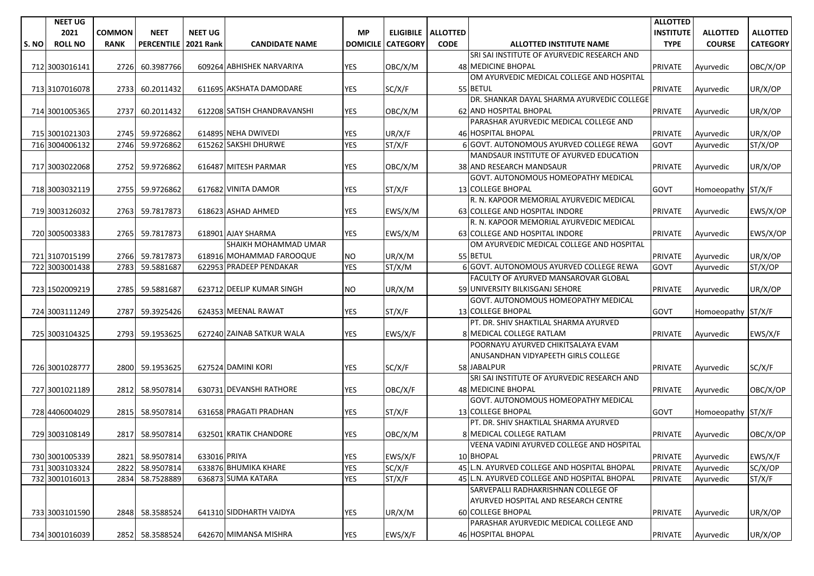|       | <b>NEET UG</b> |               |                   |                  |                             |                 |                 |                      |                                             | <b>ALLOTTED</b>  |                    |                 |
|-------|----------------|---------------|-------------------|------------------|-----------------------------|-----------------|-----------------|----------------------|---------------------------------------------|------------------|--------------------|-----------------|
|       | 2021           | <b>COMMON</b> | <b>NEET</b>       | <b>NEET UG</b>   |                             | <b>MP</b>       |                 | ELIGIBILE   ALLOTTED |                                             | <b>INSTITUTE</b> | <b>ALLOTTED</b>    | <b>ALLOTTED</b> |
| S. NO | <b>ROLL NO</b> | <b>RANK</b>   | <b>PERCENTILE</b> | <b>2021 Rank</b> | <b>CANDIDATE NAME</b>       | <b>DOMICILE</b> | <b>CATEGORY</b> | <b>CODE</b>          | <b>ALLOTTED INSTITUTE NAME</b>              | <b>TYPE</b>      | <b>COURSE</b>      | <b>CATEGORY</b> |
|       |                |               |                   |                  |                             |                 |                 |                      | SRI SAI INSTITUTE OF AYURVEDIC RESEARCH AND |                  |                    |                 |
|       | 712 3003016141 | 2726          | 60.3987766        |                  | 609264 ABHISHEK NARVARIYA   | <b>YES</b>      | OBC/X/M         |                      | <b>48 MEDICINE BHOPAL</b>                   | <b>PRIVATE</b>   | Ayurvedic          | OBC/X/OP        |
|       |                |               |                   |                  |                             |                 |                 |                      | OM AYURVEDIC MEDICAL COLLEGE AND HOSPITAL   |                  |                    |                 |
|       | 713 3107016078 | 2733          | 60.2011432        |                  | 611695 AKSHATA DAMODARE     | <b>YES</b>      | SC/X/F          |                      | 55 BETUL                                    | <b>PRIVATE</b>   | Ayurvedic          | UR/X/OP         |
|       |                |               |                   |                  |                             |                 |                 |                      | DR. SHANKAR DAYAL SHARMA AYURVEDIC COLLEGE  |                  |                    |                 |
|       | 714 3001005365 | 2737          | 60.2011432        |                  | 612208 SATISH CHANDRAVANSHI | <b>YES</b>      | OBC/X/M         |                      | 62 AND HOSPITAL BHOPAL                      | <b>PRIVATE</b>   | Ayurvedic          | UR/X/OP         |
|       |                |               |                   |                  |                             |                 |                 |                      | PARASHAR AYURVEDIC MEDICAL COLLEGE AND      |                  |                    |                 |
|       | 715 3001021303 | 2745          | 59.9726862        |                  | 614895 NEHA DWIVEDI         | YES             | UR/X/F          |                      | 46 HOSPITAL BHOPAL                          | <b>PRIVATE</b>   | Ayurvedic          | UR/X/OP         |
|       | 716 3004006132 | 2746          | 59.9726862        |                  | 615262 SAKSHI DHURWE        | <b>YES</b>      | ST/X/F          |                      | 6 GOVT. AUTONOMOUS AYURVED COLLEGE REWA     | <b>GOVT</b>      | Ayurvedic          | ST/X/OP         |
|       |                |               |                   |                  |                             |                 |                 |                      | MANDSAUR INSTITUTE OF AYURVED EDUCATION     |                  |                    |                 |
|       | 717 3003022068 | 2752          | 59.9726862        |                  | 616487 MITESH PARMAR        | <b>YES</b>      | OBC/X/M         |                      | 38 AND RESEARCH MANDSAUR                    | <b>PRIVATE</b>   | Ayurvedic          | UR/X/OP         |
|       |                |               |                   |                  |                             |                 |                 |                      | GOVT. AUTONOMOUS HOMEOPATHY MEDICAL         |                  |                    |                 |
|       | 718 3003032119 | 2755          | 59.9726862        |                  | 617682 VINITA DAMOR         | <b>YES</b>      | ST/X/F          |                      | <b>13 COLLEGE BHOPAL</b>                    | <b>GOVT</b>      | Homoeopathy ST/X/F |                 |
|       |                |               |                   |                  |                             |                 |                 |                      | R. N. KAPOOR MEMORIAL AYURVEDIC MEDICAL     |                  |                    |                 |
|       | 719 3003126032 | 2763          | 59.7817873        |                  | 618623 ASHAD AHMED          | YES             | EWS/X/M         |                      | 63 COLLEGE AND HOSPITAL INDORE              | <b>PRIVATE</b>   | Ayurvedic          | EWS/X/OP        |
|       |                |               |                   |                  |                             |                 |                 |                      | R. N. KAPOOR MEMORIAL AYURVEDIC MEDICAL     |                  |                    |                 |
|       | 720 3005003383 | 2765          | 59.7817873        |                  | 618901 AJAY SHARMA          | YES             | EWS/X/M         |                      | 63 COLLEGE AND HOSPITAL INDORE              | <b>PRIVATE</b>   | Ayurvedic          | EWS/X/OP        |
|       |                |               |                   |                  | SHAIKH MOHAMMAD UMAR        |                 |                 |                      | OM AYURVEDIC MEDICAL COLLEGE AND HOSPITAL   |                  |                    |                 |
|       | 721 3107015199 | 2766          | 59.7817873        |                  | 618916 MOHAMMAD FAROOQUE    | NO.             | UR/X/M          |                      | 55 BETUL                                    | <b>PRIVATE</b>   | Ayurvedic          | UR/X/OP         |
|       | 722 3003001438 | 2783          | 59.5881687        |                  | 622953 PRADEEP PENDAKAR     | <b>YES</b>      | ST/X/M          |                      | 6 GOVT. AUTONOMOUS AYURVED COLLEGE REWA     | <b>GOVT</b>      | Ayurvedic          | ST/X/OP         |
|       |                |               |                   |                  |                             |                 |                 |                      | FACULTY OF AYURVED MANSAROVAR GLOBAL        |                  |                    |                 |
|       | 723 1502009219 | 2785          | 59.5881687        |                  | 623712 DEELIP KUMAR SINGH   | <b>NO</b>       | UR/X/M          |                      | 59 UNIVERSITY BILKISGANJ SEHORE             | <b>PRIVATE</b>   | Ayurvedic          | UR/X/OP         |
|       |                |               |                   |                  |                             |                 |                 |                      | GOVT. AUTONOMOUS HOMEOPATHY MEDICAL         |                  |                    |                 |
|       | 724 3003111249 | 2787          | 59.3925426        |                  | 624353 MEENAL RAWAT         | <b>YES</b>      | ST/X/F          |                      | 13 COLLEGE BHOPAL                           | <b>GOVT</b>      | Homoeopathy ST/X/F |                 |
|       |                |               |                   |                  |                             |                 |                 |                      | PT. DR. SHIV SHAKTILAL SHARMA AYURVED       |                  |                    |                 |
|       | 725 3003104325 | 2793          | 59.1953625        |                  | 627240 ZAINAB SATKUR WALA   | <b>YES</b>      | EWS/X/F         |                      | 8 MEDICAL COLLEGE RATLAM                    | <b>PRIVATE</b>   | Ayurvedic          | EWS/X/F         |
|       |                |               |                   |                  |                             |                 |                 |                      | POORNAYU AYURVED CHIKITSALAYA EVAM          |                  |                    |                 |
|       |                |               |                   |                  |                             |                 |                 |                      | ANUSANDHAN VIDYAPEETH GIRLS COLLEGE         |                  |                    |                 |
|       | 726 3001028777 |               | 2800 59.1953625   |                  | 627524 DAMINI KORI          | <b>YES</b>      | SC/X/F          |                      | 58 JABALPUR                                 | <b>PRIVATE</b>   | Ayurvedic          | SC/X/F          |
|       |                |               |                   |                  |                             |                 |                 |                      | SRI SAI INSTITUTE OF AYURVEDIC RESEARCH AND |                  |                    |                 |
|       | 727 3001021189 |               | 2812 58.9507814   |                  | 630731 DEVANSHI RATHORE     | <b>YES</b>      | OBC/X/F         |                      | 48 MEDICINE BHOPAL                          | <b>PRIVATE</b>   | Ayurvedic          | OBC/X/OP        |
|       |                |               |                   |                  |                             |                 |                 |                      | GOVT. AUTONOMOUS HOMEOPATHY MEDICAL         |                  |                    |                 |
|       | 728 4406004029 | 2815          | 58.9507814        |                  | 631658 PRAGATI PRADHAN      | YES             | ST/X/F          |                      | 13 COLLEGE BHOPAL                           | <b>GOVT</b>      | Homoeopathy ST/X/F |                 |
|       |                |               |                   |                  |                             |                 |                 |                      | PT. DR. SHIV SHAKTILAL SHARMA AYURVED       |                  |                    |                 |
|       | 729 3003108149 | 2817          | 58.9507814        |                  | 632501 KRATIK CHANDORE      | <b>YES</b>      | OBC/X/M         |                      | 8 MEDICAL COLLEGE RATLAM                    | <b>PRIVATE</b>   | Ayurvedic          | OBC/X/OP        |
|       |                |               |                   |                  |                             |                 |                 |                      | VEENA VADINI AYURVED COLLEGE AND HOSPITAL   |                  |                    |                 |
|       | 730 3001005339 |               | 2821 58.9507814   | 633016 PRIYA     |                             | <b>YES</b>      | EWS/X/F         |                      | 10 BHOPAL                                   | <b>PRIVATE</b>   | Ayurvedic          | EWS/X/F         |
|       | 731 3003103324 | 2822          | 58.9507814        |                  | 633876 BHUMIKA KHARE        | <b>YES</b>      | SC/X/F          |                      | 45 L.N. AYURVED COLLEGE AND HOSPITAL BHOPAL | PRIVATE          | Ayurvedic          | SC/X/OP         |
|       | 732 3001016013 | 2834          | 58.7528889        |                  | 636873 SUMA KATARA          | <b>YES</b>      | ST/X/F          |                      | 45 L.N. AYURVED COLLEGE AND HOSPITAL BHOPAL | <b>PRIVATE</b>   | Ayurvedic          | ST/X/F          |
|       |                |               |                   |                  |                             |                 |                 |                      | SARVEPALLI RADHAKRISHNAN COLLEGE OF         |                  |                    |                 |
|       |                |               |                   |                  |                             |                 |                 |                      | AYURVED HOSPITAL AND RESEARCH CENTRE        |                  |                    |                 |
|       | 733 3003101590 |               | 2848 58.3588524   |                  | 641310 SIDDHARTH VAIDYA     | YES             | UR/X/M          |                      | 60 COLLEGE BHOPAL                           | <b>PRIVATE</b>   | Ayurvedic          | UR/X/OP         |
|       |                |               |                   |                  |                             |                 |                 |                      | PARASHAR AYURVEDIC MEDICAL COLLEGE AND      |                  |                    |                 |
|       | 734 3001016039 |               | 2852 58.3588524   |                  | 642670 MIMANSA MISHRA       | <b>YES</b>      | EWS/X/F         |                      | 46 HOSPITAL BHOPAL                          | <b>PRIVATE</b>   | Ayurvedic          | UR/X/OP         |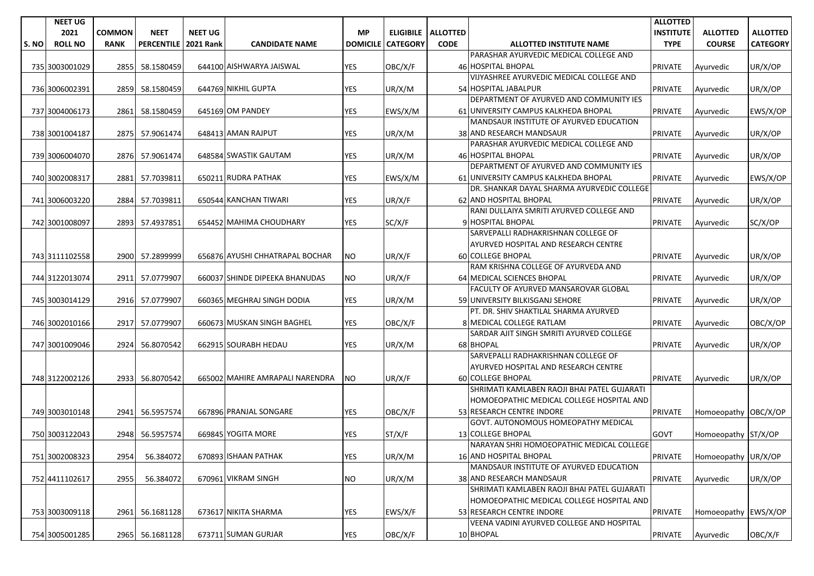|      | <b>NEET UG</b> |               |                   |                  |                                 |                 |                 |                      |                                             | <b>ALLOTTED</b>  |                      |                 |
|------|----------------|---------------|-------------------|------------------|---------------------------------|-----------------|-----------------|----------------------|---------------------------------------------|------------------|----------------------|-----------------|
|      | 2021           | <b>COMMON</b> | <b>NEET</b>       | <b>NEET UG</b>   |                                 | <b>MP</b>       |                 | ELIGIBILE   ALLOTTED |                                             | <b>INSTITUTE</b> | <b>ALLOTTED</b>      | <b>ALLOTTED</b> |
| S.NO | <b>ROLL NO</b> | <b>RANK</b>   | <b>PERCENTILE</b> | <b>2021 Rank</b> | <b>CANDIDATE NAME</b>           | <b>DOMICILE</b> | <b>CATEGORY</b> | <b>CODE</b>          | <b>ALLOTTED INSTITUTE NAME</b>              | <b>TYPE</b>      | <b>COURSE</b>        | <b>CATEGORY</b> |
|      |                |               |                   |                  |                                 |                 |                 |                      | PARASHAR AYURVEDIC MEDICAL COLLEGE AND      |                  |                      |                 |
|      | 735 3003001029 | 2855          | 58.1580459        |                  | 644100 AISHWARYA JAISWAL        | <b>YES</b>      | OBC/X/F         |                      | 46 HOSPITAL BHOPAL                          | <b>PRIVATE</b>   | Ayurvedic            | UR/X/OP         |
|      |                |               |                   |                  |                                 |                 |                 |                      | VIJYASHREE AYURVEDIC MEDICAL COLLEGE AND    |                  |                      |                 |
|      | 736 3006002391 | 2859          | 58.1580459        |                  | 644769 NIKHIL GUPTA             | YES             | UR/X/M          |                      | 54 HOSPITAL JABALPUR                        | <b>PRIVATE</b>   | Ayurvedic            | UR/X/OP         |
|      |                |               |                   |                  |                                 |                 |                 |                      | DEPARTMENT OF AYURVED AND COMMUNITY IES     |                  |                      |                 |
|      | 737 3004006173 | 2861          | 58.1580459        |                  | 645169 OM PANDEY                | <b>YES</b>      | EWS/X/M         |                      | 61 UNIVERSITY CAMPUS KALKHEDA BHOPAL        | <b>PRIVATE</b>   | Ayurvedic            | EWS/X/OP        |
|      |                |               |                   |                  |                                 |                 |                 |                      | MANDSAUR INSTITUTE OF AYURVED EDUCATION     |                  |                      |                 |
|      | 738 3001004187 | 2875          | 57.9061474        |                  | 648413 AMAN RAJPUT              | <b>YES</b>      | UR/X/M          |                      | 38 AND RESEARCH MANDSAUR                    | <b>PRIVATE</b>   | Ayurvedic            | UR/X/OP         |
|      |                |               |                   |                  |                                 |                 |                 |                      | PARASHAR AYURVEDIC MEDICAL COLLEGE AND      |                  |                      |                 |
|      | 739 3006004070 | 2876          | 57.9061474        |                  | 648584 SWASTIK GAUTAM           | YES             | UR/X/M          |                      | <b>46 HOSPITAL BHOPAL</b>                   | <b>PRIVATE</b>   | Ayurvedic            | UR/X/OP         |
|      |                |               |                   |                  |                                 |                 |                 |                      | DEPARTMENT OF AYURVED AND COMMUNITY IES     |                  |                      |                 |
|      | 740 3002008317 | 2881          | 57.7039811        |                  | 650211 RUDRA PATHAK             | <b>YES</b>      | EWS/X/M         |                      | 61 UNIVERSITY CAMPUS KALKHEDA BHOPAL        | <b>PRIVATE</b>   | Ayurvedic            | EWS/X/OP        |
|      |                |               |                   |                  |                                 |                 |                 |                      | DR. SHANKAR DAYAL SHARMA AYURVEDIC COLLEGE  |                  |                      |                 |
|      | 741 3006003220 | 2884          | 57.7039811        |                  | 650544 KANCHAN TIWARI           | <b>YES</b>      | UR/X/F          |                      | 62 AND HOSPITAL BHOPAL                      | <b>PRIVATE</b>   | Ayurvedic            | UR/X/OP         |
|      |                |               |                   |                  |                                 |                 |                 |                      | RANI DULLAIYA SMRITI AYURVED COLLEGE AND    |                  |                      |                 |
|      | 742 3001008097 | 2893          | 57.4937851        |                  | 654452 MAHIMA CHOUDHARY         | YES             | SC/X/F          |                      | 9 HOSPITAL BHOPAL                           | <b>PRIVATE</b>   | Ayurvedic            | SC/X/OP         |
|      |                |               |                   |                  |                                 |                 |                 |                      | SARVEPALLI RADHAKRISHNAN COLLEGE OF         |                  |                      |                 |
|      |                |               |                   |                  |                                 |                 |                 |                      | AYURVED HOSPITAL AND RESEARCH CENTRE        |                  |                      |                 |
|      | 743 3111102558 | 2900          | 57.2899999        |                  | 656876 AYUSHI CHHATRAPAL BOCHAR | NO.             | UR/X/F          |                      | 60 COLLEGE BHOPAL                           | <b>PRIVATE</b>   | Ayurvedic            | UR/X/OP         |
|      |                |               |                   |                  |                                 |                 |                 |                      | RAM KRISHNA COLLEGE OF AYURVEDA AND         |                  |                      |                 |
|      | 744 3122013074 | 2911          | 57.0779907        |                  | 660037 SHINDE DIPEEKA BHANUDAS  | <b>NO</b>       | UR/X/F          |                      | 64 MEDICAL SCIENCES BHOPAL                  | <b>PRIVATE</b>   | Ayurvedic            | UR/X/OP         |
|      |                |               |                   |                  |                                 |                 |                 |                      | FACULTY OF AYURVED MANSAROVAR GLOBAL        |                  |                      |                 |
|      | 745 3003014129 |               | 2916 57.0779907   |                  | 660365 MEGHRAJ SINGH DODIA      | <b>YES</b>      | UR/X/M          |                      | 59 UNIVERSITY BILKISGANJ SEHORE             | <b>PRIVATE</b>   | Ayurvedic            | UR/X/OP         |
|      |                |               |                   |                  |                                 |                 |                 |                      | PT. DR. SHIV SHAKTILAL SHARMA AYURVED       |                  |                      |                 |
|      | 746 3002010166 | 2917          | 57.0779907        |                  | 660673 MUSKAN SINGH BAGHEL      | YES             | OBC/X/F         |                      | 8 MEDICAL COLLEGE RATLAM                    | <b>PRIVATE</b>   | Ayurvedic            | OBC/X/OP        |
|      |                |               |                   |                  |                                 |                 |                 |                      | SARDAR AJIT SINGH SMRITI AYURVED COLLEGE    |                  |                      |                 |
|      | 747 3001009046 | 2924          | 56.8070542        |                  | 662915 SOURABH HEDAU            | <b>YES</b>      | UR/X/M          |                      | 68 BHOPAL                                   | <b>PRIVATE</b>   | Ayurvedic            | UR/X/OP         |
|      |                |               |                   |                  |                                 |                 |                 |                      | SARVEPALLI RADHAKRISHNAN COLLEGE OF         |                  |                      |                 |
|      |                |               |                   |                  |                                 |                 |                 |                      | AYURVED HOSPITAL AND RESEARCH CENTRE        |                  |                      |                 |
|      | 748 3122002126 |               | 2933 56.8070542   |                  | 665002 MAHIRE AMRAPALI NARENDRA | NO              | UR/X/F          |                      | <b>60 COLLEGE BHOPAL</b>                    | <b>PRIVATE</b>   | Ayurvedic            | UR/X/OP         |
|      |                |               |                   |                  |                                 |                 |                 |                      | SHRIMATI KAMLABEN RAOJI BHAI PATEL GUJARATI |                  |                      |                 |
|      |                |               |                   |                  |                                 |                 |                 |                      | HOMOEOPATHIC MEDICAL COLLEGE HOSPITAL AND   |                  |                      |                 |
|      | 749 3003010148 | 2941          | 56.5957574        |                  | 667896 PRANJAL SONGARE          | <b>YES</b>      | OBC/X/F         |                      | 53 RESEARCH CENTRE INDORE                   | <b>PRIVATE</b>   | Homoeopathy OBC/X/OP |                 |
|      |                |               |                   |                  |                                 |                 |                 |                      | GOVT. AUTONOMOUS HOMEOPATHY MEDICAL         |                  |                      |                 |
|      | 750 3003122043 | 2948          | 56.5957574        |                  | 669845 YOGITA MORE              | YES             | ST/X/F          |                      | 13 COLLEGE BHOPAL                           | <b>GOVT</b>      | Homoeopathy ST/X/OP  |                 |
|      |                |               |                   |                  |                                 |                 |                 |                      | NARAYAN SHRI HOMOEOPATHIC MEDICAL COLLEGE   |                  |                      |                 |
|      | 751 3002008323 | 2954          | 56.384072         |                  | 670893 ISHAAN PATHAK            | <b>YES</b>      | UR/X/M          |                      | 16 AND HOSPITAL BHOPAL                      | PRIVATE          | Homoeopathy UR/X/OP  |                 |
|      |                |               |                   |                  |                                 |                 |                 |                      | MANDSAUR INSTITUTE OF AYURVED EDUCATION     |                  |                      |                 |
|      | 752 4411102617 | 2955          | 56.384072         |                  | 670961 VIKRAM SINGH             | <b>NO</b>       | UR/X/M          |                      | 38 AND RESEARCH MANDSAUR                    | PRIVATE          | Ayurvedic            | UR/X/OP         |
|      |                |               |                   |                  |                                 |                 |                 |                      | SHRIMATI KAMLABEN RAOJI BHAI PATEL GUJARATI |                  |                      |                 |
|      |                |               |                   |                  |                                 |                 |                 |                      | HOMOEOPATHIC MEDICAL COLLEGE HOSPITAL AND   |                  |                      |                 |
|      | 753 3003009118 |               | 2961 56.1681128   |                  | 673617 NIKITA SHARMA            | YES             | EWS/X/F         |                      | 53 RESEARCH CENTRE INDORE                   | <b>PRIVATE</b>   | Homoeopathy EWS/X/OP |                 |
|      |                |               |                   |                  |                                 |                 |                 |                      | VEENA VADINI AYURVED COLLEGE AND HOSPITAL   |                  |                      |                 |
|      | 754 3005001285 |               | 2965 56.1681128   |                  | 673711 SUMAN GURJAR             | <b>YES</b>      | OBC/X/F         |                      | 10 BHOPAL                                   | <b>PRIVATE</b>   | Ayurvedic            | OBC/X/F         |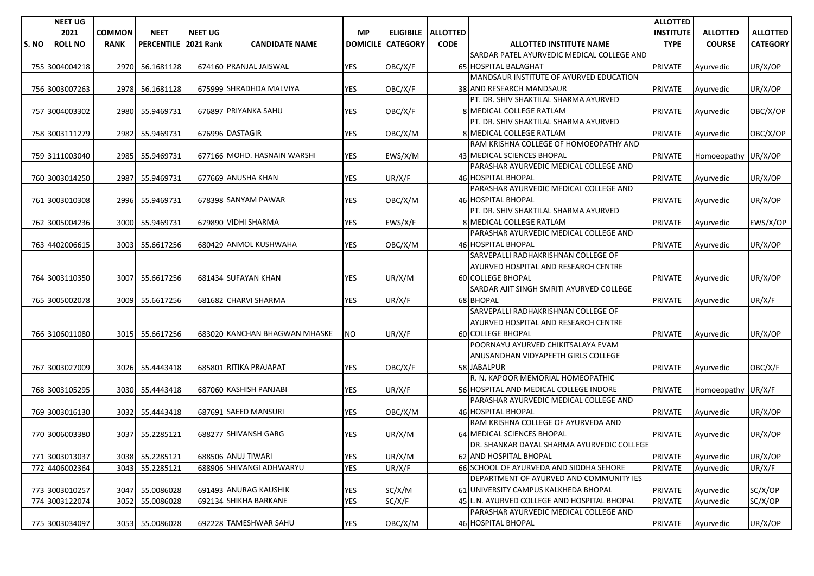|       | <b>NEET UG</b> |               |                   |                  |                               |                 |                 |                      |                                                              | <b>ALLOTTED</b>  |                     |                 |
|-------|----------------|---------------|-------------------|------------------|-------------------------------|-----------------|-----------------|----------------------|--------------------------------------------------------------|------------------|---------------------|-----------------|
|       | 2021           | <b>COMMON</b> | <b>NEET</b>       | <b>NEET UG</b>   |                               | <b>MP</b>       |                 | ELIGIBILE   ALLOTTED |                                                              | <b>INSTITUTE</b> | <b>ALLOTTED</b>     | <b>ALLOTTED</b> |
| S. NO | <b>ROLL NO</b> | <b>RANK</b>   | <b>PERCENTILE</b> | <b>2021 Rank</b> | <b>CANDIDATE NAME</b>         | <b>DOMICILE</b> | <b>CATEGORY</b> | <b>CODE</b>          | <b>ALLOTTED INSTITUTE NAME</b>                               | <b>TYPE</b>      | <b>COURSE</b>       | <b>CATEGORY</b> |
|       |                |               |                   |                  |                               |                 |                 |                      | SARDAR PATEL AYURVEDIC MEDICAL COLLEGE AND                   |                  |                     |                 |
|       | 755 3004004218 | 2970          | 56.1681128        |                  | 674160 PRANJAL JAISWAL        | <b>YES</b>      | OBC/X/F         |                      | 65 HOSPITAL BALAGHAT                                         | PRIVATE          | Ayurvedic           | UR/X/OP         |
|       |                |               |                   |                  |                               |                 |                 |                      | MANDSAUR INSTITUTE OF AYURVED EDUCATION                      |                  |                     |                 |
|       | 756 3003007263 | 2978          | 56.1681128        |                  | 675999 SHRADHDA MALVIYA       | <b>YES</b>      | OBC/X/F         |                      | 38 AND RESEARCH MANDSAUR                                     | <b>PRIVATE</b>   | Ayurvedic           | UR/X/OP         |
|       |                |               |                   |                  |                               |                 |                 |                      | PT. DR. SHIV SHAKTILAL SHARMA AYURVED                        |                  |                     |                 |
|       | 757 3004003302 | 2980          | 55.9469731        |                  | 676897 PRIYANKA SAHU          | <b>YES</b>      | OBC/X/F         |                      | 8 MEDICAL COLLEGE RATLAM                                     | <b>PRIVATE</b>   | Ayurvedic           | OBC/X/OP        |
|       |                |               |                   |                  |                               |                 |                 |                      | PT. DR. SHIV SHAKTILAL SHARMA AYURVED                        |                  |                     |                 |
|       | 758 3003111279 | 2982          | 55.9469731        |                  | 676996 DASTAGIR               | YES             | OBC/X/M         |                      | 8 MEDICAL COLLEGE RATLAM                                     | <b>PRIVATE</b>   | Ayurvedic           | OBC/X/OP        |
|       |                |               |                   |                  |                               |                 |                 |                      | RAM KRISHNA COLLEGE OF HOMOEOPATHY AND                       |                  |                     |                 |
|       | 759 3111003040 | 2985          | 55.9469731        |                  | 677166 MOHD, HASNAIN WARSHI   | <b>YES</b>      | EWS/X/M         |                      | 43 MEDICAL SCIENCES BHOPAL                                   | <b>PRIVATE</b>   | Homoeopathy UR/X/OP |                 |
|       |                |               |                   |                  |                               |                 |                 |                      | PARASHAR AYURVEDIC MEDICAL COLLEGE AND                       |                  |                     |                 |
|       | 760 3003014250 | 2987          | 55.9469731        |                  | 677669 ANUSHA KHAN            | <b>YES</b>      | UR/X/F          |                      | 46 HOSPITAL BHOPAL<br>PARASHAR AYURVEDIC MEDICAL COLLEGE AND | <b>PRIVATE</b>   | Ayurvedic           | UR/X/OP         |
|       |                |               |                   |                  | 678398 SANYAM PAWAR           |                 |                 |                      | 46 HOSPITAL BHOPAL                                           |                  |                     |                 |
|       | 761 3003010308 | 2996          | 55.9469731        |                  |                               | YES             | OBC/X/M         |                      | PT. DR. SHIV SHAKTILAL SHARMA AYURVED                        | <b>PRIVATE</b>   | Ayurvedic           | UR/X/OP         |
|       | 762 3005004236 | 3000          |                   |                  | 679890 VIDHI SHARMA           |                 |                 |                      | 8 MEDICAL COLLEGE RATLAM                                     |                  |                     |                 |
|       |                |               | 55.9469731        |                  |                               | YES             | EWS/X/F         |                      | PARASHAR AYURVEDIC MEDICAL COLLEGE AND                       | <b>PRIVATE</b>   | Ayurvedic           | EWS/X/OP        |
|       | 763 4402006615 | 3003          | 55.6617256        |                  | 680429 ANMOL KUSHWAHA         | <b>YES</b>      | OBC/X/M         |                      | 46 HOSPITAL BHOPAL                                           | <b>PRIVATE</b>   | Ayurvedic           | UR/X/OP         |
|       |                |               |                   |                  |                               |                 |                 |                      | SARVEPALLI RADHAKRISHNAN COLLEGE OF                          |                  |                     |                 |
|       |                |               |                   |                  |                               |                 |                 |                      | AYURVED HOSPITAL AND RESEARCH CENTRE                         |                  |                     |                 |
|       | 764 3003110350 | 3007          | 55.6617256        |                  | 681434 SUFAYAN KHAN           | <b>YES</b>      | UR/X/M          |                      | <b>60 COLLEGE BHOPAL</b>                                     | <b>PRIVATE</b>   | Ayurvedic           | UR/X/OP         |
|       |                |               |                   |                  |                               |                 |                 |                      | SARDAR AJIT SINGH SMRITI AYURVED COLLEGE                     |                  |                     |                 |
|       | 765 3005002078 | 3009          | 55.6617256        |                  | 681682 CHARVI SHARMA          | YES             | UR/X/F          |                      | 68 BHOPAL                                                    | <b>PRIVATE</b>   | Ayurvedic           | UR/X/F          |
|       |                |               |                   |                  |                               |                 |                 |                      | SARVEPALLI RADHAKRISHNAN COLLEGE OF                          |                  |                     |                 |
|       |                |               |                   |                  |                               |                 |                 |                      | AYURVED HOSPITAL AND RESEARCH CENTRE                         |                  |                     |                 |
|       | 766 3106011080 | 3015          | 55.6617256        |                  | 683020 KANCHAN BHAGWAN MHASKE | <b>NO</b>       | UR/X/F          |                      | <b>60 COLLEGE BHOPAL</b>                                     | <b>PRIVATE</b>   | Ayurvedic           | UR/X/OP         |
|       |                |               |                   |                  |                               |                 |                 |                      | POORNAYU AYURVED CHIKITSALAYA EVAM                           |                  |                     |                 |
|       |                |               |                   |                  |                               |                 |                 |                      | ANUSANDHAN VIDYAPEETH GIRLS COLLEGE                          |                  |                     |                 |
|       | 767 3003027009 | 3026          | 55.4443418        |                  | 685801 RITIKA PRAJAPAT        | <b>YES</b>      | OBC/X/F         |                      | 58 JABALPUR                                                  | <b>PRIVATE</b>   | Ayurvedic           | OBC/X/F         |
|       |                |               |                   |                  |                               |                 |                 |                      | R. N. KAPOOR MEMORIAL HOMEOPATHIC                            |                  |                     |                 |
|       | 768 3003105295 | 3030          | 55.4443418        |                  | 687060 KASHISH PANJABI        | <b>YES</b>      | UR/X/F          |                      | 56 HOSPITAL AND MEDICAL COLLEGE INDORE                       | <b>PRIVATE</b>   | Homoeopathy UR/X/F  |                 |
|       |                |               |                   |                  |                               |                 |                 |                      | PARASHAR AYURVEDIC MEDICAL COLLEGE AND                       |                  |                     |                 |
|       | 769 3003016130 | 3032          | 55.4443418        |                  | 687691 SAEED MANSURI          | YES             | OBC/X/M         |                      | 46 HOSPITAL BHOPAL                                           | <b>PRIVATE</b>   | Ayurvedic           | UR/X/OP         |
|       |                |               |                   |                  |                               |                 |                 |                      | RAM KRISHNA COLLEGE OF AYURVEDA AND                          |                  |                     |                 |
|       | 770 3006003380 | 3037          | 55.2285121        |                  | 688277 SHIVANSH GARG          | YES             | UR/X/M          |                      | 64 MEDICAL SCIENCES BHOPAL                                   | <b>PRIVATE</b>   | Ayurvedic           | UR/X/OP         |
|       |                |               |                   |                  |                               |                 |                 |                      | DR. SHANKAR DAYAL SHARMA AYURVEDIC COLLEGE                   |                  |                     |                 |
|       | 771 3003013037 |               | 3038 55.2285121   |                  | 688506 ANUJ TIWARI            | <b>YES</b>      | UR/X/M          |                      | 62 AND HOSPITAL BHOPAL                                       | <b>PRIVATE</b>   | Ayurvedic           | UR/X/OP         |
|       | 772 4406002364 | 3043          | 55.2285121        |                  | 688906 SHIVANGI ADHWARYU      | <b>YES</b>      | UR/X/F          |                      | 66 SCHOOL OF AYURVEDA AND SIDDHA SEHORE                      | <b>PRIVATE</b>   | Avurvedic           | UR/X/F          |
|       |                |               |                   |                  |                               |                 |                 |                      | DEPARTMENT OF AYURVED AND COMMUNITY IES                      |                  |                     |                 |
|       | 773 3003010257 | 3047          | 55.0086028        |                  | 691493 ANURAG KAUSHIK         | YES             | SC/X/M          |                      | 61 UNIVERSITY CAMPUS KALKHEDA BHOPAL                         | <b>PRIVATE</b>   | Ayurvedic           | SC/X/OP         |
|       | 774 3003122074 | 3052          | 55.0086028        |                  | 692134 SHIKHA BARKANE         | <b>YES</b>      | SC/X/F          |                      | 45 L.N. AYURVED COLLEGE AND HOSPITAL BHOPAL                  | PRIVATE          | Avurvedic           | SC/X/OP         |
|       |                |               |                   |                  |                               |                 |                 |                      | PARASHAR AYURVEDIC MEDICAL COLLEGE AND                       |                  |                     |                 |
|       | 775 3003034097 |               | 3053 55.0086028   |                  | 692228 TAMESHWAR SAHU         | <b>YES</b>      | OBC/X/M         |                      | 46 HOSPITAL BHOPAL                                           | <b>PRIVATE</b>   | Ayurvedic           | UR/X/OP         |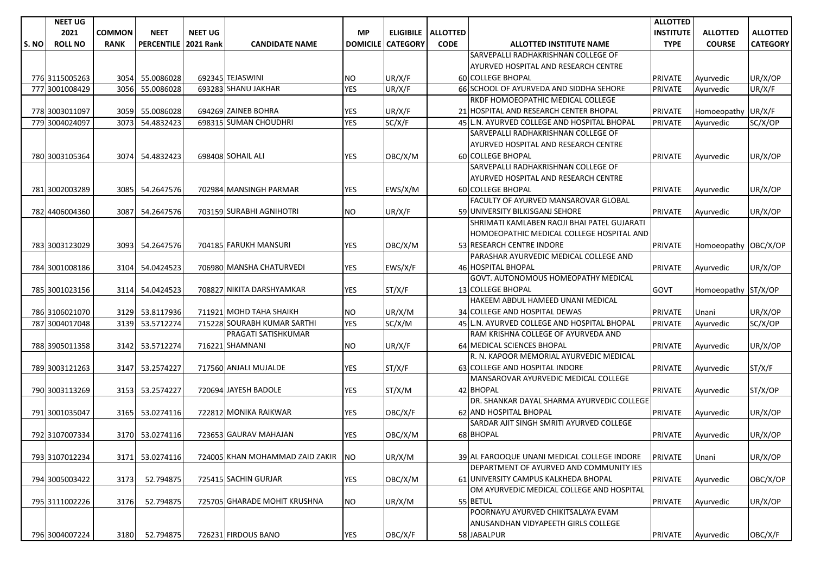|       | <b>NEET UG</b> |               |                      |                |                                    |                 |                 |                      |                                             | <b>ALLOTTED</b>  |                      |                 |
|-------|----------------|---------------|----------------------|----------------|------------------------------------|-----------------|-----------------|----------------------|---------------------------------------------|------------------|----------------------|-----------------|
|       | 2021           | <b>COMMON</b> | <b>NEET</b>          | <b>NEET UG</b> |                                    | <b>MP</b>       |                 | ELIGIBILE   ALLOTTED |                                             | <b>INSTITUTE</b> | <b>ALLOTTED</b>      | <b>ALLOTTED</b> |
| S. NO | <b>ROLL NO</b> | <b>RANK</b>   | PERCENTILE 2021 Rank |                | <b>CANDIDATE NAME</b>              | <b>DOMICILE</b> | <b>CATEGORY</b> | <b>CODE</b>          | <b>ALLOTTED INSTITUTE NAME</b>              | <b>TYPE</b>      | <b>COURSE</b>        | <b>CATEGORY</b> |
|       |                |               |                      |                |                                    |                 |                 |                      | SARVEPALLI RADHAKRISHNAN COLLEGE OF         |                  |                      |                 |
|       |                |               |                      |                |                                    |                 |                 |                      | AYURVED HOSPITAL AND RESEARCH CENTRE        |                  |                      |                 |
|       | 776 3115005263 | 3054          | 55.0086028           |                | 692345 TEJASWINI                   | NO.             | UR/X/F          |                      | 60 COLLEGE BHOPAL                           | <b>PRIVATE</b>   | Ayurvedic            | UR/X/OP         |
|       | 777 3001008429 | 3056          | 55.0086028           |                | 693283 SHANU JAKHAR                | <b>YES</b>      | UR/X/F          |                      | 66 SCHOOL OF AYURVEDA AND SIDDHA SEHORE     | <b>PRIVATE</b>   | Ayurvedic            | UR/X/F          |
|       |                |               |                      |                |                                    |                 |                 |                      | RKDF HOMOEOPATHIC MEDICAL COLLEGE           |                  |                      |                 |
|       | 778 3003011097 | 3059          | 55.0086028           |                | 694269 ZAINEB BOHRA                | YES             | UR/X/F          |                      | 21 HOSPITAL AND RESEARCH CENTER BHOPAL      | <b>PRIVATE</b>   | Homoeopathy UR/X/F   |                 |
|       | 779 3004024097 | 3073          | 54.4832423           |                | 698315 SUMAN CHOUDHRI              | <b>YES</b>      | SC/X/F          |                      | 45 L.N. AYURVED COLLEGE AND HOSPITAL BHOPAL | <b>PRIVATE</b>   | Ayurvedic            | SC/X/OP         |
|       |                |               |                      |                |                                    |                 |                 |                      | SARVEPALLI RADHAKRISHNAN COLLEGE OF         |                  |                      |                 |
|       |                |               |                      |                |                                    |                 |                 |                      | AYURVED HOSPITAL AND RESEARCH CENTRE        |                  |                      |                 |
|       | 780 3003105364 | 3074          | 54.4832423           |                | 698408 SOHAIL ALI                  | <b>YES</b>      | OBC/X/M         |                      | <b>60 COLLEGE BHOPAL</b>                    | <b>PRIVATE</b>   | Ayurvedic            | UR/X/OP         |
|       |                |               |                      |                |                                    |                 |                 |                      | SARVEPALLI RADHAKRISHNAN COLLEGE OF         |                  |                      |                 |
|       |                |               |                      |                |                                    |                 |                 |                      | AYURVED HOSPITAL AND RESEARCH CENTRE        |                  |                      |                 |
|       | 781 3002003289 |               | 3085 54.2647576      |                | 702984 MANSINGH PARMAR             | <b>YES</b>      | EWS/X/M         |                      | <b>60 COLLEGE BHOPAL</b>                    | <b>PRIVATE</b>   | Ayurvedic            | UR/X/OP         |
|       |                |               |                      |                |                                    |                 |                 |                      | FACULTY OF AYURVED MANSAROVAR GLOBAL        |                  |                      |                 |
|       | 782 4406004360 | 3087          | 54.2647576           |                | 703159 SURABHI AGNIHOTRI           | <b>NO</b>       | UR/X/F          |                      | 59 UNIVERSITY BILKISGANJ SEHORE             | <b>PRIVATE</b>   | Ayurvedic            | UR/X/OP         |
|       |                |               |                      |                |                                    |                 |                 |                      | SHRIMATI KAMLABEN RAOJI BHAI PATEL GUJARATI |                  |                      |                 |
|       |                |               |                      |                |                                    |                 |                 |                      | HOMOEOPATHIC MEDICAL COLLEGE HOSPITAL AND   |                  |                      |                 |
|       | 783 3003123029 | 3093          | 54.2647576           |                | 704185 FARUKH MANSURI              | <b>YES</b>      | OBC/X/M         |                      | 53 RESEARCH CENTRE INDORE                   | <b>PRIVATE</b>   | Homoeopathy OBC/X/OP |                 |
|       |                |               |                      |                |                                    |                 |                 |                      | PARASHAR AYURVEDIC MEDICAL COLLEGE AND      |                  |                      |                 |
|       | 784 3001008186 | 3104          | 54.0424523           |                | 706980 MANSHA CHATURVEDI           | <b>YES</b>      | EWS/X/F         |                      | <b>46 HOSPITAL BHOPAL</b>                   | <b>PRIVATE</b>   | Ayurvedic            | UR/X/OP         |
|       |                |               |                      |                |                                    |                 |                 |                      | GOVT. AUTONOMOUS HOMEOPATHY MEDICAL         |                  |                      |                 |
|       | 785 3001023156 | 3114          | 54.0424523           |                | 708827 NIKITA DARSHYAMKAR          | YES             | ST/X/F          |                      | <b>13 COLLEGE BHOPAL</b>                    | <b>GOVT</b>      | Homoeopathy ST/X/OP  |                 |
|       |                |               |                      |                |                                    |                 |                 |                      | HAKEEM ABDUL HAMEED UNANI MEDICAL           |                  |                      |                 |
|       | 786 3106021070 | 3129          | 53.8117936           |                | 711921 MOHD TAHA SHAIKH            | NO.             | UR/X/M          |                      | 34 COLLEGE AND HOSPITAL DEWAS               | <b>PRIVATE</b>   | Unani                | UR/X/OP         |
|       | 787 3004017048 | 3139          | 53.5712274           |                | 715228 SOURABH KUMAR SARTHI        | <b>YES</b>      | SC/X/M          |                      | 45 L.N. AYURVED COLLEGE AND HOSPITAL BHOPAL | PRIVATE          | Ayurvedic            | SC/X/OP         |
|       |                |               |                      |                | PRAGATI SATISHKUMAR                |                 |                 |                      | RAM KRISHNA COLLEGE OF AYURVEDA AND         |                  |                      |                 |
|       | 788 3905011358 |               | 3142 53.5712274      |                | 716221 SHAMNANI                    | NO.             | UR/X/F          |                      | 64 MEDICAL SCIENCES BHOPAL                  | <b>PRIVATE</b>   | Ayurvedic            | UR/X/OP         |
|       |                |               |                      |                |                                    |                 |                 |                      | R. N. KAPOOR MEMORIAL AYURVEDIC MEDICAL     |                  |                      |                 |
|       | 789 3003121263 | 3147          | 53.2574227           |                | 717560 ANJALI MUJALDE              | <b>YES</b>      | ST/X/F          |                      | 63 COLLEGE AND HOSPITAL INDORE              | <b>PRIVATE</b>   | Ayurvedic            | ST/X/F          |
|       |                |               |                      |                |                                    |                 |                 |                      | MANSAROVAR AYURVEDIC MEDICAL COLLEGE        |                  |                      |                 |
|       | 790 3003113269 |               | 3153 53.2574227      |                | 720694 JAYESH BADOLE               | YES             | ST/X/M          |                      | 42 BHOPAL                                   | <b>PRIVATE</b>   | Ayurvedic            | ST/X/OP         |
|       |                |               |                      |                |                                    |                 |                 |                      | DR. SHANKAR DAYAL SHARMA AYURVEDIC COLLEGE  |                  |                      |                 |
|       | 791 3001035047 |               | 3165 53.0274116      |                | 722812 MONIKA RAIKWAR              | <b>YES</b>      | OBC/X/F         |                      | 62 AND HOSPITAL BHOPAL                      | <b>PRIVATE</b>   | Ayurvedic            | UR/X/OP         |
|       |                |               |                      |                |                                    |                 |                 |                      | SARDAR AJIT SINGH SMRITI AYURVED COLLEGE    |                  |                      |                 |
|       | 792 3107007334 | 3170          | 53.0274116           |                | 723653 GAURAV MAHAJAN              | YES             | OBC/X/M         |                      | 68 BHOPAL                                   | <b>PRIVATE</b>   | Ayurvedic            | UR/X/OP         |
|       |                |               |                      |                |                                    |                 |                 |                      |                                             |                  |                      |                 |
|       | 793 3107012234 |               | 3171 53.0274116      |                | 724005 KHAN MOHAMMAD ZAID ZAKIR NO |                 | UR/X/M          |                      | 39 AL FAROOQUE UNANI MEDICAL COLLEGE INDORE | <b>PRIVATE</b>   | Unani                | UR/X/OP         |
|       |                |               |                      |                |                                    |                 |                 |                      | DEPARTMENT OF AYURVED AND COMMUNITY IES     |                  |                      |                 |
|       | 794 3005003422 | 3173          | 52.794875            |                | 725415 SACHIN GURJAR               | YES             | OBC/X/M         |                      | 61 UNIVERSITY CAMPUS KALKHEDA BHOPAL        | <b>PRIVATE</b>   | Ayurvedic            | OBC/X/OP        |
|       |                |               |                      |                |                                    |                 |                 |                      | OM AYURVEDIC MEDICAL COLLEGE AND HOSPITAL   |                  |                      |                 |
|       | 795 3111002226 | 3176          | 52.794875            |                | 725705 GHARADE MOHIT KRUSHNA       | <b>NO</b>       | UR/X/M          |                      | 55 BETUL                                    | <b>PRIVATE</b>   | Avurvedic            | UR/X/OP         |
|       |                |               |                      |                |                                    |                 |                 |                      | POORNAYU AYURVED CHIKITSALAYA EVAM          |                  |                      |                 |
|       |                |               |                      |                |                                    |                 |                 |                      | ANUSANDHAN VIDYAPEETH GIRLS COLLEGE         |                  |                      |                 |
|       | 796 3004007224 | 3180          | 52.794875            |                | 726231 FIRDOUS BANO                | YES             | OBC/X/F         |                      | 58 JABALPUR                                 | <b>PRIVATE</b>   | Ayurvedic            | OBC/X/F         |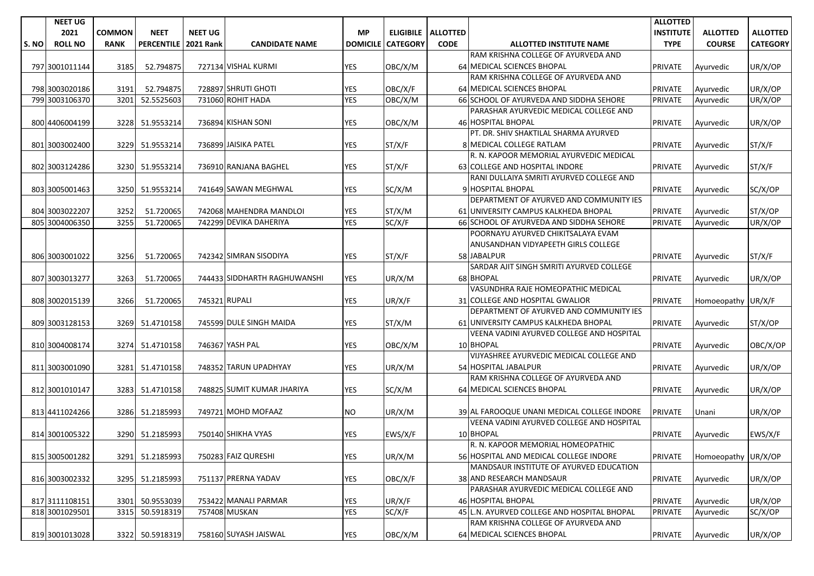|       | <b>NEET UG</b> |               |                   |                  |                              |                 |                 |                      |                                             | <b>ALLOTTED</b>  |                     |                 |
|-------|----------------|---------------|-------------------|------------------|------------------------------|-----------------|-----------------|----------------------|---------------------------------------------|------------------|---------------------|-----------------|
|       | 2021           | <b>COMMON</b> | <b>NEET</b>       | <b>NEET UG</b>   |                              | <b>MP</b>       |                 | ELIGIBILE   ALLOTTED |                                             | <b>INSTITUTE</b> | <b>ALLOTTED</b>     | <b>ALLOTTED</b> |
| S. NO | <b>ROLL NO</b> | <b>RANK</b>   | <b>PERCENTILE</b> | <b>2021 Rank</b> | <b>CANDIDATE NAME</b>        | <b>DOMICILE</b> | <b>CATEGORY</b> | <b>CODE</b>          | <b>ALLOTTED INSTITUTE NAME</b>              | <b>TYPE</b>      | <b>COURSE</b>       | <b>CATEGORY</b> |
|       |                |               |                   |                  |                              |                 |                 |                      | RAM KRISHNA COLLEGE OF AYURVEDA AND         |                  |                     |                 |
|       | 797 3001011144 | 3185          | 52.794875         |                  | 727134 VISHAL KURMI          | <b>YES</b>      | OBC/X/M         |                      | 64 MEDICAL SCIENCES BHOPAL                  | <b>PRIVATE</b>   | Ayurvedic           | UR/X/OP         |
|       |                |               |                   |                  |                              |                 |                 |                      | RAM KRISHNA COLLEGE OF AYURVEDA AND         |                  |                     |                 |
|       | 798 3003020186 | 3191          | 52.794875         |                  | 728897 SHRUTI GHOTI          | <b>YES</b>      | OBC/X/F         |                      | 64 MEDICAL SCIENCES BHOPAL                  | <b>PRIVATE</b>   | Ayurvedic           | UR/X/OP         |
|       | 799 3003106370 | 3201          | 52.5525603        |                  | 731060 ROHIT HADA            | <b>YES</b>      | OBC/X/M         |                      | 66 SCHOOL OF AYURVEDA AND SIDDHA SEHORE     | <b>PRIVATE</b>   | Ayurvedic           | UR/X/OP         |
|       |                |               |                   |                  |                              |                 |                 |                      | PARASHAR AYURVEDIC MEDICAL COLLEGE AND      |                  |                     |                 |
|       | 800 4406004199 | 3228          | 51.9553214        |                  | 736894 KISHAN SONI           | <b>YES</b>      | OBC/X/M         |                      | <b>46 HOSPITAL BHOPAL</b>                   | <b>PRIVATE</b>   | Ayurvedic           | UR/X/OP         |
|       |                |               |                   |                  |                              |                 |                 |                      | PT. DR. SHIV SHAKTILAL SHARMA AYURVED       |                  |                     |                 |
|       | 801 3003002400 | 3229          | 51.9553214        |                  | 736899 JAISIKA PATEL         | <b>YES</b>      | ST/X/F          |                      | 8 MEDICAL COLLEGE RATLAM                    | <b>PRIVATE</b>   | Ayurvedic           | ST/X/F          |
|       |                |               |                   |                  |                              |                 |                 |                      | R. N. KAPOOR MEMORIAL AYURVEDIC MEDICAL     |                  |                     |                 |
|       | 802 3003124286 | 3230          | 51.9553214        |                  | 736910 RANJANA BAGHEL        | YES             | ST/X/F          |                      | 63 COLLEGE AND HOSPITAL INDORE              | <b>PRIVATE</b>   | Ayurvedic           | ST/X/F          |
|       |                |               |                   |                  |                              |                 |                 |                      | RANI DULLAIYA SMRITI AYURVED COLLEGE AND    |                  |                     |                 |
|       | 803 3005001463 | 3250          | 51.9553214        |                  | 741649 SAWAN MEGHWAL         | <b>YES</b>      | SC/X/M          |                      | 9 HOSPITAL BHOPAL                           | <b>PRIVATE</b>   | Ayurvedic           | SC/X/OP         |
|       |                |               |                   |                  |                              |                 |                 |                      | DEPARTMENT OF AYURVED AND COMMUNITY IES     |                  |                     |                 |
|       | 804 3003022207 | 3252          | 51.720065         |                  | 742068 MAHENDRA MANDLOI      | <b>YES</b>      | ST/X/M          |                      | 61 UNIVERSITY CAMPUS KALKHEDA BHOPAL        | <b>PRIVATE</b>   | Ayurvedic           | ST/X/OP         |
|       | 805 3004006350 | 3255          | 51.720065         |                  | 742299 DEVIKA DAHERIYA       | <b>YES</b>      | SC/X/F          |                      | 66 SCHOOL OF AYURVEDA AND SIDDHA SEHORE     | <b>PRIVATE</b>   | Ayurvedic           | UR/X/OP         |
|       |                |               |                   |                  |                              |                 |                 |                      | POORNAYU AYURVED CHIKITSALAYA EVAM          |                  |                     |                 |
|       |                |               |                   |                  |                              |                 |                 |                      | ANUSANDHAN VIDYAPEETH GIRLS COLLEGE         |                  |                     |                 |
|       | 806 3003001022 | 3256          | 51.720065         |                  | 742342 SIMRAN SISODIYA       | YES             | ST/X/F          |                      | 58 JABALPUR                                 | <b>PRIVATE</b>   | Avurvedic           | ST/X/F          |
|       |                |               |                   |                  |                              |                 |                 |                      | SARDAR AJIT SINGH SMRITI AYURVED COLLEGE    |                  |                     |                 |
|       | 807 3003013277 | 3263          | 51.720065         |                  | 744433 SIDDHARTH RAGHUWANSHI | <b>YES</b>      | UR/X/M          |                      | 68 BHOPAL                                   | <b>PRIVATE</b>   | Ayurvedic           | UR/X/OP         |
|       |                |               |                   |                  |                              |                 |                 |                      | VASUNDHRA RAJE HOMEOPATHIC MEDICAL          |                  |                     |                 |
|       | 808 3002015139 | 3266          | 51.720065         | 745321 RUPALI    |                              | <b>YES</b>      | UR/X/F          |                      | 31 COLLEGE AND HOSPITAL GWALIOR             | <b>PRIVATE</b>   | Homoeopathy UR/X/F  |                 |
|       |                |               |                   |                  |                              |                 |                 |                      | DEPARTMENT OF AYURVED AND COMMUNITY IES     |                  |                     |                 |
|       | 809 3003128153 | 3269          | 51.4710158        |                  | 745599 DULE SINGH MAIDA      | <b>YES</b>      | ST/X/M          |                      | 61 UNIVERSITY CAMPUS KALKHEDA BHOPAL        | <b>PRIVATE</b>   | Ayurvedic           | ST/X/OP         |
|       |                |               |                   |                  |                              |                 |                 |                      | VEENA VADINI AYURVED COLLEGE AND HOSPITAL   |                  |                     |                 |
|       | 810 3004008174 | 3274          | 51.4710158        |                  | 746367 YASH PAL              | YES             | OBC/X/M         |                      | 10 BHOPAL                                   | <b>PRIVATE</b>   | Ayurvedic           | OBC/X/OP        |
|       |                |               |                   |                  |                              |                 |                 |                      | VIJYASHREE AYURVEDIC MEDICAL COLLEGE AND    |                  |                     |                 |
|       | 811 3003001090 | 3281          | 51.4710158        |                  | 748352 TARUN UPADHYAY        | <b>YES</b>      | UR/X/M          |                      | 54 HOSPITAL JABALPUR                        | <b>PRIVATE</b>   | Ayurvedic           | UR/X/OP         |
|       |                |               |                   |                  |                              |                 |                 |                      | RAM KRISHNA COLLEGE OF AYURVEDA AND         |                  |                     |                 |
|       | 812 3001010147 |               | 3283 51.4710158   |                  | 748825 SUMIT KUMAR JHARIYA   | <b>YES</b>      | SC/X/M          |                      | 64 MEDICAL SCIENCES BHOPAL                  | <b>PRIVATE</b>   | Ayurvedic           | UR/X/OP         |
|       |                |               |                   |                  |                              |                 |                 |                      |                                             |                  |                     |                 |
|       | 813 4411024266 | 3286          | 51.2185993        |                  | 749721 MOHD MOFAAZ           | NO.             | UR/X/M          |                      | 39 AL FAROOQUE UNANI MEDICAL COLLEGE INDORE | <b>PRIVATE</b>   | Unani               | UR/X/OP         |
|       |                |               |                   |                  |                              |                 |                 |                      | VEENA VADINI AYURVED COLLEGE AND HOSPITAL   |                  |                     |                 |
|       | 814 3001005322 | 3290          | 51.2185993        |                  | 750140 SHIKHA VYAS           | YES             | EWS/X/F         |                      | 10 BHOPAL                                   | <b>PRIVATE</b>   | Ayurvedic           | EWS/X/F         |
|       |                |               |                   |                  |                              |                 |                 |                      | R. N. KAPOOR MEMORIAL HOMEOPATHIC           |                  |                     |                 |
|       | 815 3005001282 |               | 3291 51.2185993   |                  | 750283 FAIZ QURESHI          | <b>YES</b>      | UR/X/M          |                      | 56 HOSPITAL AND MEDICAL COLLEGE INDORE      | <b>PRIVATE</b>   | Homoeopathy UR/X/OP |                 |
|       |                |               |                   |                  |                              |                 |                 |                      | MANDSAUR INSTITUTE OF AYURVED EDUCATION     |                  |                     |                 |
|       | 816 3003002332 |               | 3295 51.2185993   |                  | 751137 PRERNA YADAV          | YES             | OBC/X/F         |                      | 38 AND RESEARCH MANDSAUR                    | <b>PRIVATE</b>   | Ayurvedic           | UR/X/OP         |
|       |                |               |                   |                  |                              |                 |                 |                      | PARASHAR AYURVEDIC MEDICAL COLLEGE AND      |                  |                     |                 |
|       | 817 3111108151 | 3301          | 50.9553039        |                  | 753422 MANALI PARMAR         | <b>YES</b>      | UR/X/F          |                      | 46 HOSPITAL BHOPAL                          | <b>PRIVATE</b>   | Avurvedic           | UR/X/OP         |
|       | 818 3001029501 | 3315          | 50.5918319        |                  | 757408 MUSKAN                | <b>YES</b>      | SC/X/F          |                      | 45 L.N. AYURVED COLLEGE AND HOSPITAL BHOPAL | <b>PRIVATE</b>   | Ayurvedic           | SC/X/OP         |
|       |                |               |                   |                  |                              |                 |                 |                      | RAM KRISHNA COLLEGE OF AYURVEDA AND         |                  |                     |                 |
|       | 819 3001013028 |               | 3322 50.5918319   |                  | 758160 SUYASH JAISWAL        | YES             | OBC/X/M         |                      | 64 MEDICAL SCIENCES BHOPAL                  | <b>PRIVATE</b>   | Ayurvedic           | UR/X/OP         |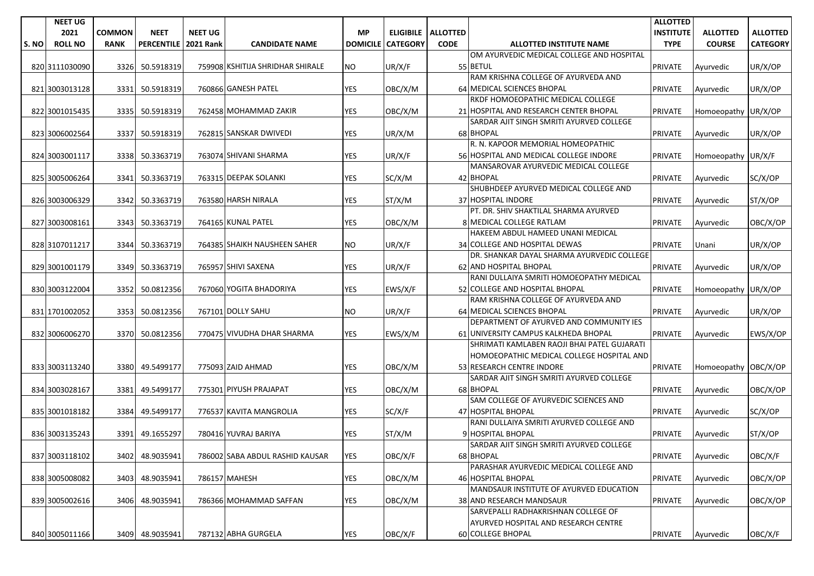|       | <b>NEET UG</b> |               |                   |                  |                                  |                 |                 |                      |                                                                       | <b>ALLOTTED</b>  |                      |                 |
|-------|----------------|---------------|-------------------|------------------|----------------------------------|-----------------|-----------------|----------------------|-----------------------------------------------------------------------|------------------|----------------------|-----------------|
|       | 2021           | <b>COMMON</b> | <b>NEET</b>       | <b>NEET UG</b>   |                                  | <b>MP</b>       |                 | ELIGIBILE   ALLOTTED |                                                                       | <b>INSTITUTE</b> | <b>ALLOTTED</b>      | <b>ALLOTTED</b> |
| S. NO | <b>ROLL NO</b> | <b>RANK</b>   | <b>PERCENTILE</b> | <b>2021 Rank</b> | <b>CANDIDATE NAME</b>            | <b>DOMICILE</b> | <b>CATEGORY</b> | <b>CODE</b>          | <b>ALLOTTED INSTITUTE NAME</b>                                        | <b>TYPE</b>      | <b>COURSE</b>        | <b>CATEGORY</b> |
|       |                |               |                   |                  |                                  |                 |                 |                      | OM AYURVEDIC MEDICAL COLLEGE AND HOSPITAL                             |                  |                      |                 |
|       | 820 3111030090 | 3326          | 50.5918319        |                  | 759908 KSHITIJA SHRIDHAR SHIRALE | <b>NO</b>       | UR/X/F          |                      | 55 BETUL                                                              | <b>PRIVATE</b>   | Ayurvedic            | UR/X/OP         |
|       |                |               |                   |                  |                                  |                 |                 |                      | RAM KRISHNA COLLEGE OF AYURVEDA AND                                   |                  |                      |                 |
|       | 821 3003013128 | 3331          | 50.5918319        |                  | 760866 GANESH PATEL              | <b>YES</b>      | OBC/X/M         |                      | 64 MEDICAL SCIENCES BHOPAL                                            | <b>PRIVATE</b>   | Ayurvedic            | UR/X/OP         |
|       |                |               |                   |                  |                                  |                 |                 |                      | RKDF HOMOEOPATHIC MEDICAL COLLEGE                                     |                  |                      |                 |
|       | 822 3001015435 | 3335          | 50.5918319        |                  | 762458 MOHAMMAD ZAKIR            | <b>YES</b>      | OBC/X/M         |                      | 21 HOSPITAL AND RESEARCH CENTER BHOPAL                                | <b>PRIVATE</b>   | Homoeopathy UR/X/OP  |                 |
|       |                |               |                   |                  |                                  |                 |                 |                      | SARDAR AJIT SINGH SMRITI AYURVED COLLEGE                              |                  |                      |                 |
|       | 823 3006002564 | 3337          | 50.5918319        |                  | 762815 SANSKAR DWIVEDI           | YES             | UR/X/M          |                      | 68 BHOPAL                                                             | <b>PRIVATE</b>   | Ayurvedic            | UR/X/OP         |
|       |                |               |                   |                  |                                  |                 |                 |                      | R. N. KAPOOR MEMORIAL HOMEOPATHIC                                     |                  |                      |                 |
|       | 824 3003001117 | 3338          | 50.3363719        |                  | 763074 SHIVANI SHARMA            | <b>YES</b>      | UR/X/F          |                      | 56 HOSPITAL AND MEDICAL COLLEGE INDORE                                | <b>PRIVATE</b>   | Homoeopathy UR/X/F   |                 |
|       |                |               |                   |                  |                                  |                 |                 |                      | MANSAROVAR AYURVEDIC MEDICAL COLLEGE                                  |                  |                      |                 |
|       | 825 3005006264 | 3341          | 50.3363719        |                  | 763315 DEEPAK SOLANKI            | <b>YES</b>      | SC/X/M          |                      | 42 BHOPAL                                                             | <b>PRIVATE</b>   | Ayurvedic            | SC/X/OP         |
|       |                |               |                   |                  |                                  |                 |                 |                      | SHUBHDEEP AYURVED MEDICAL COLLEGE AND                                 |                  |                      |                 |
|       | 826 3003006329 | 3342          | 50.3363719        |                  | 763580 HARSH NIRALA              | YES             | ST/X/M          |                      | 37 HOSPITAL INDORE                                                    | <b>PRIVATE</b>   | Ayurvedic            | ST/X/OP         |
|       |                |               |                   |                  |                                  |                 |                 |                      | PT. DR. SHIV SHAKTILAL SHARMA AYURVED                                 |                  |                      |                 |
|       | 827 3003008161 | 3343          | 50.3363719        |                  | 764165 KUNAL PATEL               | <b>YES</b>      | OBC/X/M         |                      | 8 MEDICAL COLLEGE RATLAM                                              | <b>PRIVATE</b>   | Ayurvedic            | OBC/X/OP        |
|       |                |               |                   |                  |                                  |                 |                 |                      | HAKEEM ABDUL HAMEED UNANI MEDICAL                                     |                  |                      |                 |
|       | 828 3107011217 | 3344          | 50.3363719        |                  | 764385 SHAIKH NAUSHEEN SAHER     | NO.             | UR/X/F          |                      | 34 COLLEGE AND HOSPITAL DEWAS                                         | <b>PRIVATE</b>   | Unani                | UR/X/OP         |
|       |                |               |                   |                  |                                  |                 |                 |                      | DR. SHANKAR DAYAL SHARMA AYURVEDIC COLLEGE                            |                  |                      |                 |
|       | 829 3001001179 | 3349          | 50.3363719        |                  | 765957 SHIVI SAXENA              | YES             | UR/X/F          |                      | 62 AND HOSPITAL BHOPAL                                                | <b>PRIVATE</b>   | Ayurvedic            | UR/X/OP         |
|       |                |               |                   |                  |                                  |                 |                 |                      | RANI DULLAIYA SMRITI HOMOEOPATHY MEDICAL                              |                  |                      |                 |
|       | 830 3003122004 | 3352          | 50.0812356        |                  | 767060 YOGITA BHADORIYA          | <b>YES</b>      | EWS/X/F         |                      | 52 COLLEGE AND HOSPITAL BHOPAL                                        | <b>PRIVATE</b>   | Homoeopathy UR/X/OP  |                 |
|       |                |               |                   |                  |                                  |                 |                 |                      | RAM KRISHNA COLLEGE OF AYURVEDA AND                                   |                  |                      |                 |
|       | 831 1701002052 | 3353          | 50.0812356        |                  | 767101 DOLLY SAHU                | <b>NO</b>       | UR/X/F          |                      | 64 MEDICAL SCIENCES BHOPAL                                            | <b>PRIVATE</b>   | Ayurvedic            | UR/X/OP         |
|       |                |               |                   |                  |                                  |                 |                 |                      | DEPARTMENT OF AYURVED AND COMMUNITY IES                               |                  |                      |                 |
|       | 832 3006006270 | 3370          | 50.0812356        |                  | 770475 VIVUDHA DHAR SHARMA       | YES             | EWS/X/M         |                      | 61 UNIVERSITY CAMPUS KALKHEDA BHOPAL                                  | <b>PRIVATE</b>   | Ayurvedic            | EWS/X/OP        |
|       |                |               |                   |                  |                                  |                 |                 |                      | SHRIMATI KAMLABEN RAOJI BHAI PATEL GUJARATI                           |                  |                      |                 |
|       |                |               |                   |                  |                                  |                 |                 |                      | HOMOEOPATHIC MEDICAL COLLEGE HOSPITAL AND                             |                  |                      |                 |
|       | 833 3003113240 | 3380          | 49.5499177        |                  | 775093 ZAID AHMAD                | YES             | OBC/X/M         |                      | 53 RESEARCH CENTRE INDORE<br>SARDAR AJIT SINGH SMRITI AYURVED COLLEGE | <b>PRIVATE</b>   | Homoeopathy OBC/X/OP |                 |
|       |                | 3381          | 49.5499177        |                  | 775301 PIYUSH PRAJAPAT           | <b>YES</b>      |                 |                      | 68 BHOPAL                                                             |                  |                      |                 |
|       | 834 3003028167 |               |                   |                  |                                  |                 | OBC/X/M         |                      | SAM COLLEGE OF AYURVEDIC SCIENCES AND                                 | <b>PRIVATE</b>   | Ayurvedic            | OBC/X/OP        |
|       | 835 3001018182 | 3384          | 49.5499177        |                  | 776537 KAVITA MANGROLIA          | YES             | SC/X/F          |                      | 47 HOSPITAL BHOPAL                                                    | <b>PRIVATE</b>   | Ayurvedic            | SC/X/OP         |
|       |                |               |                   |                  |                                  |                 |                 |                      | RANI DULLAIYA SMRITI AYURVED COLLEGE AND                              |                  |                      |                 |
|       | 836 3003135243 | 3391          | 49.1655297        |                  | 780416 YUVRAJ BARIYA             | <b>YES</b>      | ST/X/M          |                      | 9 HOSPITAL BHOPAL                                                     | <b>PRIVATE</b>   | Ayurvedic            | ST/X/OP         |
|       |                |               |                   |                  |                                  |                 |                 |                      | SARDAR AJIT SINGH SMRITI AYURVED COLLEGE                              |                  |                      |                 |
|       | 837 3003118102 | 3402          | 48.9035941        |                  | 786002 SABA ABDUL RASHID KAUSAR  | <b>YES</b>      | OBC/X/F         |                      | 68 BHOPAL                                                             | PRIVATE          | Ayurvedic            | OBC/X/F         |
|       |                |               |                   |                  |                                  |                 |                 |                      | PARASHAR AYURVEDIC MEDICAL COLLEGE AND                                |                  |                      |                 |
|       | 838 3005008082 | 3403          | 48.9035941        |                  | 786157 MAHESH                    | <b>YES</b>      | OBC/X/M         |                      | 46 HOSPITAL BHOPAL                                                    | <b>PRIVATE</b>   | Avurvedic            | OBC/X/OP        |
|       |                |               |                   |                  |                                  |                 |                 |                      | MANDSAUR INSTITUTE OF AYURVED EDUCATION                               |                  |                      |                 |
|       | 839 3005002616 | 3406          | 48.9035941        |                  | 786366 MOHAMMAD SAFFAN           | YES             | OBC/X/M         |                      | 38 AND RESEARCH MANDSAUR                                              | <b>PRIVATE</b>   | Ayurvedic            | OBC/X/OP        |
|       |                |               |                   |                  |                                  |                 |                 |                      | SARVEPALLI RADHAKRISHNAN COLLEGE OF                                   |                  |                      |                 |
|       |                |               |                   |                  |                                  |                 |                 |                      | AYURVED HOSPITAL AND RESEARCH CENTRE                                  |                  |                      |                 |
|       | 840 3005011166 |               | 3409 48.9035941   |                  | 787132 ABHA GURGELA              | <b>YES</b>      | OBC/X/F         |                      | 60 COLLEGE BHOPAL                                                     | <b>PRIVATE</b>   | Ayurvedic            | OBC/X/F         |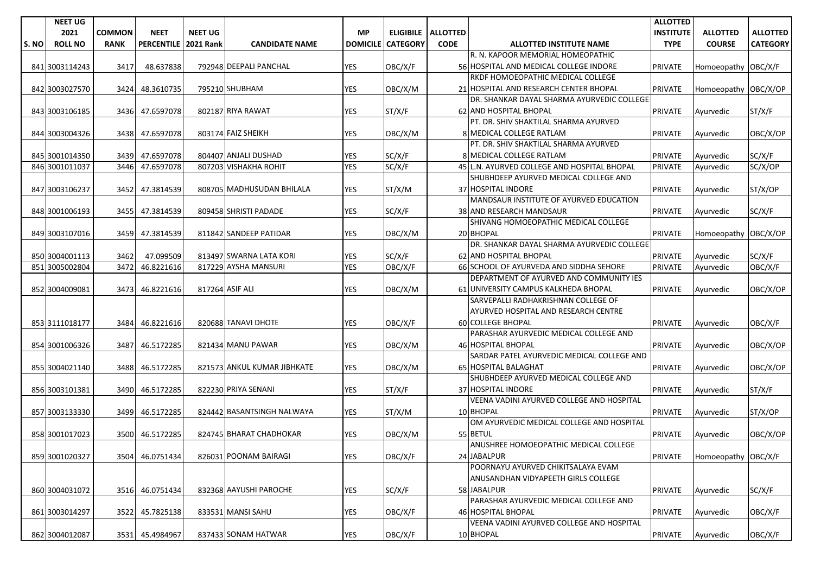|       | <b>NEET UG</b> |               |                   |                  |                             |                 |                 |                    |                                             | <b>ALLOTTED</b>  |                      |                 |
|-------|----------------|---------------|-------------------|------------------|-----------------------------|-----------------|-----------------|--------------------|---------------------------------------------|------------------|----------------------|-----------------|
|       | 2021           | <b>COMMON</b> | <b>NEET</b>       | <b>NEET UG</b>   |                             | <b>MP</b>       |                 | ELIGIBILE ALLOTTED |                                             | <b>INSTITUTE</b> | <b>ALLOTTED</b>      | <b>ALLOTTED</b> |
| S. NO | <b>ROLL NO</b> | <b>RANK</b>   | <b>PERCENTILE</b> | <b>2021 Rank</b> | <b>CANDIDATE NAME</b>       | <b>DOMICILE</b> | <b>CATEGORY</b> | <b>CODE</b>        | <b>ALLOTTED INSTITUTE NAME</b>              | <b>TYPE</b>      | <b>COURSE</b>        | <b>CATEGORY</b> |
|       |                |               |                   |                  |                             |                 |                 |                    | R. N. KAPOOR MEMORIAL HOMEOPATHIC           |                  |                      |                 |
|       | 841 3003114243 | 3417          | 48.637838         |                  | 792948 DEEPALI PANCHAL      | <b>YES</b>      | OBC/X/F         |                    | 56 HOSPITAL AND MEDICAL COLLEGE INDORE      | <b>PRIVATE</b>   | Homoeopathy OBC/X/F  |                 |
|       |                |               |                   |                  |                             |                 |                 |                    | RKDF HOMOEOPATHIC MEDICAL COLLEGE           |                  |                      |                 |
|       | 842 3003027570 | 3424          | 48.3610735        |                  | 795210 SHUBHAM              | YES             | OBC/X/M         |                    | 21 HOSPITAL AND RESEARCH CENTER BHOPAL      | <b>PRIVATE</b>   | Homoeopathy OBC/X/OP |                 |
|       |                |               |                   |                  |                             |                 |                 |                    | DR. SHANKAR DAYAL SHARMA AYURVEDIC COLLEGE  |                  |                      |                 |
|       | 843 3003106185 | 3436          | 47.6597078        |                  | 802187 RIYA RAWAT           | <b>YES</b>      | ST/X/F          |                    | 62 AND HOSPITAL BHOPAL                      | <b>PRIVATE</b>   | Ayurvedic            | ST/X/F          |
|       |                |               |                   |                  |                             |                 |                 |                    | PT. DR. SHIV SHAKTILAL SHARMA AYURVED       |                  |                      |                 |
|       | 844 3003004326 |               | 3438 47.6597078   |                  | 803174 FAIZ SHEIKH          | <b>YES</b>      | OBC/X/M         |                    | 8 MEDICAL COLLEGE RATLAM                    | <b>PRIVATE</b>   | Ayurvedic            | OBC/X/OP        |
|       |                |               |                   |                  |                             |                 |                 |                    | PT. DR. SHIV SHAKTILAL SHARMA AYURVED       |                  |                      |                 |
|       | 845 3001014350 | 3439          | 47.6597078        |                  | 804407 ANJALI DUSHAD        | <b>YES</b>      | SC/X/F          |                    | 8 MEDICAL COLLEGE RATLAM                    | <b>PRIVATE</b>   | Ayurvedic            | SC/X/F          |
|       | 846 3001011037 | 3446          | 47.6597078        |                  | 807203 VISHAKHA ROHIT       | <b>YES</b>      | SC/X/F          |                    | 45 L.N. AYURVED COLLEGE AND HOSPITAL BHOPAL | <b>PRIVATE</b>   | Ayurvedic            | SC/X/OP         |
|       |                |               |                   |                  |                             |                 |                 |                    | SHUBHDEEP AYURVED MEDICAL COLLEGE AND       |                  |                      |                 |
|       | 847 3003106237 | 3452          | 47.3814539        |                  | 808705 MADHUSUDAN BHILALA   | <b>YES</b>      | ST/X/M          |                    | 37 HOSPITAL INDORE                          | <b>PRIVATE</b>   | Ayurvedic            | ST/X/OP         |
|       |                |               |                   |                  |                             |                 |                 |                    | MANDSAUR INSTITUTE OF AYURVED EDUCATION     |                  |                      |                 |
|       | 848 3001006193 | 3455          | 47.3814539        |                  | 809458 SHRISTI PADADE       | <b>YES</b>      | SC/X/F          |                    | 38 AND RESEARCH MANDSAUR                    | <b>PRIVATE</b>   | Ayurvedic            | SC/X/F          |
|       |                |               |                   |                  |                             |                 |                 |                    | SHIVANG HOMOEOPATHIC MEDICAL COLLEGE        |                  |                      |                 |
|       | 849 3003107016 | 3459          | 47.3814539        |                  | 811842 SANDEEP PATIDAR      | YES             | OBC/X/M         |                    | 20 BHOPAL                                   | <b>PRIVATE</b>   | Homoeopathy OBC/X/OP |                 |
|       |                |               |                   |                  |                             |                 |                 |                    | DR. SHANKAR DAYAL SHARMA AYURVEDIC COLLEGE  |                  |                      |                 |
|       | 850 3004001113 | 3462          | 47.099509         |                  | 813497 SWARNA LATA KORI     | <b>YES</b>      | SC/X/F          |                    | 62 AND HOSPITAL BHOPAL                      | <b>PRIVATE</b>   | Ayurvedic            | SC/X/F          |
|       | 851 3005002804 | 3472          | 46.8221616        |                  | 817229 AYSHA MANSURI        | <b>YES</b>      | OBC/X/F         |                    | 66 SCHOOL OF AYURVEDA AND SIDDHA SEHORE     | <b>PRIVATE</b>   | Ayurvedic            | OBC/X/F         |
|       |                |               |                   |                  |                             |                 |                 |                    | DEPARTMENT OF AYURVED AND COMMUNITY IES     |                  |                      |                 |
|       | 852 3004009081 | 3473          | 46.8221616        |                  | 817264 ASIF ALI             | <b>YES</b>      | OBC/X/M         |                    | 61 UNIVERSITY CAMPUS KALKHEDA BHOPAL        | <b>PRIVATE</b>   | Ayurvedic            | OBC/X/OP        |
|       |                |               |                   |                  |                             |                 |                 |                    | SARVEPALLI RADHAKRISHNAN COLLEGE OF         |                  |                      |                 |
|       |                |               |                   |                  |                             |                 |                 |                    | AYURVED HOSPITAL AND RESEARCH CENTRE        |                  |                      |                 |
|       | 853 3111018177 | 3484          | 46.8221616        |                  | 820688 TANAVI DHOTE         | <b>YES</b>      | OBC/X/F         |                    | <b>60 COLLEGE BHOPAL</b>                    | <b>PRIVATE</b>   | Ayurvedic            | OBC/X/F         |
|       |                |               |                   |                  |                             |                 |                 |                    | PARASHAR AYURVEDIC MEDICAL COLLEGE AND      |                  |                      |                 |
|       | 854 3001006326 | 3487          | 46.5172285        |                  | 821434 MANU PAWAR           | <b>YES</b>      | OBC/X/M         |                    | 46 HOSPITAL BHOPAL                          | <b>PRIVATE</b>   | Ayurvedic            | OBC/X/OP        |
|       |                |               |                   |                  |                             |                 |                 |                    | SARDAR PATEL AYURVEDIC MEDICAL COLLEGE AND  |                  |                      |                 |
|       | 855 3004021140 | 3488          | 46.5172285        |                  | 821573 ANKUL KUMAR JIBHKATE | <b>YES</b>      | OBC/X/M         |                    | 65 HOSPITAL BALAGHAT                        | <b>PRIVATE</b>   | Ayurvedic            | OBC/X/OP        |
|       |                |               |                   |                  |                             |                 |                 |                    | SHUBHDEEP AYURVED MEDICAL COLLEGE AND       |                  |                      |                 |
|       | 856 3003101381 | 3490          | 46.5172285        |                  | 822230 PRIYA SENANI         | <b>YES</b>      | ST/X/F          |                    | 37 HOSPITAL INDORE                          | <b>PRIVATE</b>   | Ayurvedic            | ST/X/F          |
|       |                |               |                   |                  |                             |                 |                 |                    | VEENA VADINI AYURVED COLLEGE AND HOSPITAL   |                  |                      |                 |
|       | 857 3003133330 | 3499          | 46.5172285        |                  | 824442 BASANTSINGH NALWAYA  | YES             | ST/X/M          |                    | 10 BHOPAL                                   | <b>PRIVATE</b>   | Ayurvedic            | ST/X/OP         |
|       |                |               |                   |                  |                             |                 |                 |                    | OM AYURVEDIC MEDICAL COLLEGE AND HOSPITAL   |                  |                      |                 |
|       | 858 3001017023 | 3500          | 46.5172285        |                  | 824745 BHARAT CHADHOKAR     | <b>YES</b>      | OBC/X/M         |                    | 55 BETUL                                    | <b>PRIVATE</b>   | Ayurvedic            | OBC/X/OP        |
|       |                |               |                   |                  |                             |                 |                 |                    | ANUSHREE HOMOEOPATHIC MEDICAL COLLEGE       |                  |                      |                 |
|       | 859 3001020327 | 3504          | 46.0751434        |                  | 826031 POONAM BAIRAGI       | <b>YES</b>      | OBC/X/F         |                    | 24 JABALPUR                                 | PRIVATE          | Homoeopathy OBC/X/F  |                 |
|       |                |               |                   |                  |                             |                 |                 |                    | POORNAYU AYURVED CHIKITSALAYA EVAM          |                  |                      |                 |
|       |                |               |                   |                  |                             |                 |                 |                    | ANUSANDHAN VIDYAPEETH GIRLS COLLEGE         |                  |                      |                 |
|       | 860 3004031072 | 3516          | 46.0751434        |                  | 832368 AAYUSHI PAROCHE      | YES             | SC/X/F          |                    | 58 JABALPUR                                 | PRIVATE          | Ayurvedic            | SC/X/F          |
|       |                |               |                   |                  |                             |                 |                 |                    | PARASHAR AYURVEDIC MEDICAL COLLEGE AND      |                  |                      |                 |
|       | 861 3003014297 | 3522          | 45.7825138        |                  | 833531 MANSI SAHU           | YES             | OBC/X/F         |                    | 46 HOSPITAL BHOPAL                          | <b>PRIVATE</b>   | Ayurvedic            | OBC/X/F         |
|       |                |               |                   |                  |                             |                 |                 |                    | VEENA VADINI AYURVED COLLEGE AND HOSPITAL   |                  |                      |                 |
|       | 862 3004012087 | 3531          | 45.4984967        |                  | 837433 SONAM HATWAR         | YES             | OBC/X/F         |                    | 10 BHOPAL                                   | <b>PRIVATE</b>   | Ayurvedic            | OBC/X/F         |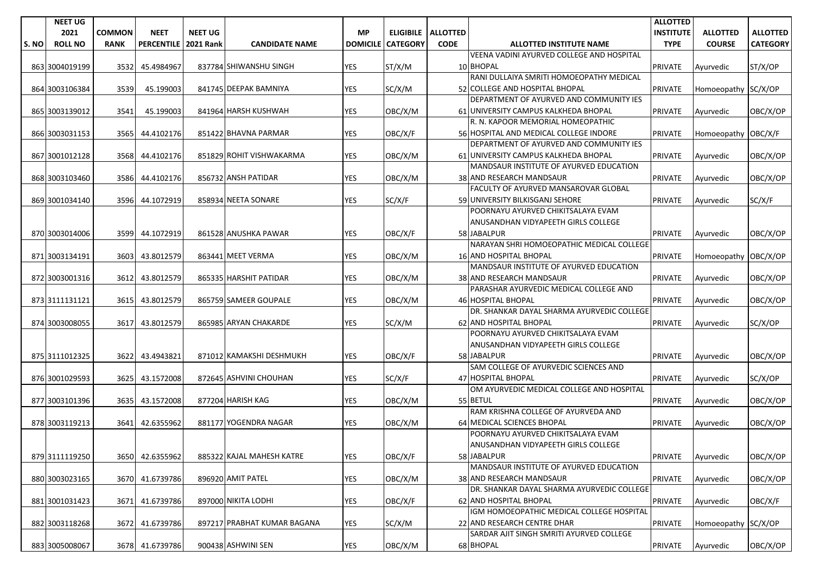|       | <b>NEET UG</b> |               |                      |                |                             |                 |                 |                      |                                            | <b>ALLOTTED</b>  |                      |                 |
|-------|----------------|---------------|----------------------|----------------|-----------------------------|-----------------|-----------------|----------------------|--------------------------------------------|------------------|----------------------|-----------------|
|       | 2021           | <b>COMMON</b> | <b>NEET</b>          | <b>NEET UG</b> |                             | <b>MP</b>       |                 | ELIGIBILE   ALLOTTED |                                            | <b>INSTITUTE</b> | <b>ALLOTTED</b>      | <b>ALLOTTED</b> |
| S. NO | <b>ROLL NO</b> | <b>RANK</b>   | PERCENTILE 2021 Rank |                | <b>CANDIDATE NAME</b>       | <b>DOMICILE</b> | <b>CATEGORY</b> | <b>CODE</b>          | <b>ALLOTTED INSTITUTE NAME</b>             | <b>TYPE</b>      | <b>COURSE</b>        | <b>CATEGORY</b> |
|       |                |               |                      |                |                             |                 |                 |                      | VEENA VADINI AYURVED COLLEGE AND HOSPITAL  |                  |                      |                 |
|       | 863 3004019199 | 3532          | 45.4984967           |                | 837784 SHIWANSHU SINGH      | <b>YES</b>      | ST/X/M          |                      | 10 BHOPAL                                  | <b>PRIVATE</b>   | Ayurvedic            | ST/X/OP         |
|       |                |               |                      |                |                             |                 |                 |                      | RANI DULLAIYA SMRITI HOMOEOPATHY MEDICAL   |                  |                      |                 |
|       | 864 3003106384 | 3539          | 45.199003            |                | 841745 DEEPAK BAMNIYA       | YES             | SC/X/M          |                      | 52 COLLEGE AND HOSPITAL BHOPAL             | <b>PRIVATE</b>   | Homoeopathy SC/X/OP  |                 |
|       |                |               |                      |                |                             |                 |                 |                      | DEPARTMENT OF AYURVED AND COMMUNITY IES    |                  |                      |                 |
|       | 865 3003139012 | 3541          | 45.199003            |                | 841964 HARSH KUSHWAH        | <b>YES</b>      | OBC/X/M         |                      | 61 UNIVERSITY CAMPUS KALKHEDA BHOPAL       | <b>PRIVATE</b>   | Ayurvedic            | OBC/X/OP        |
|       |                |               |                      |                |                             |                 |                 |                      | R. N. KAPOOR MEMORIAL HOMEOPATHIC          |                  |                      |                 |
|       | 866 3003031153 | 3565          | 44.4102176           |                | 851422 BHAVNA PARMAR        | YES             | OBC/X/F         |                      | 56 HOSPITAL AND MEDICAL COLLEGE INDORE     | <b>PRIVATE</b>   | Homoeopathy OBC/X/F  |                 |
|       |                |               |                      |                |                             |                 |                 |                      | DEPARTMENT OF AYURVED AND COMMUNITY IES    |                  |                      |                 |
|       | 867 3001012128 | 3568          | 44.4102176           |                | 851829 ROHIT VISHWAKARMA    | <b>YES</b>      | OBC/X/M         |                      | 61 UNIVERSITY CAMPUS KALKHEDA BHOPAL       | <b>PRIVATE</b>   | Ayurvedic            | OBC/X/OP        |
|       |                |               |                      |                |                             |                 |                 |                      | MANDSAUR INSTITUTE OF AYURVED EDUCATION    |                  |                      |                 |
|       | 868 3003103460 | 3586          | 44.4102176           |                | 856732 ANSH PATIDAR         | <b>YES</b>      | OBC/X/M         |                      | 38 AND RESEARCH MANDSAUR                   | <b>PRIVATE</b>   | Ayurvedic            | OBC/X/OP        |
|       |                |               |                      |                |                             |                 |                 |                      | FACULTY OF AYURVED MANSAROVAR GLOBAL       |                  |                      |                 |
|       | 869 3001034140 | 3596          | 44.1072919           |                | 858934 NEETA SONARE         | YES             | SC/X/F          |                      | 59 UNIVERSITY BILKISGANJ SEHORE            | <b>PRIVATE</b>   | Ayurvedic            | SC/X/F          |
|       |                |               |                      |                |                             |                 |                 |                      | POORNAYU AYURVED CHIKITSALAYA EVAM         |                  |                      |                 |
|       |                |               |                      |                |                             |                 |                 |                      | ANUSANDHAN VIDYAPEETH GIRLS COLLEGE        |                  |                      |                 |
|       | 870 3003014006 | 3599          | 44.1072919           |                | 861528 ANUSHKA PAWAR        | <b>YES</b>      | OBC/X/F         |                      | 58 JABALPUR                                | <b>PRIVATE</b>   | Ayurvedic            | OBC/X/OP        |
|       |                |               |                      |                |                             |                 |                 |                      | NARAYAN SHRI HOMOEOPATHIC MEDICAL COLLEGE  |                  |                      |                 |
|       | 871 3003134191 | 3603          | 43.8012579           |                | 863441 MEET VERMA           | <b>YES</b>      | OBC/X/M         |                      | <b>16 AND HOSPITAL BHOPAL</b>              | <b>PRIVATE</b>   | Homoeopathy OBC/X/OP |                 |
|       |                |               |                      |                |                             |                 |                 |                      | MANDSAUR INSTITUTE OF AYURVED EDUCATION    |                  |                      |                 |
|       | 872 3003001316 | 3612          | 43.8012579           |                | 865335 HARSHIT PATIDAR      | YES             | OBC/X/M         |                      | 38 AND RESEARCH MANDSAUR                   | <b>PRIVATE</b>   | Ayurvedic            | OBC/X/OP        |
|       |                |               |                      |                |                             |                 |                 |                      | PARASHAR AYURVEDIC MEDICAL COLLEGE AND     |                  |                      |                 |
|       | 873 3111131121 | 3615          | 43.8012579           |                | 865759 SAMEER GOUPALE       | <b>YES</b>      | OBC/X/M         |                      | 46 HOSPITAL BHOPAL                         | <b>PRIVATE</b>   | Ayurvedic            | OBC/X/OP        |
|       |                |               |                      |                |                             |                 |                 |                      | DR. SHANKAR DAYAL SHARMA AYURVEDIC COLLEGE |                  |                      |                 |
|       | 874 3003008055 | 3617          | 43.8012579           |                | 865985 ARYAN CHAKARDE       | <b>YES</b>      | SC/X/M          |                      | 62 AND HOSPITAL BHOPAL                     | <b>PRIVATE</b>   | Ayurvedic            | SC/X/OP         |
|       |                |               |                      |                |                             |                 |                 |                      | POORNAYU AYURVED CHIKITSALAYA EVAM         |                  |                      |                 |
|       |                |               |                      |                |                             |                 |                 |                      | ANUSANDHAN VIDYAPEETH GIRLS COLLEGE        |                  |                      |                 |
|       | 875 3111012325 | 3622          | 43.4943821           |                | 871012 KAMAKSHI DESHMUKH    | <b>YES</b>      | OBC/X/F         |                      | 58 JABALPUR                                | <b>PRIVATE</b>   | Ayurvedic            | OBC/X/OP        |
|       |                |               |                      |                |                             |                 |                 |                      | SAM COLLEGE OF AYURVEDIC SCIENCES AND      |                  |                      |                 |
|       | 876 3001029593 | 3625          | 43.1572008           |                | 872645 ASHVINI CHOUHAN      | <b>YES</b>      | SC/X/F          |                      | 47 HOSPITAL BHOPAL                         | <b>PRIVATE</b>   | Ayurvedic            | SC/X/OP         |
|       |                |               |                      |                |                             |                 |                 |                      | OM AYURVEDIC MEDICAL COLLEGE AND HOSPITAL  |                  |                      |                 |
|       | 877 3003101396 | 3635          | 43.1572008           |                | 877204 HARISH KAG           | YES             | OBC/X/M         |                      | 55 BETUL                                   | <b>PRIVATE</b>   | Ayurvedic            | OBC/X/OP        |
|       |                |               |                      |                |                             |                 |                 |                      | RAM KRISHNA COLLEGE OF AYURVEDA AND        |                  |                      |                 |
|       | 878 3003119213 | 3641          | 42.6355962           |                | 881177 YOGENDRA NAGAR       | YES             | OBC/X/M         |                      | 64 MEDICAL SCIENCES BHOPAL                 | <b>PRIVATE</b>   | Ayurvedic            | OBC/X/OP        |
|       |                |               |                      |                |                             |                 |                 |                      | POORNAYU AYURVED CHIKITSALAYA EVAM         |                  |                      |                 |
|       |                |               |                      |                |                             |                 |                 |                      | ANUSANDHAN VIDYAPEETH GIRLS COLLEGE        |                  |                      |                 |
|       | 879 3111119250 | 3650          | 42.6355962           |                | 885322 KAJAL MAHESH KATRE   | <b>YES</b>      | OBC/X/F         |                      | 58 JABALPUR                                | PRIVATE          | Ayurvedic            | OBC/X/OP        |
|       |                |               |                      |                |                             |                 |                 |                      | MANDSAUR INSTITUTE OF AYURVED EDUCATION    |                  |                      |                 |
|       | 880 3003023165 |               | 3670 41.6739786      |                | 896920 AMIT PATEL           | <b>YES</b>      | OBC/X/M         |                      | 38 AND RESEARCH MANDSAUR                   | PRIVATE          | Ayurvedic            | OBC/X/OP        |
|       |                |               |                      |                |                             |                 |                 |                      | DR. SHANKAR DAYAL SHARMA AYURVEDIC COLLEGE |                  |                      |                 |
|       | 881 3001031423 | 3671          | 41.6739786           |                | 897000 NIKITA LODHI         | YES             | OBC/X/F         |                      | 62 AND HOSPITAL BHOPAL                     | PRIVATE          | Ayurvedic            | OBC/X/F         |
|       |                |               |                      |                |                             |                 |                 |                      | IGM HOMOEOPATHIC MEDICAL COLLEGE HOSPITAL  |                  |                      |                 |
|       | 882 3003118268 | 3672          | 41.6739786           |                | 897217 PRABHAT KUMAR BAGANA | YES             | SC/X/M          |                      | 22 AND RESEARCH CENTRE DHAR                | <b>PRIVATE</b>   | Homoeopathy SC/X/OP  |                 |
|       |                |               |                      |                |                             |                 |                 |                      | SARDAR AJIT SINGH SMRITI AYURVED COLLEGE   |                  |                      |                 |
|       | 883 3005008067 |               | 3678 41.6739786      |                | 900438 ASHWINI SEN          | YES             | OBC/X/M         |                      | 68 BHOPAL                                  | <b>PRIVATE</b>   | Ayurvedic            | OBC/X/OP        |